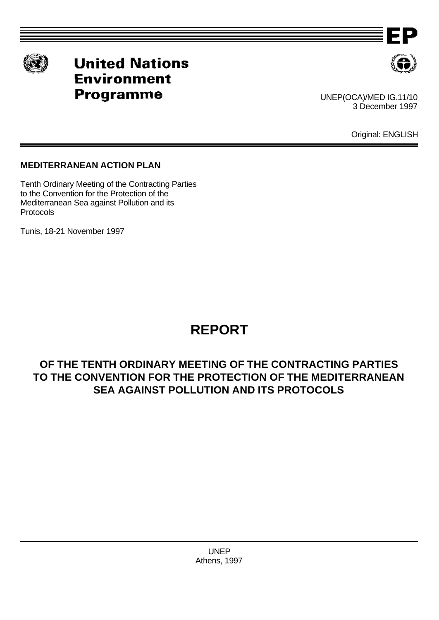

**United Nations Environment** Programme



UNEP(OCA)/MED IG.11/10 3 December 1997

Original: ENGLISH

# **MEDITERRANEAN ACTION PLAN**

Tenth Ordinary Meeting of the Contracting Parties to the Convention for the Protection of the Mediterranean Sea against Pollution and its Protocols

Tunis, 18-21 November 1997

# **REPORT**

# **OF THE TENTH ORDINARY MEETING OF THE CONTRACTING PARTIES TO THE CONVENTION FOR THE PROTECTION OF THE MEDITERRANEAN SEA AGAINST POLLUTION AND ITS PROTOCOLS**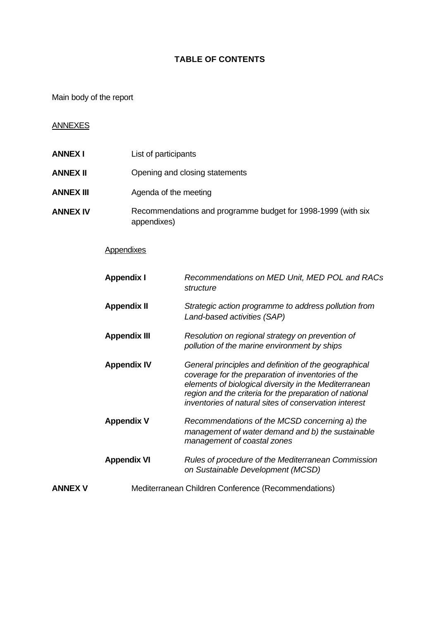#### **TABLE OF CONTENTS**

# Main body of the report

# ANNEXES

**ANNEX V** 

| <b>ANNEX I</b>   | List of participants                                                        |
|------------------|-----------------------------------------------------------------------------|
| <b>ANNEX II</b>  | Opening and closing statements                                              |
| <b>ANNEX III</b> | Agenda of the meeting                                                       |
| <b>ANNEX IV</b>  | Recommendations and programme budget for 1998-1999 (with six<br>appendixes) |

# **Appendixes**

| <b>Appendix I</b>   | Recommendations on MED Unit, MED POL and RACs<br>structure                                                                                                                                                                                                                               |
|---------------------|------------------------------------------------------------------------------------------------------------------------------------------------------------------------------------------------------------------------------------------------------------------------------------------|
| <b>Appendix II</b>  | Strategic action programme to address pollution from<br>Land-based activities (SAP)                                                                                                                                                                                                      |
| <b>Appendix III</b> | Resolution on regional strategy on prevention of<br>pollution of the marine environment by ships                                                                                                                                                                                         |
| <b>Appendix IV</b>  | General principles and definition of the geographical<br>coverage for the preparation of inventories of the<br>elements of biological diversity in the Mediterranean<br>region and the criteria for the preparation of national<br>inventories of natural sites of conservation interest |
| <b>Appendix V</b>   | Recommendations of the MCSD concerning a) the<br>management of water demand and b) the sustainable<br>management of coastal zones                                                                                                                                                        |
| <b>Appendix VI</b>  | Rules of procedure of the Mediterranean Commission<br>on Sustainable Development (MCSD)                                                                                                                                                                                                  |
|                     | Mediterranean Children Conference (Recommendations)                                                                                                                                                                                                                                      |
|                     |                                                                                                                                                                                                                                                                                          |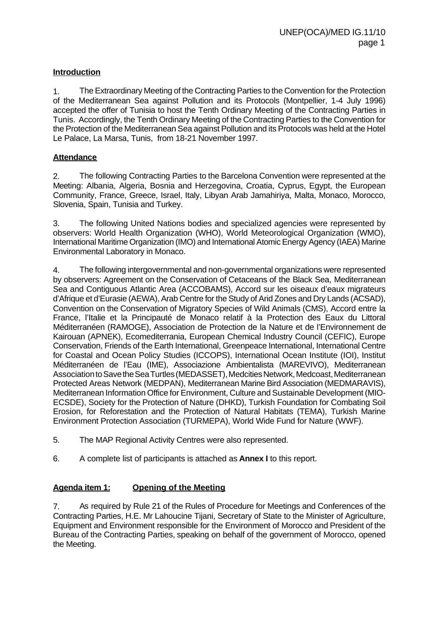#### **Introduction**

1. The Extraordinary Meeting of the Contracting Parties to the Convention for the Protection of the Mediterranean Sea against Pollution and its Protocols (Montpellier, 1-4 July 1996) accepted the offer of Tunisia to host the Tenth Ordinary Meeting of the Contracting Parties in Tunis. Accordingly, the Tenth Ordinary Meeting of the Contracting Parties to the Convention for the Protection of the Mediterranean Sea against Pollution and its Protocols was held at the Hotel Le Palace, La Marsa, Tunis, from 18-21 November 1997.

#### **Attendance**

2. The following Contracting Parties to the Barcelona Convention were represented at the Meeting: Albania, Algeria, Bosnia and Herzegovina, Croatia, Cyprus, Egypt, the European Community, France, Greece, Israel, Italy, Libyan Arab Jamahiriya, Malta, Monaco, Morocco, Slovenia, Spain, Tunisia and Turkey.

3. The following United Nations bodies and specialized agencies were represented by observers: World Health Organization (WHO), World Meteorological Organization (WMO), International Maritime Organization (IMO) and International Atomic Energy Agency (IAEA) Marine Environmental Laboratory in Monaco.

4. The following intergovernmental and non-governmental organizations were represented by observers: Agreement on the Conservation of Cetaceans of the Black Sea, Mediterranean Sea and Contiguous Atlantic Area (ACCOBAMS), Accord sur les oiseaux d'eaux migrateurs d'Afrique et d'Eurasie (AEWA), Arab Centre for the Study of Arid Zones and Dry Lands (ACSAD), Convention on the Conservation of Migratory Species of Wild Animals (CMS), Accord entre la France, l'Italie et la Principauté de Monaco relatif à la Protection des Eaux du Littoral Méditerranéen (RAMOGE), Association de Protection de la Nature et de l'Environnement de Kairouan (APNEK), Ecomediterrania, European Chemical Industry Council (CEFIC), Europe Conservation, Friends of the Earth International, Greenpeace International, International Centre for Coastal and Ocean Policy Studies (ICCOPS), International Ocean Institute (IOI), Institut Méditerranéen de l'Eau (IME), Associazione Ambientalista (MAREVIVO), Mediterranean Association to Save the Sea Turtles (MEDASSET), Medcities Network, Medcoast, Mediterranean Protected Areas Network (MEDPAN), Mediterranean Marine Bird Association (MEDMARAVIS), Mediterranean Information Office for Environment, Culture and Sustainable Development (MIO-ECSDE), Society for the Protection of Nature (DHKD), Turkish Foundation for Combating Soil Erosion, for Reforestation and the Protection of Natural Habitats (TEMA), Turkish Marine Environment Protection Association (TURMEPA), World Wide Fund for Nature (WWF).

- 5. The MAP Regional Activity Centres were also represented.
- 6. A complete list of participants is attached as **Annex I** to this report.

#### **Agenda item 1: Opening of the Meeting**

7. As required by Rule 21 of the Rules of Procedure for Meetings and Conferences of the Contracting Parties, H.E. Mr Lahoucine Tijani, Secretary of State to the Minister of Agriculture, Equipment and Environment responsible for the Environment of Morocco and President of the Bureau of the Contracting Parties, speaking on behalf of the government of Morocco, opened the Meeting.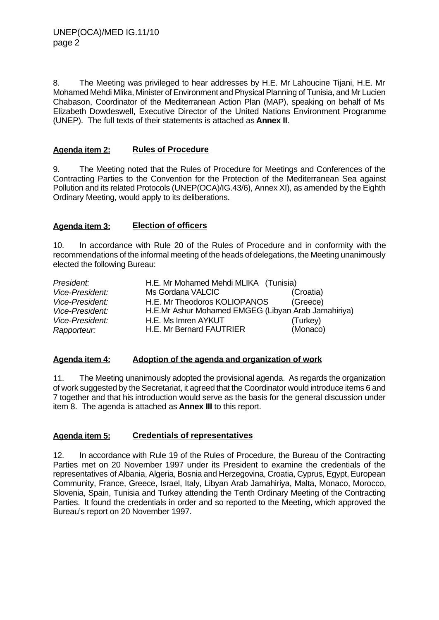8. The Meeting was privileged to hear addresses by H.E. Mr Lahoucine Tijani, H.E. Mr Mohamed Mehdi Mlika, Minister of Environment and Physical Planning of Tunisia, and Mr Lucien Chabason, Coordinator of the Mediterranean Action Plan (MAP), speaking on behalf of Ms Elizabeth Dowdeswell, Executive Director of the United Nations Environment Programme (UNEP). The full texts of their statements is attached as **Annex II**.

#### **Agenda item 2: Rules of Procedure**

9. The Meeting noted that the Rules of Procedure for Meetings and Conferences of the Contracting Parties to the Convention for the Protection of the Mediterranean Sea against Pollution and its related Protocols (UNEP(OCA)/IG.43/6), Annex XI), as amended by the Eighth Ordinary Meeting, would apply to its deliberations.

#### **Agenda item 3: Election of officers**

10. In accordance with Rule 20 of the Rules of Procedure and in conformity with the recommendations of the informal meeting of the heads of delegations, the Meeting unanimously elected the following Bureau:

| President:      | H.E. Mr Mohamed Mehdi MLIKA (Tunisia)               |           |
|-----------------|-----------------------------------------------------|-----------|
| Vice-President: | Ms Gordana VALCIC                                   | (Croatia) |
| Vice-President: | H.E. Mr Theodoros KOLIOPANOS                        | (Greece)  |
| Vice-President: | H.E.Mr Ashur Mohamed EMGEG (Libyan Arab Jamahiriya) |           |
| Vice-President: | H.E. Ms Imren AYKUT                                 | (Turkey)  |
| Rapporteur:     | H.E. Mr Bernard FAUTRIER                            | (Monaco)  |

#### **Agenda item 4: Adoption of the agenda and organization of work**

11. The Meeting unanimously adopted the provisional agenda. As regards the organization of work suggested by the Secretariat, it agreed that the Coordinator would introduce items 6 and 7 together and that his introduction would serve as the basis for the general discussion under item 8. The agenda is attached as **Annex III** to this report.

#### **Agenda item 5: Credentials of representatives**

12. In accordance with Rule 19 of the Rules of Procedure, the Bureau of the Contracting Parties met on 20 November 1997 under its President to examine the credentials of the representatives of Albania, Algeria, Bosnia and Herzegovina, Croatia, Cyprus, Egypt, European Community, France, Greece, Israel, Italy, Libyan Arab Jamahiriya, Malta, Monaco, Morocco, Slovenia, Spain, Tunisia and Turkey attending the Tenth Ordinary Meeting of the Contracting Parties. It found the credentials in order and so reported to the Meeting, which approved the Bureau's report on 20 November 1997.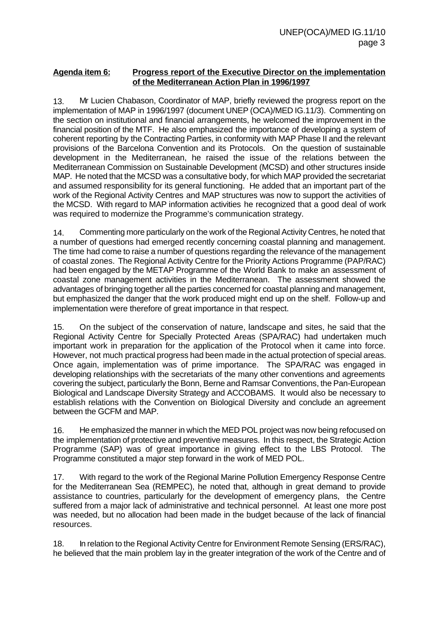#### **Agenda item 6: Progress report of the Executive Director on the implementation of the Mediterranean Action Plan in 1996/1997**

13. Mr Lucien Chabason, Coordinator of MAP, briefly reviewed the progress report on the implementation of MAP in 1996/1997 (document UNEP (OCA)/MED IG.11/3). Commenting on the section on institutional and financial arrangements, he welcomed the improvement in the financial position of the MTF. He also emphasized the importance of developing a system of coherent reporting by the Contracting Parties, in conformity with MAP Phase II and the relevant provisions of the Barcelona Convention and its Protocols. On the question of sustainable development in the Mediterranean, he raised the issue of the relations between the Mediterranean Commission on Sustainable Development (MCSD) and other structures inside MAP. He noted that the MCSD was a consultative body, for which MAP provided the secretariat and assumed responsibility for its general functioning. He added that an important part of the work of the Regional Activity Centres and MAP structures was now to support the activities of the MCSD. With regard to MAP information activities he recognized that a good deal of work was required to modernize the Programme's communication strategy.

14. Commenting more particularly on the work of the Regional Activity Centres, he noted that a number of questions had emerged recently concerning coastal planning and management. The time had come to raise a number of questions regarding the relevance of the management of coastal zones. The Regional Activity Centre for the Priority Actions Programme (PAP/RAC) had been engaged by the METAP Programme of the World Bank to make an assessment of coastal zone management activities in the Mediterranean. The assessment showed the advantages of bringing together all the parties concerned for coastal planning and management, but emphasized the danger that the work produced might end up on the shelf. Follow-up and implementation were therefore of great importance in that respect.

15. On the subject of the conservation of nature, landscape and sites, he said that the Regional Activity Centre for Specially Protected Areas (SPA/RAC) had undertaken much important work in preparation for the application of the Protocol when it came into force. However, not much practical progress had been made in the actual protection of special areas. Once again, implementation was of prime importance. The SPA/RAC was engaged in developing relationships with the secretariats of the many other conventions and agreements covering the subject, particularly the Bonn, Berne and Ramsar Conventions, the Pan-European Biological and Landscape Diversity Strategy and ACCOBAMS. It would also be necessary to establish relations with the Convention on Biological Diversity and conclude an agreement between the GCFM and MAP.

16. He emphasized the manner in which the MED POL project was now being refocused on the implementation of protective and preventive measures. In this respect, the Strategic Action Programme (SAP) was of great importance in giving effect to the LBS Protocol. The Programme constituted a major step forward in the work of MED POL.

17. With regard to the work of the Regional Marine Pollution Emergency Response Centre for the Mediterranean Sea (REMPEC), he noted that, although in great demand to provide assistance to countries, particularly for the development of emergency plans, the Centre suffered from a major lack of administrative and technical personnel. At least one more post was needed, but no allocation had been made in the budget because of the lack of financial resources.

18. In relation to the Regional Activity Centre for Environment Remote Sensing (ERS/RAC), he believed that the main problem lay in the greater integration of the work of the Centre and of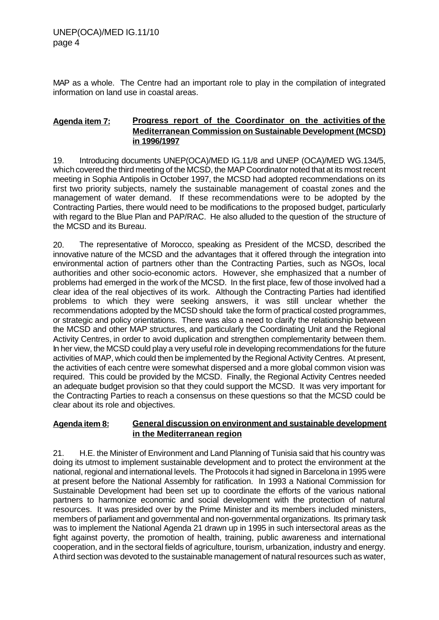MAP as a whole. The Centre had an important role to play in the compilation of integrated information on land use in coastal areas.

#### **Agenda item 7: Progress report of the Coordinator on the activities of the Mediterranean Commission on Sustainable Development (MCSD) in 1996/1997**

19. Introducing documents UNEP(OCA)/MED IG.11/8 and UNEP (OCA)/MED WG.134/5, which covered the third meeting of the MCSD, the MAP Coordinator noted that at its most recent meeting in Sophia Antipolis in October 1997, the MCSD had adopted recommendations on its first two priority subjects, namely the sustainable management of coastal zones and the management of water demand. If these recommendations were to be adopted by the Contracting Parties, there would need to be modifications to the proposed budget, particularly with regard to the Blue Plan and PAP/RAC. He also alluded to the question of the structure of the MCSD and its Bureau.

20. The representative of Morocco, speaking as President of the MCSD, described the innovative nature of the MCSD and the advantages that it offered through the integration into environmental action of partners other than the Contracting Parties, such as NGOs, local authorities and other socio-economic actors. However, she emphasized that a number of problems had emerged in the work of the MCSD. In the first place, few of those involved had a clear idea of the real objectives of its work. Although the Contracting Parties had identified problems to which they were seeking answers, it was still unclear whether the recommendations adopted by the MCSD should take the form of practical costed programmes, or strategic and policy orientations. There was also a need to clarify the relationship between the MCSD and other MAP structures, and particularly the Coordinating Unit and the Regional Activity Centres, in order to avoid duplication and strengthen complementarity between them. In her view, the MCSD could play a very useful role in developing recommendations for the future activities of MAP, which could then be implemented by the Regional Activity Centres. At present, the activities of each centre were somewhat dispersed and a more global common vision was required. This could be provided by the MCSD. Finally, the Regional Activity Centres needed an adequate budget provision so that they could support the MCSD. It was very important for the Contracting Parties to reach a consensus on these questions so that the MCSD could be clear about its role and objectives.

#### **Agenda item 8: General discussion on environment and sustainable development in the Mediterranean region**

21. H.E. the Minister of Environment and Land Planning of Tunisia said that his country was doing its utmost to implement sustainable development and to protect the environment at the national, regional and international levels. The Protocols it had signed in Barcelona in 1995 were at present before the National Assembly for ratification. In 1993 a National Commission for Sustainable Development had been set up to coordinate the efforts of the various national partners to harmonize economic and social development with the protection of natural resources. It was presided over by the Prime Minister and its members included ministers, members of parliament and governmental and non-governmental organizations. Its primary task was to implement the National Agenda 21 drawn up in 1995 in such intersectoral areas as the fight against poverty, the promotion of health, training, public awareness and international cooperation, and in the sectoral fields of agriculture, tourism, urbanization, industry and energy. A third section was devoted to the sustainable management of natural resources such as water,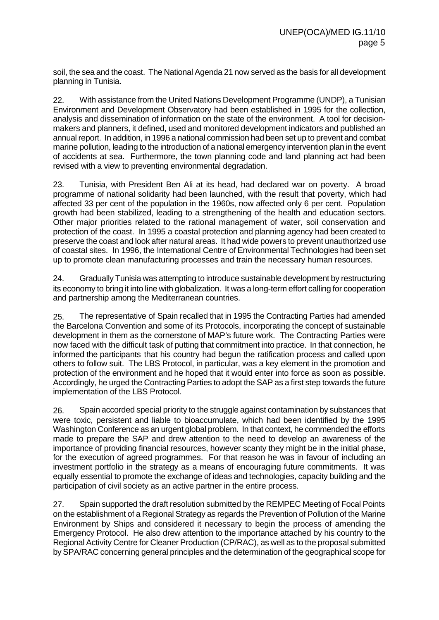soil, the sea and the coast. The National Agenda 21 now served as the basis for all development planning in Tunisia.

22. With assistance from the United Nations Development Programme (UNDP), a Tunisian Environment and Development Observatory had been established in 1995 for the collection, analysis and dissemination of information on the state of the environment. A tool for decisionmakers and planners, it defined, used and monitored development indicators and published an annual report. In addition, in 1996 a national commission had been set up to prevent and combat marine pollution, leading to the introduction of a national emergency intervention plan in the event of accidents at sea. Furthermore, the town planning code and land planning act had been revised with a view to preventing environmental degradation.

23. Tunisia, with President Ben Ali at its head, had declared war on poverty. A broad programme of national solidarity had been launched, with the result that poverty, which had affected 33 per cent of the population in the 1960s, now affected only 6 per cent. Population growth had been stabilized, leading to a strengthening of the health and education sectors. Other major priorities related to the rational management of water, soil conservation and protection of the coast. In 1995 a coastal protection and planning agency had been created to preserve the coast and look after natural areas. It had wide powers to prevent unauthorized use of coastal sites. In 1996, the International Centre of Environmental Technologies had been set up to promote clean manufacturing processes and train the necessary human resources.

24. Gradually Tunisia was attempting to introduce sustainable development by restructuring its economy to bring it into line with globalization. It was a long-term effort calling for cooperation and partnership among the Mediterranean countries.

25. The representative of Spain recalled that in 1995 the Contracting Parties had amended the Barcelona Convention and some of its Protocols, incorporating the concept of sustainable development in them as the cornerstone of MAP's future work. The Contracting Parties were now faced with the difficult task of putting that commitment into practice. In that connection, he informed the participants that his country had begun the ratification process and called upon others to follow suit. The LBS Protocol, in particular, was a key element in the promotion and protection of the environment and he hoped that it would enter into force as soon as possible. Accordingly, he urged the Contracting Parties to adopt the SAP as a first step towards the future implementation of the LBS Protocol.

26. Spain accorded special priority to the struggle against contamination by substances that were toxic, persistent and liable to bioaccumulate, which had been identified by the 1995 Washington Conference as an urgent global problem. In that context, he commended the efforts made to prepare the SAP and drew attention to the need to develop an awareness of the importance of providing financial resources, however scanty they might be in the initial phase, for the execution of agreed programmes. For that reason he was in favour of including an investment portfolio in the strategy as a means of encouraging future commitments. It was equally essential to promote the exchange of ideas and technologies, capacity building and the participation of civil society as an active partner in the entire process.

27. Spain supported the draft resolution submitted by the REMPEC Meeting of Focal Points on the establishment of a Regional Strategy as regards the Prevention of Pollution of the Marine Environment by Ships and considered it necessary to begin the process of amending the Emergency Protocol. He also drew attention to the importance attached by his country to the Regional Activity Centre for Cleaner Production (CP/RAC), as well as to the proposal submitted by SPA/RAC concerning general principles and the determination of the geographical scope for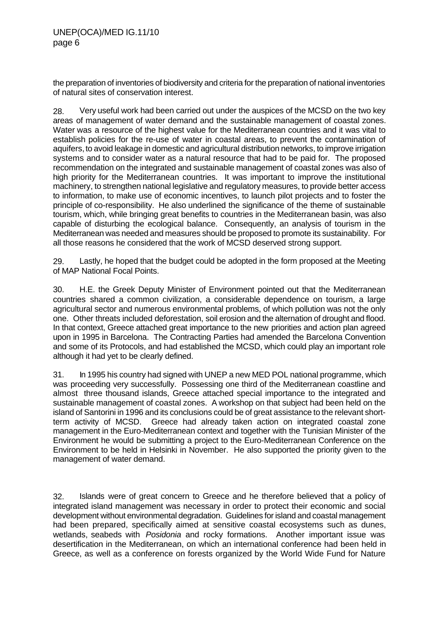the preparation of inventories of biodiversity and criteria for the preparation of national inventories of natural sites of conservation interest.

28. Very useful work had been carried out under the auspices of the MCSD on the two key areas of management of water demand and the sustainable management of coastal zones. Water was a resource of the highest value for the Mediterranean countries and it was vital to establish policies for the re-use of water in coastal areas, to prevent the contamination of aquifers, to avoid leakage in domestic and agricultural distribution networks, to improve irrigation systems and to consider water as a natural resource that had to be paid for. The proposed recommendation on the integrated and sustainable management of coastal zones was also of high priority for the Mediterranean countries. It was important to improve the institutional machinery, to strengthen national legislative and regulatory measures, to provide better access to information, to make use of economic incentives, to launch pilot projects and to foster the principle of co-responsibility. He also underlined the significance of the theme of sustainable tourism, which, while bringing great benefits to countries in the Mediterranean basin, was also capable of disturbing the ecological balance. Consequently, an analysis of tourism in the Mediterranean was needed and measures should be proposed to promote its sustainability. For all those reasons he considered that the work of MCSD deserved strong support.

29. Lastly, he hoped that the budget could be adopted in the form proposed at the Meeting of MAP National Focal Points.

30. H.E. the Greek Deputy Minister of Environment pointed out that the Mediterranean countries shared a common civilization, a considerable dependence on tourism, a large agricultural sector and numerous environmental problems, of which pollution was not the only one. Other threats included deforestation, soil erosion and the alternation of drought and flood. In that context, Greece attached great importance to the new priorities and action plan agreed upon in 1995 in Barcelona. The Contracting Parties had amended the Barcelona Convention and some of its Protocols, and had established the MCSD, which could play an important role although it had yet to be clearly defined.

31. In 1995 his country had signed with UNEP a new MED POL national programme, which was proceeding very successfully. Possessing one third of the Mediterranean coastline and almost three thousand islands, Greece attached special importance to the integrated and sustainable management of coastal zones. A workshop on that subject had been held on the island of Santorini in 1996 and its conclusions could be of great assistance to the relevant shortterm activity of MCSD. Greece had already taken action on integrated coastal zone management in the Euro-Mediterranean context and together with the Tunisian Minister of the Environment he would be submitting a project to the Euro-Mediterranean Conference on the Environment to be held in Helsinki in November. He also supported the priority given to the management of water demand.

32. Islands were of great concern to Greece and he therefore believed that a policy of integrated island management was necessary in order to protect their economic and social development without environmental degradation. Guidelines for island and coastal management had been prepared, specifically aimed at sensitive coastal ecosystems such as dunes, wetlands, seabeds with *Posidonia* and rocky formations. Another important issue was desertification in the Mediterranean, on which an international conference had been held in Greece, as well as a conference on forests organized by the World Wide Fund for Nature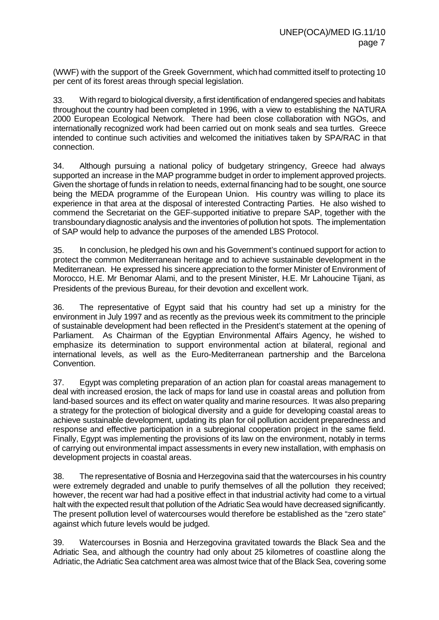(WWF) with the support of the Greek Government, which had committed itself to protecting 10 per cent of its forest areas through special legislation.

33. With regard to biological diversity, a first identification of endangered species and habitats throughout the country had been completed in 1996, with a view to establishing the NATURA 2000 European Ecological Network. There had been close collaboration with NGOs, and internationally recognized work had been carried out on monk seals and sea turtles. Greece intended to continue such activities and welcomed the initiatives taken by SPA/RAC in that connection.

34. Although pursuing a national policy of budgetary stringency, Greece had always supported an increase in the MAP programme budget in order to implement approved projects. Given the shortage of funds in relation to needs, external financing had to be sought, one source being the MEDA programme of the European Union. His country was willing to place its experience in that area at the disposal of interested Contracting Parties. He also wished to commend the Secretariat on the GEF-supported initiative to prepare SAP, together with the transboundary diagnostic analysis and the inventories of pollution hot spots. The implementation of SAP would help to advance the purposes of the amended LBS Protocol.

35. In conclusion, he pledged his own and his Government's continued support for action to protect the common Mediterranean heritage and to achieve sustainable development in the Mediterranean. He expressed his sincere appreciation to the former Minister of Environment of Morocco, H.E. Mr Benomar Alami, and to the present Minister, H.E. Mr Lahoucine Tijani, as Presidents of the previous Bureau, for their devotion and excellent work.

36. The representative of Egypt said that his country had set up a ministry for the environment in July 1997 and as recently as the previous week its commitment to the principle of sustainable development had been reflected in the President's statement at the opening of Parliament. As Chairman of the Egyptian Environmental Affairs Agency, he wished to emphasize its determination to support environmental action at bilateral, regional and international levels, as well as the Euro-Mediterranean partnership and the Barcelona Convention.

37. Egypt was completing preparation of an action plan for coastal areas management to deal with increased erosion, the lack of maps for land use in coastal areas and pollution from land-based sources and its effect on water quality and marine resources. It was also preparing a strategy for the protection of biological diversity and a guide for developing coastal areas to achieve sustainable development, updating its plan for oil pollution accident preparedness and response and effective participation in a subregional cooperation project in the same field. Finally, Egypt was implementing the provisions of its law on the environment, notably in terms of carrying out environmental impact assessments in every new installation, with emphasis on development projects in coastal areas.

38. The representative of Bosnia and Herzegovina said that the watercourses in his country were extremely degraded and unable to purify themselves of all the pollution they received; however, the recent war had had a positive effect in that industrial activity had come to a virtual halt with the expected result that pollution of the Adriatic Sea would have decreased significantly. The present pollution level of watercourses would therefore be established as the "zero state" against which future levels would be judged.

39. Watercourses in Bosnia and Herzegovina gravitated towards the Black Sea and the Adriatic Sea, and although the country had only about 25 kilometres of coastline along the Adriatic, the Adriatic Sea catchment area was almost twice that of the Black Sea, covering some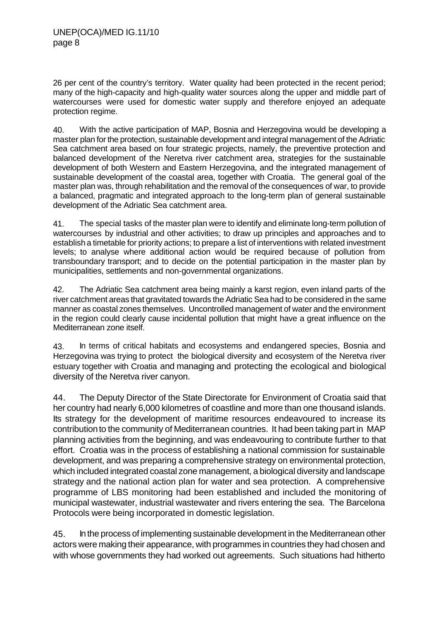26 per cent of the country's territory. Water quality had been protected in the recent period; many of the high-capacity and high-quality water sources along the upper and middle part of watercourses were used for domestic water supply and therefore enjoyed an adequate protection regime.

40. With the active participation of MAP, Bosnia and Herzegovina would be developing a master plan for the protection, sustainable development and integral management of the Adriatic Sea catchment area based on four strategic projects, namely, the preventive protection and balanced development of the Neretva river catchment area, strategies for the sustainable development of both Western and Eastern Herzegovina, and the integrated management of sustainable development of the coastal area, together with Croatia. The general goal of the master plan was, through rehabilitation and the removal of the consequences of war, to provide a balanced, pragmatic and integrated approach to the long-term plan of general sustainable development of the Adriatic Sea catchment area.

41. The special tasks of the master plan were to identify and eliminate long-term pollution of watercourses by industrial and other activities; to draw up principles and approaches and to establish a timetable for priority actions; to prepare a list of interventions with related investment levels; to analyse where additional action would be required because of pollution from transboundary transport; and to decide on the potential participation in the master plan by municipalities, settlements and non-governmental organizations.

42. The Adriatic Sea catchment area being mainly a karst region, even inland parts of the river catchment areas that gravitated towards the Adriatic Sea had to be considered in the same manner as coastal zones themselves. Uncontrolled management of water and the environment in the region could clearly cause incidental pollution that might have a great influence on the Mediterranean zone itself.

43. In terms of critical habitats and ecosystems and endangered species, Bosnia and Herzegovina was trying to protect the biological diversity and ecosystem of the Neretva river estuary together with Croatia and managing and protecting the ecological and biological diversity of the Neretva river canyon.

44. The Deputy Director of the State Directorate for Environment of Croatia said that her country had nearly 6,000 kilometres of coastline and more than one thousand islands. Its strategy for the development of maritime resources endeavoured to increase its contribution to the community of Mediterranean countries. It had been taking part in MAP planning activities from the beginning, and was endeavouring to contribute further to that effort. Croatia was in the process of establishing a national commission for sustainable development, and was preparing a comprehensive strategy on environmental protection, which included integrated coastal zone management, a biological diversity and landscape strategy and the national action plan for water and sea protection. A comprehensive programme of LBS monitoring had been established and included the monitoring of municipal wastewater, industrial wastewater and rivers entering the sea. The Barcelona Protocols were being incorporated in domestic legislation.

45. In the process of implementing sustainable development in the Mediterranean other actors were making their appearance, with programmes in countries they had chosen and with whose governments they had worked out agreements. Such situations had hitherto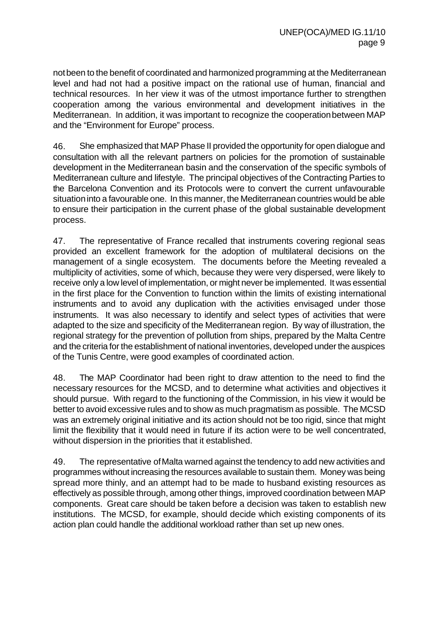not been to the benefit of coordinated and harmonized programming at the Mediterranean level and had not had a positive impact on the rational use of human, financial and technical resources. In her view it was of the utmost importance further to strengthen cooperation among the various environmental and development initiatives in the Mediterranean. In addition, it was important to recognize the cooperation between MAP and the "Environment for Europe" process.

46. She emphasized that MAP Phase II provided the opportunity for open dialogue and consultation with all the relevant partners on policies for the promotion of sustainable development in the Mediterranean basin and the conservation of the specific symbols of Mediterranean culture and lifestyle. The principal objectives of the Contracting Parties to the Barcelona Convention and its Protocols were to convert the current unfavourable situation into a favourable one. In this manner, the Mediterranean countries would be able to ensure their participation in the current phase of the global sustainable development process.

47. The representative of France recalled that instruments covering regional seas provided an excellent framework for the adoption of multilateral decisions on the management of a single ecosystem. The documents before the Meeting revealed a multiplicity of activities, some of which, because they were very dispersed, were likely to receive only a low level of implementation, or might never be implemented. It was essential in the first place for the Convention to function within the limits of existing international instruments and to avoid any duplication with the activities envisaged under those instruments. It was also necessary to identify and select types of activities that were adapted to the size and specificity of the Mediterranean region. By way of illustration, the regional strategy for the prevention of pollution from ships, prepared by the Malta Centre and the criteria for the establishment of national inventories, developed under the auspices of the Tunis Centre, were good examples of coordinated action.

48. The MAP Coordinator had been right to draw attention to the need to find the necessary resources for the MCSD, and to determine what activities and objectives it should pursue. With regard to the functioning of the Commission, in his view it would be better to avoid excessive rules and to show as much pragmatism as possible. The MCSD was an extremely original initiative and its action should not be too rigid, since that might limit the flexibility that it would need in future if its action were to be well concentrated, without dispersion in the priorities that it established.

49. The representative of Malta warned against the tendency to add new activities and programmes without increasing the resources available to sustain them. Money was being spread more thinly, and an attempt had to be made to husband existing resources as effectively as possible through, among other things, improved coordination between MAP components. Great care should be taken before a decision was taken to establish new institutions. The MCSD, for example, should decide which existing components of its action plan could handle the additional workload rather than set up new ones.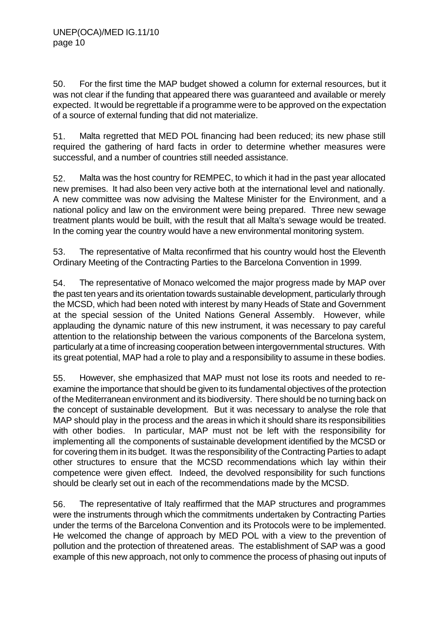50. For the first time the MAP budget showed a column for external resources, but it was not clear if the funding that appeared there was guaranteed and available or merely expected. It would be regrettable if a programme were to be approved on the expectation of a source of external funding that did not materialize.

51. Malta regretted that MED POL financing had been reduced; its new phase still required the gathering of hard facts in order to determine whether measures were successful, and a number of countries still needed assistance.

52. Malta was the host country for REMPEC, to which it had in the past year allocated new premises. It had also been very active both at the international level and nationally. A new committee was now advising the Maltese Minister for the Environment, and a national policy and law on the environment were being prepared. Three new sewage treatment plants would be built, with the result that all Malta's sewage would be treated. In the coming year the country would have a new environmental monitoring system.

53. The representative of Malta reconfirmed that his country would host the Eleventh Ordinary Meeting of the Contracting Parties to the Barcelona Convention in 1999.

54. The representative of Monaco welcomed the major progress made by MAP over the past ten years and its orientation towards sustainable development, particularly through the MCSD, which had been noted with interest by many Heads of State and Government at the special session of the United Nations General Assembly. However, while applauding the dynamic nature of this new instrument, it was necessary to pay careful attention to the relationship between the various components of the Barcelona system, particularly at a time of increasing cooperation between intergovernmental structures. With its great potential, MAP had a role to play and a responsibility to assume in these bodies.

55. However, she emphasized that MAP must not lose its roots and needed to reexamine the importance that should be given to its fundamental objectives of the protection of the Mediterranean environment and its biodiversity. There should be no turning back on the concept of sustainable development. But it was necessary to analyse the role that MAP should play in the process and the areas in which it should share its responsibilities with other bodies. In particular, MAP must not be left with the responsibility for implementing all the components of sustainable development identified by the MCSD or for covering them in its budget. It was the responsibility of the Contracting Parties to adapt other structures to ensure that the MCSD recommendations which lay within their competence were given effect. Indeed, the devolved responsibility for such functions should be clearly set out in each of the recommendations made by the MCSD.

56. The representative of Italy reaffirmed that the MAP structures and programmes were the instruments through which the commitments undertaken by Contracting Parties under the terms of the Barcelona Convention and its Protocols were to be implemented. He welcomed the change of approach by MED POL with a view to the prevention of pollution and the protection of threatened areas. The establishment of SAP was a good example of this new approach, not only to commence the process of phasing out inputs of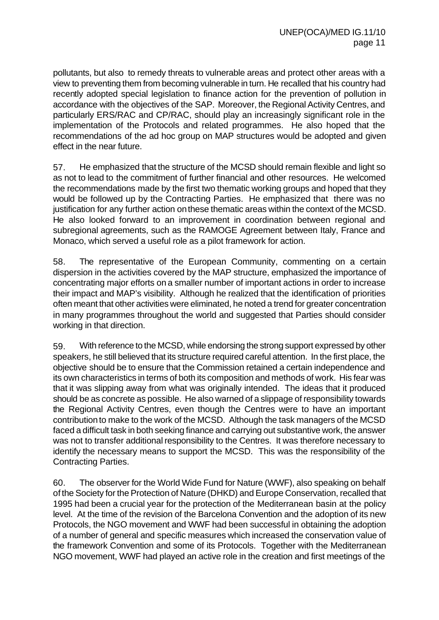pollutants, but also to remedy threats to vulnerable areas and protect other areas with a view to preventing them from becoming vulnerable in turn. He recalled that his country had recently adopted special legislation to finance action for the prevention of pollution in accordance with the objectives of the SAP. Moreover, the Regional Activity Centres, and particularly ERS/RAC and CP/RAC, should play an increasingly significant role in the implementation of the Protocols and related programmes. He also hoped that the recommendations of the ad hoc group on MAP structures would be adopted and given effect in the near future.

57. He emphasized that the structure of the MCSD should remain flexible and light so as not to lead to the commitment of further financial and other resources. He welcomed the recommendations made by the first two thematic working groups and hoped that they would be followed up by the Contracting Parties. He emphasized that there was no justification for any further action on these thematic areas within the context of the MCSD. He also looked forward to an improvement in coordination between regional and subregional agreements, such as the RAMOGE Agreement between Italy, France and Monaco, which served a useful role as a pilot framework for action.

58. The representative of the European Community, commenting on a certain dispersion in the activities covered by the MAP structure, emphasized the importance of concentrating major efforts on a smaller number of important actions in order to increase their impact and MAP's visibility. Although he realized that the identification of priorities often meant that other activities were eliminated, he noted a trend for greater concentration in many programmes throughout the world and suggested that Parties should consider working in that direction.

59. With reference to the MCSD, while endorsing the strong support expressed by other speakers, he still believed that its structure required careful attention. In the first place, the objective should be to ensure that the Commission retained a certain independence and its own characteristics in terms of both its composition and methods of work. His fear was that it was slipping away from what was originally intended. The ideas that it produced should be as concrete as possible. He also warned of a slippage of responsibility towards the Regional Activity Centres, even though the Centres were to have an important contribution to make to the work of the MCSD. Although the task managers of the MCSD faced a difficult task in both seeking finance and carrying out substantive work, the answer was not to transfer additional responsibility to the Centres. It was therefore necessary to identify the necessary means to support the MCSD. This was the responsibility of the Contracting Parties.

60. The observer for the World Wide Fund for Nature (WWF), also speaking on behalf of the Society for the Protection of Nature (DHKD) and Europe Conservation, recalled that 1995 had been a crucial year for the protection of the Mediterranean basin at the policy level. At the time of the revision of the Barcelona Convention and the adoption of its new Protocols, the NGO movement and WWF had been successful in obtaining the adoption of a number of general and specific measures which increased the conservation value of the framework Convention and some of its Protocols. Together with the Mediterranean NGO movement, WWF had played an active role in the creation and first meetings of the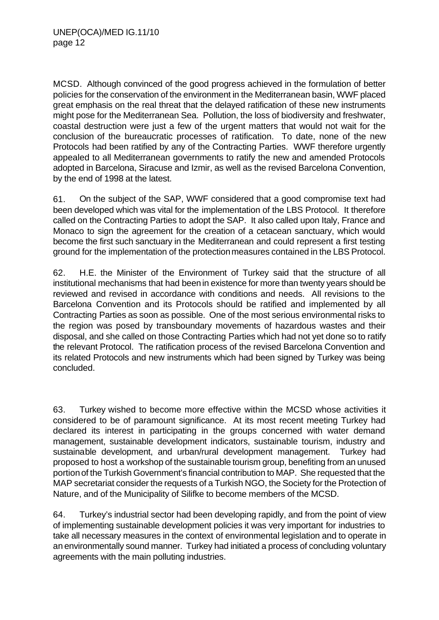MCSD. Although convinced of the good progress achieved in the formulation of better policies for the conservation of the environment in the Mediterranean basin, WWF placed great emphasis on the real threat that the delayed ratification of these new instruments might pose for the Mediterranean Sea. Pollution, the loss of biodiversity and freshwater, coastal destruction were just a few of the urgent matters that would not wait for the conclusion of the bureaucratic processes of ratification. To date, none of the new Protocols had been ratified by any of the Contracting Parties. WWF therefore urgently appealed to all Mediterranean governments to ratify the new and amended Protocols adopted in Barcelona, Siracuse and Izmir, as well as the revised Barcelona Convention, by the end of 1998 at the latest.

61. On the subject of the SAP, WWF considered that a good compromise text had been developed which was vital for the implementation of the LBS Protocol. It therefore called on the Contracting Parties to adopt the SAP. It also called upon Italy, France and Monaco to sign the agreement for the creation of a cetacean sanctuary, which would become the first such sanctuary in the Mediterranean and could represent a first testing ground for the implementation of the protection measures contained in the LBS Protocol.

62. H.E. the Minister of the Environment of Turkey said that the structure of all institutional mechanisms that had been in existence for more than twenty years should be reviewed and revised in accordance with conditions and needs. All revisions to the Barcelona Convention and its Protocols should be ratified and implemented by all Contracting Parties as soon as possible. One of the most serious environmental risks to the region was posed by transboundary movements of hazardous wastes and their disposal, and she called on those Contracting Parties which had not yet done so to ratify the relevant Protocol. The ratification process of the revised Barcelona Convention and its related Protocols and new instruments which had been signed by Turkey was being concluded.

63. Turkey wished to become more effective within the MCSD whose activities it considered to be of paramount significance. At its most recent meeting Turkey had declared its interest in participating in the groups concerned with water demand management, sustainable development indicators, sustainable tourism, industry and sustainable development, and urban/rural development management. Turkey had proposed to host a workshop of the sustainable tourism group, benefiting from an unused portion of the Turkish Government's financial contribution to MAP. She requested that the MAP secretariat consider the requests of a Turkish NGO, the Society for the Protection of Nature, and of the Municipality of Silifke to become members of the MCSD.

64. Turkey's industrial sector had been developing rapidly, and from the point of view of implementing sustainable development policies it was very important for industries to take all necessary measures in the context of environmental legislation and to operate in an environmentally sound manner. Turkey had initiated a process of concluding voluntary agreements with the main polluting industries.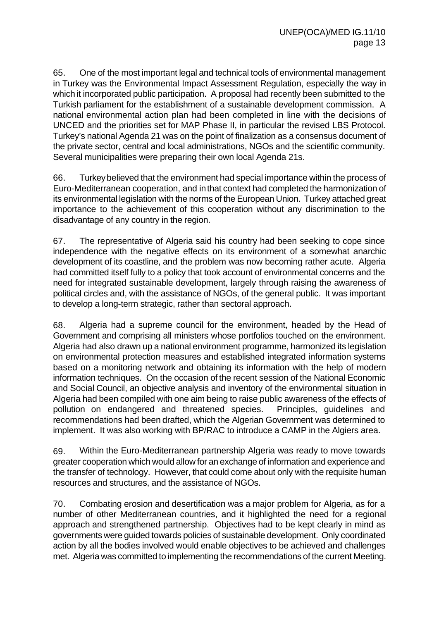65. One of the most important legal and technical tools of environmental management in Turkey was the Environmental Impact Assessment Regulation, especially the way in which it incorporated public participation. A proposal had recently been submitted to the Turkish parliament for the establishment of a sustainable development commission. A national environmental action plan had been completed in line with the decisions of UNCED and the priorities set for MAP Phase II, in particular the revised LBS Protocol. Turkey's national Agenda 21 was on the point of finalization as a consensus document of the private sector, central and local administrations, NGOs and the scientific community. Several municipalities were preparing their own local Agenda 21s.

66. Turkey believed that the environment had special importance within the process of Euro-Mediterranean cooperation, and in that context had completed the harmonization of its environmental legislation with the norms of the European Union. Turkey attached great importance to the achievement of this cooperation without any discrimination to the disadvantage of any country in the region.

67. The representative of Algeria said his country had been seeking to cope since independence with the negative effects on its environment of a somewhat anarchic development of its coastline, and the problem was now becoming rather acute. Algeria had committed itself fully to a policy that took account of environmental concerns and the need for integrated sustainable development, largely through raising the awareness of political circles and, with the assistance of NGOs, of the general public. It was important to develop a long-term strategic, rather than sectoral approach.

68. Algeria had a supreme council for the environment, headed by the Head of Government and comprising all ministers whose portfolios touched on the environment. Algeria had also drawn up a national environment programme, harmonized its legislation on environmental protection measures and established integrated information systems based on a monitoring network and obtaining its information with the help of modern information techniques. On the occasion of the recent session of the National Economic and Social Council, an objective analysis and inventory of the environmental situation in Algeria had been compiled with one aim being to raise public awareness of the effects of pollution on endangered and threatened species. Principles, guidelines and recommendations had been drafted, which the Algerian Government was determined to implement. It was also working with BP/RAC to introduce a CAMP in the Algiers area.

69. Within the Euro-Mediterranean partnership Algeria was ready to move towards greater cooperation which would allow for an exchange of information and experience and the transfer of technology. However, that could come about only with the requisite human resources and structures, and the assistance of NGOs.

70. Combating erosion and desertification was a major problem for Algeria, as for a number of other Mediterranean countries, and it highlighted the need for a regional approach and strengthened partnership. Objectives had to be kept clearly in mind as governments were guided towards policies of sustainable development. Only coordinated action by all the bodies involved would enable objectives to be achieved and challenges met. Algeria was committed to implementing the recommendations of the current Meeting.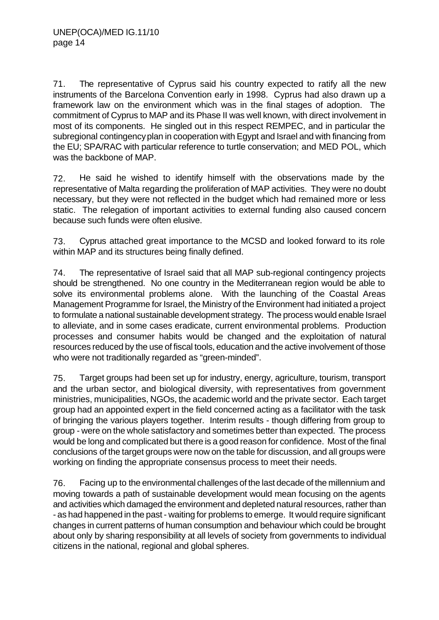71. The representative of Cyprus said his country expected to ratify all the new instruments of the Barcelona Convention early in 1998. Cyprus had also drawn up a framework law on the environment which was in the final stages of adoption. The commitment of Cyprus to MAP and its Phase II was well known, with direct involvement in most of its components. He singled out in this respect REMPEC, and in particular the subregional contingency plan in cooperation with Egypt and Israel and with financing from the EU; SPA/RAC with particular reference to turtle conservation; and MED POL, which was the backbone of MAP.

72. He said he wished to identify himself with the observations made by the representative of Malta regarding the proliferation of MAP activities. They were no doubt necessary, but they were not reflected in the budget which had remained more or less static. The relegation of important activities to external funding also caused concern because such funds were often elusive.

73. Cyprus attached great importance to the MCSD and looked forward to its role within MAP and its structures being finally defined.

74. The representative of Israel said that all MAP sub-regional contingency projects should be strengthened. No one country in the Mediterranean region would be able to solve its environmental problems alone. With the launching of the Coastal Areas Management Programme for Israel, the Ministry of the Environment had initiated a project to formulate a national sustainable development strategy. The process would enable Israel to alleviate, and in some cases eradicate, current environmental problems. Production processes and consumer habits would be changed and the exploitation of natural resources reduced by the use of fiscal tools, education and the active involvement of those who were not traditionally regarded as "green-minded".

75. Target groups had been set up for industry, energy, agriculture, tourism, transport and the urban sector, and biological diversity, with representatives from government ministries, municipalities, NGOs, the academic world and the private sector. Each target group had an appointed expert in the field concerned acting as a facilitator with the task of bringing the various players together. Interim results - though differing from group to group - were on the whole satisfactory and sometimes better than expected. The process would be long and complicated but there is a good reason for confidence. Most of the final conclusions of the target groups were now on the table for discussion, and all groups were working on finding the appropriate consensus process to meet their needs.

76. Facing up to the environmental challenges of the last decade of the millennium and moving towards a path of sustainable development would mean focusing on the agents and activities which damaged the environment and depleted natural resources, rather than - as had happened in the past - waiting for problems to emerge. It would require significant changes in current patterns of human consumption and behaviour which could be brought about only by sharing responsibility at all levels of society from governments to individual citizens in the national, regional and global spheres.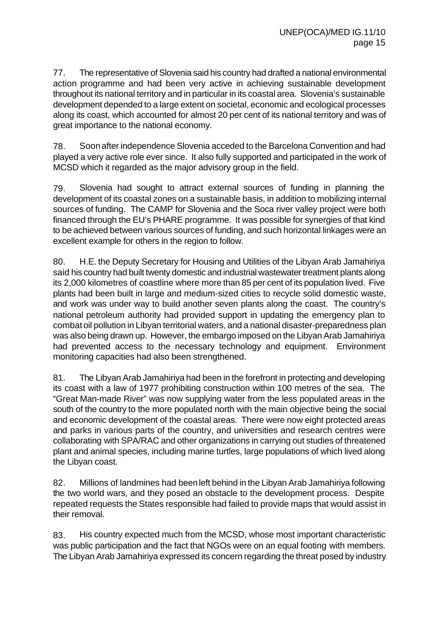77. The representative of Slovenia said his country had drafted a national environmental action programme and had been very active in achieving sustainable development throughout its national territory and in particular in its coastal area. Slovenia's sustainable development depended to a large extent on societal, economic and ecological processes along its coast, which accounted for almost 20 per cent of its national territory and was of great importance to the national economy.

78. Soon after independence Slovenia acceded to the Barcelona Convention and had played a very active role ever since. It also fully supported and participated in the work of MCSD which it regarded as the major advisory group in the field.

79. Slovenia had sought to attract external sources of funding in planning the development of its coastal zones on a sustainable basis, in addition to mobilizing internal sources of funding. The CAMP for Slovenia and the Soca river valley project were both financed through the EU's PHARE programme. It was possible for synergies of that kind to be achieved between various sources of funding, and such horizontal linkages were an excellent example for others in the region to follow.

80. H.E. the Deputy Secretary for Housing and Utilities of the Libyan Arab Jamahiriya said his country had built twenty domestic and industrial wastewater treatment plants along its 2,000 kilometres of coastline where more than 85 per cent of its population lived. Five plants had been built in large and medium-sized cities to recycle solid domestic waste, and work was under way to build another seven plants along the coast. The country's national petroleum authority had provided support in updating the emergency plan to combat oil pollution in Libyan territorial waters, and a national disaster-preparedness plan was also being drawn up. However, the embargo imposed on the Libyan Arab Jamahiriya had prevented access to the necessary technology and equipment. Environment monitoring capacities had also been strengthened.

81. The Libyan Arab Jamahiriya had been in the forefront in protecting and developing its coast with a law of 1977 prohibiting construction within 100 metres of the sea. The "Great Man-made River" was now supplying water from the less populated areas in the south of the country to the more populated north with the main objective being the social and economic development of the coastal areas. There were now eight protected areas and parks in various parts of the country, and universities and research centres were collaborating with SPA/RAC and other organizations in carrying out studies of threatened plant and animal species, including marine turtles, large populations of which lived along the Libyan coast.

82. Millions of landmines had been left behind in the Libyan Arab Jamahiriya following the two world wars, and they posed an obstacle to the development process. Despite repeated requests the States responsible had failed to provide maps that would assist in their removal.

83. His country expected much from the MCSD, whose most important characteristic was public participation and the fact that NGOs were on an equal footing with members. The Libyan Arab Jamahiriya expressed its concern regarding the threat posed by industry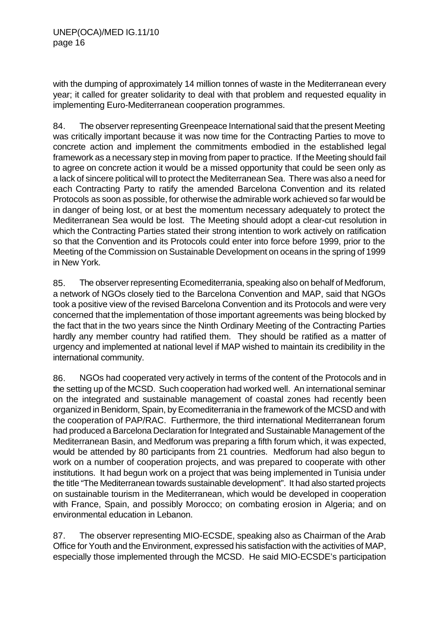with the dumping of approximately 14 million tonnes of waste in the Mediterranean every year; it called for greater solidarity to deal with that problem and requested equality in implementing Euro-Mediterranean cooperation programmes.

84. The observer representing Greenpeace International said that the present Meeting was critically important because it was now time for the Contracting Parties to move to concrete action and implement the commitments embodied in the established legal framework as a necessary step in moving from paper to practice. If the Meeting should fail to agree on concrete action it would be a missed opportunity that could be seen only as a lack of sincere political will to protect the Mediterranean Sea. There was also a need for each Contracting Party to ratify the amended Barcelona Convention and its related Protocols as soon as possible, for otherwise the admirable work achieved so far would be in danger of being lost, or at best the momentum necessary adequately to protect the Mediterranean Sea would be lost. The Meeting should adopt a clear-cut resolution in which the Contracting Parties stated their strong intention to work actively on ratification so that the Convention and its Protocols could enter into force before 1999, prior to the Meeting of the Commission on Sustainable Development on oceans in the spring of 1999 in New York.

85. The observer representing Ecomediterrania, speaking also on behalf of Medforum, a network of NGOs closely tied to the Barcelona Convention and MAP, said that NGOs took a positive view of the revised Barcelona Convention and its Protocols and were very concerned that the implementation of those important agreements was being blocked by the fact that in the two years since the Ninth Ordinary Meeting of the Contracting Parties hardly any member country had ratified them. They should be ratified as a matter of urgency and implemented at national level if MAP wished to maintain its credibility in the international community.

86. NGOs had cooperated very actively in terms of the content of the Protocols and in the setting up of the MCSD. Such cooperation had worked well. An international seminar on the integrated and sustainable management of coastal zones had recently been organized in Benidorm, Spain, by Ecomediterrania in the framework of the MCSD and with the cooperation of PAP/RAC. Furthermore, the third international Mediterranean forum had produced a Barcelona Declaration for Integrated and Sustainable Management of the Mediterranean Basin, and Medforum was preparing a fifth forum which, it was expected, would be attended by 80 participants from 21 countries. Medforum had also begun to work on a number of cooperation projects, and was prepared to cooperate with other institutions. It had begun work on a project that was being implemented in Tunisia under the title "The Mediterranean towards sustainable development". It had also started projects on sustainable tourism in the Mediterranean, which would be developed in cooperation with France, Spain, and possibly Morocco; on combating erosion in Algeria; and on environmental education in Lebanon.

87. The observer representing MIO-ECSDE, speaking also as Chairman of the Arab Office for Youth and the Environment, expressed his satisfaction with the activities of MAP, especially those implemented through the MCSD. He said MIO-ECSDE's participation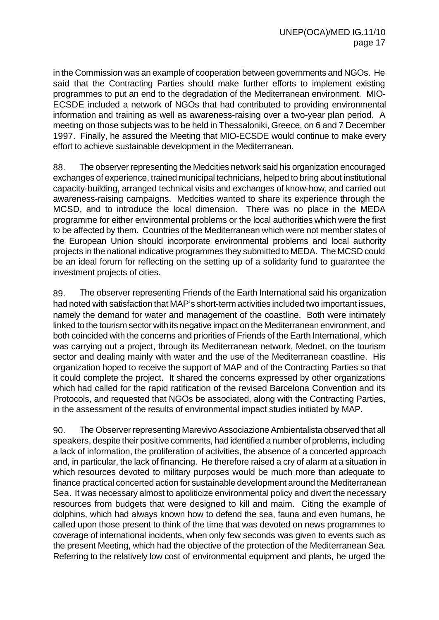in the Commission was an example of cooperation between governments and NGOs. He said that the Contracting Parties should make further efforts to implement existing programmes to put an end to the degradation of the Mediterranean environment. MIO-ECSDE included a network of NGOs that had contributed to providing environmental information and training as well as awareness-raising over a two-year plan period. A meeting on those subjects was to be held in Thessaloniki, Greece, on 6 and 7 December 1997. Finally, he assured the Meeting that MIO-ECSDE would continue to make every effort to achieve sustainable development in the Mediterranean.

88. The observer representing the Medcities network said his organization encouraged exchanges of experience, trained municipal technicians, helped to bring about institutional capacity-building, arranged technical visits and exchanges of know-how, and carried out awareness-raising campaigns. Medcities wanted to share its experience through the MCSD, and to introduce the local dimension. There was no place in the MEDA programme for either environmental problems or the local authorities which were the first to be affected by them. Countries of the Mediterranean which were not member states of the European Union should incorporate environmental problems and local authority projects in the national indicative programmes they submitted to MEDA. The MCSD could be an ideal forum for reflecting on the setting up of a solidarity fund to guarantee the investment projects of cities.

89. The observer representing Friends of the Earth International said his organization had noted with satisfaction that MAP's short-term activities included two important issues, namely the demand for water and management of the coastline. Both were intimately linked to the tourism sector with its negative impact on the Mediterranean environment, and both coincided with the concerns and priorities of Friends of the Earth International, which was carrying out a project, through its Mediterranean network, Mednet, on the tourism sector and dealing mainly with water and the use of the Mediterranean coastline. His organization hoped to receive the support of MAP and of the Contracting Parties so that it could complete the project. It shared the concerns expressed by other organizations which had called for the rapid ratification of the revised Barcelona Convention and its Protocols, and requested that NGOs be associated, along with the Contracting Parties, in the assessment of the results of environmental impact studies initiated by MAP.

90. The Observer representing Marevivo Associazione Ambientalista observed that all speakers, despite their positive comments, had identified a number of problems, including a lack of information, the proliferation of activities, the absence of a concerted approach and, in particular, the lack of financing. He therefore raised a cry of alarm at a situation in which resources devoted to military purposes would be much more than adequate to finance practical concerted action for sustainable development around the Mediterranean Sea. It was necessary almost to apoliticize environmental policy and divert the necessary resources from budgets that were designed to kill and maim. Citing the example of dolphins, which had always known how to defend the sea, fauna and even humans, he called upon those present to think of the time that was devoted on news programmes to coverage of international incidents, when only few seconds was given to events such as the present Meeting, which had the objective of the protection of the Mediterranean Sea. Referring to the relatively low cost of environmental equipment and plants, he urged the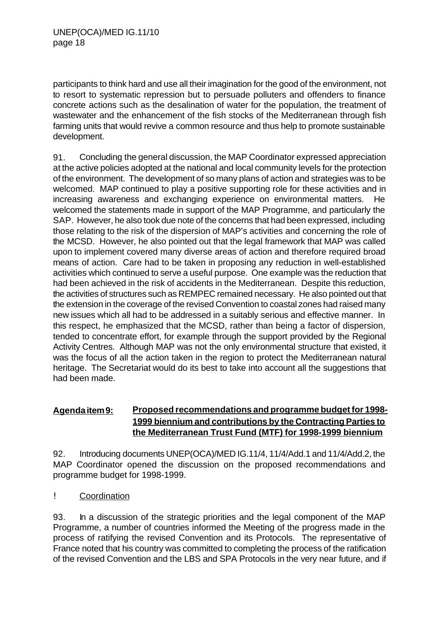participants to think hard and use all their imagination for the good of the environment, not to resort to systematic repression but to persuade polluters and offenders to finance concrete actions such as the desalination of water for the population, the treatment of wastewater and the enhancement of the fish stocks of the Mediterranean through fish farming units that would revive a common resource and thus help to promote sustainable development.

91. Concluding the general discussion, the MAP Coordinator expressed appreciation at the active policies adopted at the national and local community levels for the protection of the environment. The development of so many plans of action and strategies was to be welcomed. MAP continued to play a positive supporting role for these activities and in increasing awareness and exchanging experience on environmental matters. He welcomed the statements made in support of the MAP Programme, and particularly the SAP. However, he also took due note of the concerns that had been expressed, including those relating to the risk of the dispersion of MAP's activities and concerning the role of the MCSD. However, he also pointed out that the legal framework that MAP was called upon to implement covered many diverse areas of action and therefore required broad means of action. Care had to be taken in proposing any reduction in well-established activities which continued to serve a useful purpose. One example was the reduction that had been achieved in the risk of accidents in the Mediterranean. Despite this reduction, the activities of structures such as REMPEC remained necessary. He also pointed out that the extension in the coverage of the revised Convention to coastal zones had raised many new issues which all had to be addressed in a suitably serious and effective manner. In this respect, he emphasized that the MCSD, rather than being a factor of dispersion, tended to concentrate effort, for example through the support provided by the Regional Activity Centres. Although MAP was not the only environmental structure that existed, it was the focus of all the action taken in the region to protect the Mediterranean natural heritage. The Secretariat would do its best to take into account all the suggestions that had been made.

# **Agenda item 9: Proposed recommendations and programme budget for 1998- 1999 biennium and contributions by the Contracting Parties to the Mediterranean Trust Fund (MTF) for 1998-1999 biennium**

92. Introducing documents UNEP(OCA)/MED IG.11/4, 11/4/Add.1 and 11/4/Add.2, the MAP Coordinator opened the discussion on the proposed recommendations and programme budget for 1998-1999.

! Coordination

93. In a discussion of the strategic priorities and the legal component of the MAP Programme, a number of countries informed the Meeting of the progress made in the process of ratifying the revised Convention and its Protocols. The representative of France noted that his country was committed to completing the process of the ratification of the revised Convention and the LBS and SPA Protocols in the very near future, and if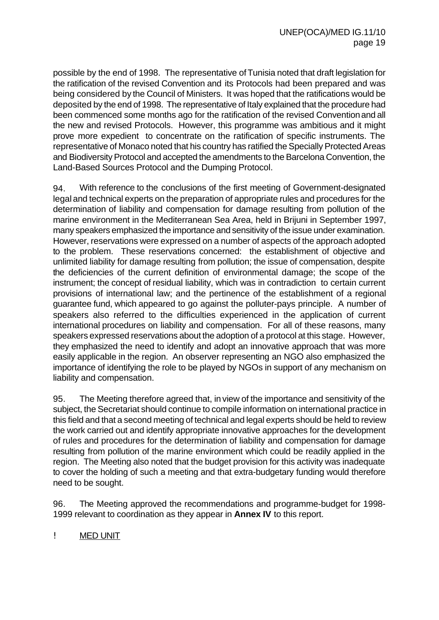possible by the end of 1998. The representative of Tunisia noted that draft legislation for the ratification of the revised Convention and its Protocols had been prepared and was being considered by the Council of Ministers. It was hoped that the ratifications would be deposited by the end of 1998. The representative of Italy explained that the procedure had been commenced some months ago for the ratification of the revised Convention and all the new and revised Protocols. However, this programme was ambitious and it might prove more expedient to concentrate on the ratification of specific instruments. The representative of Monaco noted that his country has ratified the Specially Protected Areas and Biodiversity Protocol and accepted the amendments to the Barcelona Convention, the Land-Based Sources Protocol and the Dumping Protocol.

94. With reference to the conclusions of the first meeting of Government-designated legal and technical experts on the preparation of appropriate rules and procedures for the determination of liability and compensation for damage resulting from pollution of the marine environment in the Mediterranean Sea Area, held in Brijuni in September 1997, many speakers emphasized the importance and sensitivity of the issue under examination. However, reservations were expressed on a number of aspects of the approach adopted to the problem. These reservations concerned: the establishment of objective and unlimited liability for damage resulting from pollution; the issue of compensation, despite the deficiencies of the current definition of environmental damage; the scope of the instrument; the concept of residual liability, which was in contradiction to certain current provisions of international law; and the pertinence of the establishment of a regional guarantee fund, which appeared to go against the polluter-pays principle. A number of speakers also referred to the difficulties experienced in the application of current international procedures on liability and compensation. For all of these reasons, many speakers expressed reservations about the adoption of a protocol at this stage. However, they emphasized the need to identify and adopt an innovative approach that was more easily applicable in the region. An observer representing an NGO also emphasized the importance of identifying the role to be played by NGOs in support of any mechanism on liability and compensation.

95. The Meeting therefore agreed that, in view of the importance and sensitivity of the subject, the Secretariat should continue to compile information on international practice in this field and that a second meeting of technical and legal experts should be held to review the work carried out and identify appropriate innovative approaches for the development of rules and procedures for the determination of liability and compensation for damage resulting from pollution of the marine environment which could be readily applied in the region. The Meeting also noted that the budget provision for this activity was inadequate to cover the holding of such a meeting and that extra-budgetary funding would therefore need to be sought.

96. The Meeting approved the recommendations and programme-budget for 1998- 1999 relevant to coordination as they appear in **Annex IV** to this report.

! MED UNIT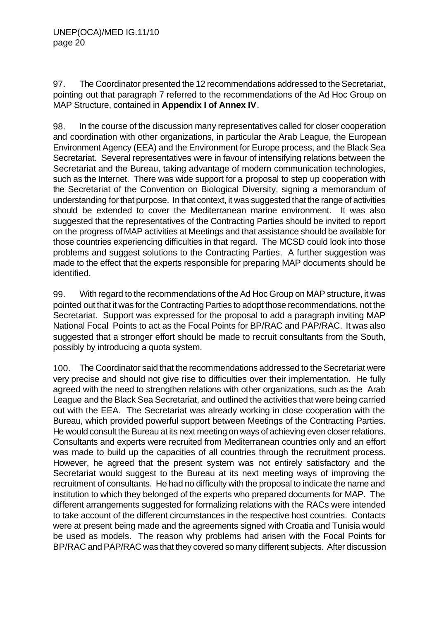97. The Coordinator presented the 12 recommendations addressed to the Secretariat, pointing out that paragraph 7 referred to the recommendations of the Ad Hoc Group on MAP Structure, contained in **Appendix I of Annex IV**.

98. In the course of the discussion many representatives called for closer cooperation and coordination with other organizations, in particular the Arab League, the European Environment Agency (EEA) and the Environment for Europe process, and the Black Sea Secretariat. Several representatives were in favour of intensifying relations between the Secretariat and the Bureau, taking advantage of modern communication technologies, such as the Internet. There was wide support for a proposal to step up cooperation with the Secretariat of the Convention on Biological Diversity, signing a memorandum of understanding for that purpose. In that context, it was suggested that the range of activities should be extended to cover the Mediterranean marine environment. It was also suggested that the representatives of the Contracting Parties should be invited to report on the progress of MAP activities at Meetings and that assistance should be available for those countries experiencing difficulties in that regard. The MCSD could look into those problems and suggest solutions to the Contracting Parties. A further suggestion was made to the effect that the experts responsible for preparing MAP documents should be identified.

99. With regard to the recommendations of the Ad Hoc Group on MAP structure, it was pointed out that it was for the Contracting Parties to adopt those recommendations, not the Secretariat. Support was expressed for the proposal to add a paragraph inviting MAP National Focal Points to act as the Focal Points for BP/RAC and PAP/RAC. It was also suggested that a stronger effort should be made to recruit consultants from the South, possibly by introducing a quota system.

100. The Coordinator said that the recommendations addressed to the Secretariat were very precise and should not give rise to difficulties over their implementation. He fully agreed with the need to strengthen relations with other organizations, such as the Arab League and the Black Sea Secretariat, and outlined the activities that were being carried out with the EEA. The Secretariat was already working in close cooperation with the Bureau, which provided powerful support between Meetings of the Contracting Parties. He would consult the Bureau at its next meeting on ways of achieving even closer relations. Consultants and experts were recruited from Mediterranean countries only and an effort was made to build up the capacities of all countries through the recruitment process. However, he agreed that the present system was not entirely satisfactory and the Secretariat would suggest to the Bureau at its next meeting ways of improving the recruitment of consultants. He had no difficulty with the proposal to indicate the name and institution to which they belonged of the experts who prepared documents for MAP. The different arrangements suggested for formalizing relations with the RACs were intended to take account of the different circumstances in the respective host countries. Contacts were at present being made and the agreements signed with Croatia and Tunisia would be used as models. The reason why problems had arisen with the Focal Points for BP/RAC and PAP/RAC was that they covered so many different subjects. After discussion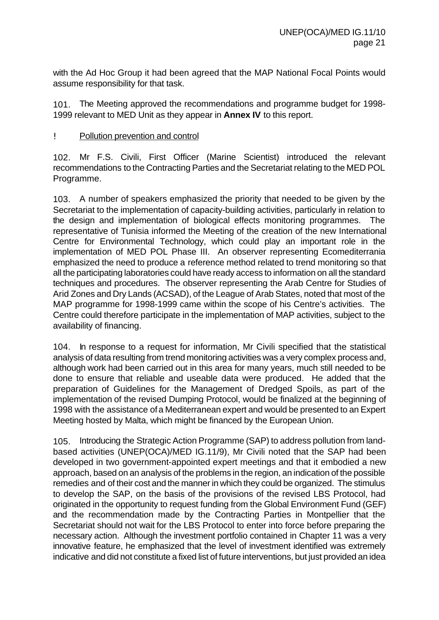with the Ad Hoc Group it had been agreed that the MAP National Focal Points would assume responsibility for that task.

101. The Meeting approved the recommendations and programme budget for 1998- 1999 relevant to MED Unit as they appear in **Annex IV** to this report.

## ! Pollution prevention and control

102. Mr F.S. Civili, First Officer (Marine Scientist) introduced the relevant recommendations to the Contracting Parties and the Secretariat relating to the MED POL Programme.

103. A number of speakers emphasized the priority that needed to be given by the Secretariat to the implementation of capacity-building activities, particularly in relation to the design and implementation of biological effects monitoring programmes. The representative of Tunisia informed the Meeting of the creation of the new International Centre for Environmental Technology, which could play an important role in the implementation of MED POL Phase III. An observer representing Ecomediterrania emphasized the need to produce a reference method related to trend monitoring so that all the participating laboratories could have ready access to information on all the standard techniques and procedures. The observer representing the Arab Centre for Studies of Arid Zones and Dry Lands (ACSAD), of the League of Arab States, noted that most of the MAP programme for 1998-1999 came within the scope of his Centre's activities. The Centre could therefore participate in the implementation of MAP activities, subject to the availability of financing.

104. In response to a request for information, Mr Civili specified that the statistical analysis of data resulting from trend monitoring activities was a very complex process and, although work had been carried out in this area for many years, much still needed to be done to ensure that reliable and useable data were produced. He added that the preparation of Guidelines for the Management of Dredged Spoils, as part of the implementation of the revised Dumping Protocol, would be finalized at the beginning of 1998 with the assistance of a Mediterranean expert and would be presented to an Expert Meeting hosted by Malta, which might be financed by the European Union.

105. Introducing the Strategic Action Programme (SAP) to address pollution from landbased activities (UNEP(OCA)/MED IG.11/9), Mr Civili noted that the SAP had been developed in two government-appointed expert meetings and that it embodied a new approach, based on an analysis of the problems in the region, an indication of the possible remedies and of their cost and the manner in which they could be organized. The stimulus to develop the SAP, on the basis of the provisions of the revised LBS Protocol, had originated in the opportunity to request funding from the Global Environment Fund (GEF) and the recommendation made by the Contracting Parties in Montpellier that the Secretariat should not wait for the LBS Protocol to enter into force before preparing the necessary action. Although the investment portfolio contained in Chapter 11 was a very innovative feature, he emphasized that the level of investment identified was extremely indicative and did not constitute a fixed list of future interventions, but just provided an idea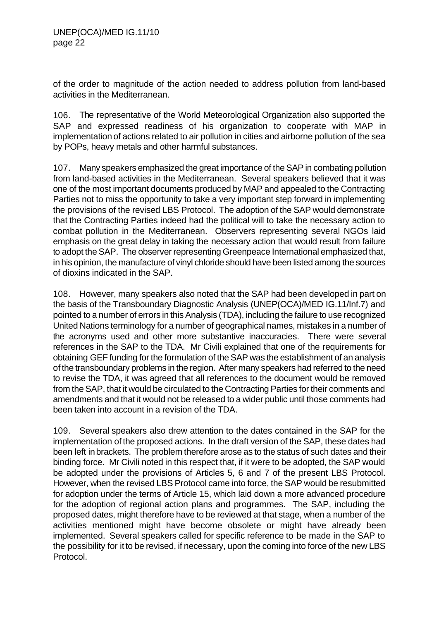of the order to magnitude of the action needed to address pollution from land-based activities in the Mediterranean.

106. The representative of the World Meteorological Organization also supported the SAP and expressed readiness of his organization to cooperate with MAP in implementation of actions related to air pollution in cities and airborne pollution of the sea by POPs, heavy metals and other harmful substances.

107. Many speakers emphasized the great importance of the SAP in combating pollution from land-based activities in the Mediterranean. Several speakers believed that it was one of the most important documents produced by MAP and appealed to the Contracting Parties not to miss the opportunity to take a very important step forward in implementing the provisions of the revised LBS Protocol. The adoption of the SAP would demonstrate that the Contracting Parties indeed had the political will to take the necessary action to combat pollution in the Mediterranean. Observers representing several NGOs laid emphasis on the great delay in taking the necessary action that would result from failure to adopt the SAP. The observer representing Greenpeace International emphasized that, in his opinion, the manufacture of vinyl chloride should have been listed among the sources of dioxins indicated in the SAP.

108. However, many speakers also noted that the SAP had been developed in part on the basis of the Transboundary Diagnostic Analysis (UNEP(OCA)/MED IG.11/Inf.7) and pointed to a number of errors in this Analysis (TDA), including the failure to use recognized United Nations terminology for a number of geographical names, mistakes in a number of the acronyms used and other more substantive inaccuracies. There were several references in the SAP to the TDA. Mr Civili explained that one of the requirements for obtaining GEF funding for the formulation of the SAP was the establishment of an analysis of the transboundary problems in the region. After many speakers had referred to the need to revise the TDA, it was agreed that all references to the document would be removed from the SAP, that it would be circulated to the Contracting Parties for their comments and amendments and that it would not be released to a wider public until those comments had been taken into account in a revision of the TDA.

109. Several speakers also drew attention to the dates contained in the SAP for the implementation of the proposed actions. In the draft version of the SAP, these dates had been left in brackets. The problem therefore arose as to the status of such dates and their binding force. Mr Civili noted in this respect that, if it were to be adopted, the SAP would be adopted under the provisions of Articles 5, 6 and 7 of the present LBS Protocol. However, when the revised LBS Protocol came into force, the SAP would be resubmitted for adoption under the terms of Article 15, which laid down a more advanced procedure for the adoption of regional action plans and programmes. The SAP, including the proposed dates, might therefore have to be reviewed at that stage, when a number of the activities mentioned might have become obsolete or might have already been implemented. Several speakers called for specific reference to be made in the SAP to the possibility for it to be revised, if necessary, upon the coming into force of the new LBS Protocol.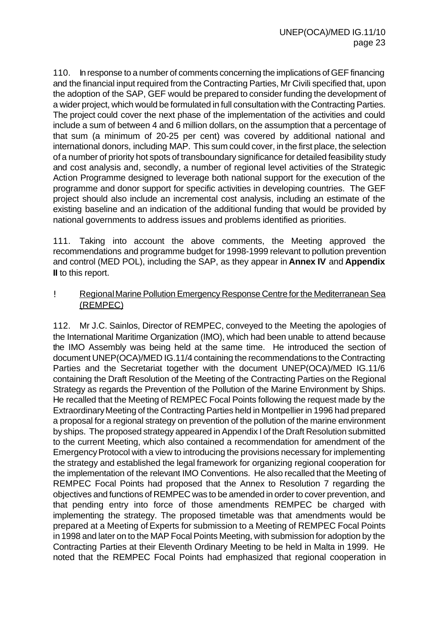110. In response to a number of comments concerning the implications of GEF financing and the financial input required from the Contracting Parties, Mr Civili specified that, upon the adoption of the SAP, GEF would be prepared to consider funding the development of a wider project, which would be formulated in full consultation with the Contracting Parties. The project could cover the next phase of the implementation of the activities and could include a sum of between 4 and 6 million dollars, on the assumption that a percentage of that sum (a minimum of 20-25 per cent) was covered by additional national and international donors, including MAP. This sum could cover, in the first place, the selection of a number of priority hot spots of transboundary significance for detailed feasibility study and cost analysis and, secondly, a number of regional level activities of the Strategic Action Programme designed to leverage both national support for the execution of the programme and donor support for specific activities in developing countries. The GEF project should also include an incremental cost analysis, including an estimate of the existing baseline and an indication of the additional funding that would be provided by national governments to address issues and problems identified as priorities.

111. Taking into account the above comments, the Meeting approved the recommendations and programme budget for 1998-1999 relevant to pollution prevention and control (MED POL), including the SAP, as they appear in **Annex IV** and **Appendix II** to this report.

## ! Regional Marine Pollution Emergency Response Centre for the Mediterranean Sea (REMPEC)

112. Mr J.C. Sainlos, Director of REMPEC, conveyed to the Meeting the apologies of the International Maritime Organization (IMO), which had been unable to attend because the IMO Assembly was being held at the same time. He introduced the section of document UNEP(OCA)/MED IG.11/4 containing the recommendations to the Contracting Parties and the Secretariat together with the document UNEP(OCA)/MED IG.11/6 containing the Draft Resolution of the Meeting of the Contracting Parties on the Regional Strategy as regards the Prevention of the Pollution of the Marine Environment by Ships. He recalled that the Meeting of REMPEC Focal Points following the request made by the Extraordinary Meeting of the Contracting Parties held in Montpellier in 1996 had prepared a proposal for a regional strategy on prevention of the pollution of the marine environment by ships. The proposed strategy appeared in Appendix I of the Draft Resolution submitted to the current Meeting, which also contained a recommendation for amendment of the Emergency Protocol with a view to introducing the provisions necessary for implementing the strategy and established the legal framework for organizing regional cooperation for the implementation of the relevant IMO Conventions. He also recalled that the Meeting of REMPEC Focal Points had proposed that the Annex to Resolution 7 regarding the objectives and functions of REMPEC was to be amended in order to cover prevention, and that pending entry into force of those amendments REMPEC be charged with implementing the strategy. The proposed timetable was that amendments would be prepared at a Meeting of Experts for submission to a Meeting of REMPEC Focal Points in 1998 and later on to the MAP Focal Points Meeting, with submission for adoption by the Contracting Parties at their Eleventh Ordinary Meeting to be held in Malta in 1999. He noted that the REMPEC Focal Points had emphasized that regional cooperation in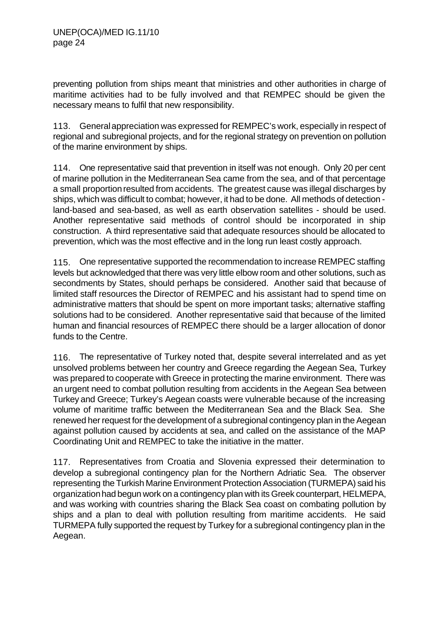preventing pollution from ships meant that ministries and other authorities in charge of maritime activities had to be fully involved and that REMPEC should be given the necessary means to fulfil that new responsibility.

113. General appreciation was expressed for REMPEC's work, especially in respect of regional and subregional projects, and for the regional strategy on prevention on pollution of the marine environment by ships.

114. One representative said that prevention in itself was not enough. Only 20 per cent of marine pollution in the Mediterranean Sea came from the sea, and of that percentage a small proportion resulted from accidents. The greatest cause was illegal discharges by ships, which was difficult to combat; however, it had to be done. All methods of detection land-based and sea-based, as well as earth observation satellites - should be used. Another representative said methods of control should be incorporated in ship construction. A third representative said that adequate resources should be allocated to prevention, which was the most effective and in the long run least costly approach.

115. One representative supported the recommendation to increase REMPEC staffing levels but acknowledged that there was very little elbow room and other solutions, such as secondments by States, should perhaps be considered. Another said that because of limited staff resources the Director of REMPEC and his assistant had to spend time on administrative matters that should be spent on more important tasks; alternative staffing solutions had to be considered. Another representative said that because of the limited human and financial resources of REMPEC there should be a larger allocation of donor funds to the Centre.

116. The representative of Turkey noted that, despite several interrelated and as yet unsolved problems between her country and Greece regarding the Aegean Sea, Turkey was prepared to cooperate with Greece in protecting the marine environment. There was an urgent need to combat pollution resulting from accidents in the Aegean Sea between Turkey and Greece; Turkey's Aegean coasts were vulnerable because of the increasing volume of maritime traffic between the Mediterranean Sea and the Black Sea. She renewed her request for the development of a subregional contingency plan in the Aegean against pollution caused by accidents at sea, and called on the assistance of the MAP Coordinating Unit and REMPEC to take the initiative in the matter.

117. Representatives from Croatia and Slovenia expressed their determination to develop a subregional contingency plan for the Northern Adriatic Sea. The observer representing the Turkish Marine Environment Protection Association (TURMEPA) said his organization had begun work on a contingency plan with its Greek counterpart, HELMEPA, and was working with countries sharing the Black Sea coast on combating pollution by ships and a plan to deal with pollution resulting from maritime accidents. He said TURMEPA fully supported the request by Turkey for a subregional contingency plan in the Aegean.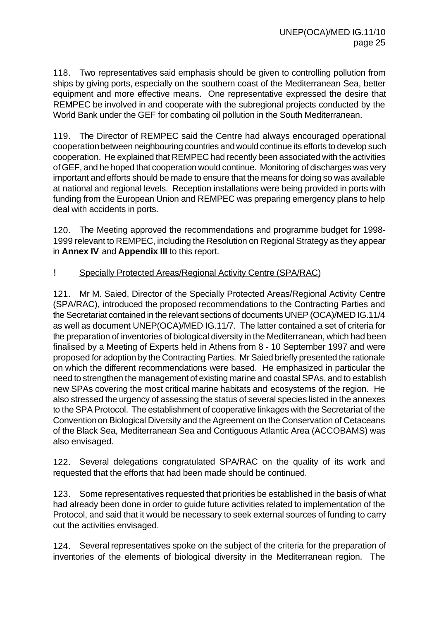118. Two representatives said emphasis should be given to controlling pollution from ships by giving ports, especially on the southern coast of the Mediterranean Sea, better equipment and more effective means. One representative expressed the desire that REMPEC be involved in and cooperate with the subregional projects conducted by the World Bank under the GEF for combating oil pollution in the South Mediterranean.

119. The Director of REMPEC said the Centre had always encouraged operational cooperation between neighbouring countries and would continue its efforts to develop such cooperation. He explained that REMPEC had recently been associated with the activities of GEF, and he hoped that cooperation would continue. Monitoring of discharges was very important and efforts should be made to ensure that the means for doing so was available at national and regional levels. Reception installations were being provided in ports with funding from the European Union and REMPEC was preparing emergency plans to help deal with accidents in ports.

120. The Meeting approved the recommendations and programme budget for 1998- 1999 relevant to REMPEC, including the Resolution on Regional Strategy as they appear in **Annex IV** and **Appendix III** to this report.

# ! Specially Protected Areas/Regional Activity Centre (SPA/RAC)

121. Mr M. Saied, Director of the Specially Protected Areas/Regional Activity Centre (SPA/RAC), introduced the proposed recommendations to the Contracting Parties and the Secretariat contained in the relevant sections of documents UNEP (OCA)/MED IG.11/4 as well as document UNEP(OCA)/MED IG.11/7. The latter contained a set of criteria for the preparation of inventories of biological diversity in the Mediterranean, which had been finalised by a Meeting of Experts held in Athens from 8 - 10 September 1997 and were proposed for adoption by the Contracting Parties. Mr Saied briefly presented the rationale on which the different recommendations were based. He emphasized in particular the need to strengthen the management of existing marine and coastal SPAs, and to establish new SPAs covering the most critical marine habitats and ecosystems of the region. He also stressed the urgency of assessing the status of several species listed in the annexes to the SPA Protocol. The establishment of cooperative linkages with the Secretariat of the Convention on Biological Diversity and the Agreement on the Conservation of Cetaceans of the Black Sea, Mediterranean Sea and Contiguous Atlantic Area (ACCOBAMS) was also envisaged.

122. Several delegations congratulated SPA/RAC on the quality of its work and requested that the efforts that had been made should be continued.

123. Some representatives requested that priorities be established in the basis of what had already been done in order to guide future activities related to implementation of the Protocol, and said that it would be necessary to seek external sources of funding to carry out the activities envisaged.

124. Several representatives spoke on the subject of the criteria for the preparation of inventories of the elements of biological diversity in the Mediterranean region. The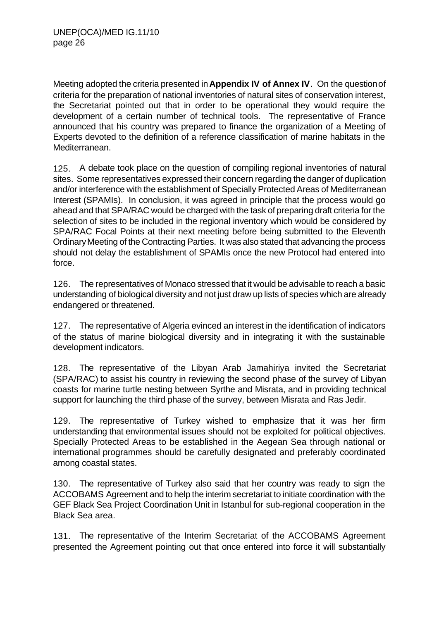Meeting adopted the criteria presented in **Appendix IV of Annex IV**. On the question of criteria for the preparation of national inventories of natural sites of conservation interest, the Secretariat pointed out that in order to be operational they would require the development of a certain number of technical tools. The representative of France announced that his country was prepared to finance the organization of a Meeting of Experts devoted to the definition of a reference classification of marine habitats in the Mediterranean.

125. A debate took place on the question of compiling regional inventories of natural sites. Some representatives expressed their concern regarding the danger of duplication and/or interference with the establishment of Specially Protected Areas of Mediterranean Interest (SPAMIs). In conclusion, it was agreed in principle that the process would go ahead and that SPA/RAC would be charged with the task of preparing draft criteria for the selection of sites to be included in the regional inventory which would be considered by SPA/RAC Focal Points at their next meeting before being submitted to the Eleventh Ordinary Meeting of the Contracting Parties. It was also stated that advancing the process should not delay the establishment of SPAMIs once the new Protocol had entered into force.

126. The representatives of Monaco stressed that it would be advisable to reach a basic understanding of biological diversity and not just draw up lists of species which are already endangered or threatened.

127. The representative of Algeria evinced an interest in the identification of indicators of the status of marine biological diversity and in integrating it with the sustainable development indicators.

128. The representative of the Libyan Arab Jamahiriya invited the Secretariat (SPA/RAC) to assist his country in reviewing the second phase of the survey of Libyan coasts for marine turtle nesting between Syrthe and Misrata, and in providing technical support for launching the third phase of the survey, between Misrata and Ras Jedir.

129. The representative of Turkey wished to emphasize that it was her firm understanding that environmental issues should not be exploited for political objectives. Specially Protected Areas to be established in the Aegean Sea through national or international programmes should be carefully designated and preferably coordinated among coastal states.

130. The representative of Turkey also said that her country was ready to sign the ACCOBAMS Agreement and to help the interim secretariat to initiate coordination with the GEF Black Sea Project Coordination Unit in Istanbul for sub-regional cooperation in the Black Sea area.

131. The representative of the Interim Secretariat of the ACCOBAMS Agreement presented the Agreement pointing out that once entered into force it will substantially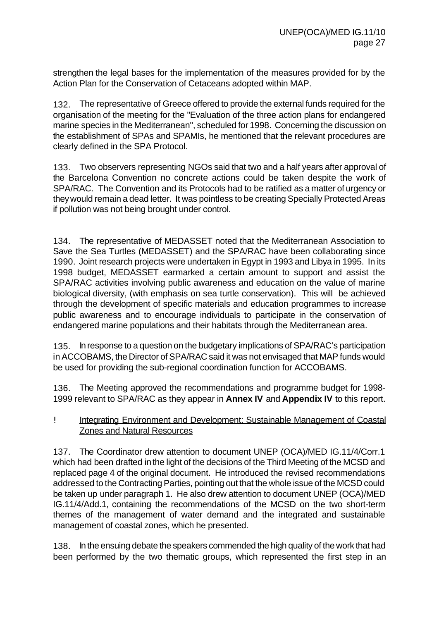strengthen the legal bases for the implementation of the measures provided for by the Action Plan for the Conservation of Cetaceans adopted within MAP.

132. The representative of Greece offered to provide the external funds required for the organisation of the meeting for the "Evaluation of the three action plans for endangered marine species in the Mediterranean", scheduled for 1998. Concerning the discussion on the establishment of SPAs and SPAMIs, he mentioned that the relevant procedures are clearly defined in the SPA Protocol.

133. Two observers representing NGOs said that two and a half years after approval of the Barcelona Convention no concrete actions could be taken despite the work of SPA/RAC. The Convention and its Protocols had to be ratified as a matter of urgency or they would remain a dead letter. It was pointless to be creating Specially Protected Areas if pollution was not being brought under control.

134. The representative of MEDASSET noted that the Mediterranean Association to Save the Sea Turtles (MEDASSET) and the SPA/RAC have been collaborating since 1990. Joint research projects were undertaken in Egypt in 1993 and Libya in 1995. In its 1998 budget, MEDASSET earmarked a certain amount to support and assist the SPA/RAC activities involving public awareness and education on the value of marine biological diversity, (with emphasis on sea turtle conservation). This will be achieved through the development of specific materials and education programmes to increase public awareness and to encourage individuals to participate in the conservation of endangered marine populations and their habitats through the Mediterranean area.

135. In response to a question on the budgetary implications of SPA/RAC's participation in ACCOBAMS, the Director of SPA/RAC said it was not envisaged that MAP funds would be used for providing the sub-regional coordination function for ACCOBAMS.

136. The Meeting approved the recommendations and programme budget for 1998- 1999 relevant to SPA/RAC as they appear in **Annex IV** and **Appendix IV** to this report.

# I Integrating Environment and Development: Sustainable Management of Coastal Zones and Natural Resources

137. The Coordinator drew attention to document UNEP (OCA)/MED IG.11/4/Corr.1 which had been drafted in the light of the decisions of the Third Meeting of the MCSD and replaced page 4 of the original document. He introduced the revised recommendations addressed to the Contracting Parties, pointing out that the whole issue of the MCSD could be taken up under paragraph 1. He also drew attention to document UNEP (OCA)/MED IG.11/4/Add.1, containing the recommendations of the MCSD on the two short-term themes of the management of water demand and the integrated and sustainable management of coastal zones, which he presented.

138. In the ensuing debate the speakers commended the high quality of the work that had been performed by the two thematic groups, which represented the first step in an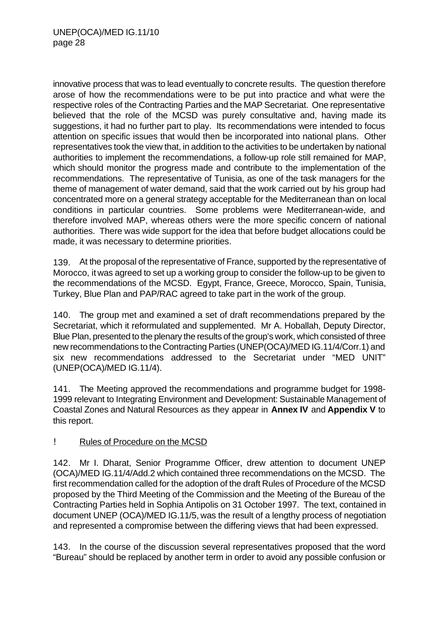innovative process that was to lead eventually to concrete results. The question therefore arose of how the recommendations were to be put into practice and what were the respective roles of the Contracting Parties and the MAP Secretariat. One representative believed that the role of the MCSD was purely consultative and, having made its suggestions, it had no further part to play. Its recommendations were intended to focus attention on specific issues that would then be incorporated into national plans. Other representatives took the view that, in addition to the activities to be undertaken by national authorities to implement the recommendations, a follow-up role still remained for MAP, which should monitor the progress made and contribute to the implementation of the recommendations. The representative of Tunisia, as one of the task managers for the theme of management of water demand, said that the work carried out by his group had concentrated more on a general strategy acceptable for the Mediterranean than on local conditions in particular countries. Some problems were Mediterranean-wide, and therefore involved MAP, whereas others were the more specific concern of national authorities. There was wide support for the idea that before budget allocations could be made, it was necessary to determine priorities.

139. At the proposal of the representative of France, supported by the representative of Morocco, it was agreed to set up a working group to consider the follow-up to be given to the recommendations of the MCSD. Egypt, France, Greece, Morocco, Spain, Tunisia, Turkey, Blue Plan and PAP/RAC agreed to take part in the work of the group.

140. The group met and examined a set of draft recommendations prepared by the Secretariat, which it reformulated and supplemented. Mr A. Hoballah, Deputy Director, Blue Plan, presented to the plenary the results of the group's work, which consisted of three new recommendations to the Contracting Parties (UNEP(OCA)/MED IG.11/4/Corr.1) and six new recommendations addressed to the Secretariat under "MED UNIT" (UNEP(OCA)/MED IG.11/4).

141. The Meeting approved the recommendations and programme budget for 1998- 1999 relevant to Integrating Environment and Development: Sustainable Management of Coastal Zones and Natural Resources as they appear in **Annex IV** and **Appendix V** to this report.

# ! Rules of Procedure on the MCSD

142. Mr I. Dharat, Senior Programme Officer, drew attention to document UNEP (OCA)/MED IG.11/4/Add.2 which contained three recommendations on the MCSD. The first recommendation called for the adoption of the draft Rules of Procedure of the MCSD proposed by the Third Meeting of the Commission and the Meeting of the Bureau of the Contracting Parties held in Sophia Antipolis on 31 October 1997. The text, contained in document UNEP (OCA)/MED IG.11/5, was the result of a lengthy process of negotiation and represented a compromise between the differing views that had been expressed.

143. In the course of the discussion several representatives proposed that the word "Bureau" should be replaced by another term in order to avoid any possible confusion or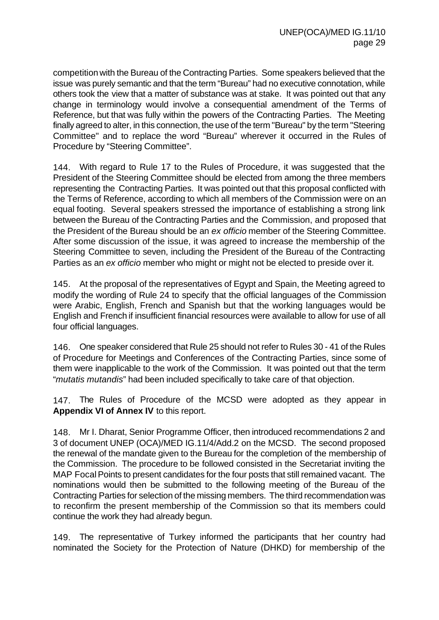competition with the Bureau of the Contracting Parties. Some speakers believed that the issue was purely semantic and that the term "Bureau" had no executive connotation, while others took the view that a matter of substance was at stake. It was pointed out that any change in terminology would involve a consequential amendment of the Terms of Reference, but that was fully within the powers of the Contracting Parties. The Meeting finally agreed to alter, in this connection, the use of the term "Bureau" by the term "Steering Committee" and to replace the word "Bureau" wherever it occurred in the Rules of Procedure by "Steering Committee".

144. With regard to Rule 17 to the Rules of Procedure, it was suggested that the President of the Steering Committee should be elected from among the three members representing the Contracting Parties. It was pointed out that this proposal conflicted with the Terms of Reference, according to which all members of the Commission were on an equal footing. Several speakers stressed the importance of establishing a strong link between the Bureau of the Contracting Parties and the Commission, and proposed that the President of the Bureau should be an *ex officio* member of the Steering Committee. After some discussion of the issue, it was agreed to increase the membership of the Steering Committee to seven, including the President of the Bureau of the Contracting Parties as an *ex officio* member who might or might not be elected to preside over it.

145. At the proposal of the representatives of Egypt and Spain, the Meeting agreed to modify the wording of Rule 24 to specify that the official languages of the Commission were Arabic, English, French and Spanish but that the working languages would be English and French if insufficient financial resources were available to allow for use of all four official languages.

146. One speaker considered that Rule 25 should not refer to Rules 30 - 41 of the Rules of Procedure for Meetings and Conferences of the Contracting Parties, since some of them were inapplicable to the work of the Commission. It was pointed out that the term "*mutatis mutandis*" had been included specifically to take care of that objection.

147. The Rules of Procedure of the MCSD were adopted as they appear in **Appendix VI of Annex IV** to this report.

148. Mr I. Dharat, Senior Programme Officer, then introduced recommendations 2 and 3 of document UNEP (OCA)/MED IG.11/4/Add.2 on the MCSD. The second proposed the renewal of the mandate given to the Bureau for the completion of the membership of the Commission. The procedure to be followed consisted in the Secretariat inviting the MAP Focal Points to present candidates for the four posts that still remained vacant. The nominations would then be submitted to the following meeting of the Bureau of the Contracting Parties for selection of the missing members. The third recommendation was to reconfirm the present membership of the Commission so that its members could continue the work they had already begun.

149. The representative of Turkey informed the participants that her country had nominated the Society for the Protection of Nature (DHKD) for membership of the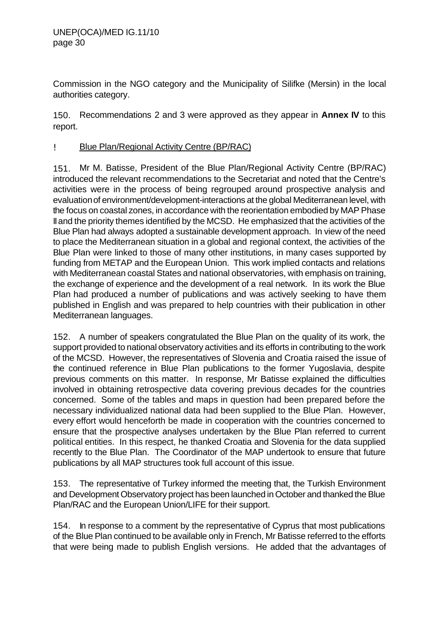Commission in the NGO category and the Municipality of Silifke (Mersin) in the local authorities category.

150. Recommendations 2 and 3 were approved as they appear in **Annex IV** to this report.

#### ! Blue Plan/Regional Activity Centre (BP/RAC)

151. Mr M. Batisse, President of the Blue Plan/Regional Activity Centre (BP/RAC) introduced the relevant recommendations to the Secretariat and noted that the Centre's activities were in the process of being regrouped around prospective analysis and evaluation of environment/development-interactions at the global Mediterranean level, with the focus on coastal zones, in accordance with the reorientation embodied by MAP Phase II and the priority themes identified by the MCSD. He emphasized that the activities of the Blue Plan had always adopted a sustainable development approach. In view of the need to place the Mediterranean situation in a global and regional context, the activities of the Blue Plan were linked to those of many other institutions, in many cases supported by funding from METAP and the European Union. This work implied contacts and relations with Mediterranean coastal States and national observatories, with emphasis on training, the exchange of experience and the development of a real network. In its work the Blue Plan had produced a number of publications and was actively seeking to have them published in English and was prepared to help countries with their publication in other Mediterranean languages.

152. A number of speakers congratulated the Blue Plan on the quality of its work, the support provided to national observatory activities and its efforts in contributing to the work of the MCSD. However, the representatives of Slovenia and Croatia raised the issue of the continued reference in Blue Plan publications to the former Yugoslavia, despite previous comments on this matter. In response, Mr Batisse explained the difficulties involved in obtaining retrospective data covering previous decades for the countries concerned. Some of the tables and maps in question had been prepared before the necessary individualized national data had been supplied to the Blue Plan. However, every effort would henceforth be made in cooperation with the countries concerned to ensure that the prospective analyses undertaken by the Blue Plan referred to current political entities. In this respect, he thanked Croatia and Slovenia for the data supplied recently to the Blue Plan. The Coordinator of the MAP undertook to ensure that future publications by all MAP structures took full account of this issue.

153. The representative of Turkey informed the meeting that, the Turkish Environment and Development Observatory project has been launched in October and thanked the Blue Plan/RAC and the European Union/LIFE for their support.

154. In response to a comment by the representative of Cyprus that most publications of the Blue Plan continued to be available only in French, Mr Batisse referred to the efforts that were being made to publish English versions. He added that the advantages of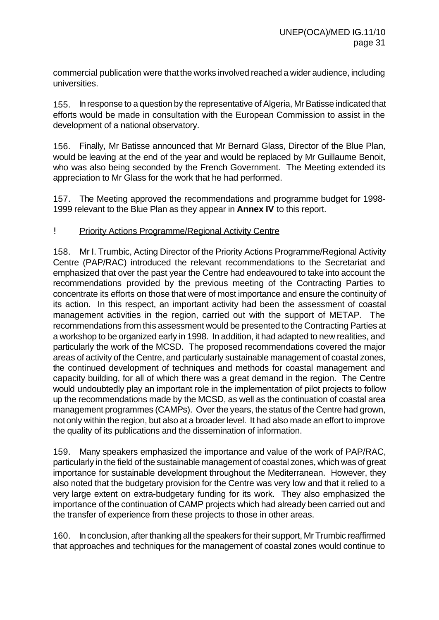commercial publication were that the works involved reached a wider audience, including universities.

155. In response to a question by the representative of Algeria, Mr Batisse indicated that efforts would be made in consultation with the European Commission to assist in the development of a national observatory.

156. Finally, Mr Batisse announced that Mr Bernard Glass, Director of the Blue Plan, would be leaving at the end of the year and would be replaced by Mr Guillaume Benoit, who was also being seconded by the French Government. The Meeting extended its appreciation to Mr Glass for the work that he had performed.

157. The Meeting approved the recommendations and programme budget for 1998- 1999 relevant to the Blue Plan as they appear in **Annex IV** to this report.

# ! Priority Actions Programme/Regional Activity Centre

158. Mr I. Trumbic, Acting Director of the Priority Actions Programme/Regional Activity Centre (PAP/RAC) introduced the relevant recommendations to the Secretariat and emphasized that over the past year the Centre had endeavoured to take into account the recommendations provided by the previous meeting of the Contracting Parties to concentrate its efforts on those that were of most importance and ensure the continuity of its action. In this respect, an important activity had been the assessment of coastal management activities in the region, carried out with the support of METAP. The recommendations from this assessment would be presented to the Contracting Parties at a workshop to be organized early in 1998. In addition, it had adapted to new realities, and particularly the work of the MCSD. The proposed recommendations covered the major areas of activity of the Centre, and particularly sustainable management of coastal zones, the continued development of techniques and methods for coastal management and capacity building, for all of which there was a great demand in the region. The Centre would undoubtedly play an important role in the implementation of pilot projects to follow up the recommendations made by the MCSD, as well as the continuation of coastal area management programmes (CAMPs). Over the years, the status of the Centre had grown, not only within the region, but also at a broader level. It had also made an effort to improve the quality of its publications and the dissemination of information.

159. Many speakers emphasized the importance and value of the work of PAP/RAC, particularly in the field of the sustainable management of coastal zones, which was of great importance for sustainable development throughout the Mediterranean. However, they also noted that the budgetary provision for the Centre was very low and that it relied to a very large extent on extra-budgetary funding for its work. They also emphasized the importance of the continuation of CAMP projects which had already been carried out and the transfer of experience from these projects to those in other areas.

160. In conclusion, after thanking all the speakers for their support, Mr Trumbic reaffirmed that approaches and techniques for the management of coastal zones would continue to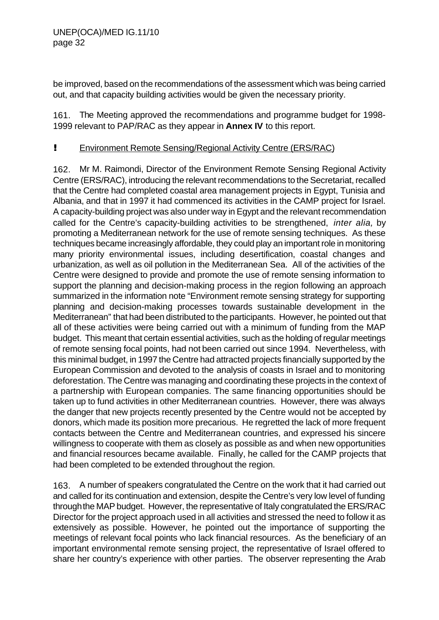be improved, based on the recommendations of the assessment which was being carried out, and that capacity building activities would be given the necessary priority.

161. The Meeting approved the recommendations and programme budget for 1998- 1999 relevant to PAP/RAC as they appear in **Annex IV** to this report.

# **!** Environment Remote Sensing/Regional Activity Centre (ERS/RAC)

162. Mr M. Raimondi, Director of the Environment Remote Sensing Regional Activity Centre (ERS/RAC), introducing the relevant recommendations to the Secretariat, recalled that the Centre had completed coastal area management projects in Egypt, Tunisia and Albania, and that in 1997 it had commenced its activities in the CAMP project for Israel. A capacity-building project was also under way in Egypt and the relevant recommendation called for the Centre's capacity-building activities to be strengthened, *inter alia,* by promoting a Mediterranean network for the use of remote sensing techniques. As these techniques became increasingly affordable, they could play an important role in monitoring many priority environmental issues, including desertification, coastal changes and urbanization, as well as oil pollution in the Mediterranean Sea. All of the activities of the Centre were designed to provide and promote the use of remote sensing information to support the planning and decision-making process in the region following an approach summarized in the information note "Environment remote sensing strategy for supporting planning and decision-making processes towards sustainable development in the Mediterranean" that had been distributed to the participants. However, he pointed out that all of these activities were being carried out with a minimum of funding from the MAP budget. This meant that certain essential activities, such as the holding of regular meetings of remote sensing focal points, had not been carried out since 1994. Nevertheless, with this minimal budget, in 1997 the Centre had attracted projects financially supported by the European Commission and devoted to the analysis of coasts in Israel and to monitoring deforestation. The Centre was managing and coordinating these projects in the context of a partnership with European companies. The same financing opportunities should be taken up to fund activities in other Mediterranean countries. However, there was always the danger that new projects recently presented by the Centre would not be accepted by donors, which made its position more precarious. He regretted the lack of more frequent contacts between the Centre and Mediterranean countries, and expressed his sincere willingness to cooperate with them as closely as possible as and when new opportunities and financial resources became available. Finally, he called for the CAMP projects that had been completed to be extended throughout the region.

163. A number of speakers congratulated the Centre on the work that it had carried out and called for its continuation and extension, despite the Centre's very low level of funding through the MAP budget. However, the representative of Italy congratulated the ERS/RAC Director for the project approach used in all activities and stressed the need to follow it as extensively as possible. However, he pointed out the importance of supporting the meetings of relevant focal points who lack financial resources. As the beneficiary of an important environmental remote sensing project, the representative of Israel offered to share her country's experience with other parties. The observer representing the Arab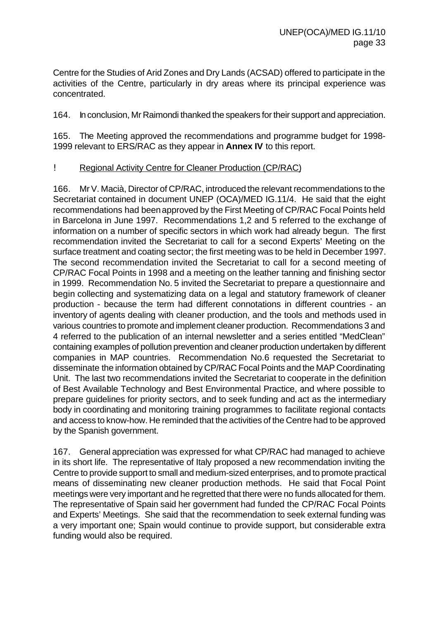Centre for the Studies of Arid Zones and Dry Lands (ACSAD) offered to participate in the activities of the Centre, particularly in dry areas where its principal experience was concentrated.

164. In conclusion, Mr Raimondi thanked the speakers for their support and appreciation.

165. The Meeting approved the recommendations and programme budget for 1998- 1999 relevant to ERS/RAC as they appear in **Annex IV** to this report.

#### ! Regional Activity Centre for Cleaner Production (CP/RAC)

166. Mr V. Macià, Director of CP/RAC, introduced the relevant recommendations to the Secretariat contained in document UNEP (OCA)/MED IG.11/4. He said that the eight recommendations had been approved by the First Meeting of CP/RAC Focal Points held in Barcelona in June 1997. Recommendations 1,2 and 5 referred to the exchange of information on a number of specific sectors in which work had already begun. The first recommendation invited the Secretariat to call for a second Experts' Meeting on the surface treatment and coating sector; the first meeting was to be held in December 1997. The second recommendation invited the Secretariat to call for a second meeting of CP/RAC Focal Points in 1998 and a meeting on the leather tanning and finishing sector in 1999. Recommendation No. 5 invited the Secretariat to prepare a questionnaire and begin collecting and systematizing data on a legal and statutory framework of cleaner production - because the term had different connotations in different countries - an inventory of agents dealing with cleaner production, and the tools and methods used in various countries to promote and implement cleaner production. Recommendations 3 and 4 referred to the publication of an internal newsletter and a series entitled "MedClean" containing examples of pollution prevention and cleaner production undertaken by different companies in MAP countries. Recommendation No.6 requested the Secretariat to disseminate the information obtained by CP/RAC Focal Points and the MAP Coordinating Unit. The last two recommendations invited the Secretariat to cooperate in the definition of Best Available Technology and Best Environmental Practice, and where possible to prepare guidelines for priority sectors, and to seek funding and act as the intermediary body in coordinating and monitoring training programmes to facilitate regional contacts and access to know-how. He reminded that the activities of the Centre had to be approved by the Spanish government.

167. General appreciation was expressed for what CP/RAC had managed to achieve in its short life. The representative of Italy proposed a new recommendation inviting the Centre to provide support to small and medium-sized enterprises, and to promote practical means of disseminating new cleaner production methods. He said that Focal Point meetings were very important and he regretted that there were no funds allocated for them. The representative of Spain said her government had funded the CP/RAC Focal Points and Experts' Meetings. She said that the recommendation to seek external funding was a very important one; Spain would continue to provide support, but considerable extra funding would also be required.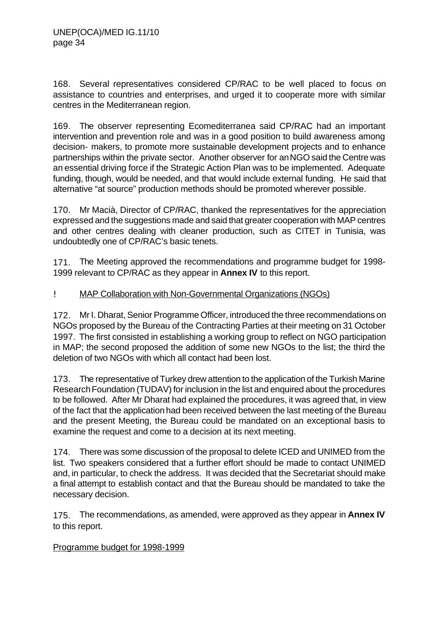168. Several representatives considered CP/RAC to be well placed to focus on assistance to countries and enterprises, and urged it to cooperate more with similar centres in the Mediterranean region.

169. The observer representing Ecomediterranea said CP/RAC had an important intervention and prevention role and was in a good position to build awareness among decision- makers, to promote more sustainable development projects and to enhance partnerships within the private sector. Another observer for an NGO said the Centre was an essential driving force if the Strategic Action Plan was to be implemented. Adequate funding, though, would be needed, and that would include external funding. He said that alternative "at source" production methods should be promoted wherever possible.

170. Mr Macià, Director of CP/RAC, thanked the representatives for the appreciation expressed and the suggestions made and said that greater cooperation with MAP centres and other centres dealing with cleaner production, such as CITET in Tunisia, was undoubtedly one of CP/RAC's basic tenets.

171. The Meeting approved the recommendations and programme budget for 1998- 1999 relevant to CP/RAC as they appear in **Annex IV** to this report.

# ! MAP Collaboration with Non-Governmental Organizations (NGOs)

172. Mr I. Dharat, Senior Programme Officer, introduced the three recommendations on NGOs proposed by the Bureau of the Contracting Parties at their meeting on 31 October 1997. The first consisted in establishing a working group to reflect on NGO participation in MAP; the second proposed the addition of some new NGOs to the list; the third the deletion of two NGOs with which all contact had been lost.

173. The representative of Turkey drew attention to the application of the Turkish Marine Research Foundation (TUDAV) for inclusion in the list and enquired about the procedures to be followed. After Mr Dharat had explained the procedures, it was agreed that, in view of the fact that the application had been received between the last meeting of the Bureau and the present Meeting, the Bureau could be mandated on an exceptional basis to examine the request and come to a decision at its next meeting.

174. There was some discussion of the proposal to delete ICED and UNIMED from the list. Two speakers considered that a further effort should be made to contact UNIMED and, in particular, to check the address. It was decided that the Secretariat should make a final attempt to establish contact and that the Bureau should be mandated to take the necessary decision.

175. The recommendations, as amended, were approved as they appear in **Annex IV** to this report.

#### Programme budget for 1998-1999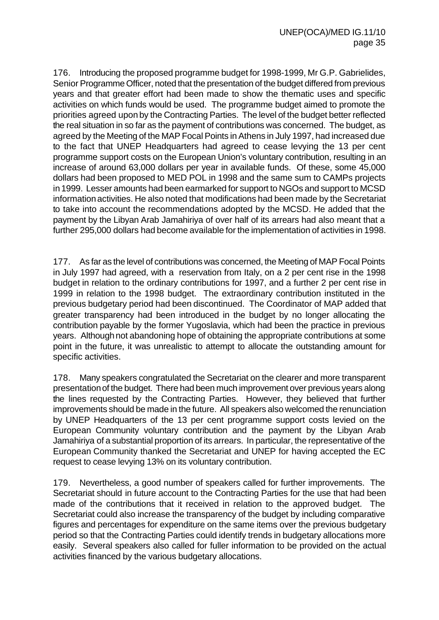176. Introducing the proposed programme budget for 1998-1999, Mr G.P. Gabrielides, Senior Programme Officer, noted that the presentation of the budget differed from previous years and that greater effort had been made to show the thematic uses and specific activities on which funds would be used. The programme budget aimed to promote the priorities agreed upon by the Contracting Parties. The level of the budget better reflected the real situation in so far as the payment of contributions was concerned. The budget, as agreed by the Meeting of the MAP Focal Points in Athens in July 1997, had increased due to the fact that UNEP Headquarters had agreed to cease levying the 13 per cent programme support costs on the European Union's voluntary contribution, resulting in an increase of around 63,000 dollars per year in available funds. Of these, some 45,000 dollars had been proposed to MED POL in 1998 and the same sum to CAMPs projects in 1999. Lesser amounts had been earmarked for support to NGOs and support to MCSD information activities. He also noted that modifications had been made by the Secretariat to take into account the recommendations adopted by the MCSD. He added that the payment by the Libyan Arab Jamahiriya of over half of its arrears had also meant that a further 295,000 dollars had become available for the implementation of activities in 1998.

177. As far as the level of contributions was concerned, the Meeting of MAP Focal Points in July 1997 had agreed, with a reservation from Italy, on a 2 per cent rise in the 1998 budget in relation to the ordinary contributions for 1997, and a further 2 per cent rise in 1999 in relation to the 1998 budget. The extraordinary contribution instituted in the previous budgetary period had been discontinued. The Coordinator of MAP added that greater transparency had been introduced in the budget by no longer allocating the contribution payable by the former Yugoslavia, which had been the practice in previous years. Although not abandoning hope of obtaining the appropriate contributions at some point in the future, it was unrealistic to attempt to allocate the outstanding amount for specific activities.

178. Many speakers congratulated the Secretariat on the clearer and more transparent presentation of the budget. There had been much improvement over previous years along the lines requested by the Contracting Parties. However, they believed that further improvements should be made in the future. All speakers also welcomed the renunciation by UNEP Headquarters of the 13 per cent programme support costs levied on the European Community voluntary contribution and the payment by the Libyan Arab Jamahiriya of a substantial proportion of its arrears. In particular, the representative of the European Community thanked the Secretariat and UNEP for having accepted the EC request to cease levying 13% on its voluntary contribution.

179. Nevertheless, a good number of speakers called for further improvements. The Secretariat should in future account to the Contracting Parties for the use that had been made of the contributions that it received in relation to the approved budget. The Secretariat could also increase the transparency of the budget by including comparative figures and percentages for expenditure on the same items over the previous budgetary period so that the Contracting Parties could identify trends in budgetary allocations more easily. Several speakers also called for fuller information to be provided on the actual activities financed by the various budgetary allocations.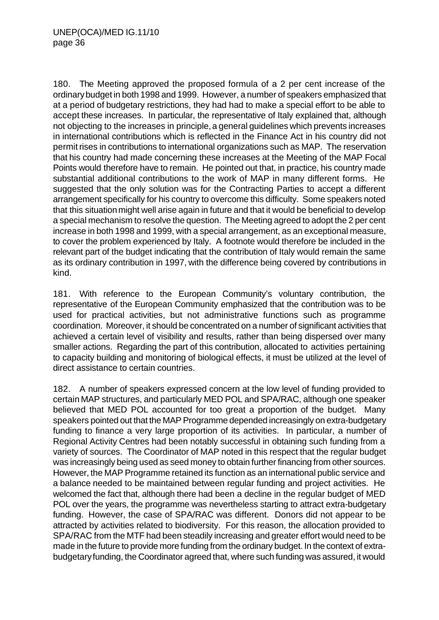180. The Meeting approved the proposed formula of a 2 per cent increase of the ordinary budget in both 1998 and 1999. However, a number of speakers emphasized that at a period of budgetary restrictions, they had had to make a special effort to be able to accept these increases. In particular, the representative of Italy explained that, although not objecting to the increases in principle, a general guidelines which prevents increases in international contributions which is reflected in the Finance Act in his country did not permit rises in contributions to international organizations such as MAP. The reservation that his country had made concerning these increases at the Meeting of the MAP Focal Points would therefore have to remain. He pointed out that, in practice, his country made substantial additional contributions to the work of MAP in many different forms. He suggested that the only solution was for the Contracting Parties to accept a different arrangement specifically for his country to overcome this difficulty. Some speakers noted that this situation might well arise again in future and that it would be beneficial to develop a special mechanism to resolve the question. The Meeting agreed to adopt the 2 per cent increase in both 1998 and 1999, with a special arrangement, as an exceptional measure, to cover the problem experienced by Italy. A footnote would therefore be included in the relevant part of the budget indicating that the contribution of Italy would remain the same as its ordinary contribution in 1997, with the difference being covered by contributions in kind.

181. With reference to the European Community's voluntary contribution, the representative of the European Community emphasized that the contribution was to be used for practical activities, but not administrative functions such as programme coordination. Moreover, it should be concentrated on a number of significant activities that achieved a certain level of visibility and results, rather than being dispersed over many smaller actions. Regarding the part of this contribution, allocated to activities pertaining to capacity building and monitoring of biological effects, it must be utilized at the level of direct assistance to certain countries.

182. A number of speakers expressed concern at the low level of funding provided to certain MAP structures, and particularly MED POL and SPA/RAC, although one speaker believed that MED POL accounted for too great a proportion of the budget. Many speakers pointed out that the MAP Programme depended increasingly on extra-budgetary funding to finance a very large proportion of its activities. In particular, a number of Regional Activity Centres had been notably successful in obtaining such funding from a variety of sources. The Coordinator of MAP noted in this respect that the regular budget was increasingly being used as seed money to obtain further financing from other sources. However, the MAP Programme retained its function as an international public service and a balance needed to be maintained between regular funding and project activities. He welcomed the fact that, although there had been a decline in the regular budget of MED POL over the years, the programme was nevertheless starting to attract extra-budgetary funding. However, the case of SPA/RAC was different. Donors did not appear to be attracted by activities related to biodiversity. For this reason, the allocation provided to SPA/RAC from the MTF had been steadily increasing and greater effort would need to be made in the future to provide more funding from the ordinary budget. In the context of extrabudgetary funding, the Coordinator agreed that, where such funding was assured, it would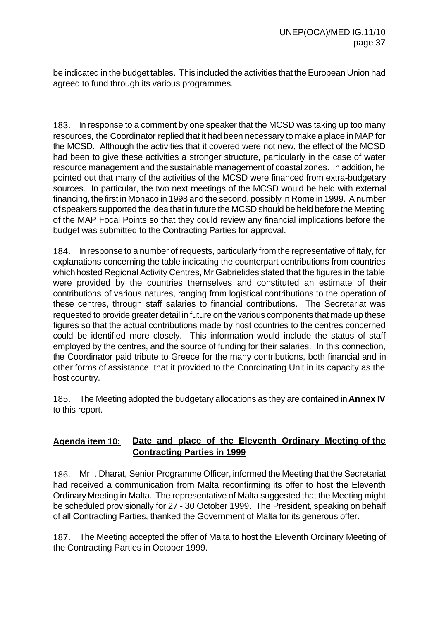be indicated in the budget tables. This included the activities that the European Union had agreed to fund through its various programmes.

183. In response to a comment by one speaker that the MCSD was taking up too many resources, the Coordinator replied that it had been necessary to make a place in MAP for the MCSD. Although the activities that it covered were not new, the effect of the MCSD had been to give these activities a stronger structure, particularly in the case of water resource management and the sustainable management of coastal zones. In addition, he pointed out that many of the activities of the MCSD were financed from extra-budgetary sources. In particular, the two next meetings of the MCSD would be held with external financing, the first in Monaco in 1998 and the second, possibly in Rome in 1999. A number of speakers supported the idea that in future the MCSD should be held before the Meeting of the MAP Focal Points so that they could review any financial implications before the budget was submitted to the Contracting Parties for approval.

184. In response to a number of requests, particularly from the representative of Italy, for explanations concerning the table indicating the counterpart contributions from countries which hosted Regional Activity Centres, Mr Gabrielides stated that the figures in the table were provided by the countries themselves and constituted an estimate of their contributions of various natures, ranging from logistical contributions to the operation of these centres, through staff salaries to financial contributions. The Secretariat was requested to provide greater detail in future on the various components that made up these figures so that the actual contributions made by host countries to the centres concerned could be identified more closely. This information would include the status of staff employed by the centres, and the source of funding for their salaries. In this connection, the Coordinator paid tribute to Greece for the many contributions, both financial and in other forms of assistance, that it provided to the Coordinating Unit in its capacity as the host country.

185. The Meeting adopted the budgetary allocations as they are contained in **Annex IV** to this report.

## **Agenda item 10: Date and place of the Eleventh Ordinary Meeting of the Contracting Parties in 1999**

186. Mr I. Dharat, Senior Programme Officer, informed the Meeting that the Secretariat had received a communication from Malta reconfirming its offer to host the Eleventh Ordinary Meeting in Malta. The representative of Malta suggested that the Meeting might be scheduled provisionally for 27 - 30 October 1999. The President, speaking on behalf of all Contracting Parties, thanked the Government of Malta for its generous offer.

187. The Meeting accepted the offer of Malta to host the Eleventh Ordinary Meeting of the Contracting Parties in October 1999.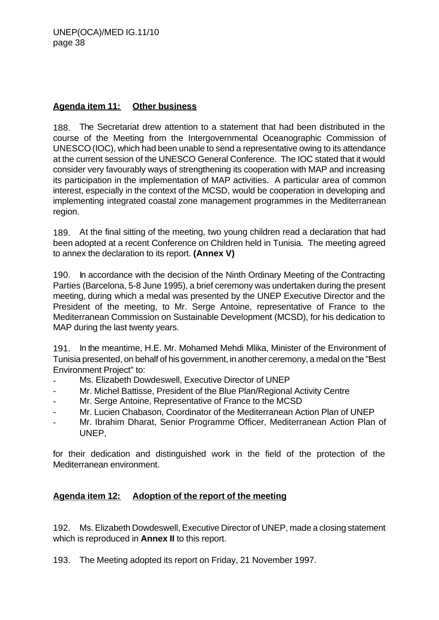### **Agenda item 11: Other business**

188. The Secretariat drew attention to a statement that had been distributed in the course of the Meeting from the Intergovernmental Oceanographic Commission of UNESCO (IOC), which had been unable to send a representative owing to its attendance at the current session of the UNESCO General Conference. The IOC stated that it would consider very favourably ways of strengthening its cooperation with MAP and increasing its participation in the implementation of MAP activities. A particular area of common interest, especially in the context of the MCSD, would be cooperation in developing and implementing integrated coastal zone management programmes in the Mediterranean region.

189. At the final sitting of the meeting, two young children read a declaration that had been adopted at a recent Conference on Children held in Tunisia. The meeting agreed to annex the declaration to its report. **(Annex V)**

190. In accordance with the decision of the Ninth Ordinary Meeting of the Contracting Parties (Barcelona, 5-8 June 1995), a brief ceremony was undertaken during the present meeting, during which a medal was presented by the UNEP Executive Director and the President of the meeting, to Mr. Serge Antoine, representative of France to the Mediterranean Commission on Sustainable Development (MCSD), for his dedication to MAP during the last twenty years.

191. In the meantime, H.E. Mr. Mohamed Mehdi Mlika, Minister of the Environment of Tunisia presented, on behalf of his government, in another ceremony, a medal on the "Best Environment Project" to:

- Ms. Elizabeth Dowdeswell, Executive Director of UNEP
- Mr. Michel Battisse, President of the Blue Plan/Regional Activity Centre
- Mr. Serge Antoine, Representative of France to the MCSD
- Mr. Lucien Chabason, Coordinator of the Mediterranean Action Plan of UNEP
- Mr. Ibrahim Dharat, Senior Programme Officer, Mediterranean Action Plan of UNEP,

for their dedication and distinguished work in the field of the protection of the Mediterranean environment.

### **Agenda item 12: Adoption of the report of the meeting**

192. Ms. Elizabeth Dowdeswell, Executive Director of UNEP, made a closing statement which is reproduced in **Annex II** to this report.

193. The Meeting adopted its report on Friday, 21 November 1997.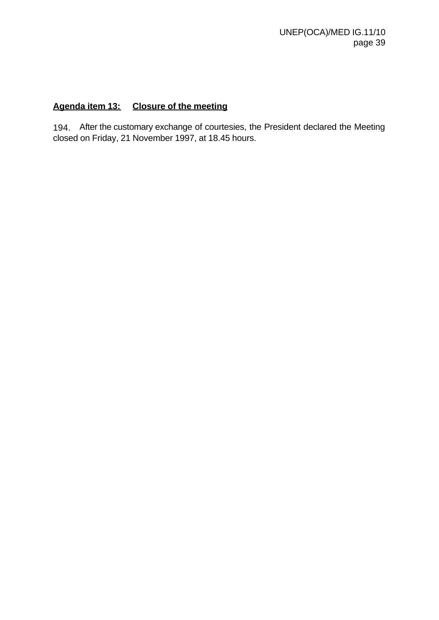# **Agenda item 13: Closure of the meeting**

194. After the customary exchange of courtesies, the President declared the Meeting closed on Friday, 21 November 1997, at 18.45 hours.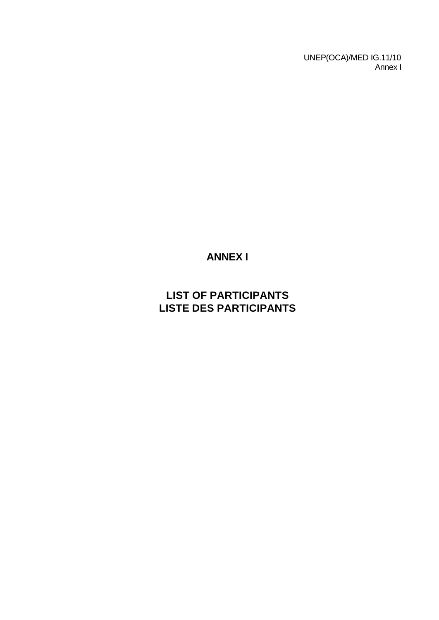**ANNEX I**

# **LIST OF PARTICIPANTS LISTE DES PARTICIPANTS**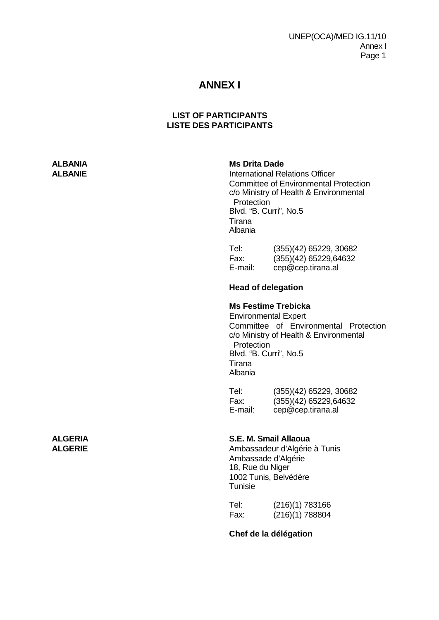# **ANNEX I**

#### **LIST OF PARTICIPANTS LISTE DES PARTICIPANTS**

#### **ALBANIA Ms Drita Dade**

**ALBANIE International Relations Officer** Committee of Environmental Protection c/o Ministry of Health & Environmental **Protection** Blvd. "B. Curri", No.5 Tirana Albania

| Tel∶    | $(355)(42)$ 65229, 30682 |
|---------|--------------------------|
| Fax:    | $(355)(42)$ 65229,64632  |
| E-mail: | cep@cep.tirana.al        |

#### **Head of delegation**

### **Ms Festime Trebicka**

Environmental Expert Committee of Environmental Protection c/o Ministry of Health & Environmental **Protection** Blvd. "B. Curri", No.5 Tirana Albania

| Tel∶    | $(355)(42)$ 65229, 30682 |
|---------|--------------------------|
| Fax:    | $(355)(42)$ 65229,64632  |
| E-mail: | cep@cep.tirana.al        |

### **ALGERIA S.E. M. Smail Allaoua**

**ALGERIE** Ambassadeur d'Algérie à Tunis Ambassade d'Algérie 18, Rue du Niger 1002 Tunis, Belvédère Tunisie

| Tel: | (216)(1) 783166   |
|------|-------------------|
| Fax: | $(216)(1)$ 788804 |

#### **Chef de la délégation**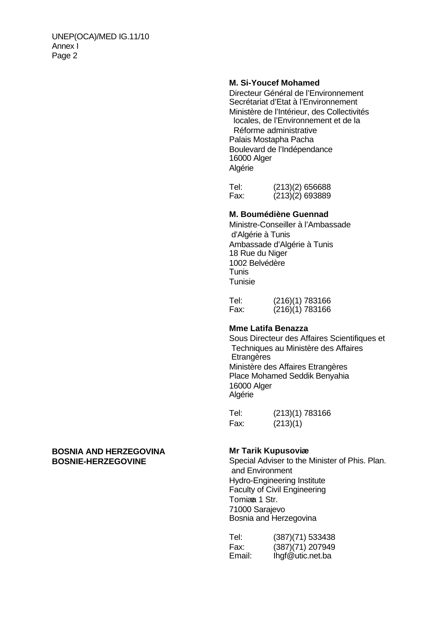#### **M. Si-Youcef Mohamed**

Directeur Général de l'Environnement Secrétariat d'Etat à l'Environnement Ministère de l'Intérieur, des Collectivités locales, de l'Environnement et de la Réforme administrative Palais Mostapha Pacha Boulevard de l'Indépendance 16000 Alger Algérie

| Tel: | $(213)(2)$ 656688 |
|------|-------------------|
| Fax: | $(213)(2)$ 693889 |

### **M. Boumédiène Guennad**

Ministre-Conseiller à l'Ambassade d'Algérie à Tunis Ambassade d'Algérie à Tunis 18 Rue du Niger 1002 Belvédère Tunis Tunisie

| Tel: | (216)(1) 783166 |
|------|-----------------|
| Fax: | (216)(1) 783166 |

#### **Mme Latifa Benazza**

Sous Directeur des Affaires Scientifiques et Techniques au Ministère des Affaires **Etrangères** Ministère des Affaires Etrangères Place Mohamed Seddik Benyahia 16000 Alger Algérie

| Tel: | (213)(1) 783166 |
|------|-----------------|
| Fax: | (213)(1)        |

**BOSNIE-HERZEGOVINE** Special Adviser to the Minister of Phis. Plan. and Environment Hydro-Engineering Institute Faculty of Civil Engineering Tomiæa 1 Str. 71000 Sarajevo Bosnia and Herzegovina

| Tel:   | $(387)(71)$ 533438 |
|--------|--------------------|
| Fax:   | $(387)(71)$ 207949 |
| Email: | lhgf@utic.net.ba   |

# **BOSNIA AND HERZEGOVINA Mr Tarik Kupusoviæ**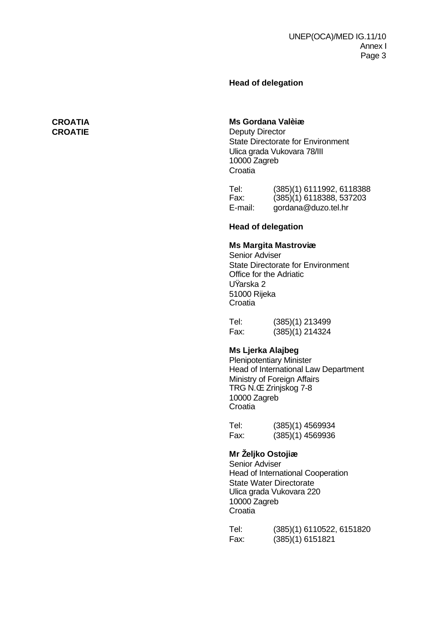#### **Head of delegation**

### **CROATIA Ms Gordana Val è i æ**

**CROATIE** Deputy Director State Directorate for Environment Ulica grada Vukovara 78/III 10000 Zagreb **Croatia** 

> Tel: (385)(1) 6111992, 6118388<br>Fax: (385)(1) 6118388. 537203  $(385)(1)$  6118388, 537203 E-mail: gordana@duzo.tel.hr

#### **Head of delegation**

#### **Ms Margita Mastrovi æ**

Senior Adviser State Directorate for Environment Office for the Adriatic UŸarska 2 51000 Rijeka **Croatia** 

| Tel: | $(385)(1)$ 213499 |
|------|-------------------|
| Fax: | $(385)(1)$ 214324 |

### **Ms Ljerka Alajbeg**

Plenipotentiary Minister Head of International Law Department Ministry of Foreign Affairs TRG N. Œ. Zrinjskog 7-8 10000 Zagreb **Croatia** 

| Tel∶ | $(385)(1)$ 4569934 |
|------|--------------------|
| Fax: | $(385)(1)$ 4569936 |

#### **Mr Željko Ostoji æ**

Senior Adviser Head of International Cooperation State Water Directorate Ulica grada Vukovara 220 10000 Zagreb **Croatia** 

| Tel: | (385)(1) 6110522, 6151820 |
|------|---------------------------|
| Fax: | $(385)(1)$ 6151821        |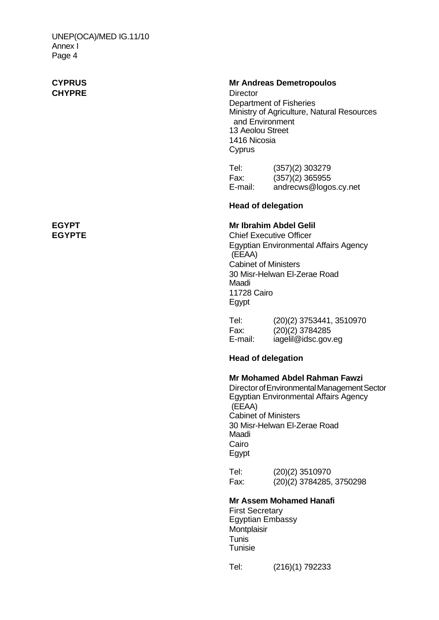#### **CYPRUS Mr Andreas Demetropoulos CHYPRE** Director Department of Fisheries Ministry of Agriculture, Natural Resources and Environment 13 Aeolou Street 1416 Nicosia **Cyprus**

| Tel:    | $(357)(2)$ 303279     |
|---------|-----------------------|
| Fax:    | $(357)(2)$ 365955     |
| E-mail: | andrecws@logos.cy.net |

### **Head of delegation**

#### **EGYPT Mr Ibrahim Abdel Gelil**

**EGYPTE** Chief Executive Officer Egyptian Environmental Affairs Agency (EEAA) Cabinet of Ministers 30 Misr-Helwan El-Zerae Road Maadi 11728 Cairo Egypt

> Tel: (20)(2) 3753441, 3510970 Fax: (20)(2) 3784285 E-mail: iagelil@idsc.gov.eg

### **Head of delegation**

#### **Mr Mohamed Abdel Rahman Fawzi**

Director of Environmental Management Sector Egyptian Environmental Affairs Agency (EEAA) Cabinet of Ministers 30 Misr-Helwan El-Zerae Road Maadi Cairo Egypt

| Tel: | $(20)(2)$ 3510970        |
|------|--------------------------|
| Fax: | (20)(2) 3784285, 3750298 |

### **Mr Assem Mohamed Hanafi**

First Secretary Egyptian Embassy **Montplaisir** Tunis Tunisie

Tel: (216)(1) 792233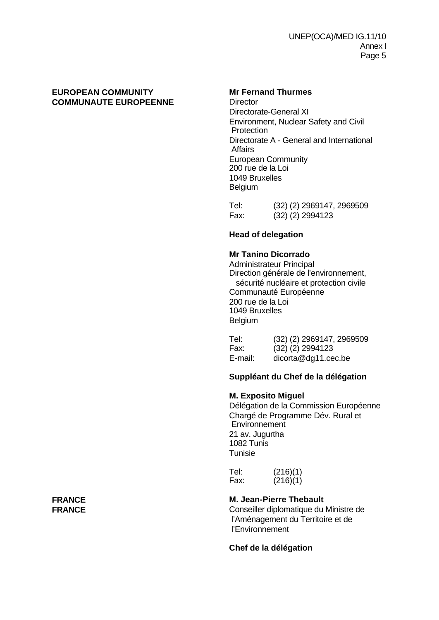### **EUROPEAN COMMUNITY Mr Fernand Thurmes COMMUNAUTE EUROPEENNE** Director

Directorate-General XI Environment, Nuclear Safety and Civil **Protection** Directorate A - General and International Affairs European Community 200 rue de la Loi 1049 Bruxelles Belgium

| Tel: | $(32)$ $(2)$ 2969147, 2969509 |
|------|-------------------------------|
| Fax: | $(32)$ $(2)$ 2994123          |

#### **Head of delegation**

## **Mr Tanino Dicorrado**

Administrateur Principal Direction générale de l'environnement, sécurité nucléaire et protection civile Communauté Européenne 200 rue de la Loi 1049 Bruxelles Belgium

| Tel:    | (32) (2) 2969147, 2969509 |
|---------|---------------------------|
| Fax:    | $(32)$ $(2)$ 2994123      |
| E-mail: | dicorta@dg11.cec.be       |

### **Suppléant du Chef de la délégation**

#### **M. Exposito Miguel**

Délégation de la Commission Européenne Chargé de Programme Dév. Rural et **Environnement** 21 av. Jugurtha 1082 Tunis Tunisie

| Tel: | (216)(1) |
|------|----------|
| Fax: | (216)(1) |

# **FRANCE M. Jean-Pierre Thebault**<br> **FRANCE** Conseiller diplomatique du

Conseiller diplomatique du Ministre de l'Aménagement du Territoire et de l'Environnement

#### **Chef de la délégation**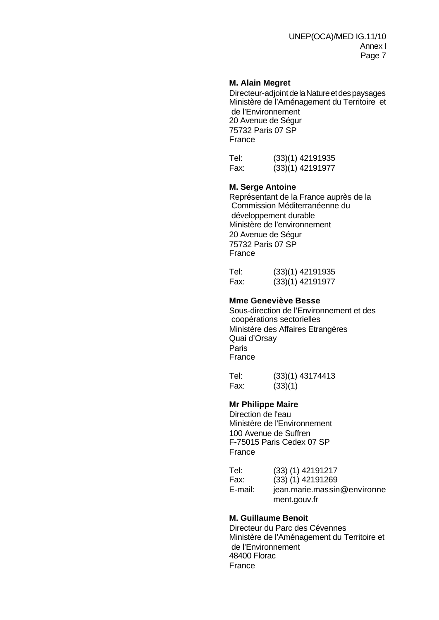#### **M. Alain Megret**

Directeur-adjoint de la Nature et des paysages Ministère de l'Aménagement du Territoire et de l'Environnement 20 Avenue de Ségur 75732 Paris 07 SP France

| Tel∶ | $(33)(1)$ 42191935 |
|------|--------------------|
| Fax: | $(33)(1)$ 42191977 |

#### **M. Serge Antoine**

Représentant de la France auprès de la Commission Méditerranéenne du développement durable Ministère de l'environnement 20 Avenue de Ségur 75732 Paris 07 SP France

| Tel∶ | $(33)(1)$ 42191935 |
|------|--------------------|
| Fax: | $(33)(1)$ 42191977 |

#### **Mme Geneviève Besse**

Sous-direction de l'Environnement et des coopérations sectorielles Ministère des Affaires Etrangères Quai d'Orsay Paris France

| Tel: | $(33)(1)$ 43174413 |
|------|--------------------|
| Fax: | (33)(1)            |

### **Mr Philippe Maire**

Direction de l'eau Ministère de l'Environnement 100 Avenue de Suffren F-75015 Paris Cedex 07 SP France

| Tel:    | $(33)$ (1) 42191217         |
|---------|-----------------------------|
| Fax:    | $(33)$ $(1)$ 42191269       |
| E-mail: | jean.marie.massin@environne |
|         | ment.gouv.fr                |

#### **M. Guillaume Benoit**

Directeur du Parc des Cévennes Ministère de l'Aménagement du Territoire et de l'Environnement 48400 Florac France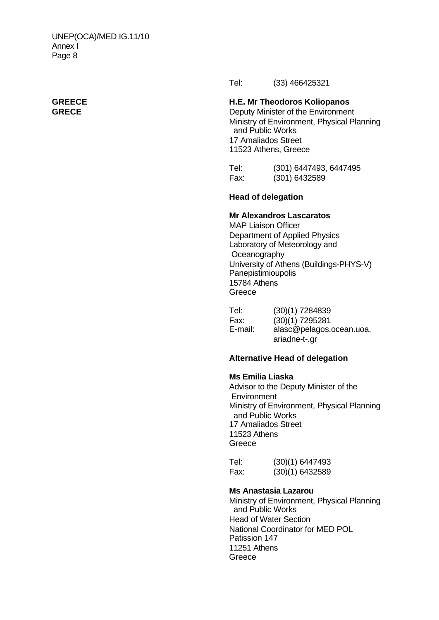Tel: (33) 466425321

**GREECE H.E. Mr Theodoros Koliopanos GRECE** Deputy Minister of the Environment

Ministry of Environment, Physical Planning and Public Works 17 Amaliados Street 11523 Athens, Greece

| Tel: | (301) 6447493, 6447495 |
|------|------------------------|
| Fax: | $(301)$ 6432589        |

#### **Head of delegation**

### **Mr Alexandros Lascaratos**

MAP Liaison Officer Department of Applied Physics Laboratory of Meteorology and **Oceanography** University of Athens (Buildings-PHYS-V) Panepistimioupolis 15784 Athens **Greece** 

Tel: (30)(1) 7284839 Fax: (30)(1) 7295281<br>E-mail: alasc@pelagos. alasc@pelagos.ocean.uoa. ariadne-t-.gr

#### **Alternative Head of delegation**

#### **Ms Emilia Liaska**

Advisor to the Deputy Minister of the **Environment** Ministry of Environment, Physical Planning and Public Works 17 Amaliados Street 11523 Athens **Greece** 

| Tel: | $(30)(1)$ 6447493 |
|------|-------------------|
| Fax: | $(30)(1)$ 6432589 |

#### **Ms Anastasia Lazarou**

Ministry of Environment, Physical Planning and Public Works Head of Water Section National Coordinator for MED POL Patission 147 11251 Athens Greece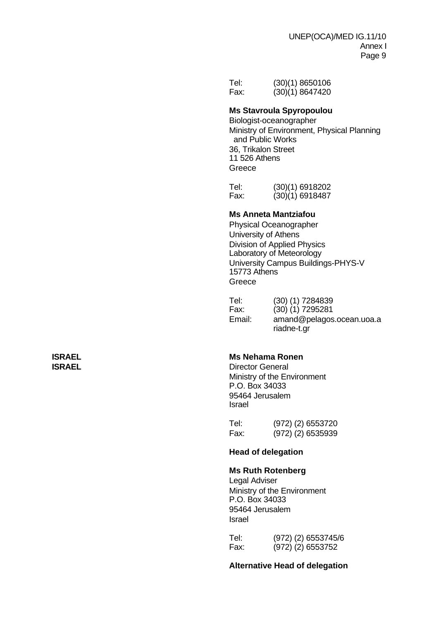| Tel: | $(30)(1)$ 8650106 |
|------|-------------------|
| Fax: | $(30)(1)$ 8647420 |

#### **Ms Stavroula Spyropoulou**

Biologist-oceanographer Ministry of Environment, Physical Planning and Public Works 36, Trikalon Street 11 526 Athens **Greece** 

| Tel: | $(30)(1)$ 6918202 |
|------|-------------------|
| Fax: | $(30)(1)$ 6918487 |

#### **Ms Anneta Mantziafou**

Physical Oceanographer University of Athens Division of Applied Physics Laboratory of Meteorology University Campus Buildings-PHYS-V 15773 Athens Greece

Tel: (30) (1) 7284839 Fax: (30) (1) 7295281 Email: amand@pelagos.ocean.uoa.a riadne-t.gr

#### **ISRAEL Ms Nehama Ronen**

**ISRAEL** Director General Ministry of the Environment P.O. Box 34033 95464 Jerusalem Israel

| Tel: | $(972)$ $(2)$ 6553720 |
|------|-----------------------|
| Fax: | $(972)$ $(2)$ 6535939 |

#### **Head of delegation**

#### **Ms Ruth Rotenberg**

Legal Adviser Ministry of the Environment P.O. Box 34033 95464 Jerusalem Israel

| Tel: | $(972)$ $(2)$ 6553745/6 |
|------|-------------------------|
| Fax: | $(972)$ $(2)$ 6553752   |

#### **Alternative Head of delegation**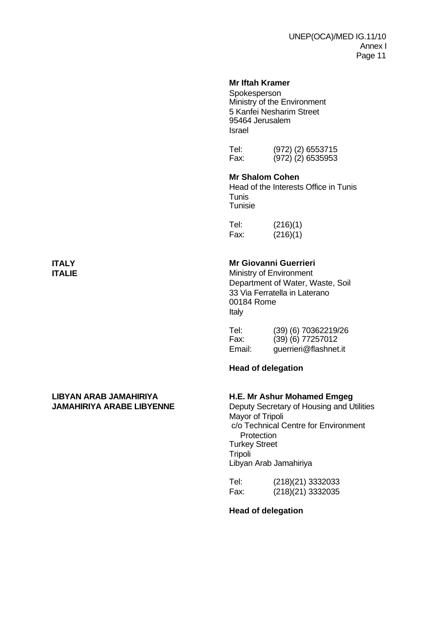#### **Mr Iftah Kramer**

Spokesperson Ministry of the Environment 5 Kanfei Nesharim Street 95464 Jerusalem Israel

| Tel: | $(972)$ $(2)$ 6553715 |
|------|-----------------------|
| Fax: | $(972)$ $(2)$ 6535953 |

#### **Mr Shalom Cohen**

Head of the Interests Office in Tunis Tunis Tunisie

| Tel: | (216)(1) |
|------|----------|
| Fax: | (216)(1) |

### **ITALY Mr Giovanni Guerrieri**

**ITALIE** Ministry of Environment Department of Water, Waste, Soil 33 Via Ferratella in Laterano 00184 Rome Italy

| Tel∶   | (39) (6) 70362219/26  |
|--------|-----------------------|
| Fax:   | $(39)$ $(6)$ 77257012 |
| Email: | guerrieri@flashnet.it |

#### **Head of delegation**

**JAMAHIRIYA ARABE LIBYENNE** Deputy Secretary of Housing and Utilities Mayor of Tripoli c/o Technical Centre for Environment **Protection** Turkey Street Tripoli Libyan Arab Jamahiriya

| Tel: | $(218)(21)$ 3332033 |
|------|---------------------|
| Fax: | $(218)(21)$ 3332035 |

#### **Head of delegation**

# **LIBYAN ARAB JAMAHIRIYA H.E. Mr Ashur Mohamed Emgeg**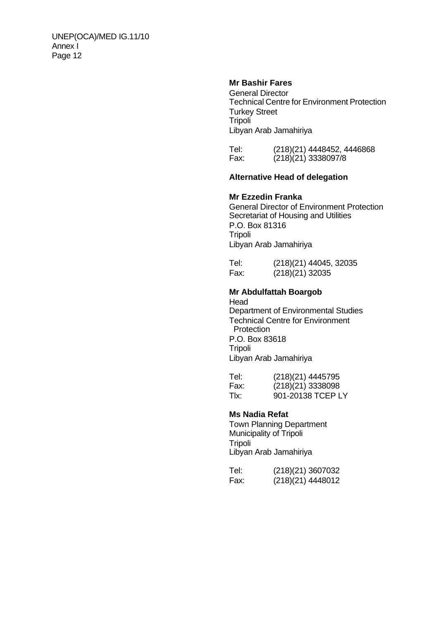#### **Mr Bashir Fares**

General Director Technical Centre for Environment Protection Turkey Street **Tripoli** Libyan Arab Jamahiriya

Tel: (218)(21) 4448452, 4446868<br>Fax: (218)(21) 3338097/8  $(218)(21)$  3338097/8

#### **Alternative Head of delegation**

#### **Mr Ezzedin Franka**

General Director of Environment Protection Secretariat of Housing and Utilities P.O. Box 81316 Tripoli Libyan Arab Jamahiriya

| Tel: | $(218)(21)$ 44045, 32035 |
|------|--------------------------|
| Fax: | $(218)(21)$ 32035        |

#### **Mr Abdulfattah Boargob**

Head Department of Environmental Studies Technical Centre for Environment **Protection** P.O. Box 83618 Tripoli Libyan Arab Jamahiriya

| Tel∶ | $(218)(21)$ 4445795 |
|------|---------------------|
| Fax: | $(218)(21)$ 3338098 |
| Tlx: | 901-20138 TCEP LY   |

#### **Ms Nadia Refat**

Town Planning Department Municipality of Tripoli **Tripoli** Libyan Arab Jamahiriya

| Tel: | $(218)(21)$ 3607032 |
|------|---------------------|
| Fax: | $(218)(21)$ 4448012 |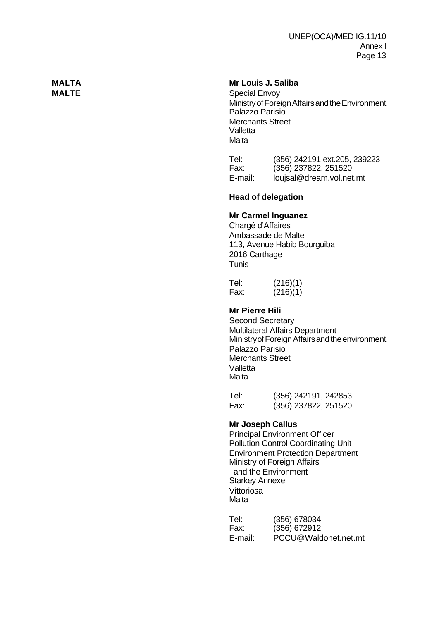### **MALTA Mr Louis J. Saliba**

**MALTE** Special Envoy Ministry of Foreign Affairs and the Environment Palazzo Parisio Merchants Street Valletta Malta

| Tel:    | (356) 242191 ext.205, 239223 |
|---------|------------------------------|
| Fax:    | (356) 237822, 251520         |
| E-mail: | loujsal@dream.vol.net.mt     |

#### **Head of delegation**

### **Mr Carmel Inguanez**

Chargé d'Affaires Ambassade de Malte 113, Avenue Habib Bourguiba 2016 Carthage Tunis

Tel: (216)(1) Fax: (216)(1)

### **Mr Pierre Hili**

Second Secretary Multilateral Affairs Department Ministry of Foreign Affairs and the environment Palazzo Parisio Merchants Street Valletta Malta

| Tel: | (356) 242191, 242853 |
|------|----------------------|
| Fax: | (356) 237822, 251520 |

#### **Mr Joseph Callus**

Principal Environment Officer Pollution Control Coordinating Unit Environment Protection Department Ministry of Foreign Affairs and the Environment Starkey Annexe Vittoriosa **Malta** 

| Tel:    | (356) 678034         |
|---------|----------------------|
| Fax:    | (356) 672912         |
| E-mail: | PCCU@Waldonet.net.mt |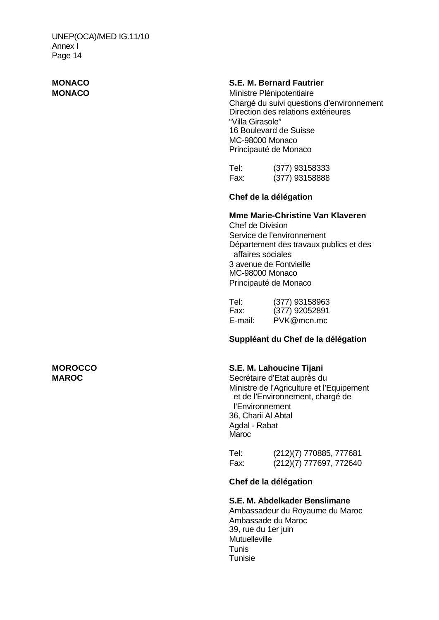### **MONACO S.E. M. Bernard Fautrier**

**MONACO** Ministre Plénipotentiaire Chargé du suivi questions d'environnement Direction des relations extérieures "Villa Girasole" 16 Boulevard de Suisse MC-98000 Monaco Principauté de Monaco

| Tel: | $(377)$ 93158333 |
|------|------------------|
| Fax: | (377) 93158888   |

### **Chef de la délégation**

#### **Mme Marie-Christine Van Klaveren**

Chef de Division Service de l'environnement Département des travaux publics et des affaires sociales 3 avenue de Fontvieille MC-98000 Monaco Principauté de Monaco

| Tel:    | (377) 93158963 |
|---------|----------------|
| Fax:    | (377) 92052891 |
| E-mail: | PVK@mcn.mc     |

### **Suppléant du Chef de la délégation**

### **MOROCCO S.E. M. Lahoucine Tijani**

**MAROC** Secrétaire d'Etat auprès du Ministre de l'Agriculture et l'Equipement et de l'Environnement, chargé de l'Environnement 36, Charii Al Abtal Agdal - Rabat **Maroc** 

| Tel: | (212)(7) 770885, 777681 |
|------|-------------------------|
| Fax: | (212)(7) 777697, 772640 |

### **Chef de la délégation**

### **S.E. M. Abdelkader Benslimane**

Ambassadeur du Royaume du Maroc Ambassade du Maroc 39, rue du 1er juin Mutuelleville Tunis **Tunisie**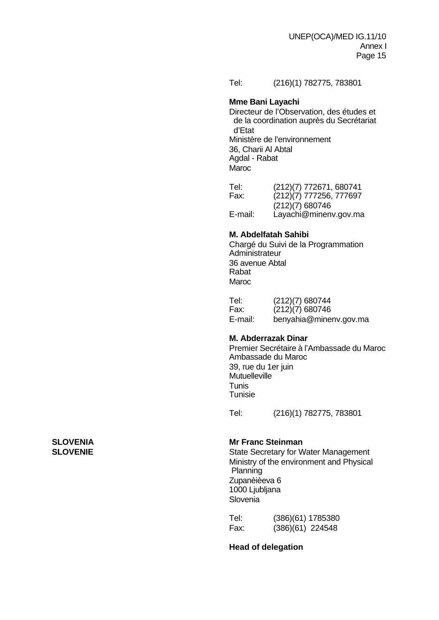Tel: (216)(1) 782775, 783801

#### **Mme Bani Layachi**

Directeur de l'Observation, des études et de la coordination auprès du Secrétariat d'Etat Ministère de l'environnement 36, Charii Al Abtal Agdal - Rabat Maroc

| Tel:    | (212)(7) 772671, 680741 |
|---------|-------------------------|
| Fax:    | (212)(7) 777256, 777697 |
|         | $(212)(7)$ 680746       |
| E-mail: | Layachi@minenv.gov.ma   |

#### **M. Abdelfatah Sahibi**

Chargé du Suivi de la Programmation Administrateur 36 avenue Abtal Rabat Maroc

Tel: (212)(7) 680744 Fax: (212)(7) 680746 E-mail: benyahia@minenv.gov.ma

#### **M. Abderrazak Dinar**

Premier Secrétaire à l'Ambassade du Maroc Ambassade du Maroc 39, rue du 1er juin **Mutuelleville** Tunis Tunisie

Tel: (216)(1) 782775, 783801

#### **SLOVENIA Mr Franc Steinman**

**SLOVENIE** SUNITER STATE STATE STATE STATE STATE STATE STATE STATE STATE STATE STATE STATE STATE STATE STATE STATE STATE STATE STATE STATE STATE STATE STATE STATE STATE STATE STATE STATE STATE STATE STATE STATE STATE STATE Ministry of the environment and Physical Planning Zupanèièeva 6 1000 Ljubljana Slovenia

| Tel: | $(386)(61)$ 1785380 |
|------|---------------------|
| Fax: | $(386)(61)$ 224548  |

#### **Head of delegation**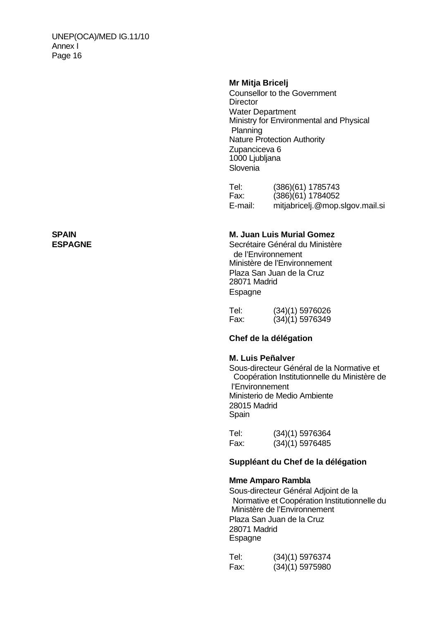**Mr Mitja Bricelj**

Counsellor to the Government **Director** Water Department Ministry for Environmental and Physical Planning Nature Protection Authority Zupanciceva 6 1000 Ljubljana Slovenia

Tel: (386)(61) 1785743<br>Fax: (386)(61) 1784052  $(386)(61)$  1784052 E-mail: mitjabricelj.@mop.slgov.mail.si

#### **SPAIN M. Juan Luis Murial Gomez**

**ESPAGNE** Secrétaire Général du Ministère de l'Environnement Ministère de l'Environnement Plaza San Juan de la Cruz 28071 Madrid Espagne

| Tel: | $(34)(1)$ 5976026 |
|------|-------------------|
| Fax: | $(34)(1)$ 5976349 |

### **Chef de la délégation**

#### **M. Luis Peñalver**

Sous-directeur Général de la Normative et Coopération Institutionnelle du Ministère de l'Environnement Ministerio de Medio Ambiente 28015 Madrid Spain

| Tel: | $(34)(1)$ 5976364 |
|------|-------------------|
| Fax: | $(34)(1)$ 5976485 |

#### **Suppléant du Chef de la délégation**

#### **Mme Amparo Rambla**

Sous-directeur Général Adjoint de la Normative et Coopération Institutionnelle du Ministère de l'Environnement Plaza San Juan de la Cruz 28071 Madrid Espagne

| Tel: | $(34)(1)$ 5976374 |
|------|-------------------|
| Fax: | $(34)(1)$ 5975980 |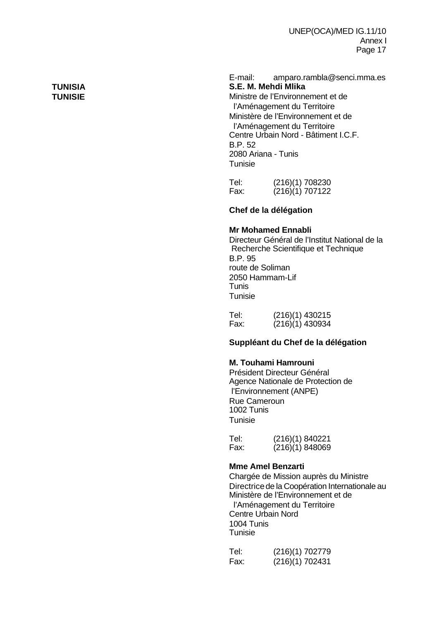E-mail: amparo.rambla@senci.mma.es **TUNISIA S.E. M. Mehdi Mlika**

**TUNISIE** Ministre de l'Environnement et de l'Aménagement du Territoire Ministère de l'Environnement et de l'Aménagement du Territoire Centre Urbain Nord - Bâtiment I.C.F. B.P. 52 2080 Ariana - Tunis Tunisie

| Tel: | $(216)(1)$ 708230 |
|------|-------------------|
| Fax: | (216)(1) 707122   |

#### **Chef de la délégation**

#### **Mr Mohamed Ennabli**

Directeur Général de l'Institut National de la Recherche Scientifique et Technique B.P. 95 route de Soliman 2050 Hammam-Lif Tunis Tunisie

| Tel: | $(216)(1)$ 430215 |
|------|-------------------|
| Fax: | $(216)(1)$ 430934 |

#### **Suppléant du Chef de la délégation**

#### **M. Touhami Hamrouni**

Président Directeur Général Agence Nationale de Protection de l'Environnement (ANPE) Rue Cameroun 1002 Tunis Tunisie

| Tel: | $(216)(1)$ 840221 |
|------|-------------------|
| Fax: | $(216)(1)$ 848069 |

#### **Mme Amel Benzarti**

Chargée de Mission auprès du Ministre Directrice de la Coopération Internationale au Ministère de l'Environnement et de l'Aménagement du Territoire Centre Urbain Nord 1004 Tunis Tunisie

| Tel: | (216)(1) 702779 |
|------|-----------------|
| Fax: | (216)(1) 702431 |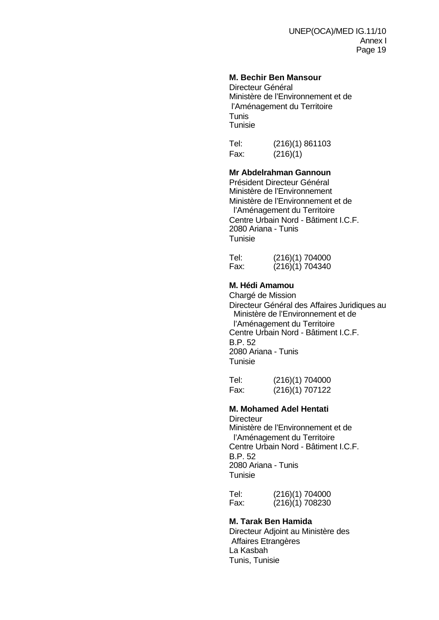#### **M. Bechir Ben Mansour**

Directeur Général Ministère de l'Environnement et de l'Aménagement du Territoire Tunis Tunisie

Tel: (216)(1) 861103 Fax: (216)(1)

#### **Mr Abdelrahman Gannoun**

Président Directeur Général Ministère de l'Environnement Ministère de l'Environnement et de l'Aménagement du Territoire Centre Urbain Nord - Bâtiment I.C.F. 2080 Ariana - Tunis Tunisie

| Tel: | $(216)(1)$ 704000 |
|------|-------------------|
| Fax: | $(216)(1)$ 704340 |

#### **M. Hédi Amamou**

Chargé de Mission Directeur Général des Affaires Juridiques au Ministère de l'Environnement et de l'Aménagement du Territoire Centre Urbain Nord - Bâtiment I.C.F. B.P. 52 2080 Ariana - Tunis Tunisie

| Tel∶ | $(216)(1)$ 704000 |
|------|-------------------|
| Fax: | (216)(1) 707122   |

#### **M. Mohamed Adel Hentati**

**Directeur** Ministère de l'Environnement et de l'Aménagement du Territoire Centre Urbain Nord - Bâtiment I.C.F. B.P. 52 2080 Ariana - Tunis Tunisie

| Tel: | $(216)(1)$ 704000 |
|------|-------------------|
| Fax: | (216)(1) 708230   |

### **M. Tarak Ben Hamida**

Directeur Adjoint au Ministère des Affaires Etrangères La Kasbah Tunis, Tunisie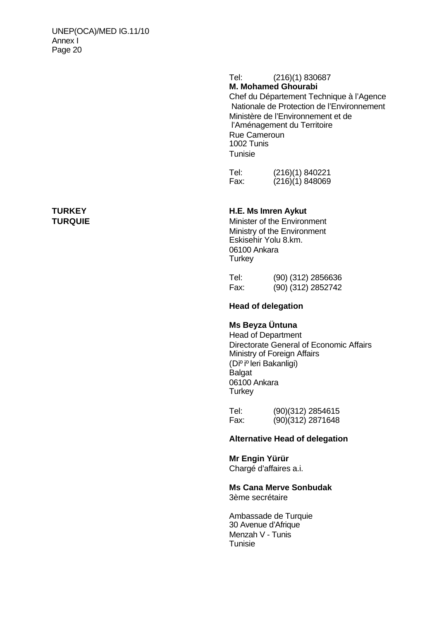#### Tel: (216)(1) 830687 **M. Mohamed Ghourabi**

Chef du Département Technique à l'Agence Nationale de Protection de l'Environnement Ministère de l'Environnement et de l'Aménagement du Territoire Rue Cameroun 1002 Tunis Tunisie

| Tel: | $(216)(1)$ 840221 |
|------|-------------------|
| Fax: | $(216)(1)$ 848069 |

### **TURKEY H.E. Ms Imren Aykut**

**TURQUIE** Minister of the Environment Ministry of the Environment Eskisehir Yolu 8.km. 06100 Ankara **Turkey** 

| Tel: | $(90)$ $(312)$ 2856636 |
|------|------------------------|
| Fax: | $(90)$ $(312)$ 2852742 |

### **Head of delegation**

### **Ms Beyza Üntuna**

Head of Department Directorate General of Economic Affairs Ministry of Foreign Affairs (Diºiºleri Bakanligi) **Balgat** 06100 Ankara **Turkey** 

| Tel: | $(90)(312)$ 2854615 |
|------|---------------------|
| Fax: | $(90)(312)$ 2871648 |

#### **Alternative Head of delegation**

**Mr Engin Yürür** Chargé d'affaires a.i.

**Ms Cana Merve Sonbudak** 3ème secrétaire

Ambassade de Turquie 30 Avenue d'Afrique Menzah V - Tunis Tunisie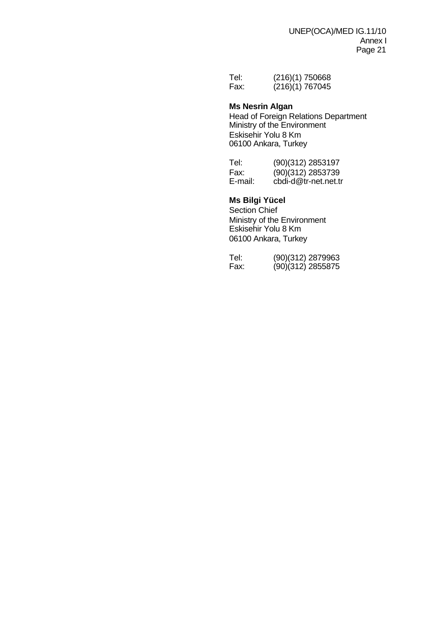| Tel: | $(216)(1)$ 750668 |
|------|-------------------|
| Fax: | $(216)(1)$ 767045 |

#### **Ms Nesrin Algan**

Head of Foreign Relations Department Ministry of the Environment Eskisehir Yolu 8 Km 06100 Ankara, Turkey

| Tel:    | $(90)(312)$ 2853197  |
|---------|----------------------|
| Fax:    | $(90)(312)$ 2853739  |
| E-mail: | cbdi-d@tr-net.net.tr |

## **Ms Bilgi Yücel**

Section Chief Ministry of the Environment Eskisehir Yolu 8 Km 06100 Ankara, Turkey

| Tel: | $(90)(312)$ 2879963 |
|------|---------------------|
| Fax: | $(90)(312)$ 2855875 |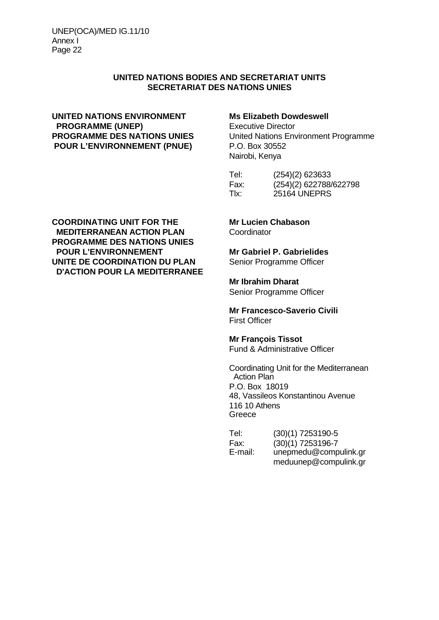### **UNITED NATIONS BODIES AND SECRETARIAT UNITS SECRETARIAT DES NATIONS UNIES**

# **UNITED NATIONS ENVIRONMENT Ms Elizabeth Dowdeswell PROGRAMME (UNEP)** Executive Director **POUR L'ENVIRONNEMENT (PNUE)** P.O. Box 30552

**PROGRAMME DES NATIONS UNIES** United Nations Environment Programme Nairobi, Kenya

| Tel: | $(254)(2)$ 623633      |
|------|------------------------|
| Fax: | (254)(2) 622788/622798 |
| Tlx: | <b>25164 UNEPRS</b>    |

**COORDINATING UNIT FOR THE Mr Lucien Chabason MEDITERRANEAN ACTION PLAN** Coordinator **PROGRAMME DES NATIONS UNIES POUR L'ENVIRONNEMENT Mr Gabriel P. Gabrielides UNITE DE COORDINATION DU PLAN** Senior Programme Officer **D'ACTION POUR LA MEDITERRANEE**

**Mr Ibrahim Dharat** Senior Programme Officer

**Mr Francesco-Saverio Civili** First Officer

**Mr François Tissot** Fund & Administrative Officer

Coordinating Unit for the Mediterranean Action Plan P.O. Box 18019 48, Vassileos Konstantinou Avenue 116 10 Athens Greece

| Tel:    | $(30)(1)$ 7253190-5   |
|---------|-----------------------|
| Fax:    | $(30)(1)$ 7253196-7   |
| E-mail: | unepmedu@compulink.gr |
|         | meduunep@compulink.gr |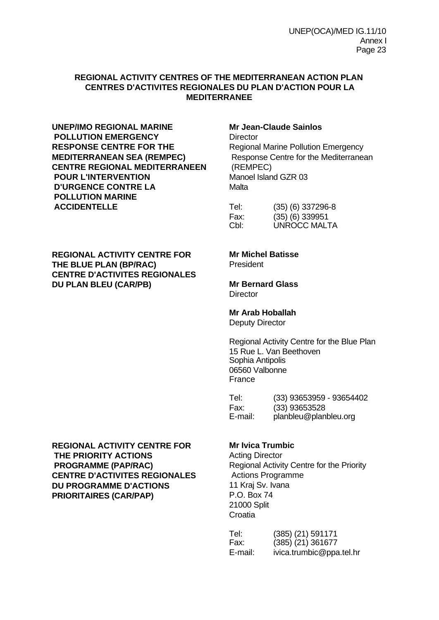#### **REGIONAL ACTIVITY CENTRES OF THE MEDITERRANEAN ACTION PLAN CENTRES D'ACTIVITES REGIONALES DU PLAN D'ACTION POUR LA MEDITERRANEE**

**UNEP/IMO REGIONAL MARINE Mr Jean-Claude Sainlos POLLUTION EMERGENCY** Director **RESPONSE CENTRE FOR THE** Regional Marine Pollution Emergency **MEDITERRANEAN SEA (REMPEC)** Response Centre for the Mediterranean **CENTRE REGIONAL MEDITERRANEEN** (REMPEC) **POUR L'INTERVENTION** Manoel Island GZR 03 **D'URGENCE CONTRE LA** Malta **POLLUTION MARINE ACCIDENTELLE** 

#### **REGIONAL ACTIVITY CENTRE FOR Mr Michel Batisse THE BLUE PLAN (BP/RAC)** President **CENTRE D'ACTIVITES REGIONALES DU PLAN BLEU (CAR/PB) Mr Bernard Glass**

| Tel∶ | $(35)$ $(6)$ 337296-8 |
|------|-----------------------|
| Fax: | $(35)$ $(6)$ 339951   |
| Cbl: | <b>UNROCC MALTA</b>   |

**Director** 

### **Mr Arab Hoballah**

Deputy Director

Regional Activity Centre for the Blue Plan 15 Rue L. Van Beethoven Sophia Antipolis 06560 Valbonne France

| Tel:    | (33) 93653959 - 93654402 |
|---------|--------------------------|
| Fax:    | $(33)$ 93653528          |
| E-mail: | planbleu@planbleu.org    |

### **REGIONAL ACTIVITY CENTRE FOR Mr Ivica Trumbic THE PRIORITY ACTIONS** Acting Director **PROGRAMME (PAP/RAC)** Regional Activity Centre for the Priority **CENTRE D'ACTIVITES REGIONALES** Actions Programme<br> **DU PROGRAMME D'ACTIONS** 11 Kraj Sv. Ivana **DU PROGRAMME D'ACTIONS** 11 Kraj Sv. Ivana **PRIORITAIRES (CAR/PAP)**

21000 Split **Croatia** 

| Tel:    | $(385)$ $(21)$ 591171    |
|---------|--------------------------|
| Fax:    | $(385)$ $(21)$ 361677    |
| E-mail: | ivica.trumbic@ppa.tel.hr |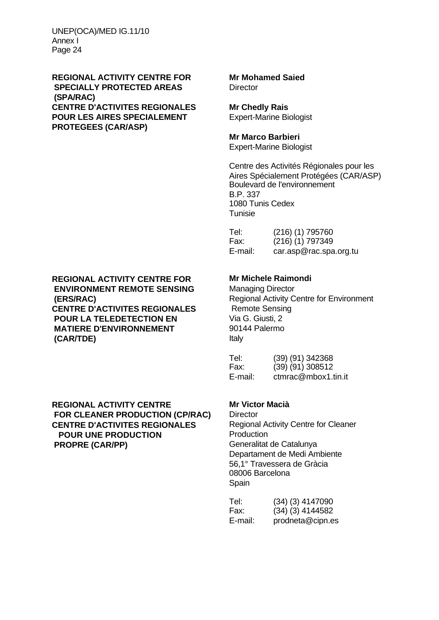#### **REGIONAL ACTIVITY CENTRE FOR Mr Mohamed Saied SPECIALLY PROTECTED AREAS** Director **(SPA/RAC) CENTRE D'ACTIVITES REGIONALES Mr Chedly Rais POUR LES AIRES SPECIALEMENT** Expert-Marine Biologist **PROTEGEES (CAR/ASP)**

#### **REGIONAL ACTIVITY CENTRE FOR Mr Michele Raimondi ENVIRONMENT REMOTE SENSING Managing Director (ERS/RAC)** Regional Activity Centre for Environment **CENTRE D'ACTIVITES REGIONALES** Remote Sensing **POUR LA TELEDETECTION EN** Via G. Giusti, 2 **MATIERE D'ENVIRONNEMENT** 90144 Palermo **(CAR/TDE)** Italy

**REGIONAL ACTIVITY CENTRE Mr Victor Macià FOR CLEANER PRODUCTION (CP/RAC)** Director<br> **CENTRE D'ACTIVITES REGIONALES** Regional Activity Centre for Cleaner **CENTRE D'ACTIVITES REGIONALES POUR UNE PRODUCTION** Production **PROPRE (CAR/PP)** Generalitat de Catalunya

**Mr Marco Barbieri** Expert-Marine Biologist

Centre des Activités Régionales pour les Aires Spécialement Protégées (CAR/ASP) Boulevard de l'environnement B.P. 337 1080 Tunis Cedex Tunisie

| Tel:    | $(216)$ (1) 795760     |
|---------|------------------------|
| Fax:    | $(216)$ (1) 797349     |
| E-mail: | car.asp@rac.spa.org.tu |

| Tel:    | $(39)$ $(91)$ 342368 |
|---------|----------------------|
| Fax:    | (39) (91) 308512     |
| E-mail: | ctmrac@mbox1.tin.it  |

Departament de Medi Ambiente 56,1° Travessera de Gràcia 08006 Barcelona **Spain** 

| Tel:    | $(34)$ $(3)$ 4147090 |
|---------|----------------------|
| Fax:    | $(34)$ $(3)$ 4144582 |
| E-mail: | prodneta@cipn.es     |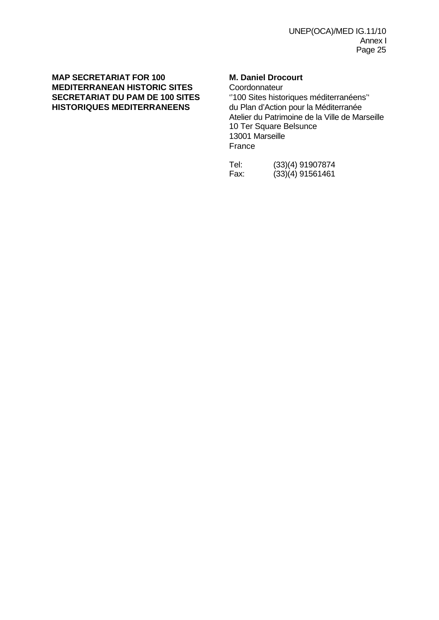### **MAP SECRETARIAT FOR 100 M. Daniel Drocourt MEDITERRANEAN HISTORIC SITES** Coordonnateur **SECRETARIAT DU PAM DE 100 SITES** ''100 Sites historiques méditerranéens'' **HISTORIQUES MEDITERRANEENS** du Plan d'Action pour la Méditerranée

Atelier du Patrimoine de la Ville de Marseille 10 Ter Square Belsunce 13001 Marseille France

| Tel: | $(33)(4)$ 91907874 |
|------|--------------------|
| Fax: | $(33)(4)$ 91561461 |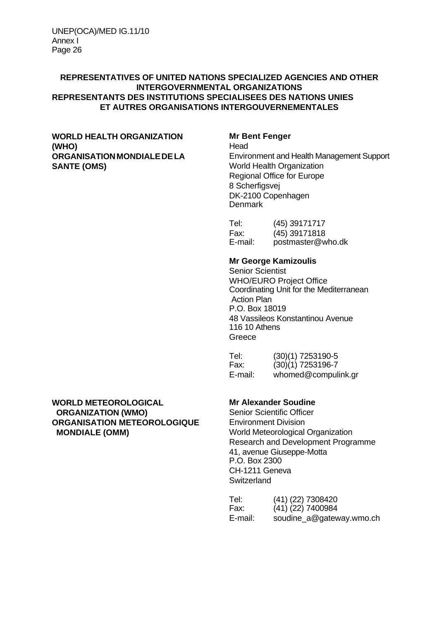#### **REPRESENTATIVES OF UNITED NATIONS SPECIALIZED AGENCIES AND OTHER INTERGOVERNMENTAL ORGANIZATIONS REPRESENTANTS DES INSTITUTIONS SPECIALISEES DES NATIONS UNIES ET AUTRES ORGANISATIONS INTERGOUVERNEMENTALES**

# **WORLD HEALTH ORGANIZATION Mr Bent Fenger** (WHO) **Head SANTE (OMS)** World Health Organization

**ORGANISATION MONDIALE DE LA** Environment and Health Management Support Regional Office for Europe 8 Scherfigsvej DK-2100 Copenhagen **Denmark** 

> Tel: (45) 39171717 Fax: (45) 39171818 E-mail: postmaster@who.dk

# **Mr George Kamizoulis**

Senior Scientist WHO/EURO Project Office Coordinating Unit for the Mediterranean Action Plan P.O. Box 18019 48 Vassileos Konstantinou Avenue 116 10 Athens **Greece** 

| Tel:    | $(30)(1)$ 7253190-5 |
|---------|---------------------|
| Fax:    | $(30)(1)$ 7253196-7 |
| E-mail: | whomed@compulink.gr |

Research and Development Programme 41, avenue Giuseppe-Motta P.O. Box 2300 CH-1211 Geneva **Switzerland** 

| Tel:    | $(41)$ $(22)$ 7308420    |
|---------|--------------------------|
| Fax:    | $(41)$ $(22)$ 7400984    |
| E-mail: | soudine_a@gateway.wmo.ch |

#### **WORLD METEOROLOGICAL Mr Alexander Soudine ORGANIZATION (WMO)** Senior Scientific Officer **ORGANISATION METEOROLOGIQUE** Environment Division **MONDIALE (OMM)** World Meteorological Organization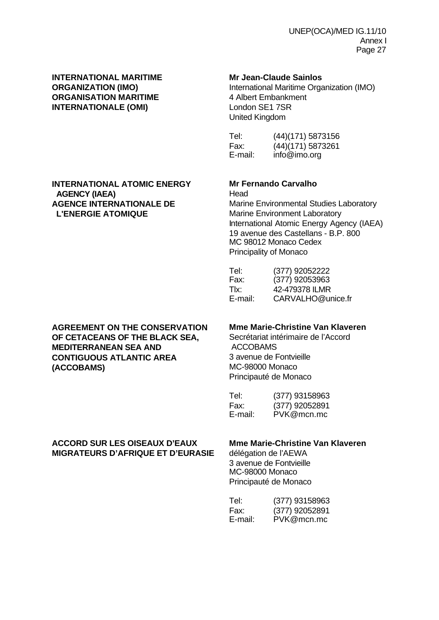# **INTERNATIONAL MARITIME Mr Jean-Claude Sainlos ORGANISATION MARITIME** 4 Albert Embankment **INTERNATIONALE (OMI)** London SE1 7SR

# **INTERNATIONAL ATOMIC ENERGY Mr Fernando Carvalho AGENCY (IAEA)** Head **L'ENERGIE ATOMIQUE** Marine Environment Laboratory

### **AGREEMENT ON THE CONSERVATION Mme Marie-Christine Van Klaveren OF CETACEANS OF THE BLACK SEA.** Secrétariat intérimaire de l'Accord **MEDITERRANEAN SEA AND** ACCOBAMS **CONTIGUOUS ATLANTIC AREA (ACCOBAMS)** MC-98000 Monaco

**ORGANIZATION (IMO)** International Maritime Organization (IMO) United Kingdom

| Tel:    | $(44)(171)$ 5873156 |
|---------|---------------------|
| Fax:    | $(44)(171)$ 5873261 |
| E-mail: | info@imo.org        |

**AGENCE INTERNATIONALE DE** Marine Environmental Studies Laboratory International Atomic Energy Agency (IAEA) 19 avenue des Castellans - B.P. 800 MC 98012 Monaco Cedex Principality of Monaco

| Tel:    | (377) 92052222    |
|---------|-------------------|
| Fax:    | (377) 92053963    |
| Tlx:    | 42-479378 ILMR    |
| E-mail: | CARVALHO@unice.fr |
|         |                   |

Principauté de Monaco

| Tel∶    | (377) 93158963 |
|---------|----------------|
| Fax:    | (377) 92052891 |
| E-mail: | PVK@mcn.mc     |

### **ACCORD SUR LES OISEAUX D'EAUX Mme Marie-Christine Van Klaveren**

**MIGRATEURS D'AFRIQUE ET D'EURASIE** délégation de l'AEWA 3 avenue de Fontvieille MC-98000 Monaco Principauté de Monaco

| Tel:    | (377) 93158963 |
|---------|----------------|
| Fax:    | (377) 92052891 |
| E-mail: | PVK@mcn.mc     |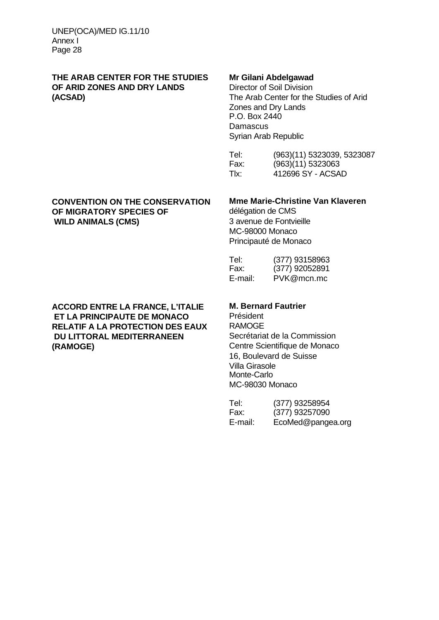#### **THE ARAB CENTER FOR THE STUDIES Mr Gilani Abdelgawad OF ARID ZONES AND DRY LANDS** Director of Soil Division **(ACSAD)** The Arab Center for the Studies of Arid

#### **CONVENTION ON THE CONSERVATION Mme Marie-Christine Van Klaveren** OF MIGRATORY SPECIES OF **délégation de CMS WILD ANIMALS (CMS)** 3 avenue de Fontvieille

### **ACCORD ENTRE LA FRANCE, L'ITALIE M. Bernard Fautrier ET LA PRINCIPAUTE DE MONACO** Président **RELATIF A LA PROTECTION DES EAUX** RAMOGE<br> **DU LITTORAL MEDITERRANEEN** Secrétariat de la Commission **DU LITTORAL MEDITERRANEEN (RAMOGE)** Centre Scientifique de Monaco

Zones and Dry Lands P.O. Box 2440 Damascus Syrian Arab Republic

| Tel: | (963)(11) 5323039, 5323087 |
|------|----------------------------|
| Fax: | $(963)(11)$ 5323063        |
| Tlx∵ | 412696 SY - ACSAD          |

MC-98000 Monaco Principauté de Monaco

| Tel∶    | $(377)$ 93158963 |
|---------|------------------|
| Fax:    | (377) 92052891   |
| E-mail: | PVK@mcn.mc       |

16, Boulevard de Suisse Villa Girasole Monte-Carlo MC-98030 Monaco

| Tel:    | (377) 93258954    |
|---------|-------------------|
| Fax:    | (377) 93257090    |
| E-mail: | EcoMed@pangea.org |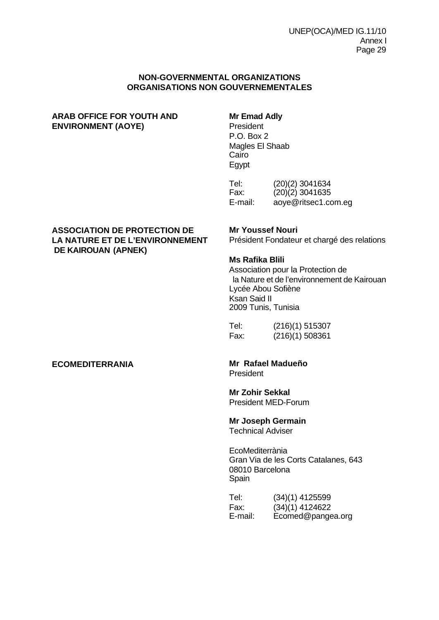### **NON-GOVERNMENTAL ORGANIZATIONS ORGANISATIONS NON GOUVERNEMENTALES**

#### **ARAB OFFICE FOR YOUTH AND Mr Emad Adly ENVIRONMENT (AOYE)** President

P.O. Box 2 Magles El Shaab Cairo Egypt

Tel: (20)(2) 3041634 Fax:  $(20)(2)$  3041635 E-mail: aoye@ritsec1.com.eg

### **ASSOCIATION DE PROTECTION DE Mr Youssef Nouri** LA NATURE ET DE L'ENVIRONNEMENT Président Fondateur et chargé des relations  **DE KAIROUAN (APNEK)**

#### **Ms Rafika Blili**

Association pour la Protection de la Nature et de l'environnement de Kairouan Lycée Abou Sofiène Ksan Said II 2009 Tunis, Tunisia

Tel: (216)(1) 515307 Fax: (216)(1) 508361

### **ECOMEDITERRANIA Mr Rafael Madueño**

President

**Mr Zohir Sekkal** President MED-Forum

**Mr Joseph Germain** Technical Adviser

EcoMediterrània Gran Via de les Corts Catalanes, 643 08010 Barcelona Spain

Tel: (34)(1) 4125599 Fax: (34)(1) 4124622 E-mail: Ecomed@pangea.org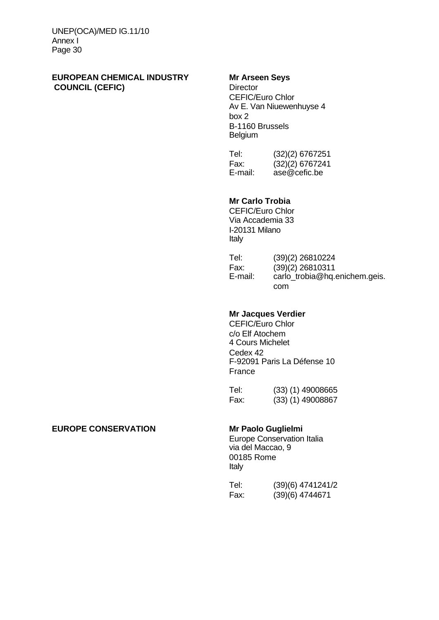#### **EUROPEAN CHEMICAL INDUSTRY Mr Arseen Seys COUNCIL (CEFIC)** Director

CEFIC/Euro Chlor Av E. Van Niuewenhuyse 4 box 2 B-1160 Brussels Belgium

| Tel:    | $(32)(2)$ 6767251 |
|---------|-------------------|
| Fax:    | $(32)(2)$ 6767241 |
| E-mail: | ase@cefic.be      |

#### **Mr Carlo Trobia**

CEFIC/Euro Chlor Via Accademia 33 I-20131 Milano Italy

| Tel:    | $(39)(2)$ 26810224            |
|---------|-------------------------------|
| Fax:    | $(39)(2)$ 26810311            |
| E-mail: | carlo_trobia@hq.enichem.geis. |
|         | com                           |

# **Mr Jacques Verdier**

CEFIC/Euro Chlor c/o Elf Atochem 4 Cours Michelet Cedex 42 F-92091 Paris La Défense 10 France

| Tel∶ | $(33)$ (1) 49008665 |
|------|---------------------|
| Fax: | $(33)$ (1) 49008867 |

### **EUROPE CONSERVATION Mr Paolo Guglielmi**

Europe Conservation Italia via del Maccao, 9 00185 Rome Italy

| Tel: | $(39)(6)$ 4741241/2 |
|------|---------------------|
| Fax: | $(39)(6)$ 4744671   |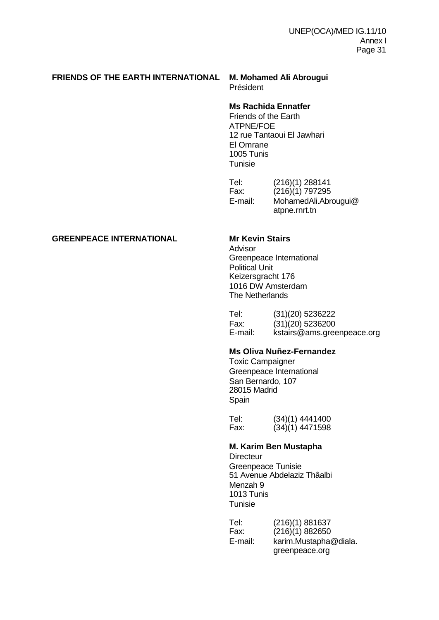### **FRIENDS OF THE EARTH INTERNATIONAL M. Mohamed Ali Abrougui**

Président

### **Ms Rachida Ennatfer**

Friends of the Earth ATPNE/FOE 12 rue Tantaoui El Jawhari El Omrane 1005 Tunis Tunisie

| Tel:    | $(216)(1)$ 288141                     |
|---------|---------------------------------------|
| Fax:    | $(216)(1)$ 797295                     |
| E-mail: | MohamedAli.Abrougui@<br>atpne.rnrt.tn |

### **GREENPEACE INTERNATIONAL Mr Kevin Stairs**

Advisor Greenpeace International Political Unit Keizersgracht 176 1016 DW Amsterdam The Netherlands

Tel: (31)(20) 5236222 Fax: (31)(20) 5236200 E-mail: kstairs@ams.greenpeace.org

### **Ms Oliva Nuñez-Fernandez**

Toxic Campaigner Greenpeace International San Bernardo, 107 28015 Madrid **Spain** 

| Tel: | $(34)(1)$ 4441400 |
|------|-------------------|
| Fax: | $(34)(1)$ 4471598 |

### **M. Karim Ben Mustapha**

**Directeur** Greenpeace Tunisie 51 Avenue Abdelaziz Thâalbi Menzah 9 1013 Tunis Tunisie

| Tel:    | (216)(1) 881637       |
|---------|-----------------------|
| Fax:    | (216)(1) 882650       |
| E-mail: | karim.Mustapha@diala. |
|         | greenpeace.org        |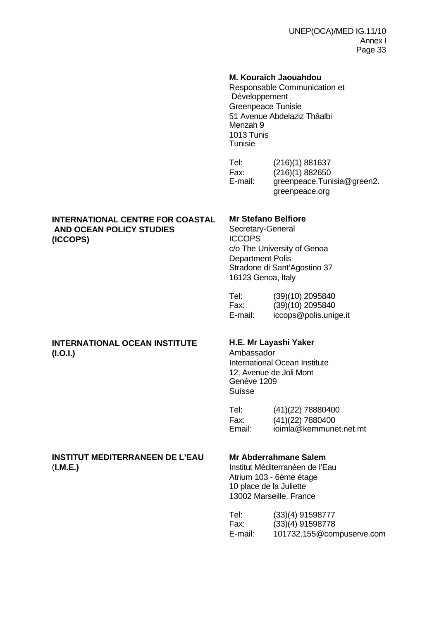### **M. Kouraïch Jaouahdou**

Responsable Communication et Développement Greenpeace Tunisie 51 Avenue Abdelaziz Thâalbi Menzah 9 1013 Tunis Tunisie

| Tel:    | (216)(1) 881637            |
|---------|----------------------------|
| Fax:    | $(216)(1)$ 882650          |
| E-mail: | greenpeace.Tunisia@green2. |
|         | greenpeace.org             |

### **INTERNATIONAL CENTRE FOR COASTAL Mr Stefano Belfiore AND OCEAN POLICY STUDIES** Secretary-General Secretary-General Secretary-General Secretary-General Secretary-General Secretary-General Secretary-General Secretary-General Secretary-General Secretary-General Secretary-Gener **(ICCOPS)** ICCOPS

c/o The University of Genoa Department Polis Stradone di Sant'Agostino 37 16123 Genoa, Italy

| Tel:    | $(39)(10)$ 2095840    |
|---------|-----------------------|
| Fax:    | $(39)(10)$ 2095840    |
| E-mail: | iccops@polis.unige.it |

### **INTERNATIONAL OCEAN INSTITUTE H.E. Mr Layashi Yaker (I.O.I.)** Ambassador

International Ocean Institute 12, Avenue de Joli Mont Genève 1209 Suisse

| Tel:   | $(41)(22)$ 78880400    |
|--------|------------------------|
| Fax:   | $(41)(22)$ 7880400     |
| Email: | ioimla@kemmunet.net.mt |

Atrium 103 - 6ème étage 10 place de la Juliette 13002 Marseille, France

| Tel:    | $(33)(4)$ 91598777        |
|---------|---------------------------|
| Fax:    | $(33)(4)$ 91598778        |
| E-mail: | 101732.155@compuserve.com |

### **INSTITUT MEDITERRANEEN DE L'EAU Mr Abderrahmane Salem** (**I.M.E.)** Institut Méditerranéen de l'Eau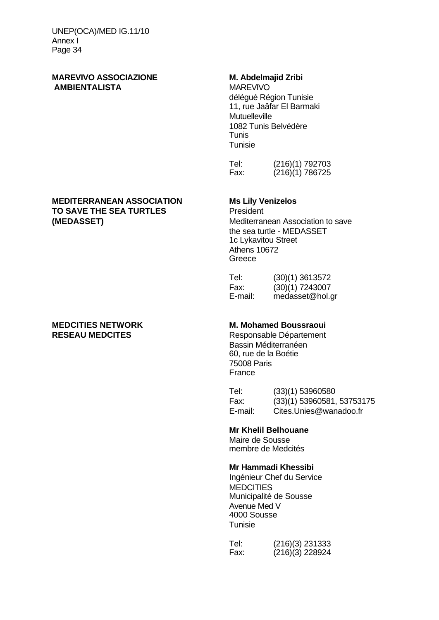### **MAREVIVO ASSOCIAZIONE M. Abdelmajid Zribi AMBIENTALISTA** MAREVIVO

## **MEDITERRANEAN ASSOCIATION Ms Lily Venizelos TO SAVE THE SEA TURTLES** President

délégué Région Tunisie 11, rue Jaâfar El Barmaki **Mutuelleville** 1082 Tunis Belvédère **Tunis** Tunisie

| Tel∶ | $(216)(1)$ 792703 |
|------|-------------------|
| Fax: | (216)(1) 786725   |

**(MEDASSET)** Mediterranean Association to save the sea turtle - MEDASSET 1c Lykavitou Street Athens 10672 Greece

| Tel:    | $(30)(1)$ 3613572 |
|---------|-------------------|
| Fax:    | $(30)(1)$ 7243007 |
| E-mail: | medasset@hol.gr   |

### **MEDCITIES NETWORK M. Mohamed Boussraoui**

**RESEAU MEDCITES** Responsable Département Bassin Méditerranéen 60, rue de la Boétie 75008 Paris France

> Tel: (33)(1) 53960580 Fax: (33)(1) 53960581, 53753175 E-mail: Cites.Unies@wanadoo.fr

### **Mr Khelil Belhouane**

Maire de Sousse membre de Medcités

### **Mr Hammadi Khessibi**

Ingénieur Chef du Service **MEDCITIES** Municipalité de Sousse Avenue Med V 4000 Sousse Tunisie

| Tel: | $(216)(3)$ 231333 |
|------|-------------------|
| Fax: | $(216)(3)$ 228924 |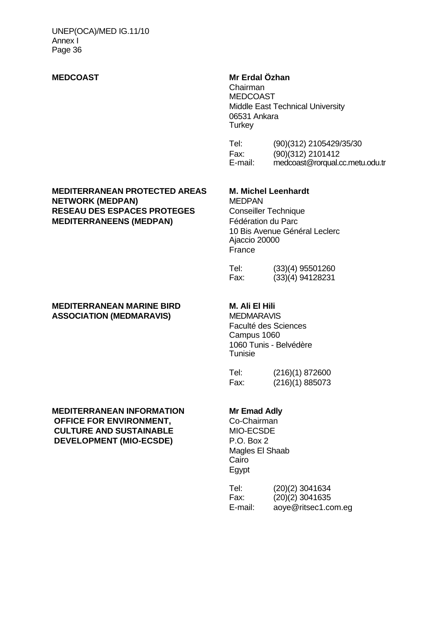### **MEDITERRANEAN PROTECTED AREAS M. Michel Leenhardt NETWORK (MEDPAN)** MEDPAN RESEAU DES ESPACES PROTEGES Conseiller Technique **MEDITERRANEENS (MEDPAN)** Fédération du Parc

### **MEDITERRANEAN MARINE BIRD M. Ali El Hili ASSOCIATION (MEDMARAVIS)** MEDMARAVIS

### **MEDITERRANEAN INFORMATION Mr Emad Adly OFFICE FOR ENVIRONMENT, Co-Chairman CULTURE AND SUSTAINABLE MIO-ECSDE**

 **DEVELOPMENT (MIO-ECSDE)** P.O. Box 2

### **MEDCOAST Mr Erdal Özhan**

Chairman MEDCOAST Middle East Technical University 06531 Ankara **Turkey** 

| Tel:    | (90)(312) 2105429/35/30         |
|---------|---------------------------------|
| Fax:    | (90)(312) 2101412               |
| E-mail: | medcoast@rorqual.cc.metu.odu.tr |

10 Bis Avenue Général Leclerc Ajaccio 20000 France

| Tel: | $(33)(4)$ 95501260 |
|------|--------------------|
| Fax: | $(33)(4)$ 94128231 |

Faculté des Sciences Campus 1060 1060 Tunis - Belvédère Tunisie

| Tel∶ | $(216)(1)$ 872600 |
|------|-------------------|
| Fax: | $(216)(1)$ 885073 |

Magles El Shaab Cairo Egypt

| Tel:    | $(20)(2)$ 3041634   |
|---------|---------------------|
| Fax:    | $(20)(2)$ 3041635   |
| E-mail: | aoye@ritsec1.com.eg |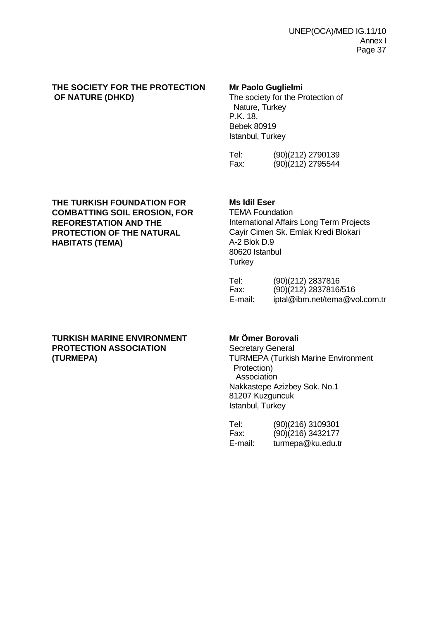### **THE SOCIETY FOR THE PROTECTION Mr Paolo Guglielmi OF NATURE (DHKD)** The society for the Protection of

 Nature, Turkey P.K. 18, Bebek 80919 Istanbul, Turkey

| Tel: | $(90)(212)$ 2790139 |
|------|---------------------|
| Fax: | $(90)(212)$ 2795544 |

### **THE TURKISH FOUNDATION FOR Ms Idil Eser COMBATTING SOIL EROSION, FOR** TEMA Foundation **REFORESTATION AND THE** International Affairs Long Term Projects **PROTECTION OF THE NATURAL** Cayir Cimen Sk. Emlak Kredi Blokari **HABITATS (TEMA)** A-2 Blok D.9

80620 Istanbul **Turkey** 

| Tel:    | $(90)(212)$ 2837816           |
|---------|-------------------------------|
| Fax:    | (90)(212) 2837816/516         |
| E-mail: | iptal@ibm.net/tema@vol.com.tr |

# **TURKISH MARINE ENVIRONMENT Mr Ömer Borovali PROTECTION ASSOCIATION** Secretary General

**(TURMEPA)** TURMEPA (Turkish Marine Environment Protection) Association Nakkastepe Azizbey Sok. No.1 81207 Kuzguncuk Istanbul, Turkey

| Tel:    | $(90)(216)$ 3109301 |
|---------|---------------------|
| Fax:    | $(90)(216)$ 3432177 |
| E-mail: | turmepa@ku.edu.tr   |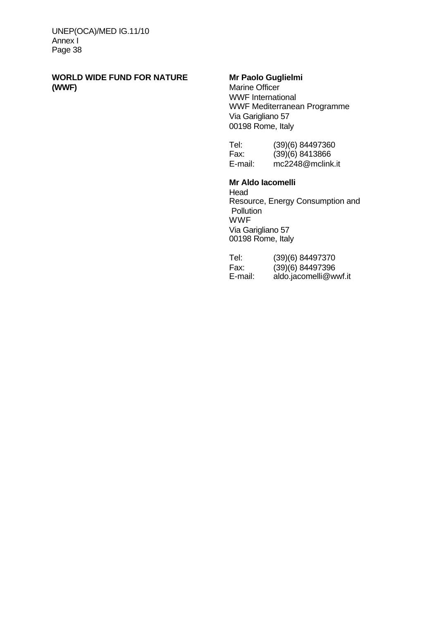# **WORLD WIDE FUND FOR NATURE Mr Paolo Guglielmi**<br> **(WWF)** Marine Officer

**Marine Officer** WWF International WWF Mediterranean Programme Via Garigliano 57 00198 Rome, Italy

| Tel∶    | (39)(6) 84497360  |
|---------|-------------------|
| Fax:    | $(39)(6)$ 8413866 |
| E-mail: | mc2248@mclink.it  |

### **Mr Aldo Iacomelli**

Head Resource, Energy Consumption and Pollution WWF Via Garigliano 57 00198 Rome, Italy

| Tel:    | (39)(6) 84497370      |
|---------|-----------------------|
| Fax:    | $(39)(6)$ 84497396    |
| E-mail: | aldo.jacomelli@wwf.it |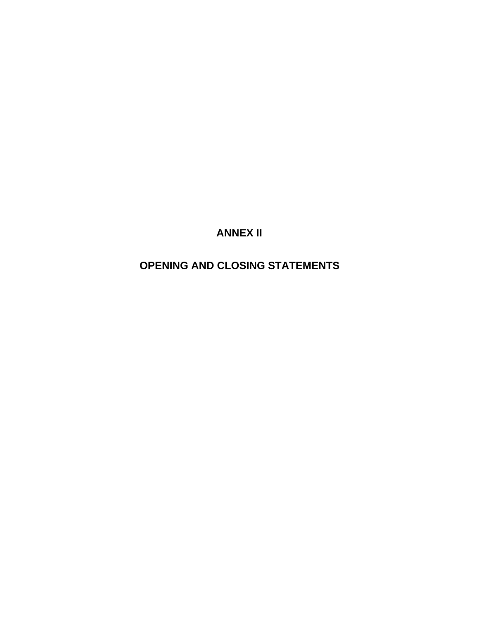**ANNEX II**

**OPENING AND CLOSING STATEMENTS**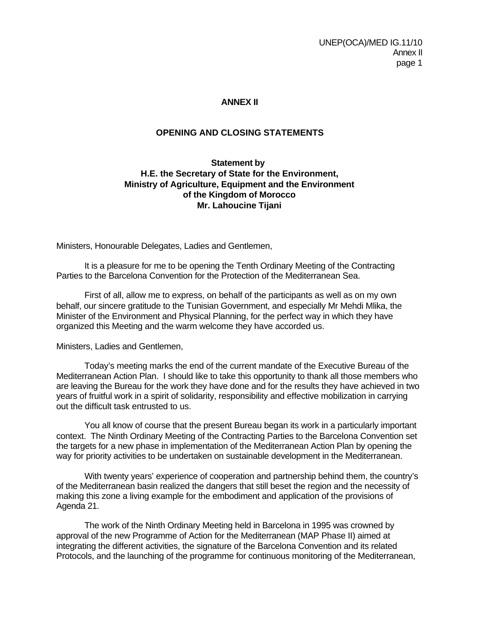### **ANNEX II**

### **OPENING AND CLOSING STATEMENTS**

### **Statement by H.E. the Secretary of State for the Environment, Ministry of Agriculture, Equipment and the Environment of the Kingdom of Morocco Mr. Lahoucine Tijani**

Ministers, Honourable Delegates, Ladies and Gentlemen,

It is a pleasure for me to be opening the Tenth Ordinary Meeting of the Contracting Parties to the Barcelona Convention for the Protection of the Mediterranean Sea.

First of all, allow me to express, on behalf of the participants as well as on my own behalf, our sincere gratitude to the Tunisian Government, and especially Mr Mehdi Mlika, the Minister of the Environment and Physical Planning, for the perfect way in which they have organized this Meeting and the warm welcome they have accorded us.

### Ministers, Ladies and Gentlemen,

Today's meeting marks the end of the current mandate of the Executive Bureau of the Mediterranean Action Plan. I should like to take this opportunity to thank all those members who are leaving the Bureau for the work they have done and for the results they have achieved in two years of fruitful work in a spirit of solidarity, responsibility and effective mobilization in carrying out the difficult task entrusted to us.

You all know of course that the present Bureau began its work in a particularly important context. The Ninth Ordinary Meeting of the Contracting Parties to the Barcelona Convention set the targets for a new phase in implementation of the Mediterranean Action Plan by opening the way for priority activities to be undertaken on sustainable development in the Mediterranean.

With twenty years' experience of cooperation and partnership behind them, the country's of the Mediterranean basin realized the dangers that still beset the region and the necessity of making this zone a living example for the embodiment and application of the provisions of Agenda 21.

The work of the Ninth Ordinary Meeting held in Barcelona in 1995 was crowned by approval of the new Programme of Action for the Mediterranean (MAP Phase II) aimed at integrating the different activities, the signature of the Barcelona Convention and its related Protocols, and the launching of the programme for continuous monitoring of the Mediterranean,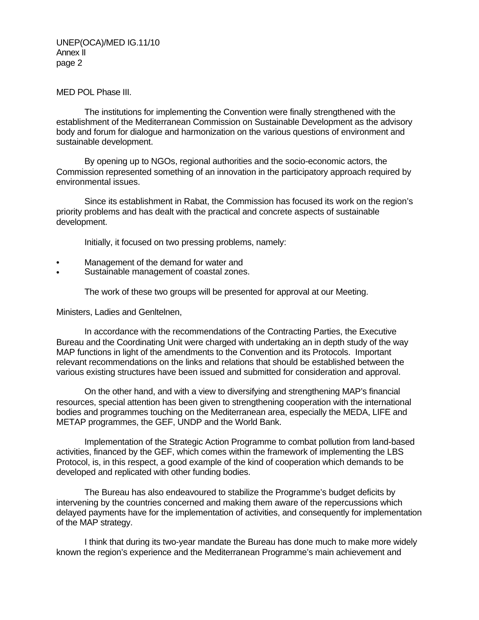### MED POL Phase III.

The institutions for implementing the Convention were finally strengthened with the establishment of the Mediterranean Commission on Sustainable Development as the advisory body and forum for dialogue and harmonization on the various questions of environment and sustainable development.

By opening up to NGOs, regional authorities and the socio-economic actors, the Commission represented something of an innovation in the participatory approach required by environmental issues.

Since its establishment in Rabat, the Commission has focused its work on the region's priority problems and has dealt with the practical and concrete aspects of sustainable development.

Initially, it focused on two pressing problems, namely:

- Management of the demand for water and
- Sustainable management of coastal zones.

The work of these two groups will be presented for approval at our Meeting.

Ministers, Ladies and Genltelnen,

In accordance with the recommendations of the Contracting Parties, the Executive Bureau and the Coordinating Unit were charged with undertaking an in depth study of the way MAP functions in light of the amendments to the Convention and its Protocols. Important relevant recommendations on the links and relations that should be established between the various existing structures have been issued and submitted for consideration and approval.

On the other hand, and with a view to diversifying and strengthening MAP's financial resources, special attention has been given to strengthening cooperation with the international bodies and programmes touching on the Mediterranean area, especially the MEDA, LIFE and METAP programmes, the GEF, UNDP and the World Bank.

Implementation of the Strategic Action Programme to combat pollution from land-based activities, financed by the GEF, which comes within the framework of implementing the LBS Protocol, is, in this respect, a good example of the kind of cooperation which demands to be developed and replicated with other funding bodies.

The Bureau has also endeavoured to stabilize the Programme's budget deficits by intervening by the countries concerned and making them aware of the repercussions which delayed payments have for the implementation of activities, and consequently for implementation of the MAP strategy.

I think that during its two-year mandate the Bureau has done much to make more widely known the region's experience and the Mediterranean Programme's main achievement and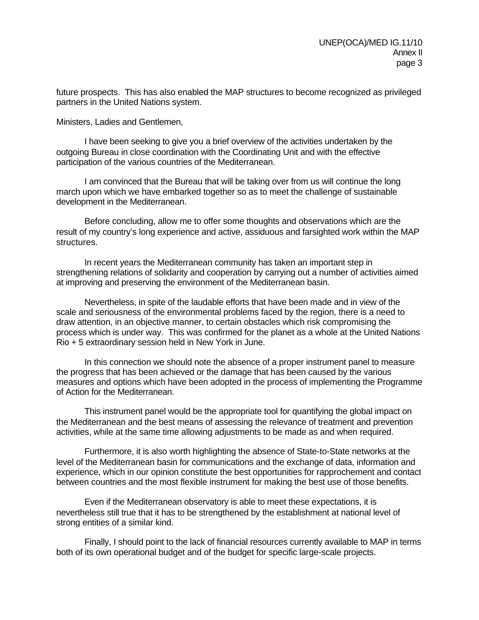future prospects. This has also enabled the MAP structures to become recognized as privileged partners in the United Nations system.

Ministers, Ladies and Gentlemen,

I have been seeking to give you a brief overview of the activities undertaken by the outgoing Bureau in close coordination with the Coordinating Unit and with the effective participation of the various countries of the Mediterranean.

I am convinced that the Bureau that will be taking over from us will continue the long march upon which we have embarked together so as to meet the challenge of sustainable development in the Mediterranean.

Before concluding, allow me to offer some thoughts and observations which are the result of my country's long experience and active, assiduous and farsighted work within the MAP structures.

In recent years the Mediterranean community has taken an important step in strengthening relations of solidarity and cooperation by carrying out a number of activities aimed at improving and preserving the environment of the Mediterranean basin.

Nevertheless, in spite of the laudable efforts that have been made and in view of the scale and seriousness of the environmental problems faced by the region, there is a need to draw attention, in an objective manner, to certain obstacles which risk compromising the process which is under way. This was confirmed for the planet as a whole at the United Nations Rio + 5 extraordinary session held in New York in June.

In this connection we should note the absence of a proper instrument panel to measure the progress that has been achieved or the damage that has been caused by the various measures and options which have been adopted in the process of implementing the Programme of Action for the Mediterranean.

This instrument panel would be the appropriate tool for quantifying the global impact on the Mediterranean and the best means of assessing the relevance of treatment and prevention activities, while at the same time allowing adjustments to be made as and when required.

Furthermore, it is also worth highlighting the absence of State-to-State networks at the level of the Mediterranean basin for communications and the exchange of data, information and experience, which in our opinion constitute the best opportunities for rapprochement and contact between countries and the most flexible instrument for making the best use of those benefits.

Even if the Mediterranean observatory is able to meet these expectations, it is nevertheless still true that it has to be strengthened by the establishment at national level of strong entities of a similar kind.

Finally, I should point to the lack of financial resources currently available to MAP in terms both of its own operational budget and of the budget for specific large-scale projects.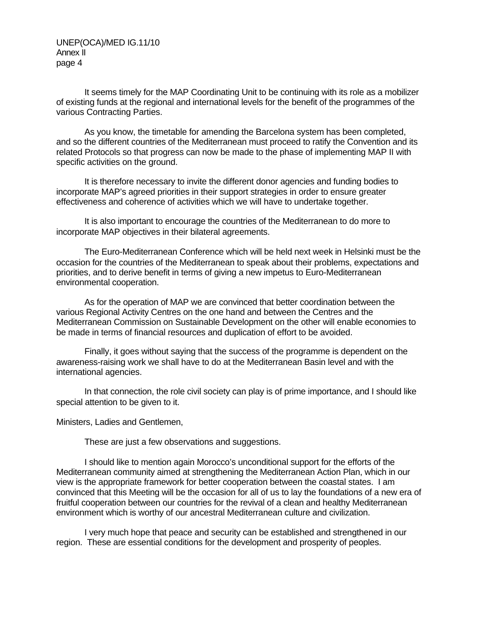It seems timely for the MAP Coordinating Unit to be continuing with its role as a mobilizer of existing funds at the regional and international levels for the benefit of the programmes of the various Contracting Parties.

As you know, the timetable for amending the Barcelona system has been completed, and so the different countries of the Mediterranean must proceed to ratify the Convention and its related Protocols so that progress can now be made to the phase of implementing MAP II with specific activities on the ground.

It is therefore necessary to invite the different donor agencies and funding bodies to incorporate MAP's agreed priorities in their support strategies in order to ensure greater effectiveness and coherence of activities which we will have to undertake together.

It is also important to encourage the countries of the Mediterranean to do more to incorporate MAP objectives in their bilateral agreements.

The Euro-Mediterranean Conference which will be held next week in Helsinki must be the occasion for the countries of the Mediterranean to speak about their problems, expectations and priorities, and to derive benefit in terms of giving a new impetus to Euro-Mediterranean environmental cooperation.

As for the operation of MAP we are convinced that better coordination between the various Regional Activity Centres on the one hand and between the Centres and the Mediterranean Commission on Sustainable Development on the other will enable economies to be made in terms of financial resources and duplication of effort to be avoided.

Finally, it goes without saying that the success of the programme is dependent on the awareness-raising work we shall have to do at the Mediterranean Basin level and with the international agencies.

In that connection, the role civil society can play is of prime importance, and I should like special attention to be given to it.

Ministers, Ladies and Gentlemen,

These are just a few observations and suggestions.

I should like to mention again Morocco's unconditional support for the efforts of the Mediterranean community aimed at strengthening the Mediterranean Action Plan, which in our view is the appropriate framework for better cooperation between the coastal states. I am convinced that this Meeting will be the occasion for all of us to lay the foundations of a new era of fruitful cooperation between our countries for the revival of a clean and healthy Mediterranean environment which is worthy of our ancestral Mediterranean culture and civilization.

I very much hope that peace and security can be established and strengthened in our region. These are essential conditions for the development and prosperity of peoples.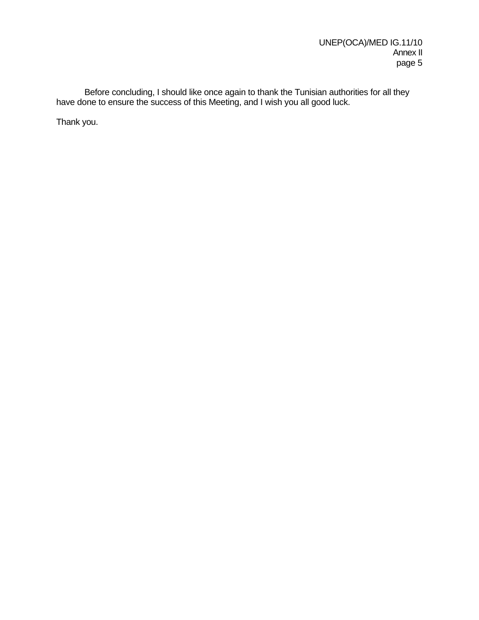Before concluding, I should like once again to thank the Tunisian authorities for all they have done to ensure the success of this Meeting, and I wish you all good luck.

Thank you.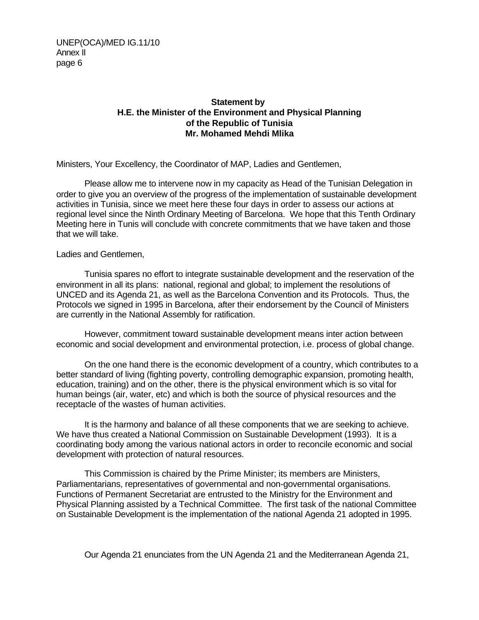### **Statement by H.E. the Minister of the Environment and Physical Planning of the Republic of Tunisia Mr. Mohamed Mehdi Mlika**

Ministers, Your Excellency, the Coordinator of MAP, Ladies and Gentlemen,

Please allow me to intervene now in my capacity as Head of the Tunisian Delegation in order to give you an overview of the progress of the implementation of sustainable development activities in Tunisia, since we meet here these four days in order to assess our actions at regional level since the Ninth Ordinary Meeting of Barcelona. We hope that this Tenth Ordinary Meeting here in Tunis will conclude with concrete commitments that we have taken and those that we will take.

Ladies and Gentlemen,

Tunisia spares no effort to integrate sustainable development and the reservation of the environment in all its plans: national, regional and global; to implement the resolutions of UNCED and its Agenda 21, as well as the Barcelona Convention and its Protocols. Thus, the Protocols we signed in 1995 in Barcelona, after their endorsement by the Council of Ministers are currently in the National Assembly for ratification.

However, commitment toward sustainable development means inter action between economic and social development and environmental protection, i.e. process of global change.

On the one hand there is the economic development of a country, which contributes to a better standard of living (fighting poverty, controlling demographic expansion, promoting health, education, training) and on the other, there is the physical environment which is so vital for human beings (air, water, etc) and which is both the source of physical resources and the receptacle of the wastes of human activities.

It is the harmony and balance of all these components that we are seeking to achieve. We have thus created a National Commission on Sustainable Development (1993). It is a coordinating body among the various national actors in order to reconcile economic and social development with protection of natural resources.

This Commission is chaired by the Prime Minister; its members are Ministers, Parliamentarians, representatives of governmental and non-governmental organisations. Functions of Permanent Secretariat are entrusted to the Ministry for the Environment and Physical Planning assisted by a Technical Committee. The first task of the national Committee on Sustainable Development is the implementation of the national Agenda 21 adopted in 1995.

Our Agenda 21 enunciates from the UN Agenda 21 and the Mediterranean Agenda 21,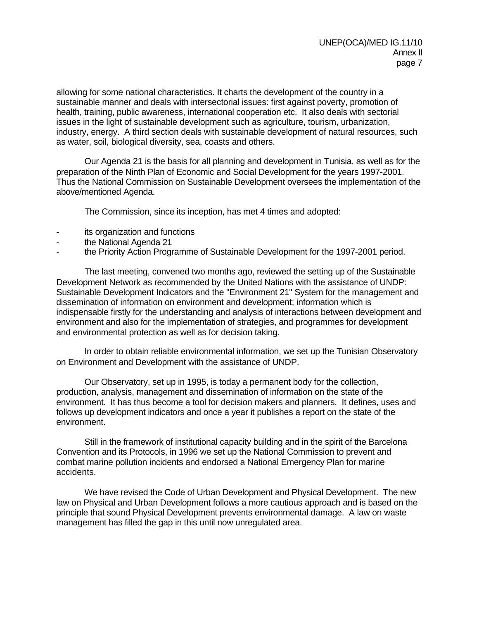allowing for some national characteristics. It charts the development of the country in a sustainable manner and deals with intersectorial issues: first against poverty, promotion of health, training, public awareness, international cooperation etc. It also deals with sectorial issues in the light of sustainable development such as agriculture, tourism, urbanization, industry, energy. A third section deals with sustainable development of natural resources, such as water, soil, biological diversity, sea, coasts and others.

Our Agenda 21 is the basis for all planning and development in Tunisia, as well as for the preparation of the Ninth Plan of Economic and Social Development for the years 1997-2001. Thus the National Commission on Sustainable Development oversees the implementation of the above/mentioned Agenda.

The Commission, since its inception, has met 4 times and adopted:

- its organization and functions
- the National Agenda 21
- the Priority Action Programme of Sustainable Development for the 1997-2001 period.

The last meeting, convened two months ago, reviewed the setting up of the Sustainable Development Network as recommended by the United Nations with the assistance of UNDP: Sustainable Development Indicators and the "Environment 21" System for the management and dissemination of information on environment and development; information which is indispensable firstly for the understanding and analysis of interactions between development and environment and also for the implementation of strategies, and programmes for development and environmental protection as well as for decision taking.

In order to obtain reliable environmental information, we set up the Tunisian Observatory on Environment and Development with the assistance of UNDP.

Our Observatory, set up in 1995, is today a permanent body for the collection, production, analysis, management and dissemination of information on the state of the environment. It has thus become a tool for decision makers and planners. It defines, uses and follows up development indicators and once a year it publishes a report on the state of the environment.

Still in the framework of institutional capacity building and in the spirit of the Barcelona Convention and its Protocols, in 1996 we set up the National Commission to prevent and combat marine pollution incidents and endorsed a National Emergency Plan for marine accidents.

We have revised the Code of Urban Development and Physical Development. The new law on Physical and Urban Development follows a more cautious approach and is based on the principle that sound Physical Development prevents environmental damage. A law on waste management has filled the gap in this until now unregulated area.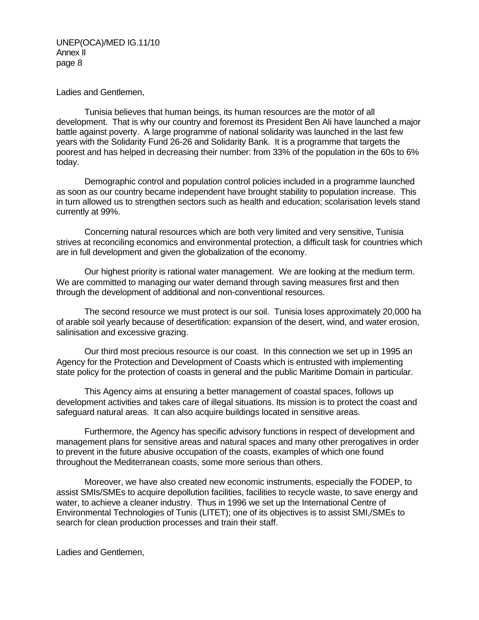Ladies and Gentlemen,

Tunisia believes that human beings, its human resources are the motor of all development. That is why our country and foremost its President Ben Ali have launched a major battle against poverty. A large programme of national solidarity was launched in the last few years with the Solidarity Fund 26-26 and Solidarity Bank. It is a programme that targets the poorest and has helped in decreasing their number: from 33% of the population in the 60s to 6% today.

Demographic control and population control policies included in a programme launched as soon as our country became independent have brought stability to population increase. This in turn allowed us to strengthen sectors such as health and education; scolarisation levels stand currently at 99%.

Concerning natural resources which are both very limited and very sensitive, Tunisia strives at reconciling economics and environmental protection, a difficult task for countries which are in full development and given the globalization of the economy.

Our highest priority is rational water management. We are looking at the medium term. We are committed to managing our water demand through saving measures first and then through the development of additional and non-conventional resources.

The second resource we must protect is our soil. Tunisia loses approximately 20,000 ha of arable soil yearly because of desertification: expansion of the desert, wind, and water erosion, salinisation and excessive grazing.

Our third most precious resource is our coast. In this connection we set up in 1995 an Agency for the Protection and Development of Coasts which is entrusted with implementing state policy for the protection of coasts in general and the public Maritime Domain in particular.

This Agency aims at ensuring a better management of coastal spaces, follows up development activities and takes care of illegal situations. Its mission is to protect the coast and safeguard natural areas. It can also acquire buildings located in sensitive areas.

Furthermore, the Agency has specific advisory functions in respect of development and management plans for sensitive areas and natural spaces and many other prerogatives in order to prevent in the future abusive occupation of the coasts, examples of which one found throughout the Mediterranean coasts, some more serious than others.

Moreover, we have also created new economic instruments, especially the FODEP, to assist SMIs/SMEs to acquire depollution facilities, facilities to recycle waste, to save energy and water, to achieve a cleaner industry. Thus in 1996 we set up the International Centre of Environmental Technologies of Tunis (LITET); one of its objectives is to assist SMI,/SMEs to search for clean production processes and train their staff.

Ladies and Gentlemen,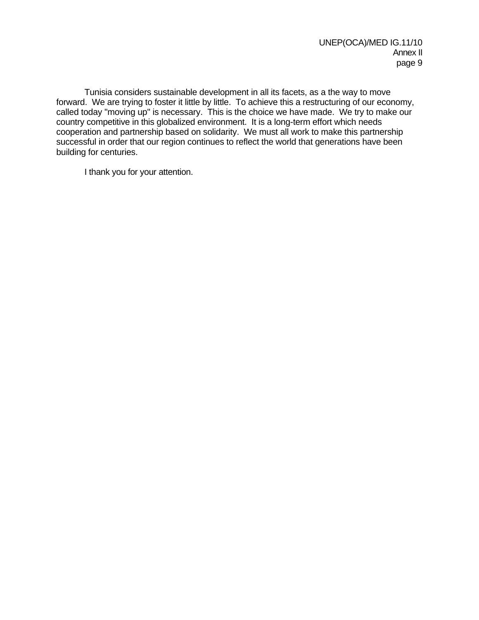Tunisia considers sustainable development in all its facets, as a the way to move forward. We are trying to foster it little by little. To achieve this a restructuring of our economy, called today "moving up" is necessary. This is the choice we have made. We try to make our country competitive in this globalized environment. It is a long-term effort which needs cooperation and partnership based on solidarity. We must all work to make this partnership successful in order that our region continues to reflect the world that generations have been building for centuries.

I thank you for your attention.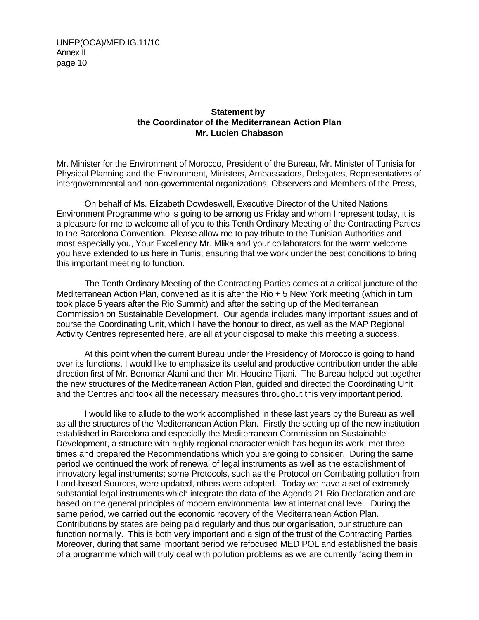### **Statement by the Coordinator of the Mediterranean Action Plan Mr. Lucien Chabason**

Mr. Minister for the Environment of Morocco, President of the Bureau, Mr. Minister of Tunisia for Physical Planning and the Environment, Ministers, Ambassadors, Delegates, Representatives of intergovernmental and non-governmental organizations, Observers and Members of the Press,

On behalf of Ms. Elizabeth Dowdeswell, Executive Director of the United Nations Environment Programme who is going to be among us Friday and whom I represent today, it is a pleasure for me to welcome all of you to this Tenth Ordinary Meeting of the Contracting Parties to the Barcelona Convention. Please allow me to pay tribute to the Tunisian Authorities and most especially you, Your Excellency Mr. Mlika and your collaborators for the warm welcome you have extended to us here in Tunis, ensuring that we work under the best conditions to bring this important meeting to function.

The Tenth Ordinary Meeting of the Contracting Parties comes at a critical juncture of the Mediterranean Action Plan, convened as it is after the Rio + 5 New York meeting (which in turn took place 5 years after the Rio Summit) and after the setting up of the Mediterranean Commission on Sustainable Development. Our agenda includes many important issues and of course the Coordinating Unit, which I have the honour to direct, as well as the MAP Regional Activity Centres represented here, are all at your disposal to make this meeting a success.

At this point when the current Bureau under the Presidency of Morocco is going to hand over its functions, I would like to emphasize its useful and productive contribution under the able direction first of Mr. Benomar Alami and then Mr. Houcine Tijani. The Bureau helped put together the new structures of the Mediterranean Action Plan, guided and directed the Coordinating Unit and the Centres and took all the necessary measures throughout this very important period.

I would like to allude to the work accomplished in these last years by the Bureau as well as all the structures of the Mediterranean Action Plan. Firstly the setting up of the new institution established in Barcelona and especially the Mediterranean Commission on Sustainable Development, a structure with highly regional character which has begun its work, met three times and prepared the Recommendations which you are going to consider. During the same period we continued the work of renewal of legal instruments as well as the establishment of innovatory legal instruments; some Protocols, such as the Protocol on Combating pollution from Land-based Sources, were updated, others were adopted. Today we have a set of extremely substantial legal instruments which integrate the data of the Agenda 21 Rio Declaration and are based on the general principles of modern environmental law at international level. During the same period, we carried out the economic recovery of the Mediterranean Action Plan. Contributions by states are being paid regularly and thus our organisation, our structure can function normally. This is both very important and a sign of the trust of the Contracting Parties. Moreover, during that same important period we refocused MED POL and established the basis of a programme which will truly deal with pollution problems as we are currently facing them in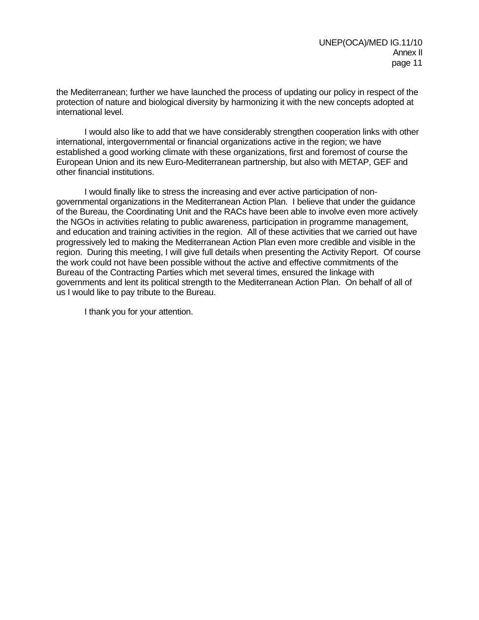the Mediterranean; further we have launched the process of updating our policy in respect of the protection of nature and biological diversity by harmonizing it with the new concepts adopted at international level.

I would also like to add that we have considerably strengthen cooperation links with other international, intergovernmental or financial organizations active in the region; we have established a good working climate with these organizations, first and foremost of course the European Union and its new Euro-Mediterranean partnership, but also with METAP, GEF and other financial institutions.

I would finally like to stress the increasing and ever active participation of nongovernmental organizations in the Mediterranean Action Plan. I believe that under the guidance of the Bureau, the Coordinating Unit and the RACs have been able to involve even more actively the NGOs in activities relating to public awareness, participation in programme management, and education and training activities in the region. All of these activities that we carried out have progressively led to making the Mediterranean Action Plan even more credible and visible in the region. During this meeting, I will give full details when presenting the Activity Report. Of course the work could not have been possible without the active and effective commitments of the Bureau of the Contracting Parties which met several times, ensured the linkage with governments and lent its political strength to the Mediterranean Action Plan. On behalf of all of us I would like to pay tribute to the Bureau.

I thank you for your attention.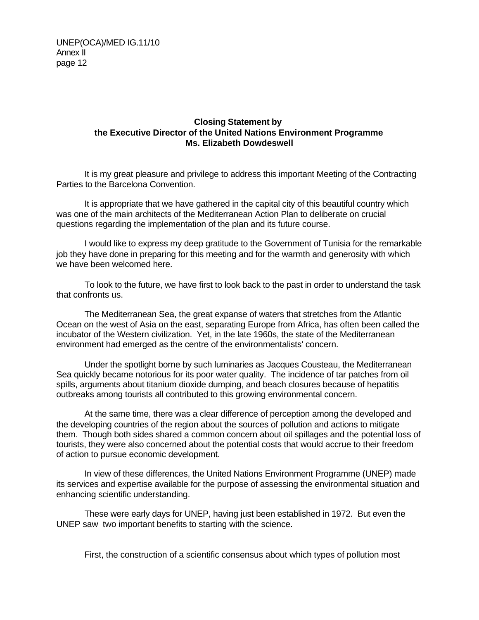### **Closing Statement by the Executive Director of the United Nations Environment Programme Ms. Elizabeth Dowdeswell**

It is my great pleasure and privilege to address this important Meeting of the Contracting Parties to the Barcelona Convention.

It is appropriate that we have gathered in the capital city of this beautiful country which was one of the main architects of the Mediterranean Action Plan to deliberate on crucial questions regarding the implementation of the plan and its future course.

I would like to express my deep gratitude to the Government of Tunisia for the remarkable job they have done in preparing for this meeting and for the warmth and generosity with which we have been welcomed here.

To look to the future, we have first to look back to the past in order to understand the task that confronts us.

The Mediterranean Sea, the great expanse of waters that stretches from the Atlantic Ocean on the west of Asia on the east, separating Europe from Africa, has often been called the incubator of the Western civilization. Yet, in the late 1960s, the state of the Mediterranean environment had emerged as the centre of the environmentalists' concern.

Under the spotlight borne by such luminaries as Jacques Cousteau, the Mediterranean Sea quickly became notorious for its poor water quality. The incidence of tar patches from oil spills, arguments about titanium dioxide dumping, and beach closures because of hepatitis outbreaks among tourists all contributed to this growing environmental concern.

At the same time, there was a clear difference of perception among the developed and the developing countries of the region about the sources of pollution and actions to mitigate them. Though both sides shared a common concern about oil spillages and the potential loss of tourists, they were also concerned about the potential costs that would accrue to their freedom of action to pursue economic development.

In view of these differences, the United Nations Environment Programme (UNEP) made its services and expertise available for the purpose of assessing the environmental situation and enhancing scientific understanding.

These were early days for UNEP, having just been established in 1972. But even the UNEP saw two important benefits to starting with the science.

First, the construction of a scientific consensus about which types of pollution most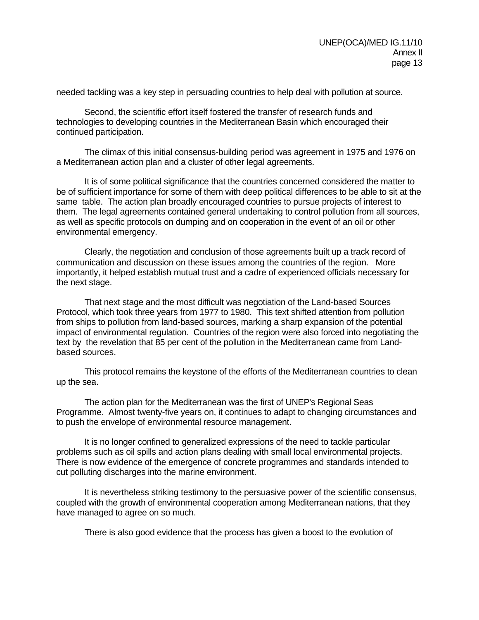needed tackling was a key step in persuading countries to help deal with pollution at source.

Second, the scientific effort itself fostered the transfer of research funds and technologies to developing countries in the Mediterranean Basin which encouraged their continued participation.

The climax of this initial consensus-building period was agreement in 1975 and 1976 on a Mediterranean action plan and a cluster of other legal agreements.

It is of some political significance that the countries concerned considered the matter to be of sufficient importance for some of them with deep political differences to be able to sit at the same table. The action plan broadly encouraged countries to pursue projects of interest to them. The legal agreements contained general undertaking to control pollution from all sources, as well as specific protocols on dumping and on cooperation in the event of an oil or other environmental emergency.

Clearly, the negotiation and conclusion of those agreements built up a track record of communication and discussion on these issues among the countries of the region. More importantly, it helped establish mutual trust and a cadre of experienced officials necessary for the next stage.

That next stage and the most difficult was negotiation of the Land-based Sources Protocol, which took three years from 1977 to 1980. This text shifted attention from pollution from ships to pollution from land-based sources, marking a sharp expansion of the potential impact of environmental regulation. Countries of the region were also forced into negotiating the text by the revelation that 85 per cent of the pollution in the Mediterranean came from Landbased sources.

This protocol remains the keystone of the efforts of the Mediterranean countries to clean up the sea.

The action plan for the Mediterranean was the first of UNEP's Regional Seas Programme. Almost twenty-five years on, it continues to adapt to changing circumstances and to push the envelope of environmental resource management.

It is no longer confined to generalized expressions of the need to tackle particular problems such as oil spills and action plans dealing with small local environmental projects. There is now evidence of the emergence of concrete programmes and standards intended to cut polluting discharges into the marine environment.

It is nevertheless striking testimony to the persuasive power of the scientific consensus, coupled with the growth of environmental cooperation among Mediterranean nations, that they have managed to agree on so much.

There is also good evidence that the process has given a boost to the evolution of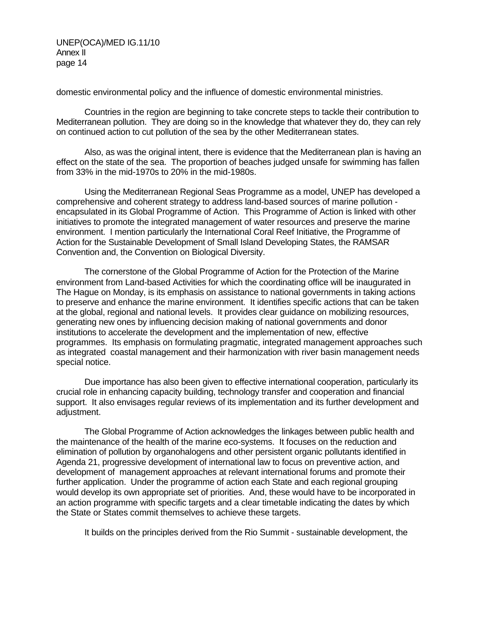domestic environmental policy and the influence of domestic environmental ministries.

Countries in the region are beginning to take concrete steps to tackle their contribution to Mediterranean pollution. They are doing so in the knowledge that whatever they do, they can rely on continued action to cut pollution of the sea by the other Mediterranean states.

Also, as was the original intent, there is evidence that the Mediterranean plan is having an effect on the state of the sea. The proportion of beaches judged unsafe for swimming has fallen from 33% in the mid-1970s to 20% in the mid-1980s.

Using the Mediterranean Regional Seas Programme as a model, UNEP has developed a comprehensive and coherent strategy to address land-based sources of marine pollution encapsulated in its Global Programme of Action. This Programme of Action is linked with other initiatives to promote the integrated management of water resources and preserve the marine environment. I mention particularly the International Coral Reef Initiative, the Programme of Action for the Sustainable Development of Small Island Developing States, the RAMSAR Convention and, the Convention on Biological Diversity.

The cornerstone of the Global Programme of Action for the Protection of the Marine environment from Land-based Activities for which the coordinating office will be inaugurated in The Hague on Monday, is its emphasis on assistance to national governments in taking actions to preserve and enhance the marine environment. It identifies specific actions that can be taken at the global, regional and national levels. It provides clear guidance on mobilizing resources, generating new ones by influencing decision making of national governments and donor institutions to accelerate the development and the implementation of new, effective programmes. Its emphasis on formulating pragmatic, integrated management approaches such as integrated coastal management and their harmonization with river basin management needs special notice.

Due importance has also been given to effective international cooperation, particularly its crucial role in enhancing capacity building, technology transfer and cooperation and financial support. It also envisages regular reviews of its implementation and its further development and adjustment.

The Global Programme of Action acknowledges the linkages between public health and the maintenance of the health of the marine eco-systems. It focuses on the reduction and elimination of pollution by organohalogens and other persistent organic pollutants identified in Agenda 21, progressive development of international law to focus on preventive action, and development of management approaches at relevant international forums and promote their further application. Under the programme of action each State and each regional grouping would develop its own appropriate set of priorities. And, these would have to be incorporated in an action programme with specific targets and a clear timetable indicating the dates by which the State or States commit themselves to achieve these targets.

It builds on the principles derived from the Rio Summit - sustainable development, the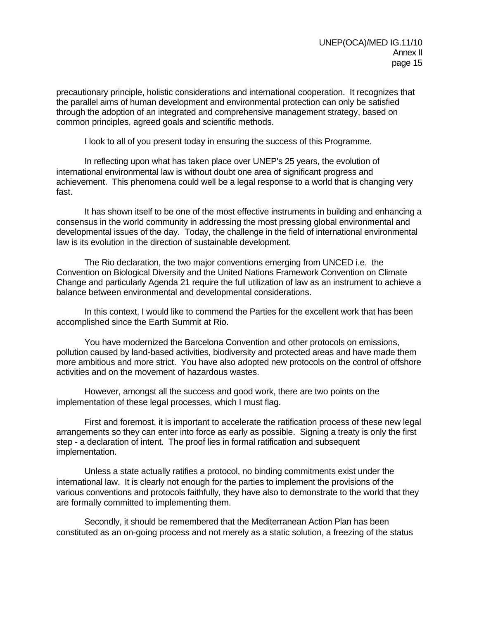precautionary principle, holistic considerations and international cooperation. It recognizes that the parallel aims of human development and environmental protection can only be satisfied through the adoption of an integrated and comprehensive management strategy, based on common principles, agreed goals and scientific methods.

I look to all of you present today in ensuring the success of this Programme.

In reflecting upon what has taken place over UNEP's 25 years, the evolution of international environmental law is without doubt one area of significant progress and achievement. This phenomena could well be a legal response to a world that is changing very fast.

It has shown itself to be one of the most effective instruments in building and enhancing a consensus in the world community in addressing the most pressing global environmental and developmental issues of the day. Today, the challenge in the field of international environmental law is its evolution in the direction of sustainable development.

The Rio declaration, the two major conventions emerging from UNCED i.e. the Convention on Biological Diversity and the United Nations Framework Convention on Climate Change and particularly Agenda 21 require the full utilization of law as an instrument to achieve a balance between environmental and developmental considerations.

In this context, I would like to commend the Parties for the excellent work that has been accomplished since the Earth Summit at Rio.

You have modernized the Barcelona Convention and other protocols on emissions, pollution caused by land-based activities, biodiversity and protected areas and have made them more ambitious and more strict. You have also adopted new protocols on the control of offshore activities and on the movement of hazardous wastes.

However, amongst all the success and good work, there are two points on the implementation of these legal processes, which I must flag.

First and foremost, it is important to accelerate the ratification process of these new legal arrangements so they can enter into force as early as possible. Signing a treaty is only the first step - a declaration of intent. The proof lies in formal ratification and subsequent implementation.

Unless a state actually ratifies a protocol, no binding commitments exist under the international law. It is clearly not enough for the parties to implement the provisions of the various conventions and protocols faithfully, they have also to demonstrate to the world that they are formally committed to implementing them.

Secondly, it should be remembered that the Mediterranean Action Plan has been constituted as an on-going process and not merely as a static solution, a freezing of the status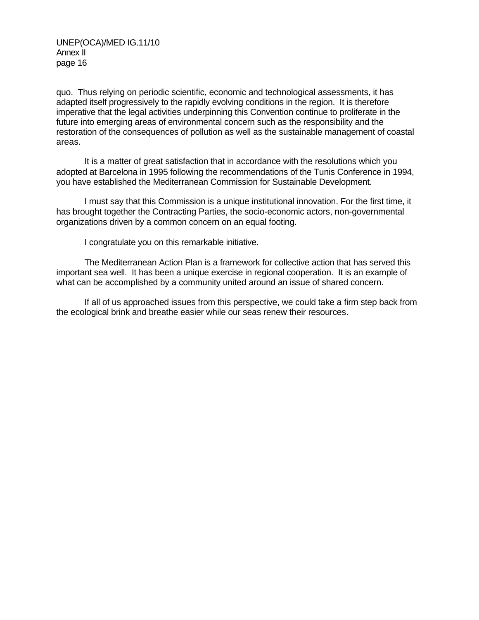quo. Thus relying on periodic scientific, economic and technological assessments, it has adapted itself progressively to the rapidly evolving conditions in the region. It is therefore imperative that the legal activities underpinning this Convention continue to proliferate in the future into emerging areas of environmental concern such as the responsibility and the restoration of the consequences of pollution as well as the sustainable management of coastal areas.

It is a matter of great satisfaction that in accordance with the resolutions which you adopted at Barcelona in 1995 following the recommendations of the Tunis Conference in 1994, you have established the Mediterranean Commission for Sustainable Development.

I must say that this Commission is a unique institutional innovation. For the first time, it has brought together the Contracting Parties, the socio-economic actors, non-governmental organizations driven by a common concern on an equal footing.

I congratulate you on this remarkable initiative.

The Mediterranean Action Plan is a framework for collective action that has served this important sea well. It has been a unique exercise in regional cooperation. It is an example of what can be accomplished by a community united around an issue of shared concern.

If all of us approached issues from this perspective, we could take a firm step back from the ecological brink and breathe easier while our seas renew their resources.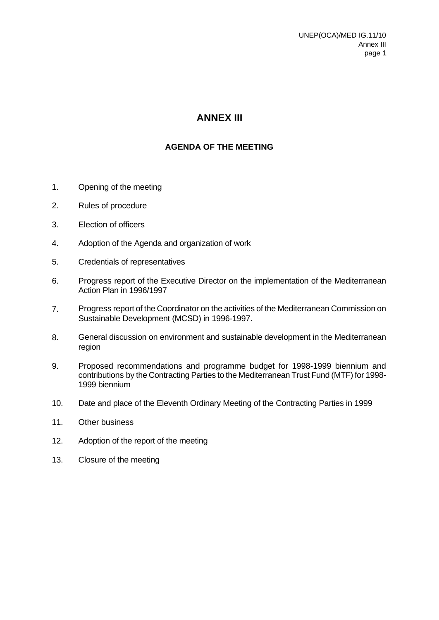### **ANNEX III**

### **AGENDA OF THE MEETING**

- 1. Opening of the meeting
- 2. Rules of procedure
- 3. Election of officers
- 4. Adoption of the Agenda and organization of work
- 5. Credentials of representatives
- 6. Progress report of the Executive Director on the implementation of the Mediterranean Action Plan in 1996/1997
- 7. Progress report of the Coordinator on the activities of the Mediterranean Commission on Sustainable Development (MCSD) in 1996-1997.
- 8. General discussion on environment and sustainable development in the Mediterranean region
- 9. Proposed recommendations and programme budget for 1998-1999 biennium and contributions by the Contracting Parties to the Mediterranean Trust Fund (MTF) for 1998- 1999 biennium
- 10. Date and place of the Eleventh Ordinary Meeting of the Contracting Parties in 1999
- 11. Other business
- 12. Adoption of the report of the meeting
- 13. Closure of the meeting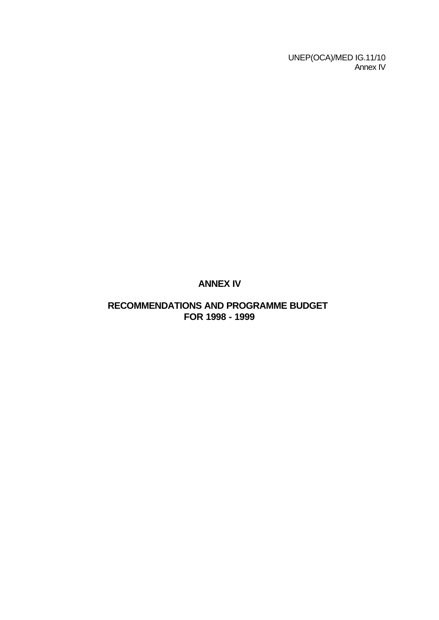### **ANNEX IV**

### **RECOMMENDATIONS AND PROGRAMME BUDGET FOR 1998 - 1999**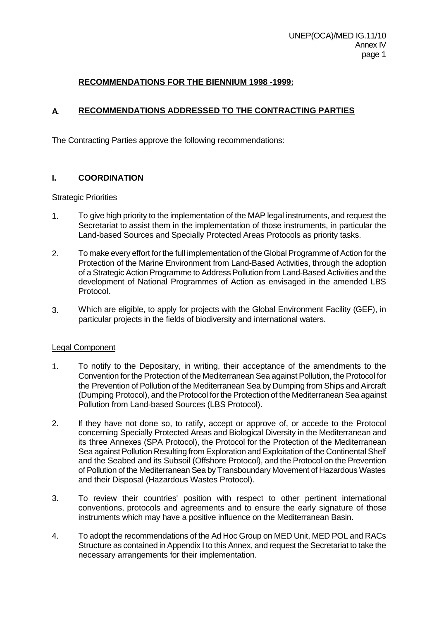### **RECOMMENDATIONS FOR THE BIENNIUM 1998 -1999:**

### **A. RECOMMENDATIONS ADDRESSED TO THE CONTRACTING PARTIES**

The Contracting Parties approve the following recommendations:

### **I. COORDINATION**

### Strategic Priorities

- 1. To give high priority to the implementation of the MAP legal instruments, and request the Secretariat to assist them in the implementation of those instruments, in particular the Land-based Sources and Specially Protected Areas Protocols as priority tasks.
- 2. To make every effort for the full implementation of the Global Programme of Action for the Protection of the Marine Environment from Land-Based Activities, through the adoption of a Strategic Action Programme to Address Pollution from Land-Based Activities and the development of National Programmes of Action as envisaged in the amended LBS Protocol.
- 3. Which are eligible, to apply for projects with the Global Environment Facility (GEF), in particular projects in the fields of biodiversity and international waters.

### Legal Component

- 1. To notify to the Depositary, in writing, their acceptance of the amendments to the Convention for the Protection of the Mediterranean Sea against Pollution, the Protocol for the Prevention of Pollution of the Mediterranean Sea by Dumping from Ships and Aircraft (Dumping Protocol), and the Protocol for the Protection of the Mediterranean Sea against Pollution from Land-based Sources (LBS Protocol).
- 2. If they have not done so, to ratify, accept or approve of, or accede to the Protocol concerning Specially Protected Areas and Biological Diversity in the Mediterranean and its three Annexes (SPA Protocol), the Protocol for the Protection of the Mediterranean Sea against Pollution Resulting from Exploration and Exploitation of the Continental Shelf and the Seabed and its Subsoil (Offshore Protocol), and the Protocol on the Prevention of Pollution of the Mediterranean Sea by Transboundary Movement of Hazardous Wastes and their Disposal (Hazardous Wastes Protocol).
- 3. To review their countries' position with respect to other pertinent international conventions, protocols and agreements and to ensure the early signature of those instruments which may have a positive influence on the Mediterranean Basin.
- 4. To adopt the recommendations of the Ad Hoc Group on MED Unit, MED POL and RACs Structure as contained in Appendix I to this Annex, and request the Secretariat to take the necessary arrangements for their implementation.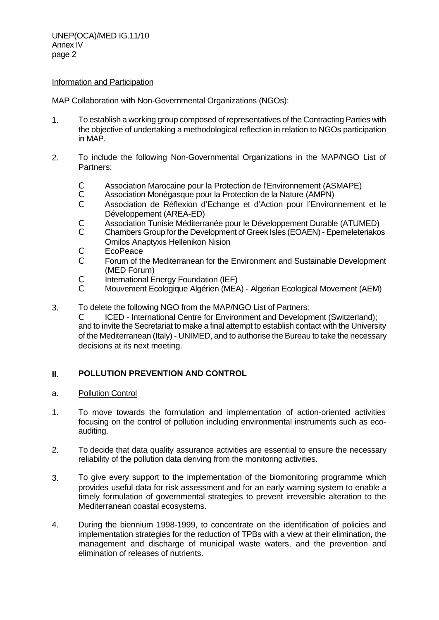### Information and Participation

MAP Collaboration with Non-Governmental Organizations (NGOs):

- 1. To establish a working group composed of representatives of the Contracting Parties with the objective of undertaking a methodological reflection in relation to NGOs participation in MAP.
- 2. To include the following Non-Governmental Organizations in the MAP/NGO List of Partners:
	- C Association Marocaine pour la Protection de l'Environnement (ASMAPE)<br>C Association Monégasque pour la Protection de la Nature (AMPN)
	- Association Monégasque pour la Protection de la Nature (AMPN)
	- C Association de Réflexion d'Echange et d'Action pour l'Environnement et le Développement (AREA-ED)
	- C Association Tunisie Méditerranée pour le Développement Durable (ATUMED)<br>C Chambers Group for the Development of Greek Isles (FOAFN) Fpemeleteriako
	- Chambers Group for the Development of Greek Isles (EOAEN) Epemeleteriakos Omilos Anaptyxis Hellenikon Nision
	- C EcoPeace
	- C Forum of the Mediterranean for the Environment and Sustainable Development (MED Forum)
	- C International Energy Foundation (IEF)<br>C Mouvement Ecologique Algérien (MFA
	- Mouvement Ecologique Algérien (MEA) Algerian Ecological Movement (AEM)
- 3. To delete the following NGO from the MAP/NGO List of Partners:
	- C ICED International Centre for Environment and Development (Switzerland); and to invite the Secretariat to make a final attempt to establish contact with the University of the Mediterranean (Italy) - UNIMED, and to authorise the Bureau to take the necessary decisions at its next meeting.

### **II. POLLUTION PREVENTION AND CONTROL**

- a. Pollution Control
- 1. To move towards the formulation and implementation of action-oriented activities focusing on the control of pollution including environmental instruments such as ecoauditing.
- 2. To decide that data quality assurance activities are essential to ensure the necessary reliability of the pollution data deriving from the monitoring activities.
- 3. To give every support to the implementation of the biomonitoring programme which provides useful data for risk assessment and for an early warning system to enable a timely formulation of governmental strategies to prevent irreversible alteration to the Mediterranean coastal ecosystems.
- 4. During the biennium 1998-1999, to concentrate on the identification of policies and implementation strategies for the reduction of TPBs with a view at their elimination, the management and discharge of municipal waste waters, and the prevention and elimination of releases of nutrients.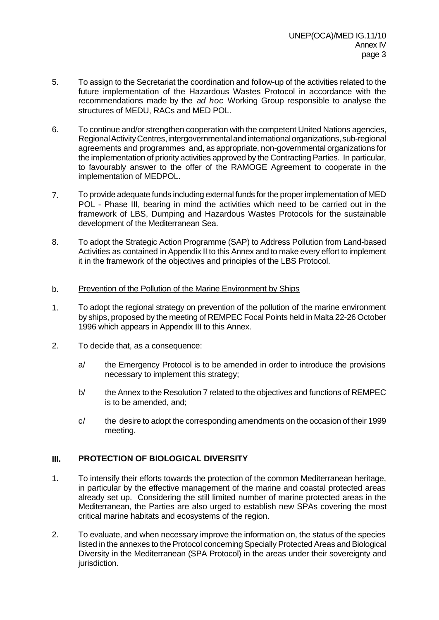- 5. To assign to the Secretariat the coordination and follow-up of the activities related to the future implementation of the Hazardous Wastes Protocol in accordance with the recommendations made by the *ad hoc* Working Group responsible to analyse the structures of MEDU, RACs and MED POL.
- 6. To continue and/or strengthen cooperation with the competent United Nations agencies, Regional Activity Centres, intergovernmental and international organizations, sub-regional agreements and programmes and, as appropriate, non-governmental organizations for the implementation of priority activities approved by the Contracting Parties. In particular, to favourably answer to the offer of the RAMOGE Agreement to cooperate in the implementation of MEDPOL.
- 7. To provide adequate funds including external funds for the proper implementation of MED POL - Phase III, bearing in mind the activities which need to be carried out in the framework of LBS, Dumping and Hazardous Wastes Protocols for the sustainable development of the Mediterranean Sea.
- 8. To adopt the Strategic Action Programme (SAP) to Address Pollution from Land-based Activities as contained in Appendix II to this Annex and to make every effort to implement it in the framework of the objectives and principles of the LBS Protocol.

### b. Prevention of the Pollution of the Marine Environment by Ships

- 1. To adopt the regional strategy on prevention of the pollution of the marine environment by ships, proposed by the meeting of REMPEC Focal Points held in Malta 22-26 October 1996 which appears in Appendix III to this Annex.
- 2. To decide that, as a consequence:
	- a/ the Emergency Protocol is to be amended in order to introduce the provisions necessary to implement this strategy;
	- b/ the Annex to the Resolution 7 related to the objectives and functions of REMPEC is to be amended, and;
	- c/ the desire to adopt the corresponding amendments on the occasion of their 1999 meeting.

### **III. PROTECTION OF BIOLOGICAL DIVERSITY**

- 1. To intensify their efforts towards the protection of the common Mediterranean heritage, in particular by the effective management of the marine and coastal protected areas already set up. Considering the still limited number of marine protected areas in the Mediterranean, the Parties are also urged to establish new SPAs covering the most critical marine habitats and ecosystems of the region.
- 2. To evaluate, and when necessary improve the information on, the status of the species listed in the annexes to the Protocol concerning Specially Protected Areas and Biological Diversity in the Mediterranean (SPA Protocol) in the areas under their sovereignty and jurisdiction.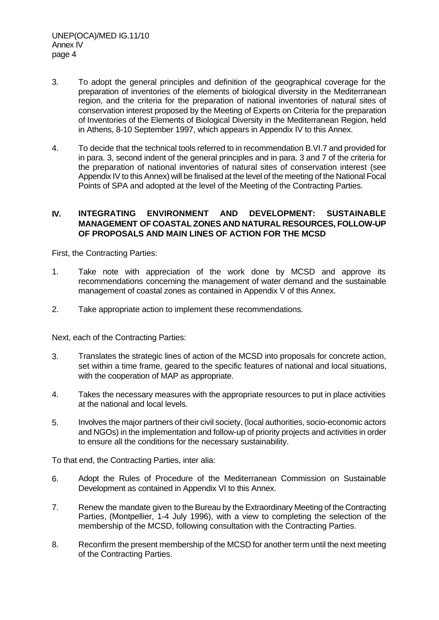- 3. To adopt the general principles and definition of the geographical coverage for the preparation of inventories of the elements of biological diversity in the Mediterranean region, and the criteria for the preparation of national inventories of natural sites of conservation interest proposed by the Meeting of Experts on Criteria for the preparation of Inventories of the Elements of Biological Diversity in the Mediterranean Region, held in Athens, 8-10 September 1997, which appears in Appendix IV to this Annex.
- 4. To decide that the technical tools referred to in recommendation B.VI.7 and provided for in para. 3, second indent of the general principles and in para. 3 and 7 of the criteria for the preparation of national inventories of natural sites of conservation interest (see Appendix IV to this Annex) will be finalised at the level of the meeting of the National Focal Points of SPA and adopted at the level of the Meeting of the Contracting Parties.

### **IV. INTEGRATING ENVIRONMENT AND DEVELOPMENT: SUSTAINABLE MANAGEMENT OF COASTAL ZONES AND NATURAL RESOURCES, FOLLOW-UP OF PROPOSALS AND MAIN LINES OF ACTION FOR THE MCSD**

First, the Contracting Parties:

- 1. Take note with appreciation of the work done by MCSD and approve its recommendations concerning the management of water demand and the sustainable management of coastal zones as contained in Appendix V of this Annex.
- 2. Take appropriate action to implement these recommendations.

Next, each of the Contracting Parties:

- 3. Translates the strategic lines of action of the MCSD into proposals for concrete action, set within a time frame, geared to the specific features of national and local situations, with the cooperation of MAP as appropriate.
- 4. Takes the necessary measures with the appropriate resources to put in place activities at the national and local levels.
- 5. Involves the major partners of their civil society, (local authorities, socio-economic actors and NGOs) in the implementation and follow-up of priority projects and activities in order to ensure all the conditions for the necessary sustainability.

To that end, the Contracting Parties, inter alia:

- 6. Adopt the Rules of Procedure of the Mediterranean Commission on Sustainable Development as contained in Appendix VI to this Annex.
- 7. Renew the mandate given to the Bureau by the Extraordinary Meeting of the Contracting Parties, (Montpellier, 1-4 July 1996), with a view to completing the selection of the membership of the MCSD, following consultation with the Contracting Parties.
- 8. Reconfirm the present membership of the MCSD for another term until the next meeting of the Contracting Parties.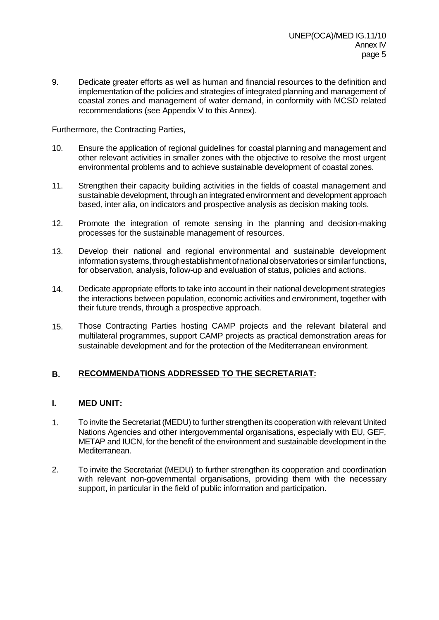9. Dedicate greater efforts as well as human and financial resources to the definition and implementation of the policies and strategies of integrated planning and management of coastal zones and management of water demand, in conformity with MCSD related recommendations (see Appendix V to this Annex).

Furthermore, the Contracting Parties,

- 10. Ensure the application of regional guidelines for coastal planning and management and other relevant activities in smaller zones with the objective to resolve the most urgent environmental problems and to achieve sustainable development of coastal zones.
- 11. Strengthen their capacity building activities in the fields of coastal management and sustainable development, through an integrated environment and development approach based, inter alia, on indicators and prospective analysis as decision making tools.
- 12. Promote the integration of remote sensing in the planning and decision-making processes for the sustainable management of resources.
- 13. Develop their national and regional environmental and sustainable development information systems, through establishment of national observatories or similar functions, for observation, analysis, follow-up and evaluation of status, policies and actions.
- 14. Dedicate appropriate efforts to take into account in their national development strategies the interactions between population, economic activities and environment, together with their future trends, through a prospective approach.
- 15. Those Contracting Parties hosting CAMP projects and the relevant bilateral and multilateral programmes, support CAMP projects as practical demonstration areas for sustainable development and for the protection of the Mediterranean environment.

### **B. RECOMMENDATIONS ADDRESSED TO THE SECRETARIAT:**

### **I. MED UNIT:**

- 1. To invite the Secretariat (MEDU) to further strengthen its cooperation with relevant United Nations Agencies and other intergovernmental organisations, especially with EU, GEF, METAP and IUCN, for the benefit of the environment and sustainable development in the Mediterranean.
- 2. To invite the Secretariat (MEDU) to further strengthen its cooperation and coordination with relevant non-governmental organisations, providing them with the necessary support, in particular in the field of public information and participation.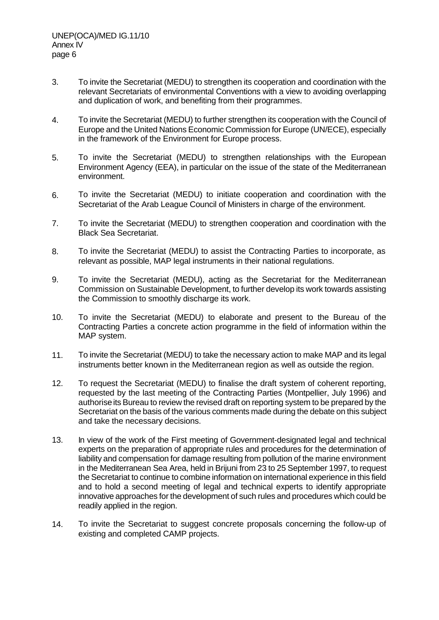- 3. To invite the Secretariat (MEDU) to strengthen its cooperation and coordination with the relevant Secretariats of environmental Conventions with a view to avoiding overlapping and duplication of work, and benefiting from their programmes.
- 4. To invite the Secretariat (MEDU) to further strengthen its cooperation with the Council of Europe and the United Nations Economic Commission for Europe (UN/ECE), especially in the framework of the Environment for Europe process.
- 5. To invite the Secretariat (MEDU) to strengthen relationships with the European Environment Agency (EEA), in particular on the issue of the state of the Mediterranean environment.
- 6. To invite the Secretariat (MEDU) to initiate cooperation and coordination with the Secretariat of the Arab League Council of Ministers in charge of the environment.
- 7. To invite the Secretariat (MEDU) to strengthen cooperation and coordination with the Black Sea Secretariat.
- 8. To invite the Secretariat (MEDU) to assist the Contracting Parties to incorporate, as relevant as possible, MAP legal instruments in their national regulations.
- 9. To invite the Secretariat (MEDU), acting as the Secretariat for the Mediterranean Commission on Sustainable Development, to further develop its work towards assisting the Commission to smoothly discharge its work.
- 10. To invite the Secretariat (MEDU) to elaborate and present to the Bureau of the Contracting Parties a concrete action programme in the field of information within the MAP system.
- 11. To invite the Secretariat (MEDU) to take the necessary action to make MAP and its legal instruments better known in the Mediterranean region as well as outside the region.
- 12. To request the Secretariat (MEDU) to finalise the draft system of coherent reporting, requested by the last meeting of the Contracting Parties (Montpellier, July 1996) and authorise its Bureau to review the revised draft on reporting system to be prepared by the Secretariat on the basis of the various comments made during the debate on this subject and take the necessary decisions.
- 13. In view of the work of the First meeting of Government-designated legal and technical experts on the preparation of appropriate rules and procedures for the determination of liability and compensation for damage resulting from pollution of the marine environment in the Mediterranean Sea Area, held in Brijuni from 23 to 25 September 1997, to request the Secretariat to continue to combine information on international experience in this field and to hold a second meeting of legal and technical experts to identify appropriate innovative approaches for the development of such rules and procedures which could be readily applied in the region.
- 14. To invite the Secretariat to suggest concrete proposals concerning the follow-up of existing and completed CAMP projects.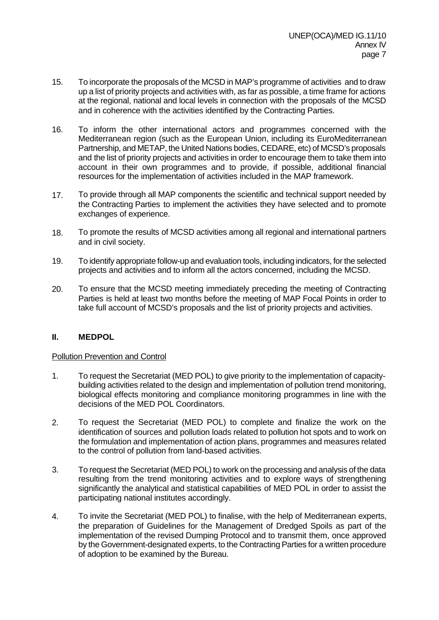- 15. To incorporate the proposals of the MCSD in MAP's programme of activities and to draw up a list of priority projects and activities with, as far as possible, a time frame for actions at the regional, national and local levels in connection with the proposals of the MCSD and in coherence with the activities identified by the Contracting Parties.
- 16. To inform the other international actors and programmes concerned with the Mediterranean region (such as the European Union, including its EuroMediterranean Partnership, and METAP, the United Nations bodies, CEDARE, etc) of MCSD's proposals and the list of priority projects and activities in order to encourage them to take them into account in their own programmes and to provide, if possible, additional financial resources for the implementation of activities included in the MAP framework.
- 17. To provide through all MAP components the scientific and technical support needed by the Contracting Parties to implement the activities they have selected and to promote exchanges of experience.
- 18. To promote the results of MCSD activities among all regional and international partners and in civil society.
- 19. To identify appropriate follow-up and evaluation tools, including indicators, for the selected projects and activities and to inform all the actors concerned, including the MCSD.
- 20. To ensure that the MCSD meeting immediately preceding the meeting of Contracting Parties is held at least two months before the meeting of MAP Focal Points in order to take full account of MCSD's proposals and the list of priority projects and activities.

### **II. MEDPOL**

### Pollution Prevention and Control

- 1. To request the Secretariat (MED POL) to give priority to the implementation of capacitybuilding activities related to the design and implementation of pollution trend monitoring, biological effects monitoring and compliance monitoring programmes in line with the decisions of the MED POL Coordinators.
- 2. To request the Secretariat (MED POL) to complete and finalize the work on the identification of sources and pollution loads related to pollution hot spots and to work on the formulation and implementation of action plans, programmes and measures related to the control of pollution from land-based activities.
- 3. To request the Secretariat (MED POL) to work on the processing and analysis of the data resulting from the trend monitoring activities and to explore ways of strengthening significantly the analytical and statistical capabilities of MED POL in order to assist the participating national institutes accordingly.
- 4. To invite the Secretariat (MED POL) to finalise, with the help of Mediterranean experts, the preparation of Guidelines for the Management of Dredged Spoils as part of the implementation of the revised Dumping Protocol and to transmit them, once approved by the Government-designated experts, to the Contracting Parties for a written procedure of adoption to be examined by the Bureau.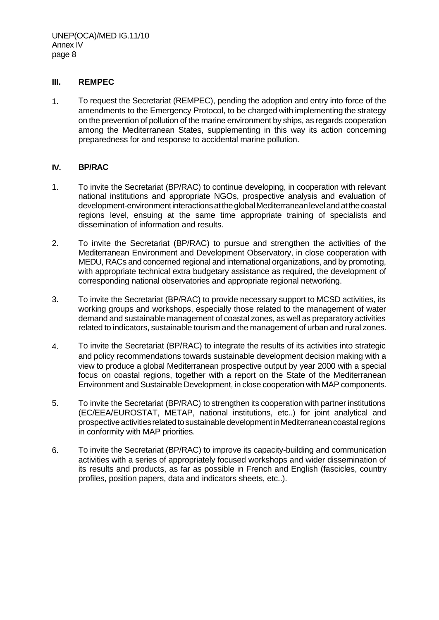### **III. REMPEC**

1. To request the Secretariat (REMPEC), pending the adoption and entry into force of the amendments to the Emergency Protocol, to be charged with implementing the strategy on the prevention of pollution of the marine environment by ships, as regards cooperation among the Mediterranean States, supplementing in this way its action concerning preparedness for and response to accidental marine pollution.

### **IV. BP/RAC**

- 1. To invite the Secretariat (BP/RAC) to continue developing, in cooperation with relevant national institutions and appropriate NGOs, prospective analysis and evaluation of development-environment interactions at the global Mediterranean level and at the coastal regions level, ensuing at the same time appropriate training of specialists and dissemination of information and results.
- 2. To invite the Secretariat (BP/RAC) to pursue and strengthen the activities of the Mediterranean Environment and Development Observatory, in close cooperation with MEDU, RACs and concerned regional and international organizations, and by promoting, with appropriate technical extra budgetary assistance as required, the development of corresponding national observatories and appropriate regional networking.
- 3. To invite the Secretariat (BP/RAC) to provide necessary support to MCSD activities, its working groups and workshops, especially those related to the management of water demand and sustainable management of coastal zones, as well as preparatory activities related to indicators, sustainable tourism and the management of urban and rural zones.
- 4. To invite the Secretariat (BP/RAC) to integrate the results of its activities into strategic and policy recommendations towards sustainable development decision making with a view to produce a global Mediterranean prospective output by year 2000 with a special focus on coastal regions, together with a report on the State of the Mediterranean Environment and Sustainable Development, in close cooperation with MAP components.
- 5. To invite the Secretariat (BP/RAC) to strengthen its cooperation with partner institutions (EC/EEA/EUROSTAT, METAP, national institutions, etc..) for joint analytical and prospective activities related to sustainable development in Mediterranean coastal regions in conformity with MAP priorities.
- 6. To invite the Secretariat (BP/RAC) to improve its capacity-building and communication activities with a series of appropriately focused workshops and wider dissemination of its results and products, as far as possible in French and English (fascicles, country profiles, position papers, data and indicators sheets, etc..).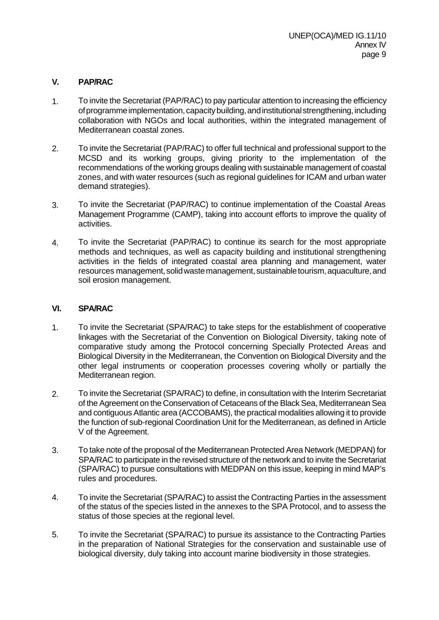### **V. PAP/RAC**

- 1. To invite the Secretariat (PAP/RAC) to pay particular attention to increasing the efficiency of programme implementation, capacity building, and institutional strengthening, including collaboration with NGOs and local authorities, within the integrated management of Mediterranean coastal zones.
- 2. To invite the Secretariat (PAP/RAC) to offer full technical and professional support to the MCSD and its working groups, giving priority to the implementation of the recommendations of the working groups dealing with sustainable management of coastal zones, and with water resources (such as regional guidelines for ICAM and urban water demand strategies).
- 3. To invite the Secretariat (PAP/RAC) to continue implementation of the Coastal Areas Management Programme (CAMP), taking into account efforts to improve the quality of activities.
- 4. To invite the Secretariat (PAP/RAC) to continue its search for the most appropriate methods and techniques, as well as capacity building and institutional strengthening activities in the fields of integrated coastal area planning and management, water resources management, solid waste management, sustainable tourism, aquaculture, and soil erosion management.

### **VI. SPA/RAC**

- 1. To invite the Secretariat (SPA/RAC) to take steps for the establishment of cooperative linkages with the Secretariat of the Convention on Biological Diversity, taking note of comparative study among the Protocol concerning Specially Protected Areas and Biological Diversity in the Mediterranean, the Convention on Biological Diversity and the other legal instruments or cooperation processes covering wholly or partially the Mediterranean region.
- 2. To invite the Secretariat (SPA/RAC) to define, in consultation with the Interim Secretariat of the Agreement on the Conservation of Cetaceans of the Black Sea, Mediterranean Sea and contiguous Atlantic area (ACCOBAMS), the practical modalities allowing it to provide the function of sub-regional Coordination Unit for the Mediterranean, as defined in Article V of the Agreement.
- 3. To take note of the proposal of the Mediterranean Protected Area Network (MEDPAN) for SPA/RAC to participate in the revised structure of the network and to invite the Secretariat (SPA/RAC) to pursue consultations with MEDPAN on this issue, keeping in mind MAP's rules and procedures.
- 4. To invite the Secretariat (SPA/RAC) to assist the Contracting Parties in the assessment of the status of the species listed in the annexes to the SPA Protocol, and to assess the status of those species at the regional level.
- 5. To invite the Secretariat (SPA/RAC) to pursue its assistance to the Contracting Parties in the preparation of National Strategies for the conservation and sustainable use of biological diversity, duly taking into account marine biodiversity in those strategies.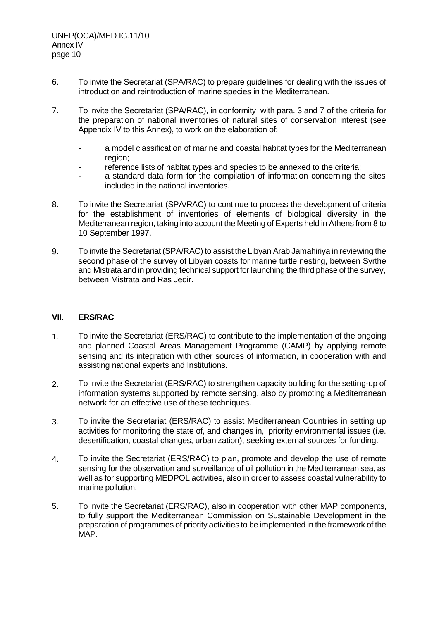- 6. To invite the Secretariat (SPA/RAC) to prepare guidelines for dealing with the issues of introduction and reintroduction of marine species in the Mediterranean.
- 7. To invite the Secretariat (SPA/RAC), in conformity with para. 3 and 7 of the criteria for the preparation of national inventories of natural sites of conservation interest (see Appendix IV to this Annex), to work on the elaboration of:
	- a model classification of marine and coastal habitat types for the Mediterranean region;
	- reference lists of habitat types and species to be annexed to the criteria:
	- a standard data form for the compilation of information concerning the sites included in the national inventories.
- 8. To invite the Secretariat (SPA/RAC) to continue to process the development of criteria for the establishment of inventories of elements of biological diversity in the Mediterranean region, taking into account the Meeting of Experts held in Athens from 8 to 10 September 1997.
- 9. To invite the Secretariat (SPA/RAC) to assist the Libyan Arab Jamahiriya in reviewing the second phase of the survey of Libyan coasts for marine turtle nesting, between Syrthe and Mistrata and in providing technical support for launching the third phase of the survey, between Mistrata and Ras Jedir.

# **VII. ERS/RAC**

- 1. To invite the Secretariat (ERS/RAC) to contribute to the implementation of the ongoing and planned Coastal Areas Management Programme (CAMP) by applying remote sensing and its integration with other sources of information, in cooperation with and assisting national experts and Institutions.
- 2. To invite the Secretariat (ERS/RAC) to strengthen capacity building for the setting-up of information systems supported by remote sensing, also by promoting a Mediterranean network for an effective use of these techniques.
- 3. To invite the Secretariat (ERS/RAC) to assist Mediterranean Countries in setting up activities for monitoring the state of, and changes in, priority environmental issues (i.e. desertification, coastal changes, urbanization), seeking external sources for funding.
- 4. To invite the Secretariat (ERS/RAC) to plan, promote and develop the use of remote sensing for the observation and surveillance of oil pollution in the Mediterranean sea, as well as for supporting MEDPOL activities, also in order to assess coastal vulnerability to marine pollution.
- 5. To invite the Secretariat (ERS/RAC), also in cooperation with other MAP components, to fully support the Mediterranean Commission on Sustainable Development in the preparation of programmes of priority activities to be implemented in the framework of the MAP.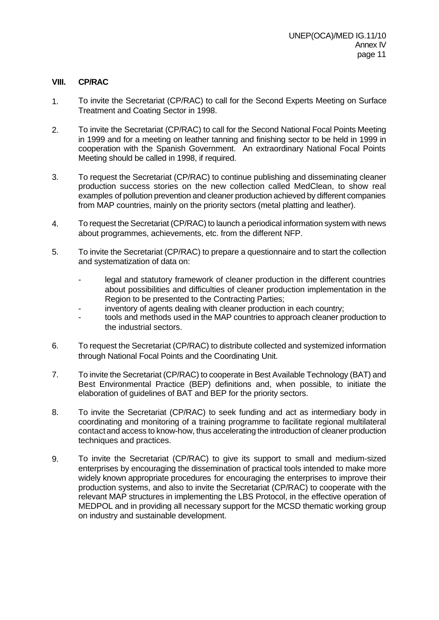# **VIII. CP/RAC**

- 1. To invite the Secretariat (CP/RAC) to call for the Second Experts Meeting on Surface Treatment and Coating Sector in 1998.
- 2. To invite the Secretariat (CP/RAC) to call for the Second National Focal Points Meeting in 1999 and for a meeting on leather tanning and finishing sector to be held in 1999 in cooperation with the Spanish Government. An extraordinary National Focal Points Meeting should be called in 1998, if required.
- 3. To request the Secretariat (CP/RAC) to continue publishing and disseminating cleaner production success stories on the new collection called MedClean, to show real examples of pollution prevention and cleaner production achieved by different companies from MAP countries, mainly on the priority sectors (metal platting and leather).
- 4. To request the Secretariat (CP/RAC) to launch a periodical information system with news about programmes, achievements, etc. from the different NFP.
- 5. To invite the Secretariat (CP/RAC) to prepare a questionnaire and to start the collection and systematization of data on:
	- legal and statutory framework of cleaner production in the different countries about possibilities and difficulties of cleaner production implementation in the Region to be presented to the Contracting Parties;
	- inventory of agents dealing with cleaner production in each country;
	- tools and methods used in the MAP countries to approach cleaner production to the industrial sectors.
- 6. To request the Secretariat (CP/RAC) to distribute collected and systemized information through National Focal Points and the Coordinating Unit.
- 7. To invite the Secretariat (CP/RAC) to cooperate in Best Available Technology (BAT) and Best Environmental Practice (BEP) definitions and, when possible, to initiate the elaboration of guidelines of BAT and BEP for the priority sectors.
- 8. To invite the Secretariat (CP/RAC) to seek funding and act as intermediary body in coordinating and monitoring of a training programme to facilitate regional multilateral contact and access to know-how, thus accelerating the introduction of cleaner production techniques and practices.
- 9. To invite the Secretariat (CP/RAC) to give its support to small and medium-sized enterprises by encouraging the dissemination of practical tools intended to make more widely known appropriate procedures for encouraging the enterprises to improve their production systems, and also to invite the Secretariat (CP/RAC) to cooperate with the relevant MAP structures in implementing the LBS Protocol, in the effective operation of MEDPOL and in providing all necessary support for the MCSD thematic working group on industry and sustainable development.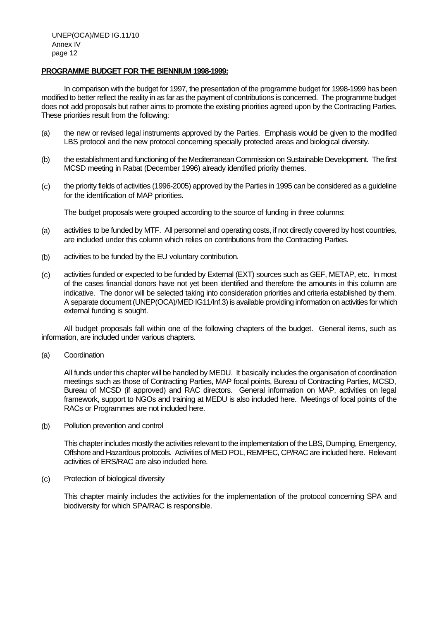#### **PROGRAMME BUDGET FOR THE BIENNIUM 1998-1999:**

In comparison with the budget for 1997, the presentation of the programme budget for 1998-1999 has been modified to better reflect the reality in as far as the payment of contributions is concerned. The programme budget does not add proposals but rather aims to promote the existing priorities agreed upon by the Contracting Parties. These priorities result from the following:

- (a) the new or revised legal instruments approved by the Parties. Emphasis would be given to the modified LBS protocol and the new protocol concerning specially protected areas and biological diversity.
- (b) the establishment and functioning of the Mediterranean Commission on Sustainable Development. The first MCSD meeting in Rabat (December 1996) already identified priority themes.
- (c) the priority fields of activities (1996-2005) approved by the Parties in 1995 can be considered as a guideline for the identification of MAP priorities.

The budget proposals were grouped according to the source of funding in three columns:

- (a) activities to be funded by MTF. All personnel and operating costs, if not directly covered by host countries, are included under this column which relies on contributions from the Contracting Parties.
- (b) activities to be funded by the EU voluntary contribution.
- (c) activities funded or expected to be funded by External (EXT) sources such as GEF, METAP, etc. In most of the cases financial donors have not yet been identified and therefore the amounts in this column are indicative. The donor will be selected taking into consideration priorities and criteria established by them. A separate document (UNEP(OCA)/MED IG11/Inf.3) is available providing information on activities for which external funding is sought.

All budget proposals fall within one of the following chapters of the budget. General items, such as information, are included under various chapters.

(a) Coordination

All funds under this chapter will be handled by MEDU. It basically includes the organisation of coordination meetings such as those of Contracting Parties, MAP focal points, Bureau of Contracting Parties, MCSD, Bureau of MCSD (if approved) and RAC directors. General information on MAP, activities on legal framework, support to NGOs and training at MEDU is also included here. Meetings of focal points of the RACs or Programmes are not included here.

(b) Pollution prevention and control

This chapter includes mostly the activities relevant to the implementation of the LBS, Dumping, Emergency, Offshore and Hazardous protocols. Activities of MED POL, REMPEC, CP/RAC are included here. Relevant activities of ERS/RAC are also included here.

(c) Protection of biological diversity

This chapter mainly includes the activities for the implementation of the protocol concerning SPA and biodiversity for which SPA/RAC is responsible.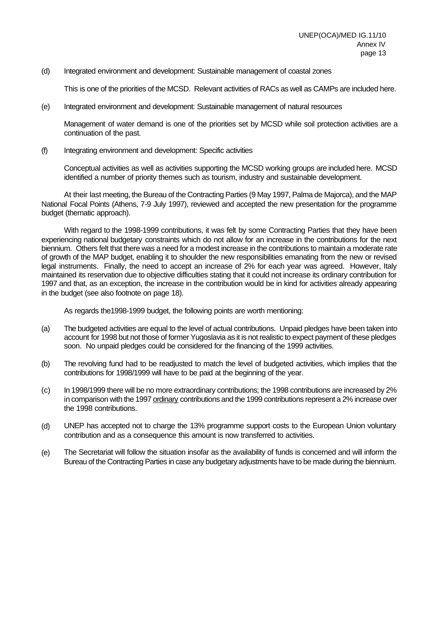(d) Integrated environment and development: Sustainable management of coastal zones

This is one of the priorities of the MCSD. Relevant activities of RACs as well as CAMPs are included here.

(e) Integrated environment and development: Sustainable management of natural resources

Management of water demand is one of the priorities set by MCSD while soil protection activities are a continuation of the past.

(f) Integrating environment and development: Specific activities

Conceptual activities as well as activities supporting the MCSD working groups are included here. MCSD identified a number of priority themes such as tourism, industry and sustainable development.

At their last meeting, the Bureau of the Contracting Parties (9 May 1997, Palma de Majorca), and the MAP National Focal Points (Athens, 7-9 July 1997), reviewed and accepted the new presentation for the programme budget (thematic approach).

With regard to the 1998-1999 contributions, it was felt by some Contracting Parties that they have been experiencing national budgetary constraints which do not allow for an increase in the contributions for the next biennium. Others felt that there was a need for a modest increase in the contributions to maintain a moderate rate of growth of the MAP budget, enabling it to shoulder the new responsibilities emanating from the new or revised legal instruments. Finally, the need to accept an increase of 2% for each year was agreed. However, Italy maintained its reservation due to objective difficulties stating that it could not increase its ordinary contribution for 1997 and that, as an exception, the increase in the contribution would be in kind for activities already appearing in the budget (see also footnote on page 18).

As regards the1998-1999 budget, the following points are worth mentioning:

- (a) The budgeted activities are equal to the level of actual contributions. Unpaid pledges have been taken into account for 1998 but not those of former Yugoslavia as it is not realistic to expect payment of these pledges soon. No unpaid pledges could be considered for the financing of the 1999 activities.
- (b) The revolving fund had to be readjusted to match the level of budgeted activities, which implies that the contributions for 1998/1999 will have to be paid at the beginning of the year.
- (c) In 1998/1999 there will be no more extraordinary contributions; the 1998 contributions are increased by 2% in comparison with the 1997 ordinary contributions and the 1999 contributions represent a 2% increase over the 1998 contributions.
- (d) UNEP has accepted not to charge the 13% programme support costs to the European Union voluntary contribution and as a consequence this amount is now transferred to activities.
- (e) The Secretariat will follow the situation insofar as the availability of funds is concerned and will inform the Bureau of the Contracting Parties in case any budgetary adjustments have to be made during the biennium.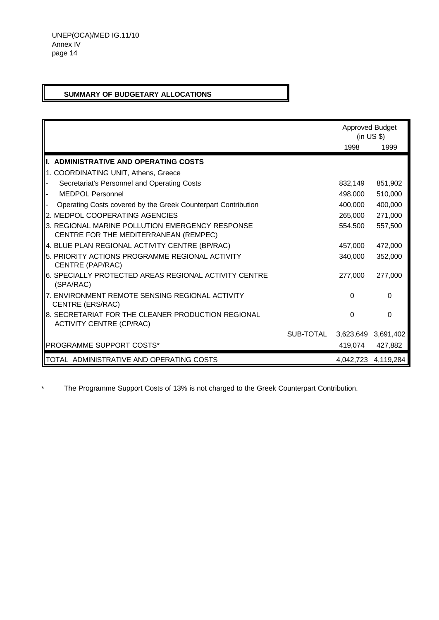# **SUMMARY OF BUDGETARY ALLOCATIONS**

|                                                                                          |           | Approved Budget | (in US \$)          |  |
|------------------------------------------------------------------------------------------|-----------|-----------------|---------------------|--|
|                                                                                          |           | 1998            | 1999                |  |
| II. ADMINISTRATIVE AND OPERATING COSTS                                                   |           |                 |                     |  |
| 1. COORDINATING UNIT, Athens, Greece                                                     |           |                 |                     |  |
| Secretariat's Personnel and Operating Costs                                              |           | 832,149         | 851,902             |  |
| <b>MEDPOL Personnel</b>                                                                  |           | 498,000         | 510,000             |  |
| Operating Costs covered by the Greek Counterpart Contribution                            |           | 400,000         | 400,000             |  |
| 2. MEDPOL COOPERATING AGENCIES                                                           |           | 265,000         | 271,000             |  |
| 3. REGIONAL MARINE POLLUTION EMERGENCY RESPONSE<br>CENTRE FOR THE MEDITERRANEAN (REMPEC) |           | 554,500         | 557,500             |  |
| 4. BLUE PLAN REGIONAL ACTIVITY CENTRE (BP/RAC)                                           |           | 457,000         | 472,000             |  |
| 5. PRIORITY ACTIONS PROGRAMME REGIONAL ACTIVITY<br>CENTRE (PAP/RAC)                      |           | 340,000         | 352,000             |  |
| 6. SPECIALLY PROTECTED AREAS REGIONAL ACTIVITY CENTRE<br>(SPA/RAC)                       |           | 277,000         | 277,000             |  |
| 7. ENVIRONMENT REMOTE SENSING REGIONAL ACTIVITY<br>CENTRE (ERS/RAC)                      |           | 0               | 0                   |  |
| 8. SECRETARIAT FOR THE CLEANER PRODUCTION REGIONAL<br><b>ACTIVITY CENTRE (CP/RAC)</b>    |           | 0               | 0                   |  |
|                                                                                          | SUB-TOTAL | 3,623,649       | 3,691,402           |  |
| PROGRAMME SUPPORT COSTS*                                                                 |           | 419,074         | 427,882             |  |
| TOTAL ADMINISTRATIVE AND OPERATING COSTS                                                 |           |                 | 4,042,723 4,119,284 |  |

\* The Programme Support Costs of 13% is not charged to the Greek Counterpart Contribution.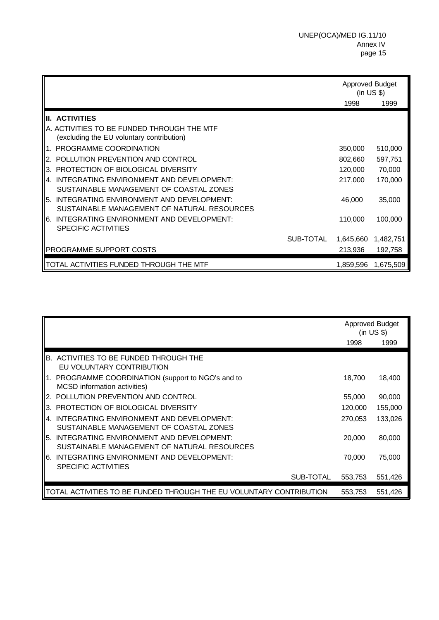|                                                                                               |           | Approved Budget<br>(in US \$) |           |  |
|-----------------------------------------------------------------------------------------------|-----------|-------------------------------|-----------|--|
|                                                                                               |           | 1998                          | 1999      |  |
| <b>II. ACTIVITIES</b>                                                                         |           |                               |           |  |
| A. ACTIVITIES TO BE FUNDED THROUGH THE MTF<br>(excluding the EU voluntary contribution)       |           |                               |           |  |
| PROGRAMME COORDINATION<br>1.                                                                  |           | 350,000                       | 510,000   |  |
| POLLUTION PREVENTION AND CONTROL<br>2.                                                        |           | 802,660                       | 597,751   |  |
| PROTECTION OF BIOLOGICAL DIVERSITY<br>3.                                                      |           | 120,000                       | 70,000    |  |
| INTEGRATING ENVIRONMENT AND DEVELOPMENT:<br>4.<br>SUSTAINABLE MANAGEMENT OF COASTAL ZONES     |           | 217,000                       | 170,000   |  |
| INTEGRATING ENVIRONMENT AND DEVELOPMENT:<br>5.<br>SUSTAINABLE MANAGEMENT OF NATURAL RESOURCES |           | 46,000                        | 35,000    |  |
| INTEGRATING ENVIRONMENT AND DEVELOPMENT:<br>6.<br><b>SPECIFIC ACTIVITIES</b>                  |           | 110,000                       | 100,000   |  |
|                                                                                               | SUB-TOTAL | 1,645,660                     | 1,482,751 |  |
| PROGRAMME SUPPORT COSTS                                                                       |           | 213,936                       | 192,758   |  |
| TOTAL ACTIVITIES FUNDED THROUGH THE MTF                                                       |           | 1,859,596                     | 1,675,509 |  |

|                                                                     |         | <b>Approved Budget</b><br>(in US \$) |
|---------------------------------------------------------------------|---------|--------------------------------------|
|                                                                     | 1998    | 1999                                 |
| B. ACTIVITIES TO BE FUNDED THROUGH THE                              |         |                                      |
| EU VOLUNTARY CONTRIBUTION                                           |         |                                      |
| PROGRAMME COORDINATION (support to NGO's and to<br>1.               | 18.700  | 18,400                               |
| MCSD information activities)                                        |         |                                      |
| POLLUTION PREVENTION AND CONTROL<br>$\mathsf{R}$                    | 55,000  | 90,000                               |
| 3. PROTECTION OF BIOLOGICAL DIVERSITY                               | 120,000 | 155,000                              |
| INTEGRATING ENVIRONMENT AND DEVELOPMENT:<br>4.                      | 270,053 | 133,026                              |
| SUSTAINABLE MANAGEMENT OF COASTAL ZONES                             |         |                                      |
| INTEGRATING ENVIRONMENT AND DEVELOPMENT:<br>5.                      | 20,000  | 80,000                               |
| SUSTAINABLE MANAGEMENT OF NATURAL RESOURCES                         |         |                                      |
| INTEGRATING ENVIRONMENT AND DEVELOPMENT:<br>6.                      | 70,000  | 75,000                               |
| <b>SPECIFIC ACTIVITIES</b>                                          |         |                                      |
| SUB-TOTAL                                                           | 553,753 | 551,426                              |
| TOTAL ACTIVITIES TO BE FUNDED THROUGH THE EU VOLUNTARY CONTRIBUTION | 553,753 | 551,426                              |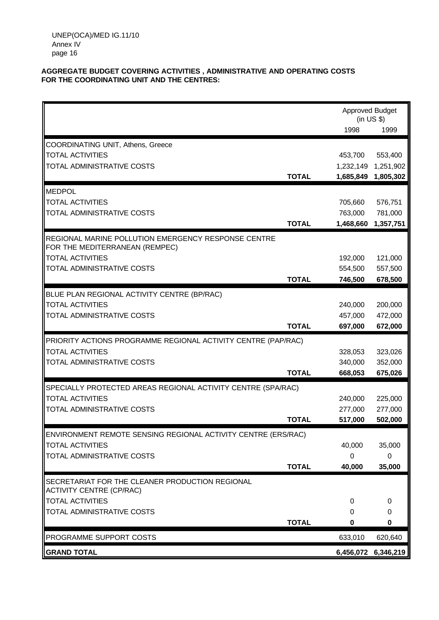# **AGGREGATE BUDGET COVERING ACTIVITIES , ADMINISTRATIVE AND OPERATING COSTS FOR THE COORDINATING UNIT AND THE CENTRES:**

|                                                                                       |           | Approved Budget<br>(in US \$) |  |
|---------------------------------------------------------------------------------------|-----------|-------------------------------|--|
|                                                                                       | 1998      | 1999                          |  |
| COORDINATING UNIT, Athens, Greece                                                     |           |                               |  |
| <b>TOTAL ACTIVITIES</b>                                                               | 453,700   | 553,400                       |  |
| TOTAL ADMINISTRATIVE COSTS                                                            | 1,232,149 | 1,251,902                     |  |
| <b>TOTAL</b>                                                                          | 1,685,849 | 1,805,302                     |  |
| <b>MEDPOL</b>                                                                         |           |                               |  |
| <b>TOTAL ACTIVITIES</b>                                                               | 705,660   | 576,751                       |  |
| <b>TOTAL ADMINISTRATIVE COSTS</b>                                                     | 763,000   | 781,000                       |  |
| <b>TOTAL</b>                                                                          | 1,468,660 | 1,357,751                     |  |
| REGIONAL MARINE POLLUTION EMERGENCY RESPONSE CENTRE<br>FOR THE MEDITERRANEAN (REMPEC) |           |                               |  |
| <b>TOTAL ACTIVITIES</b>                                                               | 192,000   | 121,000                       |  |
| <b>TOTAL ADMINISTRATIVE COSTS</b>                                                     | 554,500   | 557,500                       |  |
| <b>TOTAL</b>                                                                          | 746,500   | 678,500                       |  |
| BLUE PLAN REGIONAL ACTIVITY CENTRE (BP/RAC)                                           |           |                               |  |
| <b>TOTAL ACTIVITIES</b>                                                               | 240,000   | 200,000                       |  |
| TOTAL ADMINISTRATIVE COSTS                                                            | 457,000   | 472,000                       |  |
| <b>TOTAL</b>                                                                          | 697,000   | 672,000                       |  |
| PRIORITY ACTIONS PROGRAMME REGIONAL ACTIVITY CENTRE (PAP/RAC)                         |           |                               |  |
| <b>TOTAL ACTIVITIES</b>                                                               | 328,053   | 323,026                       |  |
| <b>TOTAL ADMINISTRATIVE COSTS</b>                                                     | 340,000   | 352,000                       |  |
| <b>TOTAL</b>                                                                          | 668,053   | 675,026                       |  |
| SPECIALLY PROTECTED AREAS REGIONAL ACTIVITY CENTRE (SPA/RAC)                          |           |                               |  |
| <b>TOTAL ACTIVITIES</b>                                                               | 240,000   | 225,000                       |  |
| TOTAL ADMINISTRATIVE COSTS                                                            | 277,000   | 277,000                       |  |
| <b>TOTAL</b>                                                                          | 517,000   | 502,000                       |  |
| ENVIRONMENT REMOTE SENSING REGIONAL ACTIVITY CENTRE (ERS/RAC)                         |           |                               |  |
| <b>TOTAL ACTIVITIES</b>                                                               | 40,000    | 35,000                        |  |
| <b>TOTAL ADMINISTRATIVE COSTS</b>                                                     | $\Omega$  | 0                             |  |
| <b>TOTAL</b>                                                                          | 40,000    | 35,000                        |  |
| SECRETARIAT FOR THE CLEANER PRODUCTION REGIONAL<br><b>ACTIVITY CENTRE (CP/RAC)</b>    |           |                               |  |
| <b>TOTAL ACTIVITIES</b>                                                               | 0         | 0                             |  |
| TOTAL ADMINISTRATIVE COSTS                                                            | 0         | 0                             |  |
| <b>TOTAL</b>                                                                          | 0         | 0                             |  |
| PROGRAMME SUPPORT COSTS                                                               | 633,010   | 620,640                       |  |
| <b>GRAND TOTAL</b>                                                                    |           | 6,456,072 6,346,219           |  |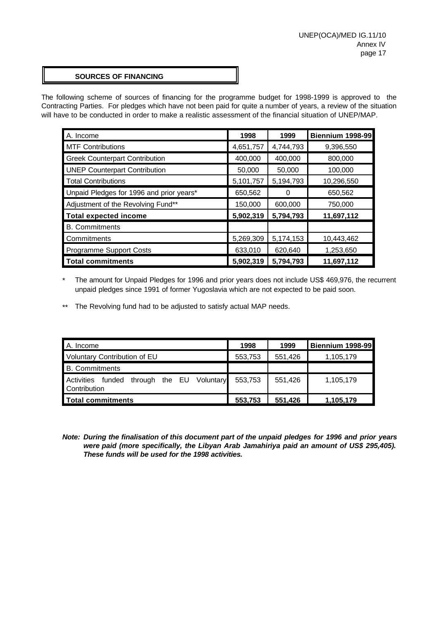# **SOURCES OF FINANCING**

The following scheme of sources of financing for the programme budget for 1998-1999 is approved to the Contracting Parties. For pledges which have not been paid for quite a number of years, a review of the situation will have to be conducted in order to make a realistic assessment of the financial situation of UNEP/MAP.

| A. Income                                | 1998      | 1999      | Biennium 1998-99 |
|------------------------------------------|-----------|-----------|------------------|
| <b>MTF Contributions</b>                 | 4,651,757 | 4,744,793 | 9,396,550        |
| <b>Greek Counterpart Contribution</b>    | 400,000   | 400,000   | 800,000          |
| <b>UNEP Counterpart Contribution</b>     | 50,000    | 50,000    | 100,000          |
| <b>Total Contributions</b>               | 5,101,757 | 5,194,793 | 10,296,550       |
| Unpaid Pledges for 1996 and prior years* | 650,562   | Ω         | 650,562          |
| Adjustment of the Revolving Fund**       | 150,000   | 600,000   | 750,000          |
| <b>Total expected income</b>             | 5,902,319 | 5,794,793 | 11,697,112       |
| <b>B. Commitments</b>                    |           |           |                  |
| Commitments                              | 5,269,309 | 5,174,153 | 10,443,462       |
| <b>Programme Support Costs</b>           | 633,010   | 620,640   | 1,253,650        |
| Total commitments                        | 5,902,319 | 5,794,793 | 11,697,112       |

The amount for Unpaid Pledges for 1996 and prior years does not include US\$ 469,976, the recurrent unpaid pledges since 1991 of former Yugoslavia which are not expected to be paid soon.

\*\* The Revolving fund had to be adjusted to satisfy actual MAP needs.

| Income                                                              | 1998    | 1999    | <b>Biennium 1998-99</b> |
|---------------------------------------------------------------------|---------|---------|-------------------------|
| Voluntary Contribution of EU                                        | 553,753 | 551,426 | 1,105,179               |
| <b>B.</b> Commitments                                               |         |         |                         |
| Voluntary<br>through the EU<br>Activities<br>funded<br>Contribution | 553,753 | 551,426 | 1,105,179               |
| Total commitments                                                   | 553.753 | 551.426 | 1.105.179               |

*Note: During the finalisation of this document part of the unpaid pledges for 1996 and prior years were paid (more specifically, the Libyan Arab Jamahiriya paid an amount of US\$ 295,405). These funds will be used for the 1998 activities.*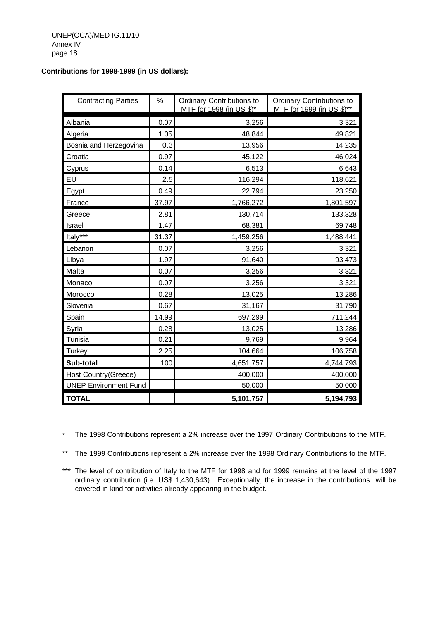#### **Contributions for 1998-1999 (in US dollars):**

| <b>Contracting Parties</b>   | %     | <b>Ordinary Contributions to</b><br>MTF for 1998 (in US \$)* | Ordinary Contributions to<br>MTF for 1999 (in US \$)** |
|------------------------------|-------|--------------------------------------------------------------|--------------------------------------------------------|
| Albania                      | 0.07  | 3,256                                                        | 3,321                                                  |
| Algeria                      | 1.05  | 48,844                                                       | 49,821                                                 |
| Bosnia and Herzegovina       | 0.3   | 13,956                                                       | 14,235                                                 |
| Croatia                      | 0.97  | 45,122                                                       | 46,024                                                 |
| Cyprus                       | 0.14  | 6,513                                                        | 6,643                                                  |
| EU                           | 2.5   | 116,294                                                      | 118,621                                                |
| Egypt                        | 0.49  | 22,794                                                       | 23,250                                                 |
| France                       | 37.97 | 1,766,272                                                    | 1,801,597                                              |
| Greece                       | 2.81  | 130,714                                                      | 133,328                                                |
| Israel                       | 1.47  | 68,381                                                       | 69,748                                                 |
| Italy***                     | 31.37 | 1,459,256                                                    | 1,488,441                                              |
| Lebanon                      | 0.07  | 3,256                                                        | 3,321                                                  |
| Libya                        | 1.97  | 91,640                                                       | 93,473                                                 |
| Malta                        | 0.07  | 3,256                                                        | 3,321                                                  |
| Monaco                       | 0.07  | 3,256                                                        | 3,321                                                  |
| Morocco                      | 0.28  | 13,025                                                       | 13,286                                                 |
| Slovenia                     | 0.67  | 31,167                                                       | 31,790                                                 |
| Spain                        | 14.99 | 697,299                                                      | 711,244                                                |
| Syria                        | 0.28  | 13,025                                                       | 13,286                                                 |
| Tunisia                      | 0.21  | 9,769                                                        | 9,964                                                  |
| Turkey                       | 2.25  | 104,664                                                      | 106,758                                                |
| Sub-total                    | 100   | 4,651,757                                                    | 4,744,793                                              |
| Host Country(Greece)         |       | 400,000                                                      | 400,000                                                |
| <b>UNEP Environment Fund</b> |       | 50,000                                                       | 50,000                                                 |
| <b>TOTAL</b>                 |       | 5,101,757                                                    | 5,194,793                                              |

\* The 1998 Contributions represent a 2% increase over the 1997 Ordinary Contributions to the MTF.

\*\* The 1999 Contributions represent a 2% increase over the 1998 Ordinary Contributions to the MTF.

\*\*\* The level of contribution of Italy to the MTF for 1998 and for 1999 remains at the level of the 1997 ordinary contribution (i.e. US\$ 1,430,643). Exceptionally, the increase in the contributions will be covered in kind for activities already appearing in the budget.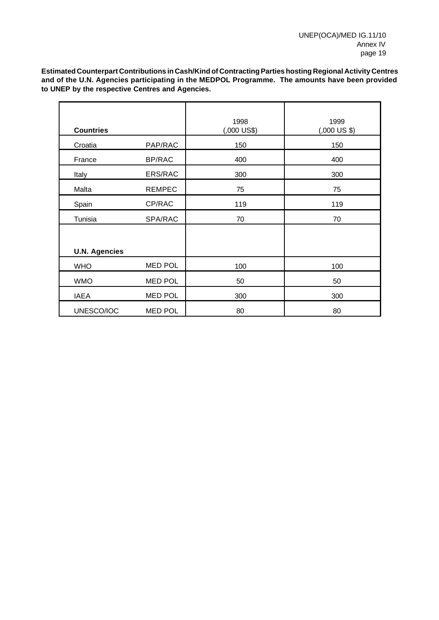**Estimated Counterpart Contributions in Cash/Kind of Contracting Parties hosting Regional Activity Centres and of the U.N. Agencies participating in the MEDPOL Programme. The amounts have been provided to UNEP by the respective Centres and Agencies.**

| <b>Countries</b>     |                | 1998<br>$(.000 \text{ US$})$ | 1999<br>$(.000 \text{ US } $)$ |
|----------------------|----------------|------------------------------|--------------------------------|
| Croatia              | PAP/RAC        | 150                          | 150                            |
| France               | BP/RAC         | 400                          | 400                            |
| Italy                | ERS/RAC        | 300                          | 300                            |
| Malta                | <b>REMPEC</b>  | 75                           | 75                             |
| Spain                | CP/RAC         | 119                          | 119                            |
| Tunisia              | SPA/RAC        | 70                           | 70                             |
|                      |                |                              |                                |
| <b>U.N. Agencies</b> |                |                              |                                |
| <b>WHO</b>           | <b>MED POL</b> | 100                          | 100                            |
| <b>WMO</b>           | <b>MED POL</b> | 50                           | 50                             |
| <b>IAEA</b>          | <b>MED POL</b> | 300                          | 300                            |
| UNESCO/IOC           | <b>MED POL</b> | 80                           | 80                             |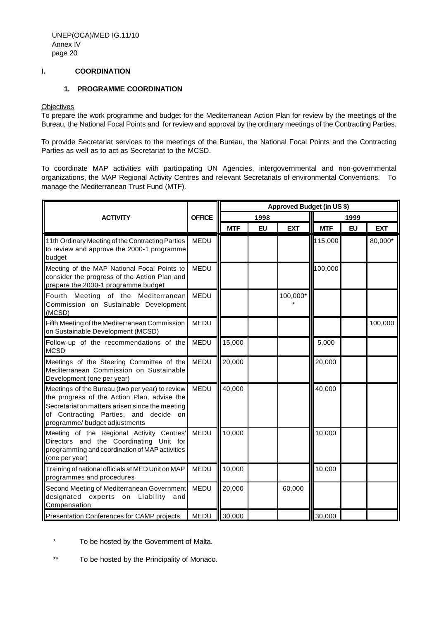#### **I. COORDINATION**

#### **1. PROGRAMME COORDINATION**

# **Objectives**

To prepare the work programme and budget for the Mediterranean Action Plan for review by the meetings of the Bureau, the National Focal Points and for review and approval by the ordinary meetings of the Contracting Parties.

To provide Secretariat services to the meetings of the Bureau, the National Focal Points and the Contracting Parties as well as to act as Secretariat to the MCSD.

To coordinate MAP activities with participating UN Agencies, intergovernmental and non-governmental organizations, the MAP Regional Activity Centres and relevant Secretariats of environmental Conventions. To manage the Mediterranean Trust Fund (MTF).

|                                                                                                                                                                                                                            |               |            |           | Approved Budget (in US \$) |            |           |            |
|----------------------------------------------------------------------------------------------------------------------------------------------------------------------------------------------------------------------------|---------------|------------|-----------|----------------------------|------------|-----------|------------|
| <b>ACTIVITY</b>                                                                                                                                                                                                            | <b>OFFICE</b> |            | 1998      |                            |            | 1999      |            |
|                                                                                                                                                                                                                            |               | <b>MTF</b> | <b>EU</b> | <b>EXT</b>                 | <b>MTF</b> | <b>EU</b> | <b>EXT</b> |
| 11th Ordinary Meeting of the Contracting Parties<br>to review and approve the 2000-1 programme<br>budget                                                                                                                   | <b>MEDU</b>   |            |           |                            | 115,000    |           | 80,000*    |
| Meeting of the MAP National Focal Points to<br>consider the progress of the Action Plan and<br>prepare the 2000-1 programme budget                                                                                         | <b>MEDU</b>   |            |           |                            | 100,000    |           |            |
| Fourth Meeting of the Mediterranean<br>Commission on Sustainable Development<br>(MCSD)                                                                                                                                     | <b>MEDU</b>   |            |           | 100,000*                   |            |           |            |
| Fifth Meeting of the Mediterranean Commission<br>on Sustainable Development (MCSD)                                                                                                                                         | <b>MEDU</b>   |            |           |                            |            |           | 100,000    |
| Follow-up of the recommendations of the<br><b>MCSD</b>                                                                                                                                                                     | <b>MEDU</b>   | 15,000     |           |                            | 5,000      |           |            |
| Meetings of the Steering Committee of the<br>Mediterranean Commission on Sustainable<br>Development (one per year)                                                                                                         | <b>MEDU</b>   | 20,000     |           |                            | 20,000     |           |            |
| Meetings of the Bureau (two per year) to review<br>the progress of the Action Plan, advise the<br>Secretariaton matters arisen since the meeting<br>of Contracting Parties, and decide on<br>programme/ budget adjustments | <b>MEDU</b>   | 40,000     |           |                            | 40,000     |           |            |
| Meeting of the Regional Activity Centres'<br>Directors and the Coordinating Unit for<br>programming and coordination of MAP activities<br>(one per year)                                                                   | <b>MEDU</b>   | 10,000     |           |                            | 10,000     |           |            |
| Training of national officials at MED Unit on MAP<br>programmes and procedures                                                                                                                                             | <b>MEDU</b>   | 10,000     |           |                            | 10,000     |           |            |
| Second Meeting of Mediterranean Government<br>designated experts on Liability<br>and<br>Compensation                                                                                                                       | <b>MEDU</b>   | 20,000     |           | 60,000                     |            |           |            |
| <b>Presentation Conferences for CAMP projects</b>                                                                                                                                                                          | <b>MEDU</b>   | 30,000     |           |                            | 30,000     |           |            |

\* To be hosted by the Government of Malta.

\*\* To be hosted by the Principality of Monaco.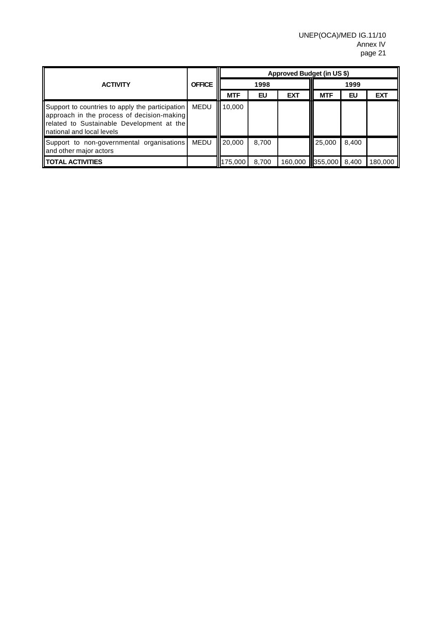|                                                                                                                                                                         |               |             |       | Approved Budget (in US \$) |                       |       |            |
|-------------------------------------------------------------------------------------------------------------------------------------------------------------------------|---------------|-------------|-------|----------------------------|-----------------------|-------|------------|
| <b>ACTIVITY</b>                                                                                                                                                         | <b>OFFICE</b> |             | 1998  |                            |                       | 1999  |            |
|                                                                                                                                                                         |               | <b>MTF</b>  | EU    | <b>EXT</b>                 | <b>MTF</b>            | EU    | <b>EXT</b> |
| Support to countries to apply the participation<br>approach in the process of decision-making<br>related to Sustainable Development at the<br>national and local levels | MEDU          | 10,000<br>Ш |       |                            |                       |       |            |
| Support to non-governmental organisations<br>and other major actors                                                                                                     | <b>MEDU</b>   | 20,000      | 8.700 |                            | 25,000                | 8.400 |            |
| <b>II TOTAL ACTIVITIES</b>                                                                                                                                              |               | 175,000     | 8,700 |                            | 160,000 355,000 8,400 |       | 180,000    |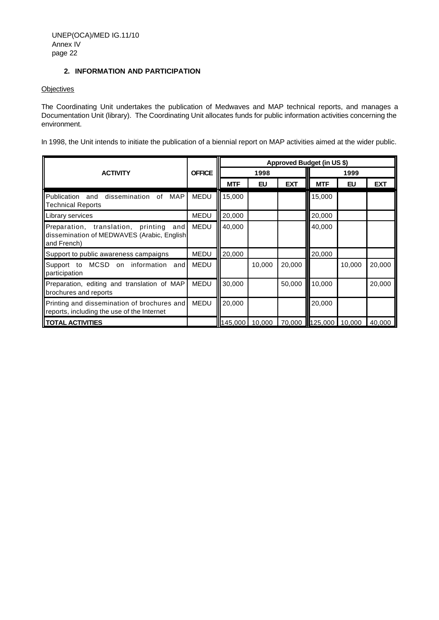# **2. INFORMATION AND PARTICIPATION**

## **Objectives**

The Coordinating Unit undertakes the publication of Medwaves and MAP technical reports, and manages a Documentation Unit (library). The Coordinating Unit allocates funds for public information activities concerning the environment.

In 1998, the Unit intends to initiate the publication of a biennial report on MAP activities aimed at the wider public.

|                                                                                                         |               | Approved Budget (in US \$) |        |            |                                 |        |            |
|---------------------------------------------------------------------------------------------------------|---------------|----------------------------|--------|------------|---------------------------------|--------|------------|
| <b>ACTIVITY</b>                                                                                         | <b>OFFICE</b> |                            | 1998   |            | 1999                            |        |            |
|                                                                                                         |               | <b>MTF</b>                 | EU     | <b>EXT</b> | <b>MTF</b>                      | EU     | <b>EXT</b> |
| Publication and dissemination of MAP<br><b>Technical Reports</b>                                        | <b>MEDU</b>   | 15,000                     |        |            | 15,000                          |        |            |
| Library services                                                                                        | <b>MEDU</b>   | 20,000                     |        |            | 20,000                          |        |            |
| Preparation, translation, printing<br>andl<br>dissemination of MEDWAVES (Arabic, English<br>and French) | <b>MEDU</b>   | 40,000                     |        |            | 40,000                          |        |            |
| Support to public awareness campaigns                                                                   | <b>MEDU</b>   | 20,000                     |        |            | 20,000                          |        |            |
| Support to MCSD on information and<br>participation                                                     | <b>MEDU</b>   |                            | 10.000 | 20,000     |                                 | 10,000 | 20,000     |
| Preparation, editing and translation of MAP<br>brochures and reports                                    | <b>MEDU</b>   | 30,000                     |        | 50,000     | 10,000                          |        | 20,000     |
| Printing and dissemination of brochures and<br>reports, including the use of the Internet               | <b>MEDU</b>   | 20,000                     |        |            | 20,000                          |        |            |
| <b>TOTAL ACTIVITIES</b>                                                                                 |               | 145,000 10,000             |        | 70,000     | $\blacksquare$ 125,000   10,000 |        | 40,000     |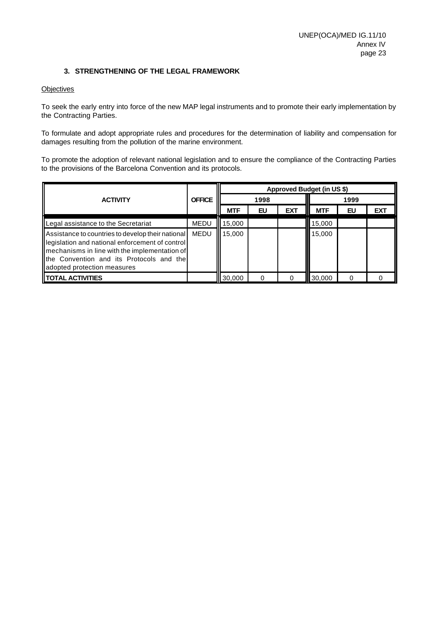# **3. STRENGTHENING OF THE LEGAL FRAMEWORK**

#### **Objectives**

To seek the early entry into force of the new MAP legal instruments and to promote their early implementation by the Contracting Parties.

To formulate and adopt appropriate rules and procedures for the determination of liability and compensation for damages resulting from the pollution of the marine environment.

To promote the adoption of relevant national legislation and to ensure the compliance of the Contracting Parties to the provisions of the Barcelona Convention and its protocols.

|                                                                                                                                                                                                                                  |               | Approved Budget (in US \$) |    |            |            |      |            |
|----------------------------------------------------------------------------------------------------------------------------------------------------------------------------------------------------------------------------------|---------------|----------------------------|----|------------|------------|------|------------|
| <b>ACTIVITY</b>                                                                                                                                                                                                                  | <b>OFFICE</b> | 1998                       |    |            |            | 1999 |            |
|                                                                                                                                                                                                                                  |               | <b>MTF</b>                 | EU | <b>EXT</b> | <b>MTF</b> | EU   | <b>EXT</b> |
| Legal assistance to the Secretariat                                                                                                                                                                                              | MEDU          | 15,000                     |    |            | 15,000     |      |            |
| Assistance to countries to develop their national<br>legislation and national enforcement of control<br>mechanisms in line with the implementation of<br>the Convention and its Protocols and the<br>adopted protection measures | <b>MEDU</b>   | 15.000<br>Ш                |    |            | 15,000     |      |            |
| <b>I</b> TOTAL ACTIVITIES                                                                                                                                                                                                        |               | 30,000                     |    |            | 30,000     |      |            |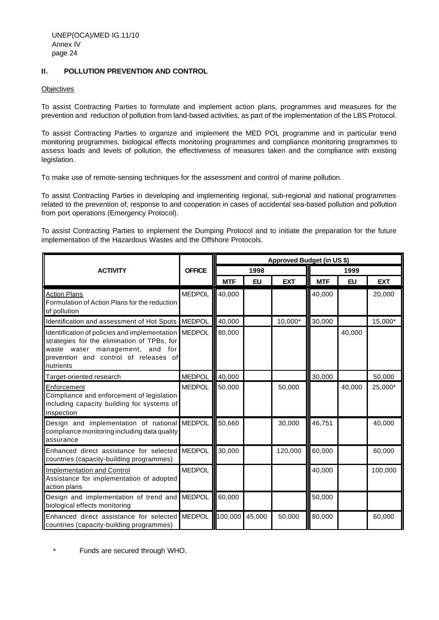# **II. POLLUTION PREVENTION AND CONTROL**

#### **Objectives**

To assist Contracting Parties to formulate and implement action plans, programmes and measures for the prevention and reduction of pollution from land-based activities, as part of the implementation of the LBS Protocol.

To assist Contracting Parties to organize and implement the MED POL programme and in particular trend monitoring programmes, biological effects monitoring programmes and compliance monitoring programmes to assess loads and levels of pollution, the effectiveness of measures taken and the compliance with existing legislation.

To make use of remote-sensing techniques for the assessment and control of marine pollution.

To assist Contracting Parties in developing and implementing regional, sub-regional and national programmes related to the prevention of, response to and cooperation in cases of accidental sea-based pollution and pollution from port operations (Emergency Protocol).

To assist Contracting Parties to implement the Dumping Protocol and to initiate the preparation for the future implementation of the Hazardous Wastes and the Offshore Protocols.

|                                                                                                                                                                                              |               | Approved Budget (in US \$) |           |            |            |           |            |  |  |
|----------------------------------------------------------------------------------------------------------------------------------------------------------------------------------------------|---------------|----------------------------|-----------|------------|------------|-----------|------------|--|--|
| <b>ACTIVITY</b>                                                                                                                                                                              | <b>OFFICE</b> |                            | 1998      |            |            | 1999      |            |  |  |
|                                                                                                                                                                                              |               | <b>MTF</b>                 | <b>EU</b> | <b>EXT</b> | <b>MTF</b> | <b>EU</b> | <b>EXT</b> |  |  |
| <b>Action Plans</b><br>Formulation of Action Plans for the reduction<br>of pollution                                                                                                         | <b>MEDPOL</b> | 40,000                     |           |            | 40,000     |           | 20,000     |  |  |
| Identification and assessment of Hot Spots   MEDPOL                                                                                                                                          |               | 40,000                     |           | 10,000*    | 30,000     |           | 15,000*    |  |  |
| Identification of policies and implementation MEDPOL<br>strategies for the elimination of TPBs, for<br>waste water management, and for<br>prevention and control of releases of<br>nutrients |               | 80,000                     |           |            |            | 40,000    |            |  |  |
| Target-oriented research                                                                                                                                                                     | <b>MEDPOL</b> | 40,000                     |           |            | 30,000     |           | 50,000     |  |  |
| Enforcement<br>Compliance and enforcement of legislation<br>including capacity building for systems of<br>inspection                                                                         | <b>MEDPOL</b> | 50,000                     |           | 50,000     |            | 40,000    | 25,000*    |  |  |
| Design and implementation of national MEDPOL<br>compliance monitoring including data quality<br>assurance                                                                                    |               | 50,660                     |           | 30,000     | 46,751     |           | 40,000     |  |  |
| Enhanced direct assistance for selected MEDPOL<br>countries (capacity-building programmes)                                                                                                   |               | 30,000                     |           | 120,000    | 60,000     |           | 60,000     |  |  |
| <b>Implementation and Control</b><br>Assistance for implementation of adopted<br>action plans                                                                                                | <b>MEDPOL</b> |                            |           |            | 40,000     |           | 100,000    |  |  |
| Design and implementation of trend and MEDPOL<br>biological effects monitoring                                                                                                               |               | 60,000                     |           |            | 50,000     |           |            |  |  |
| Enhanced direct assistance for selected MEDPOL<br>countries (capacity-building programmes)                                                                                                   |               | 100,000                    | 45,000    | 50,000     | 80,000     |           | 60,000     |  |  |

Funds are secured through WHO.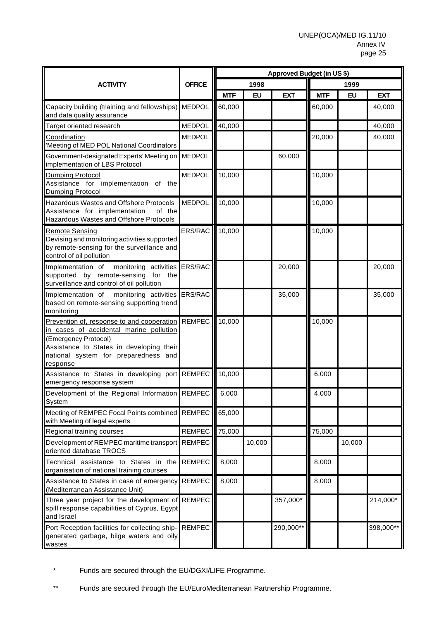|                                                                                                                                                                                                                      |               | Approved Budget (in US \$) |           |            |            |           |            |
|----------------------------------------------------------------------------------------------------------------------------------------------------------------------------------------------------------------------|---------------|----------------------------|-----------|------------|------------|-----------|------------|
| <b>ACTIVITY</b>                                                                                                                                                                                                      | <b>OFFICE</b> |                            | 1998      |            |            | 1999      |            |
|                                                                                                                                                                                                                      |               | <b>MTF</b>                 | <b>EU</b> | <b>EXT</b> | <b>MTF</b> | <b>EU</b> | <b>EXT</b> |
| Capacity building (training and fellowships)<br>and data quality assurance                                                                                                                                           | <b>MEDPOL</b> | 60,000                     |           |            | 60,000     |           | 40,000     |
| Target oriented research                                                                                                                                                                                             | <b>MEDPOL</b> | 40,000                     |           |            |            |           | 40,000     |
| <b>Coordination</b><br>'Meeting of MED POL National Coordinators                                                                                                                                                     | <b>MEDPOL</b> |                            |           |            | 20,000     |           | 40,000     |
| Government-designated Experts' Meeting on MEDPOL<br>implementation of LBS Protocol                                                                                                                                   |               |                            |           | 60,000     |            |           |            |
| Dumping Protocol<br>Assistance for implementation of the<br>Dumping Protocol                                                                                                                                         | <b>MEDPOL</b> | 10,000                     |           |            | 10,000     |           |            |
| <b>Hazardous Wastes and Offshore Protocols</b><br>Assistance for implementation<br>of the<br>Hazardous Wastes and Offshore Protocols                                                                                 | <b>MEDPOL</b> | 10,000                     |           |            | 10,000     |           |            |
| <b>Remote Sensing</b><br>Devising and monitoring activities supported<br>by remote-sensing for the surveillance and<br>control of oil pollution                                                                      | ERS/RAC       | 10,000                     |           |            | 10,000     |           |            |
| monitoring activities ERS/RAC<br>Implementation of<br>supported by remote-sensing for the<br>surveillance and control of oil pollution                                                                               |               |                            |           | 20,000     |            |           | 20,000     |
| monitoring activities ERS/RAC<br>Implementation of<br>based on remote-sensing supporting trend<br>monitoring                                                                                                         |               |                            |           | 35,000     |            |           | 35,000     |
| Prevention of, response to and cooperation REMPEC<br>in cases of accidental marine pollution<br>(Emergency Protocol)<br>Assistance to States in developing their<br>national system for preparedness and<br>response |               | 10,000                     |           |            | 10,000     |           |            |
| Assistance to States in developing port REMPEC<br>emergency response system                                                                                                                                          |               | 10,000                     |           |            | 6,000      |           |            |
| Development of the Regional Information REMPEC<br>System                                                                                                                                                             |               | 6,000                      |           |            | 4,000      |           |            |
| Meeting of REMPEC Focal Points combined REMPEC<br>with Meeting of legal experts                                                                                                                                      |               | 65,000                     |           |            |            |           |            |
| Regional training courses                                                                                                                                                                                            | <b>REMPEC</b> | 75,000                     |           |            | 75,000     |           |            |
| Development of REMPEC maritime transport<br>oriented database TROCS                                                                                                                                                  | <b>REMPEC</b> |                            | 10,000    |            |            | 10,000    |            |
| Technical assistance to States in the<br>organisation of national training courses                                                                                                                                   | <b>REMPEC</b> | 8,000                      |           |            | 8,000      |           |            |
| Assistance to States in case of emergency<br>(Mediterranean Assistance Unit)                                                                                                                                         | <b>REMPEC</b> | 8,000                      |           |            | 8,000      |           |            |
| Three year project for the development of REMPEC<br>spill response capabilities of Cyprus, Egypt<br>and Israel                                                                                                       |               |                            |           | 357,000*   |            |           | 214,000*   |
| Port Reception facilities for collecting ship- REMPEC<br>generated garbage, bilge waters and oily<br>wastes                                                                                                          |               |                            |           | 290,000**  |            |           | 398,000**  |

- \* Funds are secured through the EU/DGXI/LIFE Programme.
- \*\* Funds are secured through the EU/EuroMediterranean Partnership Programme.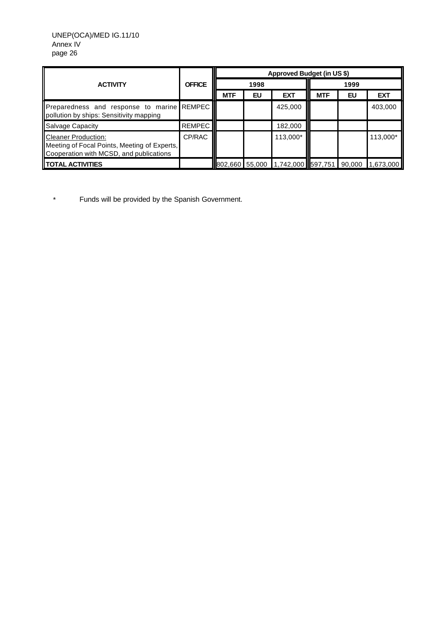|                                                                                                                       |               | Approved Budget (in US \$) |      |                                  |            |        |            |  |  |
|-----------------------------------------------------------------------------------------------------------------------|---------------|----------------------------|------|----------------------------------|------------|--------|------------|--|--|
| <b>ACTIVITY</b>                                                                                                       | <b>OFFICE</b> |                            | 1998 |                                  |            |        |            |  |  |
|                                                                                                                       |               | <b>MTF</b>                 | EU   | <b>EXT</b>                       | <b>MTF</b> | EU     | <b>EXT</b> |  |  |
| Preparedness and response to marine REMPEC<br>pollution by ships: Sensitivity mapping                                 |               |                            |      | 425,000                          |            |        | 403,000    |  |  |
| <b>Salvage Capacity</b>                                                                                               | <b>REMPEC</b> |                            |      | 182,000                          |            |        |            |  |  |
| <b>Cleaner Production:</b><br>Meeting of Focal Points, Meeting of Experts,<br>Cooperation with MCSD, and publications | CP/RAC        |                            |      | 113.000*                         |            |        | 113,000*   |  |  |
| <b>TOTAL ACTIVITIES</b>                                                                                               |               |                            |      | 802,660 55,000 1,742,000 597,751 |            | 90,000 | 1,673,000  |  |  |

\* Funds will be provided by the Spanish Government.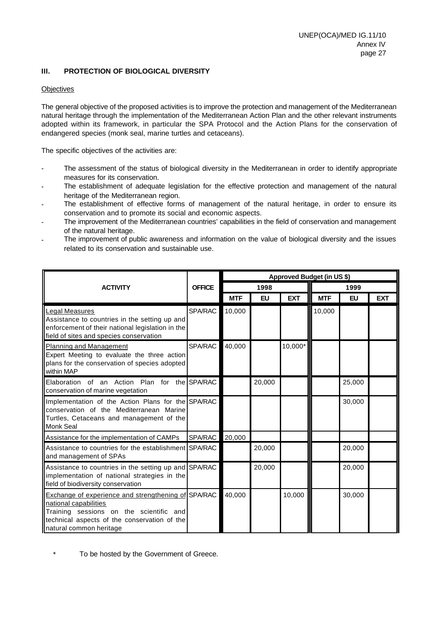## **III. PROTECTION OF BIOLOGICAL DIVERSITY**

#### **Objectives**

The general objective of the proposed activities is to improve the protection and management of the Mediterranean natural heritage through the implementation of the Mediterranean Action Plan and the other relevant instruments adopted within its framework, in particular the SPA Protocol and the Action Plans for the conservation of endangered species (monk seal, marine turtles and cetaceans).

The specific objectives of the activities are:

- The assessment of the status of biological diversity in the Mediterranean in order to identify appropriate measures for its conservation.
- The establishment of adequate legislation for the effective protection and management of the natural heritage of the Mediterranean region.
- The establishment of effective forms of management of the natural heritage, in order to ensure its conservation and to promote its social and economic aspects.
- The improvement of the Mediterranean countries' capabilities in the field of conservation and management of the natural heritage.
- The improvement of public awareness and information on the value of biological diversity and the issues related to its conservation and sustainable use.

|                                                                                                                                                                                                    |                | Approved Budget (in US \$) |           |            |            |           |            |  |  |
|----------------------------------------------------------------------------------------------------------------------------------------------------------------------------------------------------|----------------|----------------------------|-----------|------------|------------|-----------|------------|--|--|
| <b>ACTIVITY</b>                                                                                                                                                                                    | <b>OFFICE</b>  |                            | 1998      |            |            | 1999      |            |  |  |
|                                                                                                                                                                                                    |                | <b>MTF</b>                 | <b>EU</b> | <b>EXT</b> | <b>MTF</b> | <b>EU</b> | <b>EXT</b> |  |  |
| Legal Measures<br>Assistance to countries in the setting up and<br>enforcement of their national legislation in the<br>field of sites and species conservation                                     | <b>SPA/RAC</b> | 10,000                     |           |            | 10,000     |           |            |  |  |
| <b>Planning and Management</b><br>Expert Meeting to evaluate the three action<br>plans for the conservation of species adopted<br>within MAP                                                       | <b>SPA/RAC</b> | 40,000                     |           | 10,000*    |            |           |            |  |  |
| Elaboration of an Action Plan for the SPA/RAC<br>conservation of marine vegetation                                                                                                                 |                |                            | 20,000    |            |            | 25,000    |            |  |  |
| Implementation of the Action Plans for the SPA/RAC<br>conservation of the Mediterranean Marine<br>Turtles, Cetaceans and management of the<br>Monk Seal                                            |                |                            |           |            |            | 30,000    |            |  |  |
| Assistance for the implementation of CAMPs                                                                                                                                                         | SPA/RAC        | 20,000                     |           |            |            |           |            |  |  |
| Assistance to countries for the establishment SPA/RAC<br>and management of SPAs                                                                                                                    |                |                            | 20,000    |            |            | 20,000    |            |  |  |
| Assistance to countries in the setting up and SPA/RAC<br>implementation of national strategies in the<br>field of biodiversity conservation                                                        |                |                            | 20,000    |            |            | 20,000    |            |  |  |
| Exchange of experience and strengthening of SPA/RAC<br>national capabilities<br>Training sessions on the scientific and<br>technical aspects of the conservation of the<br>natural common heritage |                | 40,000                     |           | 10,000     |            | 30,000    |            |  |  |

To be hosted by the Government of Greece.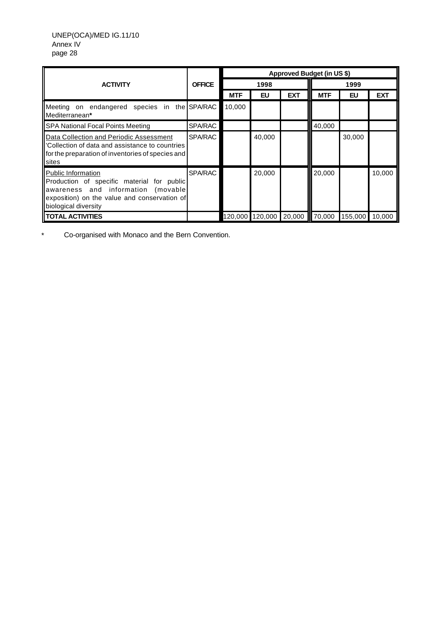|                                                                                                                                                                                |                |            |                        |            | Approved Budget (in US \$) |                       |            |
|--------------------------------------------------------------------------------------------------------------------------------------------------------------------------------|----------------|------------|------------------------|------------|----------------------------|-----------------------|------------|
| <b>ACTIVITY</b>                                                                                                                                                                | <b>OFFICE</b>  |            | 1998                   |            | 1999                       |                       |            |
|                                                                                                                                                                                |                | <b>MTF</b> | EU                     | <b>EXT</b> | <b>MTF</b>                 | EU                    | <b>EXT</b> |
| Meeting on endangered species in the SPA/RAC<br>Mediterranean*                                                                                                                 |                | 10.000     |                        |            |                            |                       |            |
| <b>SPA National Focal Points Meeting</b>                                                                                                                                       | <b>SPA/RAC</b> |            |                        |            | 40,000                     |                       |            |
| Data Collection and Periodic Assessment<br>'Collection of data and assistance to countries<br>for the preparation of inventories of species and<br>sites                       | <b>SPA/RAC</b> |            | 40,000                 |            |                            | 30,000                |            |
| Public Information<br>Production of specific material for public<br>awareness and information (movable<br>exposition) on the value and conservation of<br>biological diversity | <b>SPA/RAC</b> |            | 20,000                 |            | 20,000                     |                       | 10.000     |
| <b>TOTAL ACTIVITIES</b>                                                                                                                                                        |                |            | 120,000 120,000 20,000 |            |                            | 70,000 155,000 10,000 |            |

\* Co-organised with Monaco and the Bern Convention.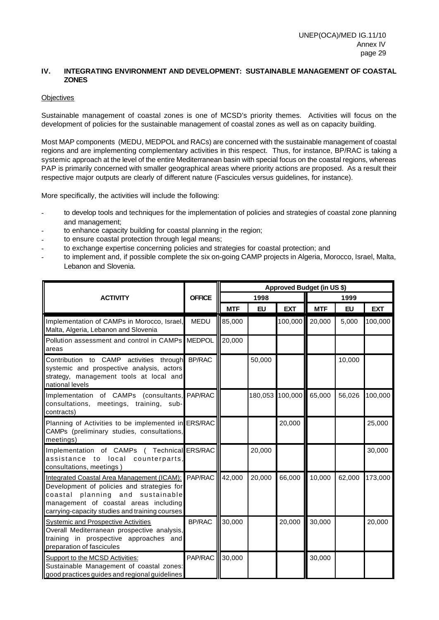#### **IV. INTEGRATING ENVIRONMENT AND DEVELOPMENT: SUSTAINABLE MANAGEMENT OF COASTAL ZONES**

#### **Objectives**

Sustainable management of coastal zones is one of MCSD's priority themes. Activities will focus on the development of policies for the sustainable management of coastal zones as well as on capacity building.

Most MAP components (MEDU, MEDPOL and RACs) are concerned with the sustainable management of coastal regions and are implementing complementary activities in this respect. Thus, for instance, BP/RAC is taking a systemic approach at the level of the entire Mediterranean basin with special focus on the coastal regions, whereas PAP is primarily concerned with smaller geographical areas where priority actions are proposed. As a result their respective major outputs are clearly of different nature (Fascicules versus guidelines, for instance).

More specifically, the activities will include the following:

- to develop tools and techniques for the implementation of policies and strategies of coastal zone planning and management;
- to enhance capacity building for coastal planning in the region;
- to ensure coastal protection through legal means;
- to exchange expertise concerning policies and strategies for coastal protection; and
- to implement and, if possible complete the six on-going CAMP projects in Algeria, Morocco, Israel, Malta, Lebanon and Slovenia.

|                                                                                                                                                                                                                         |               |            |           |                 | Approved Budget (in US \$) |           |            |
|-------------------------------------------------------------------------------------------------------------------------------------------------------------------------------------------------------------------------|---------------|------------|-----------|-----------------|----------------------------|-----------|------------|
| <b>ACTIVITY</b>                                                                                                                                                                                                         | <b>OFFICE</b> |            | 1998      |                 |                            | 1999      |            |
|                                                                                                                                                                                                                         |               | <b>MTF</b> | <b>EU</b> | <b>EXT</b>      | <b>MTF</b>                 | <b>EU</b> | <b>EXT</b> |
| Implementation of CAMPs in Morocco, Israel,<br>Malta, Algeria, Lebanon and Slovenia                                                                                                                                     | <b>MEDU</b>   | 85,000     |           | 100,000         | 20,000                     | 5,000     | 100,000    |
| Pollution assessment and control in CAMPs<br>areas                                                                                                                                                                      | <b>MEDPOL</b> | 20,000     |           |                 |                            |           |            |
| activities through BP/RAC<br>Contribution to CAMP<br>systemic and prospective analysis, actors<br>strategy, management tools at local and<br>national levels                                                            |               |            | 50,000    |                 |                            | 10,000    |            |
| Implementation of CAMPs (consultants,<br>consultations, meetings, training,<br>sub-<br>contracts)                                                                                                                       | PAP/RAC       |            |           | 180,053 100,000 | 65,000                     | 56,026    | 100,000    |
| Planning of Activities to be implemented in ERS/RAC<br>CAMPs (preliminary studies, consultations,<br>meetings)                                                                                                          |               |            |           | 20,000          |                            |           | 25,000     |
| Implementation of CAMPs ( Technical ERS/RAC<br>assistance to local counterparts,<br>consultations, meetings)                                                                                                            |               |            | 20,000    |                 |                            |           | 30,000     |
| Integrated Coastal Area Management (ICAM):<br>Development of policies and strategies for<br>coastal planning and sustainable<br>management of coastal areas including<br>carrying-capacity studies and training courses | PAP/RAC       | 42,000     | 20,000    | 66,000          | 10,000                     | 62,000    | 173,000    |
| <b>Systemic and Prospective Activities</b><br>Overall Mediterranean prospective analysis,<br>training in prospective approaches and<br>preparation of fascicules                                                        | <b>BP/RAC</b> | 30,000     |           | 20,000          | 30,000                     |           | 20,000     |
| Support to the MCSD Activities:<br>Sustainable Management of coastal zones:<br>good practices guides and regional guidelines                                                                                            | PAP/RAC       | 30,000     |           |                 | 30,000                     |           |            |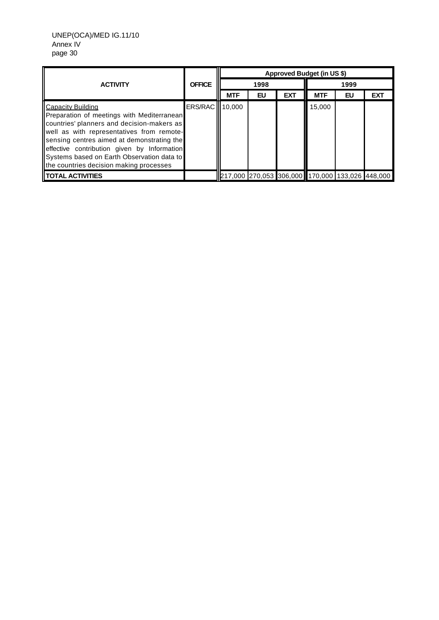|                                                                                                                                                                                                                                                                                                                                                         |                | Approved Budget (in US \$) |    |            |            |                                                 |            |  |  |
|---------------------------------------------------------------------------------------------------------------------------------------------------------------------------------------------------------------------------------------------------------------------------------------------------------------------------------------------------------|----------------|----------------------------|----|------------|------------|-------------------------------------------------|------------|--|--|
| <b>ACTIVITY</b>                                                                                                                                                                                                                                                                                                                                         | <b>OFFICE</b>  | 1998                       |    |            | 1999       |                                                 |            |  |  |
|                                                                                                                                                                                                                                                                                                                                                         |                | <b>MTF</b>                 | EU | <b>EXT</b> | <b>MTF</b> | EU                                              | <b>EXT</b> |  |  |
| <b>Capacity Building</b><br>Preparation of meetings with Mediterranean<br>countries' planners and decision-makers as<br>well as with representatives from remote-<br>sensing centres aimed at demonstrating the<br>effective contribution given by Information<br>Systems based on Earth Observation data to<br>the countries decision making processes | ERS/RAC 10,000 |                            |    |            | 15,000     |                                                 |            |  |  |
| <b>II TOTAL ACTIVITIES</b>                                                                                                                                                                                                                                                                                                                              |                |                            |    |            |            | 217,000 270,053 306,000 170,000 133,026 448,000 |            |  |  |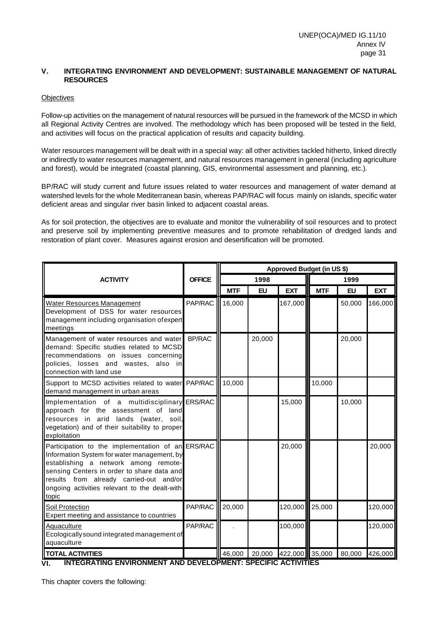#### **V. INTEGRATING ENVIRONMENT AND DEVELOPMENT: SUSTAINABLE MANAGEMENT OF NATURAL RESOURCES**

#### **Objectives**

Follow-up activities on the management of natural resources will be pursued in the framework of the MCSD in which all Regional Activity Centres are involved. The methodology which has been proposed will be tested in the field, and activities will focus on the practical application of results and capacity building.

Water resources management will be dealt with in a special way: all other activities tackled hitherto, linked directly or indirectly to water resources management, and natural resources management in general (including agriculture and forest), would be integrated (coastal planning, GIS, environmental assessment and planning, etc.).

BP/RAC will study current and future issues related to water resources and management of water demand at watershed levels for the whole Mediterranean basin, whereas PAP/RAC will focus mainly on islands, specific water deficient areas and singular river basin linked to adjacent coastal areas.

As for soil protection, the objectives are to evaluate and monitor the vulnerability of soil resources and to protect and preserve soil by implementing preventive measures and to promote rehabilitation of dredged lands and restoration of plant cover. Measures against erosion and desertification will be promoted.

|                                                                                                                                                                                                                                                                                             |                |            |           | Approved Budget (in US \$) |            |           |            |
|---------------------------------------------------------------------------------------------------------------------------------------------------------------------------------------------------------------------------------------------------------------------------------------------|----------------|------------|-----------|----------------------------|------------|-----------|------------|
| <b>ACTIVITY</b>                                                                                                                                                                                                                                                                             | <b>OFFICE</b>  |            | 1998      |                            |            | 1999      |            |
|                                                                                                                                                                                                                                                                                             |                | <b>MTF</b> | <b>EU</b> | <b>EXT</b>                 | <b>MTF</b> | <b>EU</b> | <b>EXT</b> |
| Water Resources Management<br>Development of DSS for water resources<br>management including organisation of expert<br>meetings                                                                                                                                                             | PAP/RAC 16,000 |            |           | 167,000                    |            | 50,000    | 166,000    |
| Management of water resources and water<br>demand: Specific studies related to MCSD<br>recommendations on issues concerning<br>policies, losses and wastes, also in<br>connection with land use                                                                                             | <b>BP/RAC</b>  |            | 20,000    |                            |            | 20,000    |            |
| Support to MCSD activities related to water PAP/RAC<br>demand management in urban areas                                                                                                                                                                                                     |                | 10,000     |           |                            | 10,000     |           |            |
| Implementation of a multidisciplinary ERS/RAC<br>approach for the assessment of land<br>resources in arid lands (water, soil,<br>vegetation) and of their suitability to proper<br>exploitation                                                                                             |                |            |           | 15,000                     |            | 10,000    |            |
| Participation to the implementation of an ERS/RAC<br>Information System for water management, by<br>establishing a network among remote-<br>sensing Centers in order to share data and<br>results from already carried-out and/or<br>ongoing activities relevant to the dealt-with<br>topic |                |            |           | 20,000                     |            |           | 20,000     |
| <b>Soil Protection</b><br>Expert meeting and assistance to countries                                                                                                                                                                                                                        | PAP/RAC        | 20,000     |           | 120,000 25,000             |            |           | 120,000    |
| <u>Aquaculture</u><br>Ecologically sound integrated management of<br>aquaculture                                                                                                                                                                                                            | PAP/RAC        |            |           | 100,000                    |            |           | 120,000    |
| <b>TOTAL ACTIVITIES</b>                                                                                                                                                                                                                                                                     |                | 46,000     | 20,000    | 422,000 35,000             |            | 80,000    | 426,000    |

**VI. INTEGRATING ENVIRONMENT AND DEVELOPMENT: SPECIFIC ACTIVITIES** 

This chapter covers the following: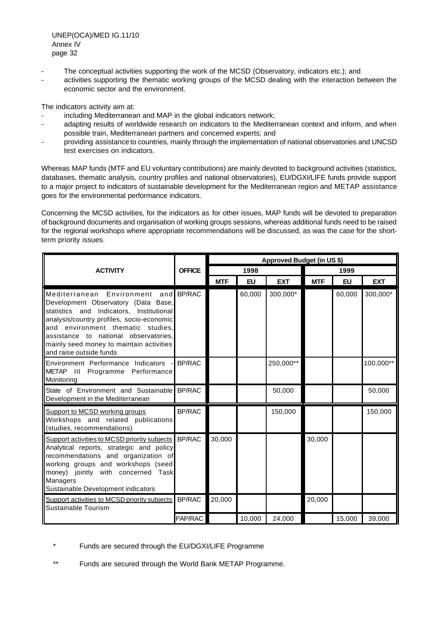- The conceptual activities supporting the work of the MCSD (Observatory, indicators etc.); and
- activities supporting the thematic working groups of the MCSD dealing with the interaction between the economic sector and the environment.

The indicators activity aim at:

- including Mediterranean and MAP in the global indicators network;
- adapting results of worldwide research on indicators to the Mediterranean context and inform, and when possible train, Mediterranean partners and concerned experts; and
- providing assistance to countries, mainly through the implementation of national observatories and UNCSD test exercises on indicators.

Whereas MAP funds (MTF and EU voluntary contributions) are mainly devoted to background activities (statistics, databases, thematic analysis, country profiles and national observatories), EU/DGXI/LIFE funds provide support to a major project to indicators of sustainable development for the Mediterranean region and METAP assistance goes for the environmental performance indicators.

Concerning the MCSD activities, for the indicators as for other issues, MAP funds will be devoted to preparation of background documents and organisation of working groups sessions, whereas additional funds need to be raised for the regional workshops where appropriate recommendations will be discussed, as was the case for the shortterm priority issues.

|                                                                                                                                                                                                                                                                                                                           |               |            |           | Approved Budget (in US \$) |            |           |            |
|---------------------------------------------------------------------------------------------------------------------------------------------------------------------------------------------------------------------------------------------------------------------------------------------------------------------------|---------------|------------|-----------|----------------------------|------------|-----------|------------|
| <b>ACTIVITY</b>                                                                                                                                                                                                                                                                                                           | <b>OFFICE</b> |            | 1998      |                            |            | 1999      |            |
|                                                                                                                                                                                                                                                                                                                           |               | <b>MTF</b> | <b>EU</b> | <b>EXT</b>                 | <b>MTF</b> | <b>EU</b> | <b>EXT</b> |
| Mediterranean Environment and BP/RAC<br>Development Observatory (Data Base,<br>statistics and Indicators. Institutional<br>analysis/country profiles, socio-economic<br>and environment thematic studies,<br>assistance to national observatories.<br>mainly seed money to maintain activities<br>and raise outside funds |               |            | 60,000    | 300,000*                   |            | 60,000    | 300,000*   |
| Environment Performance Indicators<br>METAP III Programme Performance<br>Monitoring                                                                                                                                                                                                                                       | <b>BP/RAC</b> |            |           | 250,000**                  |            |           | 100,000**  |
| State of Environment and Sustainable<br>Development in the Mediterranean                                                                                                                                                                                                                                                  | <b>BP/RAC</b> |            |           | 50,000                     |            |           | 50,000     |
| Support to MCSD working groups<br>Workshops and related publications<br>(studies, recommendations)                                                                                                                                                                                                                        | <b>BP/RAC</b> |            |           | 150,000                    |            |           | 150,000    |
| Support activities to MCSD priority subjects BP/RAC<br>Analytical reports, strategic and policy<br>recommendations and organization of<br>working groups and workshops (seed<br>money) jointly with concerned Task<br>Managers<br>Sustainable Development indicators                                                      |               | 30,000     |           |                            | 30,000     |           |            |
| Support activities to MCSD priority subjects<br>Sustainable Tourism                                                                                                                                                                                                                                                       | <b>BP/RAC</b> | 20,000     |           |                            | 20,000     |           |            |
|                                                                                                                                                                                                                                                                                                                           | PAP/RAC       |            | 10,000    | 24,000                     |            | 15,000    | 39,000     |

- Funds are secured through the EU/DGXI/LIFE Programme
- \*\* Funds are secured through the World Bank METAP Programme.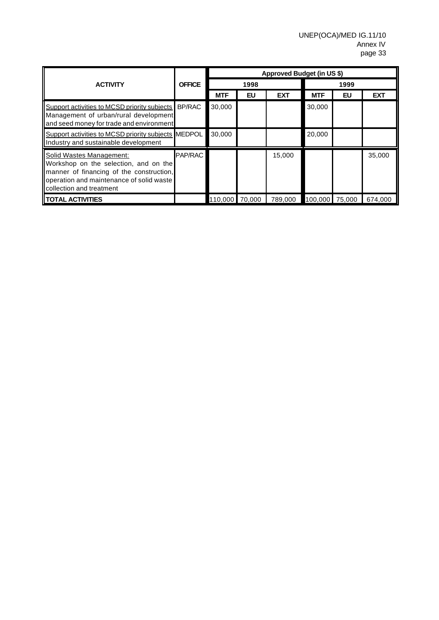|                                                                                                                                                                                       |               | Approved Budget (in US \$) |      |            |                |      |            |  |  |  |
|---------------------------------------------------------------------------------------------------------------------------------------------------------------------------------------|---------------|----------------------------|------|------------|----------------|------|------------|--|--|--|
| <b>ACTIVITY</b>                                                                                                                                                                       | <b>OFFICE</b> |                            | 1998 |            |                | 1999 |            |  |  |  |
|                                                                                                                                                                                       |               | <b>MTF</b>                 | EU   | <b>EXT</b> | <b>MTF</b>     | EU   | <b>EXT</b> |  |  |  |
| Support activities to MCSD priority subjects<br>Management of urban/rural development<br>and seed money for trade and environment                                                     | <b>BP/RAC</b> | 30,000                     |      |            | 30,000         |      |            |  |  |  |
| Support activities to MCSD priority subjects MEDPOL<br>Industry and sustainable development                                                                                           |               | 30,000                     |      |            | 20,000         |      |            |  |  |  |
| Solid Wastes Management:<br>Workshop on the selection, and on the<br>manner of financing of the construction,<br>operation and maintenance of solid waste<br>collection and treatment | PAP/RAC       |                            |      | 15,000     |                |      | 35,000     |  |  |  |
| <b>TOTAL ACTIVITIES</b>                                                                                                                                                               |               | 110,000 70,000             |      | 789,000    | 100,000 75,000 |      | 674,000    |  |  |  |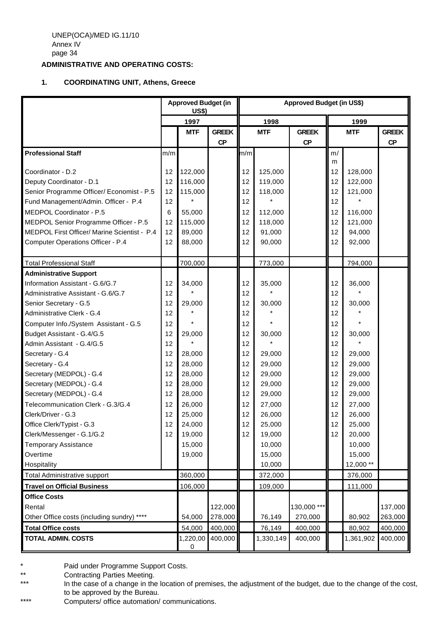# **ADMINISTRATIVE AND OPERATING COSTS:**

#### **1. COORDINATING UNIT, Athens, Greece**

|                                              |     | <b>Approved Budget (in</b><br><b>US\$)</b> |              |     |            | Approved Budget (in US\$) |    |            |              |
|----------------------------------------------|-----|--------------------------------------------|--------------|-----|------------|---------------------------|----|------------|--------------|
|                                              |     | 1997                                       |              |     | 1998       |                           |    | 1999       |              |
|                                              |     | <b>MTF</b>                                 | <b>GREEK</b> |     | <b>MTF</b> | <b>GREEK</b>              |    | <b>MTF</b> | <b>GREEK</b> |
|                                              |     |                                            | CP           |     |            | CP                        |    |            | CP           |
| <b>Professional Staff</b>                    | m/m |                                            |              | m/m |            |                           | m/ |            |              |
|                                              |     |                                            |              |     |            |                           | m  |            |              |
| Coordinator - D.2                            | 12  | 122,000                                    |              | 12  | 125,000    |                           | 12 | 128,000    |              |
| Deputy Coordinator - D.1                     | 12  | 116,000                                    |              | 12  | 119,000    |                           | 12 | 122,000    |              |
| Senior Programme Officer/ Economist - P.5    | 12  | 115,000                                    |              | 12  | 118,000    |                           | 12 | 121,000    |              |
| Fund Management/Admin. Officer - P.4         | 12  |                                            |              | 12  |            |                           | 12 |            |              |
| MEDPOL Coordinator - P.5                     | 6   | 55,000                                     |              | 12  | 112,000    |                           | 12 | 116,000    |              |
| MEDPOL Senior Programme Officer - P.5        | 12  | 115,000                                    |              | 12  | 118,000    |                           | 12 | 121,000    |              |
| MEDPOL First Officer/ Marine Scientist - P.4 | 12  | 89,000                                     |              | 12  | 91,000     |                           | 12 | 94,000     |              |
| <b>Computer Operations Officer - P.4</b>     | 12  | 88,000                                     |              | 12  | 90,000     |                           | 12 | 92,000     |              |
| <b>Total Professional Staff</b>              |     | 700,000                                    |              |     | 773,000    |                           |    | 794,000    |              |
| <b>Administrative Support</b>                |     |                                            |              |     |            |                           |    |            |              |
| Information Assistant - G.6/G.7              | 12  | 34,000                                     |              | 12  | 35,000     |                           | 12 | 36,000     |              |
| Administrative Assistant - G.6/G.7           | 12  |                                            |              | 12  |            |                           | 12 |            |              |
| Senior Secretary - G.5                       | 12  | 29,000                                     |              | 12  | 30,000     |                           | 12 | 30,000     |              |
| Administrative Clerk - G.4                   | 12  |                                            |              | 12  |            |                           | 12 |            |              |
| Computer Info./System Assistant - G.5        | 12  |                                            |              | 12  |            |                           | 12 |            |              |
| Budget Assistant - G.4/G.5                   | 12  | 29,000                                     |              | 12  | 30,000     |                           | 12 | 30,000     |              |
| Admin Assistant - G.4/G.5                    | 12  |                                            |              | 12  |            |                           | 12 |            |              |
| Secretary - G.4                              | 12  | 28,000                                     |              | 12  | 29,000     |                           | 12 | 29,000     |              |
| Secretary - G.4                              | 12  | 28,000                                     |              | 12  | 29,000     |                           | 12 | 29,000     |              |
| Secretary (MEDPOL) - G.4                     | 12  | 28,000                                     |              | 12  | 29,000     |                           | 12 | 29,000     |              |
| Secretary (MEDPOL) - G.4                     | 12  | 28,000                                     |              | 12  | 29,000     |                           | 12 | 29,000     |              |
| Secretary (MEDPOL) - G.4                     | 12  | 28,000                                     |              | 12  | 29,000     |                           | 12 | 29,000     |              |
| Telecommunication Clerk - G.3/G.4            | 12  | 26,000                                     |              | 12  | 27,000     |                           | 12 | 27,000     |              |
| Clerk/Driver - G.3                           | 12  | 25,000                                     |              | 12  | 26,000     |                           | 12 | 26,000     |              |
| Office Clerk/Typist - G.3                    | 12  | 24,000                                     |              | 12  | 25,000     |                           | 12 | 25,000     |              |
| Clerk/Messenger - G.1/G.2                    | 12  | 19,000                                     |              | 12  | 19,000     |                           | 12 | 20,000     |              |
| <b>Temporary Assistance</b>                  |     | 15,000                                     |              |     | 10,000     |                           |    | 10,000     |              |
| Overtime                                     |     | 19,000                                     |              |     | 15,000     |                           |    | 15,000     |              |
| Hospitality                                  |     |                                            |              |     | 10,000     |                           |    | 12,000 **  |              |
| <b>Total Administrative support</b>          |     | 360,000                                    |              |     | 372,000    |                           |    | 376,000    |              |
| <b>Travel on Official Business</b>           |     | 106,000                                    |              |     | 109,000    |                           |    | 111,000    |              |
| <b>Office Costs</b>                          |     |                                            |              |     |            |                           |    |            |              |
| Rental                                       |     |                                            | 122,000      |     |            | 130,000 ***               |    |            | 137,000      |
| Other Office costs (including sundry) ****   |     | 54,000                                     | 278,000      |     | 76,149     | 270,000                   |    | 80,902     | 263,000      |
| <b>Total Office costs</b>                    |     | 54,000                                     | 400,000      |     | 76,149     | 400,000                   |    | 80,902     | 400,000      |
| <b>TOTAL ADMIN. COSTS</b>                    |     | 1,220,00                                   | 400,000      |     | 1,330,149  | 400,000                   |    | 1,361,902  | 400,000      |
|                                              |     | 0                                          |              |     |            |                           |    |            |              |

\* Paid under Programme Support Costs.<br>\*\* Contracting Perties Meeting

Contracting Parties Meeting.

\*\*\*\* Computers/ office automation/ communications.

<sup>\*\*\*</sup> In the case of a change in the location of premises, the adjustment of the budget, due to the change of the cost, to be approved by the Bureau.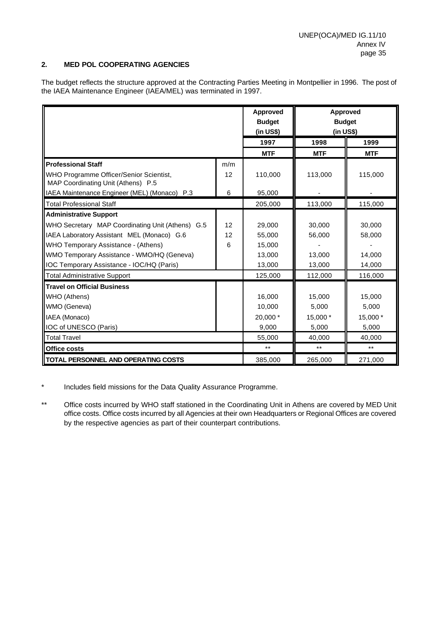## **2. MED POL COOPERATING AGENCIES**

|                                                                               |     | <b>Approved</b><br><b>Budget</b><br>$(in US$)$ | Approved<br><b>Budget</b><br>$(in US$)$ |            |
|-------------------------------------------------------------------------------|-----|------------------------------------------------|-----------------------------------------|------------|
|                                                                               |     | 1997                                           | 1998                                    | 1999       |
|                                                                               |     | <b>MTF</b>                                     | <b>MTF</b>                              | <b>MTF</b> |
| <b>Professional Staff</b>                                                     | m/m |                                                |                                         |            |
| WHO Programme Officer/Senior Scientist,<br>MAP Coordinating Unit (Athens) P.5 | 12  | 110,000                                        | 113,000                                 | 115,000    |
| IAEA Maintenance Engineer (MEL) (Monaco) P.3                                  | 6   | 95,000                                         |                                         |            |
| <b>Total Professional Staff</b>                                               |     | 205,000                                        | 113,000                                 | 115,000    |
| <b>Administrative Support</b>                                                 |     |                                                |                                         |            |
| WHO Secretary MAP Coordinating Unit (Athens) G.5                              | 12  | 29,000                                         | 30,000                                  | 30,000     |
| IAEA Laboratory Assistant MEL (Monaco) G.6                                    | 12  | 55,000                                         | 56,000                                  | 58,000     |
| WHO Temporary Assistance - (Athens)                                           | 6   | 15,000                                         |                                         |            |
| WMO Temporary Assistance - WMO/HQ (Geneva)                                    |     | 13.000                                         | 13.000                                  | 14.000     |
| IOC Temporary Assistance - IOC/HQ (Paris)                                     |     | 13,000                                         | 13,000                                  | 14,000     |
| <b>Total Administrative Support</b>                                           |     | 125,000                                        | 112,000                                 | 116,000    |
| <b>Travel on Official Business</b>                                            |     |                                                |                                         |            |
| WHO (Athens)                                                                  |     | 16.000                                         | 15.000                                  | 15,000     |
| WMO (Geneva)                                                                  |     | 10,000                                         | 5,000                                   | 5,000      |
| IAEA (Monaco)                                                                 |     | 20,000 *                                       | 15,000*                                 | 15,000 *   |
| IOC of UNESCO (Paris)                                                         |     | 9,000                                          | 5,000                                   | 5,000      |
| <b>Total Travel</b>                                                           |     | 55,000                                         | 40,000                                  | 40,000     |
| Office costs                                                                  |     | $***$                                          | $***$                                   | $***$      |
| TOTAL PERSONNEL AND OPERATING COSTS                                           |     | 385,000                                        | 265,000                                 | 271,000    |

The budget reflects the structure approved at the Contracting Parties Meeting in Montpellier in 1996. The post of the IAEA Maintenance Engineer (IAEA/MEL) was terminated in 1997.

\* Includes field missions for the Data Quality Assurance Programme.

\*\* Office costs incurred by WHO staff stationed in the Coordinating Unit in Athens are covered by MED Unit office costs. Office costs incurred by all Agencies at their own Headquarters or Regional Offices are covered by the respective agencies as part of their counterpart contributions.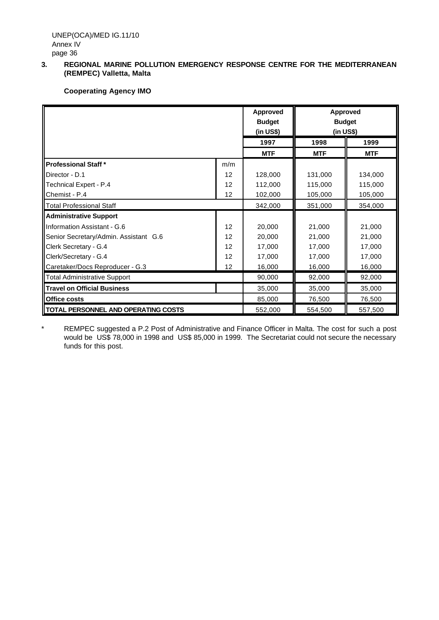# **3. REGIONAL MARINE POLLUTION EMERGENCY RESPONSE CENTRE FOR THE MEDITERRANEAN (REMPEC) Valletta, Malta**

#### **Cooperating Agency IMO**

|                                            |     | Approved<br><b>Budget</b><br>$(in US$)$ | Approved<br><b>Budget</b><br>(in <b>US</b> |            |
|--------------------------------------------|-----|-----------------------------------------|--------------------------------------------|------------|
|                                            |     | 1997                                    | 1998                                       | 1999       |
|                                            |     | <b>MTF</b>                              | <b>MTF</b>                                 | <b>MTF</b> |
| <b>Professional Staff *</b>                | m/m |                                         |                                            |            |
| Director - D.1                             | 12  | 128,000                                 | 131,000                                    | 134,000    |
| Technical Expert - P.4                     | 12  | 112,000                                 | 115,000                                    | 115,000    |
| Chemist - P.4                              | 12  | 102,000                                 | 105,000                                    | 105,000    |
| <b>Total Professional Staff</b>            |     | 342,000                                 | 351,000                                    | 354,000    |
| <b>Administrative Support</b>              |     |                                         |                                            |            |
| Information Assistant - G.6                | 12  | 20,000                                  | 21,000                                     | 21,000     |
| Senior Secretary/Admin. Assistant G.6      | 12  | 20,000                                  | 21,000                                     | 21,000     |
| Clerk Secretary - G.4                      | 12  | 17,000                                  | 17,000                                     | 17,000     |
| Clerk/Secretary - G.4                      | 12  | 17,000                                  | 17,000                                     | 17,000     |
| Caretaker/Docs Reproducer - G.3            | 12  | 16,000                                  | 16,000                                     | 16,000     |
| <b>Total Administrative Support</b>        |     | 90,000                                  | 92,000                                     | 92,000     |
| <b>Travel on Official Business</b>         |     | 35,000                                  | 35,000                                     | 35,000     |
| <b>Office costs</b>                        |     | 85,000                                  | 76,500                                     | 76,500     |
| <b>TOTAL PERSONNEL AND OPERATING COSTS</b> |     | 552,000                                 | 554,500                                    | 557,500    |

\* REMPEC suggested a P.2 Post of Administrative and Finance Officer in Malta. The cost for such a post would be US\$ 78,000 in 1998 and US\$ 85,000 in 1999. The Secretariat could not secure the necessary funds for this post.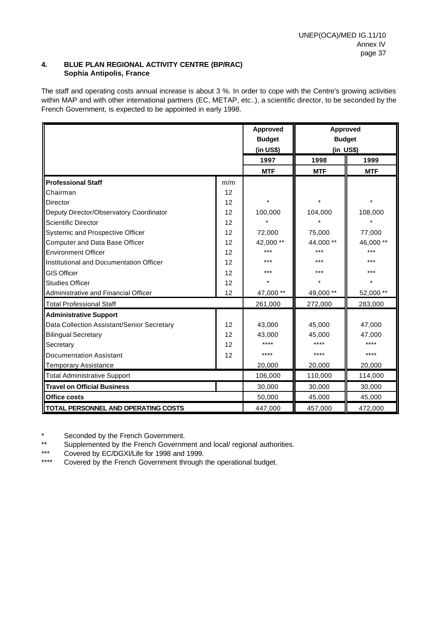#### **4. BLUE PLAN REGIONAL ACTIVITY CENTRE (BP/RAC) Sophia Antipolis, France**

The staff and operating costs annual increase is about 3 %. In order to cope with the Centre's growing activities within MAP and with other international partners (EC, METAP, etc..), a scientific director, to be seconded by the French Government, is expected to be appointed in early 1998.

|                                            |     | Approved<br><b>Budget</b> | Approved<br><b>Budget</b> |            |
|--------------------------------------------|-----|---------------------------|---------------------------|------------|
|                                            |     | $(in US$)$                | $(in$ US\$)               |            |
|                                            |     | 1997                      | 1998                      | 1999       |
|                                            |     | <b>MTF</b>                | <b>MTF</b>                | <b>MTF</b> |
| <b>Professional Staff</b>                  | m/m |                           |                           |            |
| Chairman                                   | 12  |                           |                           |            |
| Director                                   | 12  |                           |                           |            |
| Deputy Director/Observatory Coordinator    | 12  | 100,000                   | 104,000                   | 108,000    |
| <b>Scientific Director</b>                 | 12  |                           |                           |            |
| Systemic and Prospective Officer           | 12  | 72,000                    | 75,000                    | 77,000     |
| <b>Computer and Data Base Officer</b>      | 12  | 42,000**                  | 44,000**                  | 46,000**   |
| <b>Environment Officer</b>                 | 12  | ***                       | $***$                     | $***$      |
| Institutional and Documentation Officer    | 12  | $***$                     | ***                       | ***        |
| <b>GIS Officer</b>                         | 12  | $***$                     | $***$                     | ***        |
| <b>Studies Officer</b>                     | 12  |                           |                           |            |
| Administrative and Financial Officer       | 12  | 47,000**                  | 49,000**                  | 52,000 **  |
| <b>Total Professional Staff</b>            |     | 261,000                   | 272,000                   | 283,000    |
| <b>Administrative Support</b>              |     |                           |                           |            |
| Data Collection Assistant/Senior Secretary | 12  | 43,000                    | 45,000                    | 47,000     |
| <b>Bilingual Secretary</b>                 | 12  | 43,000                    | 45,000                    | 47,000     |
| Secretary                                  | 12  | ****                      | ****                      | ****       |
| <b>Documentation Assistant</b>             | 12  | ****                      | ****                      | ****       |
| <b>Temporary Assistance</b>                |     | 20,000                    | 20,000                    | 20,000     |
| <b>Total Administrative Support</b>        |     | 106,000                   | 110,000                   | 114,000    |
| <b>Travel on Official Business</b>         |     | 30,000                    | 30,000                    | 30,000     |
| Office costs                               |     | 50,000                    | 45,000                    | 45,000     |
| TOTAL PERSONNEL AND OPERATING COSTS        |     | 447,000                   | 457,000                   | 472,000    |

\* Seconded by the French Government.<br>\*\* Supplemented by the French Government

\*\* Supplemented by the French Government and local/ regional authorities.<br>\*\*\* Covered by EC/DGXI/Life for 1998 and 1999

\*\*\* Covered by EC/DGXI/Life for 1998 and 1999.

Covered by the French Government through the operational budget.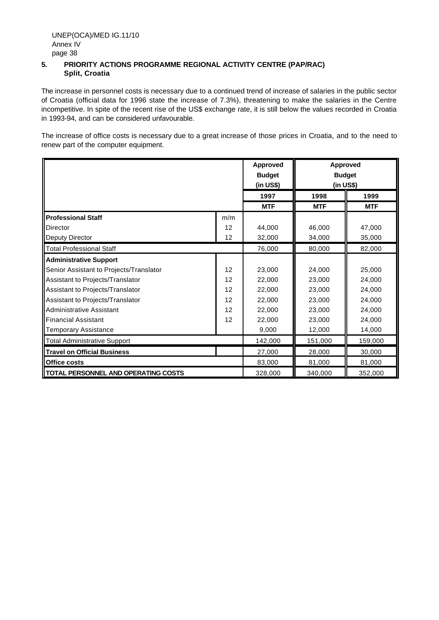#### **5. PRIORITY ACTIONS PROGRAMME REGIONAL ACTIVITY CENTRE (PAP/RAC) Split, Croatia**

The increase in personnel costs is necessary due to a continued trend of increase of salaries in the public sector of Croatia (official data for 1996 state the increase of 7.3%), threatening to make the salaries in the Centre incompetitive. In spite of the recent rise of the US\$ exchange rate, it is still below the values recorded in Croatia in 1993-94, and can be considered unfavourable.

The increase of office costs is necessary due to a great increase of those prices in Croatia, and to the need to renew part of the computer equipment.

|                                         |                 | Approved<br><b>Budget</b> | <b>Approved</b><br><b>Budget</b> |            |
|-----------------------------------------|-----------------|---------------------------|----------------------------------|------------|
|                                         |                 | (in US\$)                 | (in US\$)                        |            |
|                                         |                 | 1997                      | 1998                             | 1999       |
|                                         |                 | <b>MTF</b>                | <b>MTF</b>                       | <b>MTF</b> |
| <b>Professional Staff</b>               | m/m             |                           |                                  |            |
| Director                                | 12 <sup>2</sup> | 44,000                    | 46,000                           | 47,000     |
| Deputy Director                         | 12              | 32,000                    | 34,000                           | 35,000     |
| <b>Total Professional Staff</b>         |                 | 76,000                    | 80,000                           | 82,000     |
| <b>Administrative Support</b>           |                 |                           |                                  |            |
| Senior Assistant to Projects/Translator | 12              | 23,000                    | 24,000                           | 25,000     |
| Assistant to Projects/Translator        | 12 <sup>2</sup> | 22,000                    | 23,000                           | 24,000     |
| Assistant to Projects/Translator        | 12              | 22,000                    | 23,000                           | 24,000     |
| Assistant to Projects/Translator        | 12              | 22,000                    | 23,000                           | 24,000     |
| Administrative Assistant                | 12              | 22,000                    | 23,000                           | 24,000     |
| <b>Financial Assistant</b>              | 12 <sup>2</sup> | 22,000                    | 23,000                           | 24,000     |
| <b>Temporary Assistance</b>             |                 | 9,000                     | 12,000                           | 14,000     |
| <b>Total Administrative Support</b>     |                 | 142,000                   | 151,000                          | 159,000    |
| <b>Travel on Official Business</b>      |                 | 27,000                    | 28,000                           | 30,000     |
| Office costs                            |                 | 83,000                    | 81,000                           | 81,000     |
| TOTAL PERSONNEL AND OPERATING COSTS     |                 | 328,000                   | 340,000                          | 352,000    |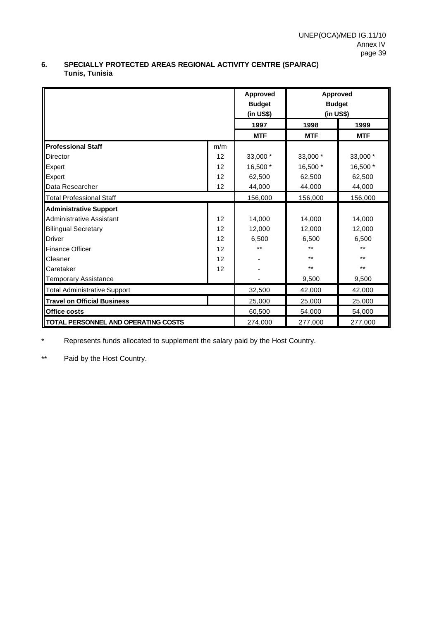# **6. SPECIALLY PROTECTED AREAS REGIONAL ACTIVITY CENTRE (SPA/RAC) Tunis, Tunisia**

|                                            |     | <b>Approved</b><br><b>Budget</b><br>(in US\$) | <b>Approved</b><br><b>Budget</b><br>(in <b>US\$</b> ) | 1999<br><b>MTF</b><br>33,000 * |  |
|--------------------------------------------|-----|-----------------------------------------------|-------------------------------------------------------|--------------------------------|--|
|                                            |     | 1997                                          | 1998                                                  |                                |  |
|                                            |     | <b>MTF</b>                                    | <b>MTF</b>                                            |                                |  |
| <b>Professional Staff</b>                  | m/m |                                               |                                                       |                                |  |
| Director                                   | 12  | 33,000 *                                      | 33,000 *                                              |                                |  |
| Expert                                     | 12  | 16,500*                                       | 16,500*                                               | 16,500 *                       |  |
| Expert                                     | 12  | 62,500                                        | 62,500                                                | 62,500                         |  |
| Data Researcher                            | 12  | 44,000                                        | 44,000                                                | 44,000                         |  |
| <b>Total Professional Staff</b>            |     | 156,000                                       | 156,000                                               | 156,000                        |  |
| <b>Administrative Support</b>              |     |                                               |                                                       |                                |  |
| Administrative Assistant                   | 12  | 14,000                                        | 14,000                                                | 14,000                         |  |
| <b>Bilingual Secretary</b>                 | 12  | 12,000                                        | 12,000                                                | 12,000                         |  |
| <b>Driver</b>                              | 12  | 6,500                                         | 6,500                                                 | 6,500                          |  |
| <b>Finance Officer</b>                     | 12  | $* *$                                         | $***$                                                 | $***$                          |  |
| Cleaner                                    | 12  |                                               | $***$                                                 | $***$                          |  |
| Caretaker                                  | 12  |                                               | $***$                                                 | $***$                          |  |
| <b>Temporary Assistance</b>                |     |                                               | 9,500                                                 | 9,500                          |  |
| <b>Total Administrative Support</b>        |     | 32,500                                        | 42,000                                                | 42,000                         |  |
| <b>Travel on Official Business</b>         |     | 25,000                                        | 25,000                                                | 25,000                         |  |
| <b>Office costs</b>                        |     | 60,500                                        | 54,000                                                | 54,000                         |  |
| <b>TOTAL PERSONNEL AND OPERATING COSTS</b> |     | 274,000                                       | 277,000                                               | 277,000                        |  |

\* Represents funds allocated to supplement the salary paid by the Host Country.

\*\* Paid by the Host Country.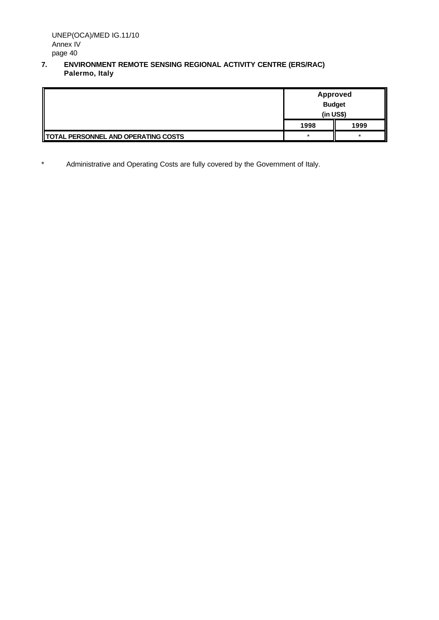## **7. ENVIRONMENT REMOTE SENSING REGIONAL ACTIVITY CENTRE (ERS/RAC) Palermo, Italy**

|                                     | <b>Approved</b><br><b>Budget</b><br>(in US\$) |      |
|-------------------------------------|-----------------------------------------------|------|
|                                     | 1998                                          | 1999 |
| TOTAL PERSONNEL AND OPERATING COSTS | $\star$                                       | -1   |

\* Administrative and Operating Costs are fully covered by the Government of Italy.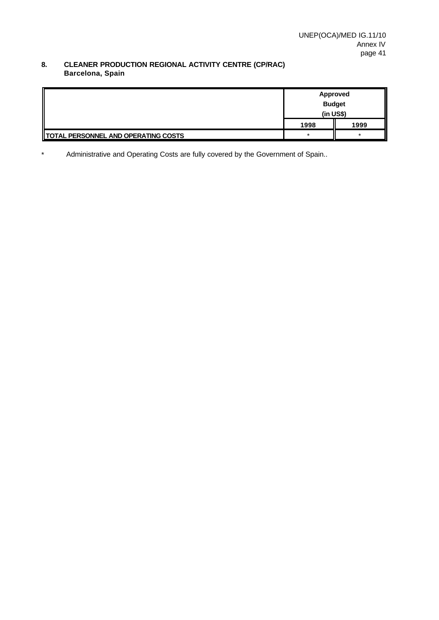# **8. CLEANER PRODUCTION REGIONAL ACTIVITY CENTRE (CP/RAC) Barcelona, Spain**

|                                            |         | <b>Approved</b> |  |
|--------------------------------------------|---------|-----------------|--|
|                                            |         | <b>Budget</b>   |  |
|                                            |         | (in US\$)       |  |
|                                            | 1998    | 1999            |  |
| <b>TOTAL PERSONNEL AND OPERATING COSTS</b> | $\star$ | $\star$         |  |

\* Administrative and Operating Costs are fully covered by the Government of Spain..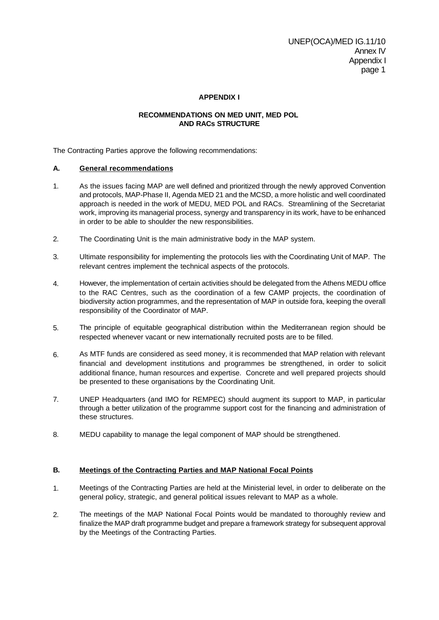#### **APPENDIX I**

#### **RECOMMENDATIONS ON MED UNIT, MED POL AND RACs STRUCTURE**

The Contracting Parties approve the following recommendations:

#### **A. General recommendations**

- 1. As the issues facing MAP are well defined and prioritized through the newly approved Convention and protocols, MAP-Phase II, Agenda MED 21 and the MCSD, a more holistic and well coordinated approach is needed in the work of MEDU, MED POL and RACs. Streamlining of the Secretariat work, improving its managerial process, synergy and transparency in its work, have to be enhanced in order to be able to shoulder the new responsibilities.
- 2. The Coordinating Unit is the main administrative body in the MAP system.
- 3. Ultimate responsibility for implementing the protocols lies with the Coordinating Unit of MAP. The relevant centres implement the technical aspects of the protocols.
- 4. However, the implementation of certain activities should be delegated from the Athens MEDU office to the RAC Centres, such as the coordination of a few CAMP projects, the coordination of biodiversity action programmes, and the representation of MAP in outside fora, keeping the overall responsibility of the Coordinator of MAP.
- 5. The principle of equitable geographical distribution within the Mediterranean region should be respected whenever vacant or new internationally recruited posts are to be filled.
- 6. As MTF funds are considered as seed money, it is recommended that MAP relation with relevant financial and development institutions and programmes be strengthened, in order to solicit additional finance, human resources and expertise. Concrete and well prepared projects should be presented to these organisations by the Coordinating Unit.
- 7. UNEP Headquarters (and IMO for REMPEC) should augment its support to MAP, in particular through a better utilization of the programme support cost for the financing and administration of these structures.
- 8. MEDU capability to manage the legal component of MAP should be strengthened.

#### **B. Meetings of the Contracting Parties and MAP National Focal Points**

- 1. Meetings of the Contracting Parties are held at the Ministerial level, in order to deliberate on the general policy, strategic, and general political issues relevant to MAP as a whole.
- 2. The meetings of the MAP National Focal Points would be mandated to thoroughly review and finalize the MAP draft programme budget and prepare a framework strategy for subsequent approval by the Meetings of the Contracting Parties.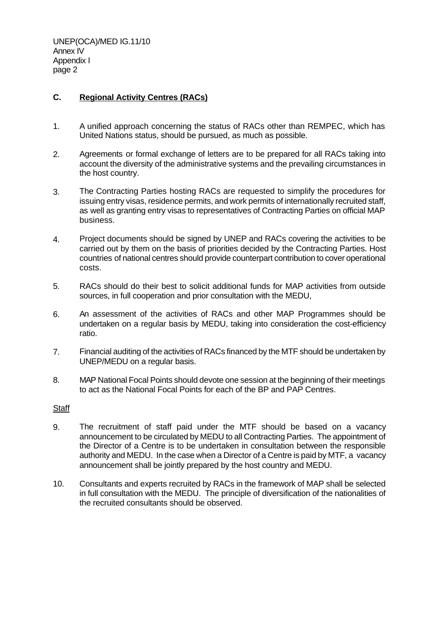UNEP(OCA)/MED IG.11/10 Annex IV Appendix I page 2

# **C. Regional Activity Centres (RACs)**

- 1. A unified approach concerning the status of RACs other than REMPEC, which has United Nations status, should be pursued, as much as possible.
- 2. Agreements or formal exchange of letters are to be prepared for all RACs taking into account the diversity of the administrative systems and the prevailing circumstances in the host country.
- 3. The Contracting Parties hosting RACs are requested to simplify the procedures for issuing entry visas, residence permits, and work permits of internationally recruited staff, as well as granting entry visas to representatives of Contracting Parties on official MAP business.
- 4. Project documents should be signed by UNEP and RACs covering the activities to be carried out by them on the basis of priorities decided by the Contracting Parties. Host countries of national centres should provide counterpart contribution to cover operational costs.
- 5. RACs should do their best to solicit additional funds for MAP activities from outside sources, in full cooperation and prior consultation with the MEDU,
- 6. An assessment of the activities of RACs and other MAP Programmes should be undertaken on a regular basis by MEDU, taking into consideration the cost-efficiency ratio.
- 7. Financial auditing of the activities of RACs financed by the MTF should be undertaken by UNEP/MEDU on a regular basis.
- 8. MAP National Focal Points should devote one session at the beginning of their meetings to act as the National Focal Points for each of the BP and PAP Centres.

# **Staff**

- 9. The recruitment of staff paid under the MTF should be based on a vacancy announcement to be circulated by MEDU to all Contracting Parties. The appointment of the Director of a Centre is to be undertaken in consultation between the responsible authority and MEDU. In the case when a Director of a Centre is paid by MTF, a vacancy announcement shall be jointly prepared by the host country and MEDU.
- 10. Consultants and experts recruited by RACs in the framework of MAP shall be selected in full consultation with the MEDU. The principle of diversification of the nationalities of the recruited consultants should be observed.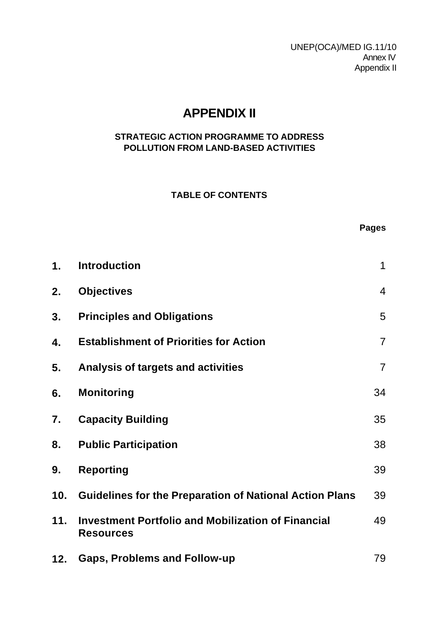UNEP(OCA)/MED IG.11/10 Annex IV Appendix II

# **APPENDIX II**

# **STRATEGIC ACTION PROGRAMME TO ADDRESS POLLUTION FROM LAND-BASED ACTIVITIES**

# **TABLE OF CONTENTS**

# **Pages**

| 1.  | <b>Introduction</b>                                                           | $\overline{1}$ |
|-----|-------------------------------------------------------------------------------|----------------|
| 2.  | <b>Objectives</b>                                                             | $\overline{4}$ |
| 3.  | <b>Principles and Obligations</b>                                             | 5              |
| 4.  | <b>Establishment of Priorities for Action</b>                                 | $\overline{7}$ |
| 5.  | Analysis of targets and activities                                            | $\overline{7}$ |
| 6.  | <b>Monitoring</b>                                                             | 34             |
| 7.  | <b>Capacity Building</b>                                                      | 35             |
| 8.  | <b>Public Participation</b>                                                   | 38             |
| 9.  | <b>Reporting</b>                                                              | 39             |
| 10. | <b>Guidelines for the Preparation of National Action Plans</b>                | 39             |
| 11. | <b>Investment Portfolio and Mobilization of Financial</b><br><b>Resources</b> | 49             |
| 12. | <b>Gaps, Problems and Follow-up</b>                                           | 79             |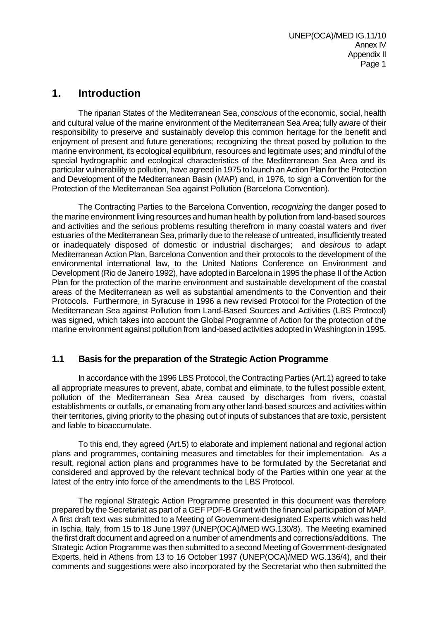# **1. Introduction**

The riparian States of the Mediterranean Sea, *conscious* of the economic, social, health and cultural value of the marine environment of the Mediterranean Sea Area; fully aware of their responsibility to preserve and sustainably develop this common heritage for the benefit and enjoyment of present and future generations; recognizing the threat posed by pollution to the marine environment, its ecological equilibrium, resources and legitimate uses; and mindful of the special hydrographic and ecological characteristics of the Mediterranean Sea Area and its particular vulnerability to pollution, have agreed in 1975 to launch an Action Plan for the Protection and Development of the Mediterranean Basin (MAP) and, in 1976, to sign a Convention for the Protection of the Mediterranean Sea against Pollution (Barcelona Convention).

The Contracting Parties to the Barcelona Convention, *recognizing* the danger posed to the marine environment living resources and human health by pollution from land-based sources and activities and the serious problems resulting therefrom in many coastal waters and river estuaries of the Mediterranean Sea, primarily due to the release of untreated, insufficiently treated or inadequately disposed of domestic or industrial discharges; and *desirous* to adapt Mediterranean Action Plan, Barcelona Convention and their protocols to the development of the environmental international law, to the United Nations Conference on Environment and Development (Rio de Janeiro 1992), have adopted in Barcelona in 1995 the phase II of the Action Plan for the protection of the marine environment and sustainable development of the coastal areas of the Mediterranean as well as substantial amendments to the Convention and their Protocols. Furthermore, in Syracuse in 1996 a new revised Protocol for the Protection of the Mediterranean Sea against Pollution from Land-Based Sources and Activities (LBS Protocol) was signed, which takes into account the Global Programme of Action for the protection of the marine environment against pollution from land-based activities adopted in Washington in 1995.

# **1.1 Basis for the preparation of the Strategic Action Programme**

In accordance with the 1996 LBS Protocol, the Contracting Parties (Art.1) agreed to take all appropriate measures to prevent, abate, combat and eliminate, to the fullest possible extent, pollution of the Mediterranean Sea Area caused by discharges from rivers, coastal establishments or outfalls, or emanating from any other land-based sources and activities within their territories, giving priority to the phasing out of inputs of substances that are toxic, persistent and liable to bioaccumulate.

To this end, they agreed (Art.5) to elaborate and implement national and regional action plans and programmes, containing measures and timetables for their implementation. As a result, regional action plans and programmes have to be formulated by the Secretariat and considered and approved by the relevant technical body of the Parties within one year at the latest of the entry into force of the amendments to the LBS Protocol.

The regional Strategic Action Programme presented in this document was therefore prepared by the Secretariat as part of a GEF PDF-B Grant with the financial participation of MAP. A first draft text was submitted to a Meeting of Government-designated Experts which was held in Ischia, Italy, from 15 to 18 June 1997 (UNEP(OCA)/MED WG.130/8). The Meeting examined the first draft document and agreed on a number of amendments and corrections/additions. The Strategic Action Programme was then submitted to a second Meeting of Government-designated Experts, held in Athens from 13 to 16 October 1997 (UNEP(OCA)/MED WG.136/4), and their comments and suggestions were also incorporated by the Secretariat who then submitted the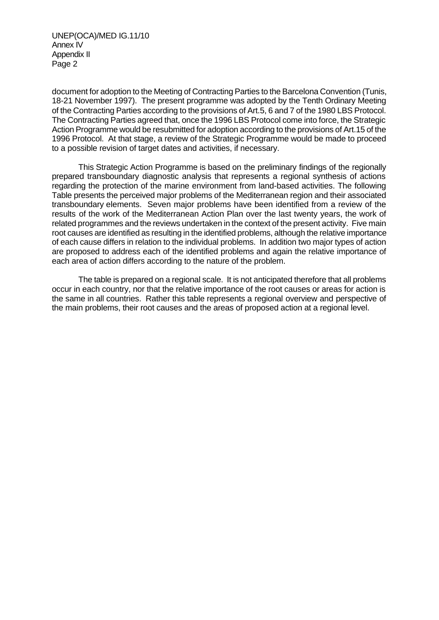document for adoption to the Meeting of Contracting Parties to the Barcelona Convention (Tunis, 18-21 November 1997). The present programme was adopted by the Tenth Ordinary Meeting of the Contracting Parties according to the provisions of Art.5, 6 and 7 of the 1980 LBS Protocol. The Contracting Parties agreed that, once the 1996 LBS Protocol come into force, the Strategic Action Programme would be resubmitted for adoption according to the provisions of Art.15 of the 1996 Protocol. At that stage, a review of the Strategic Programme would be made to proceed to a possible revision of target dates and activities, if necessary.

This Strategic Action Programme is based on the preliminary findings of the regionally prepared transboundary diagnostic analysis that represents a regional synthesis of actions regarding the protection of the marine environment from land-based activities. The following Table presents the perceived major problems of the Mediterranean region and their associated transboundary elements. Seven major problems have been identified from a review of the results of the work of the Mediterranean Action Plan over the last twenty years, the work of related programmes and the reviews undertaken in the context of the present activity. Five main root causes are identified as resulting in the identified problems, although the relative importance of each cause differs in relation to the individual problems. In addition two major types of action are proposed to address each of the identified problems and again the relative importance of each area of action differs according to the nature of the problem.

The table is prepared on a regional scale. It is not anticipated therefore that all problems occur in each country, nor that the relative importance of the root causes or areas for action is the same in all countries. Rather this table represents a regional overview and perspective of the main problems, their root causes and the areas of proposed action at a regional level.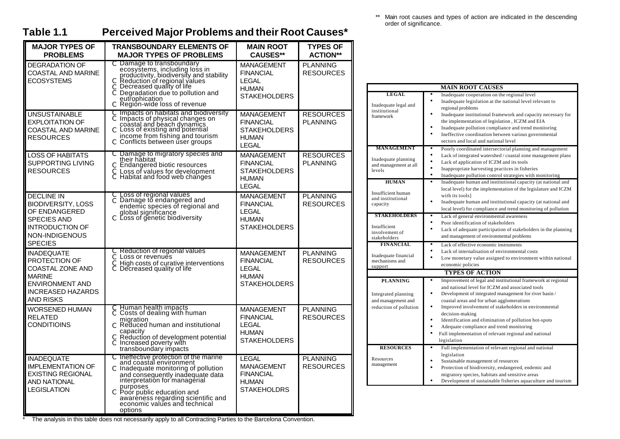**Table 1.1 Perceived Major Problems and their Root Causes\***

| <b>MAJOR TYPES OF</b><br><b>PROBLEMS</b>                                                                                                            | TRANSBOUNDARY ELEMENTS OF<br><b>MAJOR TYPES OF PROBLEMS</b>                                                                                                                                                                                                                                                            | <b>MAIN ROOT</b><br><b>CAUSES**</b>                                                          | <b>TYPES OF</b><br><b>ACTION**</b>  |                                                   |
|-----------------------------------------------------------------------------------------------------------------------------------------------------|------------------------------------------------------------------------------------------------------------------------------------------------------------------------------------------------------------------------------------------------------------------------------------------------------------------------|----------------------------------------------------------------------------------------------|-------------------------------------|---------------------------------------------------|
| <b>DEGRADATION OF</b><br>COASTAL AND MARINE<br><b>ECOSYSTEMS</b>                                                                                    | Damage to transboundary<br>C.<br>Ecosystems, including loss in<br>productivity, biodiversity and stability<br>Reduction of regional values<br>Decreased quality of life<br>C<br>C<br>C<br>Degradation due to pollution and<br>eutrophication<br>Region-wide loss of revenue<br>C                                       | <b>MANAGEMENT</b><br><b>FINANCIAL</b><br><b>LEGAL</b><br><b>HUMAN</b><br>STAKEHOLDERS        | <b>PLANNING</b><br><b>RESOURCES</b> | Inad                                              |
| <b>UNSUSTAINABLE</b><br><b>EXPLOITATION OF</b><br><b>COASTAL AND MARINE</b><br><b>RESOURCES</b>                                                     | Impacts on habitats and biodiversity<br>Impacts of physical changes on<br>coastal and beach dynamics<br>Loss of existing and potential<br>Ċ<br>C<br>income from fishing and tourism<br>Conflicts between user groups<br>C.                                                                                             | <b>MANAGEMENT</b><br><b>FINANCIAL</b><br><b>STAKEHOLDERS</b><br><b>HUMAN</b><br>LEGAL        | <b>RESOURCES</b><br><b>PLANNING</b> | inst<br>fram<br>M                                 |
| <b>LOSS OF HABITATS</b><br><b>SUPPORTING LIVING</b><br><b>RESOURCES</b>                                                                             | Damage to migratory species and<br>C<br>their hăbitat<br>Endangered biotic resources<br>C<br>Loss of values for development<br>Habitat and food web changes<br>č                                                                                                                                                       | <b>MANAGEMENT</b><br><b>FINANCIAL</b><br><b>STAKEHOLDERS</b><br><b>HUMAN</b><br><b>LEGAL</b> | <b>RESOURCES</b><br><b>PLANNING</b> | Inac<br>and<br>leve                               |
| <b>DECLINE IN</b><br><b>BIODIVERSITY, LOSS</b><br>OF ENDANGERED<br><b>SPECIES AND</b><br><b>INTRODUCTION OF</b><br>NON-INDIGENOUS<br><b>SPECIES</b> | Loss of regional values<br>Damage to endangered and<br>C<br>C.<br>endemic species of regional and<br>global significance<br>Loss of genetic biodiversity<br>C.                                                                                                                                                         | <b>MANAGEMENT</b><br><b>FINANCIAL</b><br>LEGAL<br><b>HUMAN</b><br><b>STAKEHOLDERS</b>        | <b>PLANNING</b><br><b>RESOURCES</b> | Insu<br>and<br>capa<br>ST<br>Insu<br>invo<br>stak |
| <b>INADEQUATE</b><br>PROTECTION OF<br><b>COASTAL ZONE AND</b><br><b>MARINE</b><br><b>ENVIRONMENT AND</b><br><b>INCREASED HAZARDS</b><br>AND RISKS   | Reduction of regional values<br>Loss or revenues<br>C<br>č<br>High costs of curative interventions<br>Decreased quality of life                                                                                                                                                                                        | <b>MANAGEMENT</b><br><b>FINANCIAL</b><br><b>LEGAL</b><br><b>HUMAN</b><br><b>STAKEHOLDERS</b> | <b>PLANNING</b><br><b>RESOURCES</b> | Inad<br>mec<br>sup<br>Inte<br>and                 |
| WORSENED HUMAN<br>RELATED<br><b>CONDITIOINS</b>                                                                                                     | Human health impacts<br>C<br>Costs of dealing with human<br>migration<br>Reduced human and institutional<br>ſ.<br>capacity<br>C<br>Reduction of development potential<br>Increased poverty with<br>transboundary impacts<br>C.                                                                                         | <b>MANAGEMENT</b><br><b>FINANCIAL</b><br><b>LEGAL</b><br>HUMAN<br><b>STAKEHOLDERS</b>        | <b>PLANNING</b><br><b>RESOURCES</b> | redu                                              |
| <b>INADEQUATE</b><br><b>IMPLEMENTATION OF</b><br><b>EXISTING REGIONAL</b><br>AND NATIONAL<br><b>LEGISLATION</b>                                     | Ineffective protection of the marine<br>C.<br>and coastal environment<br>Inadequate monitoring of pollution<br>C<br>and consequently inadequate data<br>interpretation for managerial<br>purposes<br>C.<br>Poor public education and<br>awareness regarding scientific and<br>economic values and technical<br>options | <b>LEGAL</b><br><b>MANAGEMENT</b><br><b>FINANCIAL</b><br>HUMAN<br>STAKEHOLDRS                | <b>PLANNING</b><br><b>RESOURCES</b> | Res<br>man                                        |

**MAIN ROOT CAUSES LEGAL** dequate legal and itutional nework • Inadequate cooperation on the regional level • Inadequate legislation at the national level relevant to regional problems • Inadequate institutional framework and capacity necessary for the implementation of legislation , ICZM and EIA • Inadequate pollution compliance and trend monitoring • Ineffective coordination between various governmental sectors and local and national level **MANAGEMENT** dequate planning management at all  $\mathbf{e}$ ls • Poorly coordinated intersectorial planning and management Lack of integrated watershed / coastal zone management plans • Lack of application of ICZM and its tools • Inappropriate harvesting practices in fisheries • Inadequate pollution control strategies with monitoring **HUMAN** Ifficient human institutional acity • Inadequate human and institutional capacity (at national and local level) for the implementation of the legislature and ICZM with its tools] • Inadequate human and institutional capacity (at national and local level) for compliance and trend monitoring of pollution **STAKEHOLDERS** Ifficient plyement of stakeholders Lack of general environmental awareness • Poor identification of stakeholders • Lack of adequate participation of stakeholders in the planning and management of environmental problems **FINANCIAL** dequate financial chanisms and nort • Lack of effective economic instruments • Lack of internalisation of environmental costs • Low monetary value assigned to environment within national economic policies **TYPES OF ACTION PLANNING** egrated planning management and uction of pollution • Improvement of legal and institutional framework at regional and national level for ICZM and associated tools • Development of integrated management for river basin / coastal areas and for urban agglomerations • Improved involvement of stakeholders in environmental decision-making • Identification and elimination of pollution hot-spots • Adequate compliance and trend monitoring • Full implementation of relevant regional and national legislation **RESOURCES** ources nagement • Full implementation of relevant regional and national legislation • Sustainable management of resources • Protection of biodiversity, endangered, endemic and migratory species, habitats and sensitive areas • Development of sustainable fisheries aquaculture and tourism

The analysis in this table does not necessarily apply to all Contracting Parties to the Barcelona Convention.

Main root causes and types of action are indicated in the descending order of significance.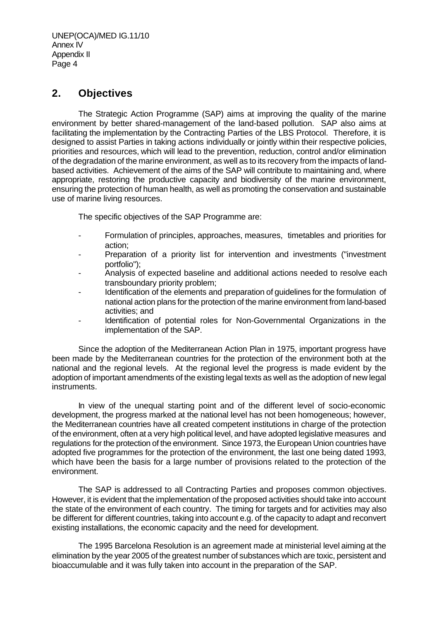# **2. Objectives**

The Strategic Action Programme (SAP) aims at improving the quality of the marine environment by better shared-management of the land-based pollution. SAP also aims at facilitating the implementation by the Contracting Parties of the LBS Protocol. Therefore, it is designed to assist Parties in taking actions individually or jointly within their respective policies, priorities and resources, which will lead to the prevention, reduction, control and/or elimination of the degradation of the marine environment, as well as to its recovery from the impacts of landbased activities. Achievement of the aims of the SAP will contribute to maintaining and, where appropriate, restoring the productive capacity and biodiversity of the marine environment, ensuring the protection of human health, as well as promoting the conservation and sustainable use of marine living resources.

The specific objectives of the SAP Programme are:

- Formulation of principles, approaches, measures, timetables and priorities for action;
- Preparation of a priority list for intervention and investments ("investment portfolio");
- Analysis of expected baseline and additional actions needed to resolve each transboundary priority problem;
- Identification of the elements and preparation of guidelines for the formulation of national action plans for the protection of the marine environment from land-based activities; and
- Identification of potential roles for Non-Governmental Organizations in the implementation of the SAP.

Since the adoption of the Mediterranean Action Plan in 1975, important progress have been made by the Mediterranean countries for the protection of the environment both at the national and the regional levels. At the regional level the progress is made evident by the adoption of important amendments of the existing legal texts as well as the adoption of new legal instruments.

In view of the unequal starting point and of the different level of socio-economic development, the progress marked at the national level has not been homogeneous; however, the Mediterranean countries have all created competent institutions in charge of the protection of the environment, often at a very high political level, and have adopted legislative measures and regulations for the protection of the environment. Since 1973, the European Union countries have adopted five programmes for the protection of the environment, the last one being dated 1993, which have been the basis for a large number of provisions related to the protection of the environment.

The SAP is addressed to all Contracting Parties and proposes common objectives. However, it is evident that the implementation of the proposed activities should take into account the state of the environment of each country. The timing for targets and for activities may also be different for different countries, taking into account e.g. of the capacity to adapt and reconvert existing installations, the economic capacity and the need for development.

The 1995 Barcelona Resolution is an agreement made at ministerial level aiming at the elimination by the year 2005 of the greatest number of substances which are toxic, persistent and bioaccumulable and it was fully taken into account in the preparation of the SAP.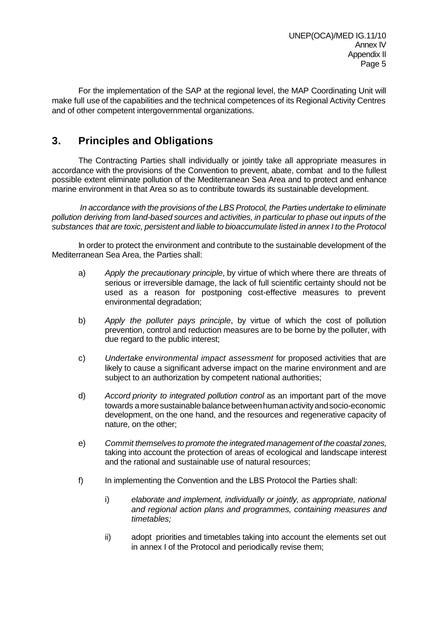For the implementation of the SAP at the regional level, the MAP Coordinating Unit will make full use of the capabilities and the technical competences of its Regional Activity Centres and of other competent intergovernmental organizations.

# **3. Principles and Obligations**

The Contracting Parties shall individually or jointly take all appropriate measures in accordance with the provisions of the Convention to prevent, abate, combat and to the fullest possible extent eliminate pollution of the Mediterranean Sea Area and to protect and enhance marine environment in that Area so as to contribute towards its sustainable development.

 *In accordance with the provisions of the LBS Protocol, the Parties undertake to eliminate pollution deriving from land-based sources and activities, in particular to phase out inputs of the substances that are toxic, persistent and liable to bioaccumulate listed in annex I to the Protocol*

In order to protect the environment and contribute to the sustainable development of the Mediterranean Sea Area, the Parties shall:

- a) *Apply the precautionary principle*, by virtue of which where there are threats of serious or irreversible damage, the lack of full scientific certainty should not be used as a reason for postponing cost-effective measures to prevent environmental degradation;
- b) *Apply the polluter pays principle*, by virtue of which the cost of pollution prevention, control and reduction measures are to be borne by the polluter, with due regard to the public interest;
- c) *Undertake environmental impact assessment* for proposed activities that are likely to cause a significant adverse impact on the marine environment and are subject to an authorization by competent national authorities;
- d) *Accord priority to integrated pollution control* as an important part of the move towards a more sustainable balance between human activity and socio-economic development, on the one hand, and the resources and regenerative capacity of nature, on the other;
- e) *Commit themselves to promote the integrated management of the coastal zones,* taking into account the protection of areas of ecological and landscape interest and the rational and sustainable use of natural resources;
- f) In implementing the Convention and the LBS Protocol the Parties shall:
	- i) *elaborate and implement, individually or jointly, as appropriate, national and regional action plans and programmes, containing measures and timetables;*
	- ii) adopt priorities and timetables taking into account the elements set out in annex I of the Protocol and periodically revise them;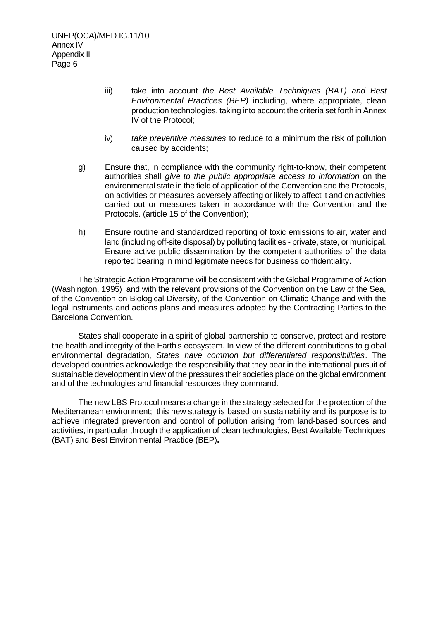- iii) take into account *the Best Available Techniques (BAT) and Best Environmental Practices (BEP)* including, where appropriate, clean production technologies, taking into account the criteria set forth in Annex IV of the Protocol;
- iv) *take preventive measures* to reduce to a minimum the risk of pollution caused by accidents;
- g) Ensure that, in compliance with the community right-to-know, their competent authorities shall *give to the public appropriate access to information* on the environmental state in the field of application of the Convention and the Protocols, on activities or measures adversely affecting or likely to affect it and on activities carried out or measures taken in accordance with the Convention and the Protocols. (article 15 of the Convention);
- h) Ensure routine and standardized reporting of toxic emissions to air, water and land (including off-site disposal) by polluting facilities - private, state, or municipal. Ensure active public dissemination by the competent authorities of the data reported bearing in mind legitimate needs for business confidentiality.

The Strategic Action Programme will be consistent with the Global Programme of Action (Washington, 1995) and with the relevant provisions of the Convention on the Law of the Sea, of the Convention on Biological Diversity, of the Convention on Climatic Change and with the legal instruments and actions plans and measures adopted by the Contracting Parties to the Barcelona Convention.

States shall cooperate in a spirit of global partnership to conserve, protect and restore the health and integrity of the Earth's ecosystem. In view of the different contributions to global environmental degradation, *States have common but differentiated responsibilities*. The developed countries acknowledge the responsibility that they bear in the international pursuit of sustainable development in view of the pressures their societies place on the global environment and of the technologies and financial resources they command.

The new LBS Protocol means a change in the strategy selected for the protection of the Mediterranean environment; this new strategy is based on sustainability and its purpose is to achieve integrated prevention and control of pollution arising from land-based sources and activities, in particular through the application of clean technologies, Best Available Techniques (BAT) and Best Environmental Practice (BEP)**.**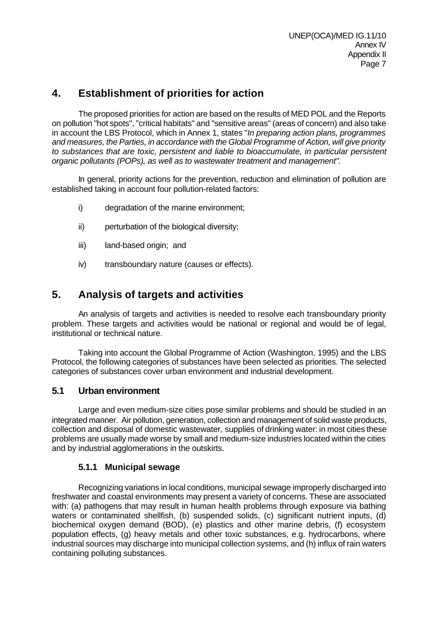# **4. Establishment of priorities for action**

The proposed priorities for action are based on the results of MED POL and the Reports on pollution "hot spots", "critical habitats" and "sensitive areas" (areas of concern) and also take in account the LBS Protocol, which in Annex 1, states "*In preparing action plans, programmes and measures, the Parties, in accordance with the Global Programme of Action, will give priority to substances that are toxic, persistent and liable to bioaccumulate, in particular persistent organic pollutants (POPs), as well as to wastewater treatment and management".*

In general, priority actions for the prevention, reduction and elimination of pollution are established taking in account four pollution-related factors:

- i) degradation of the marine environment;
- ii) perturbation of the biological diversity;
- iii) land-based origin; and
- iv) transboundary nature (causes or effects).

# **5. Analysis of targets and activities**

An analysis of targets and activities is needed to resolve each transboundary priority problem. These targets and activities would be national or regional and would be of legal, institutional or technical nature.

Taking into account the Global Programme of Action (Washington, 1995) and the LBS Protocol, the following categories of substances have been selected as priorities. The selected categories of substances cover urban environment and industrial development.

## **5.1 Urban environment**

Large and even medium-size cities pose similar problems and should be studied in an integrated manner. Air pollution, generation, collection and management of solid waste products, collection and disposal of domestic wastewater, supplies of drinking water: in most cities these problems are usually made worse by small and medium-size industries located within the cities and by industrial agglomerations in the outskirts.

## **5.1.1 Municipal sewage**

Recognizing variations in local conditions, municipal sewage improperly discharged into freshwater and coastal environments may present a variety of concerns. These are associated with: (a) pathogens that may result in human health problems through exposure via bathing waters or contaminated shellfish, (b) suspended solids, (c) significant nutrient inputs, (d) biochemical oxygen demand (BOD), (e) plastics and other marine debris, (f) ecosystem population effects, (g) heavy metals and other toxic substances, e.g. hydrocarbons, where industrial sources may discharge into municipal collection systems, and (h) influx of rain waters containing polluting substances.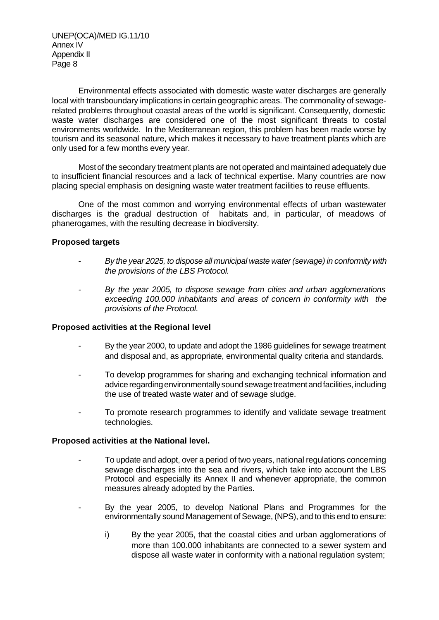Environmental effects associated with domestic waste water discharges are generally local with transboundary implications in certain geographic areas. The commonality of sewagerelated problems throughout coastal areas of the world is significant. Consequently, domestic waste water discharges are considered one of the most significant threats to costal environments worldwide. In the Mediterranean region, this problem has been made worse by tourism and its seasonal nature, which makes it necessary to have treatment plants which are only used for a few months every year.

Most of the secondary treatment plants are not operated and maintained adequately due to insufficient financial resources and a lack of technical expertise. Many countries are now placing special emphasis on designing waste water treatment facilities to reuse effluents.

One of the most common and worrying environmental effects of urban wastewater discharges is the gradual destruction of habitats and, in particular, of meadows of phanerogames, with the resulting decrease in biodiversity.

## **Proposed targets**

- *By the year 2025, to dispose all municipal waste water (sewage) in conformity with the provisions of the LBS Protocol.*
- *- By the year 2005, to dispose sewage from cities and urban agglomerations exceeding 100.000 inhabitants and areas of concern in conformity with the provisions of the Protocol.*

#### **Proposed activities at the Regional level**

- By the year 2000, to update and adopt the 1986 guidelines for sewage treatment and disposal and, as appropriate, environmental quality criteria and standards.
- To develop programmes for sharing and exchanging technical information and advice regarding environmentally sound sewage treatment and facilities, including the use of treated waste water and of sewage sludge.
- To promote research programmes to identify and validate sewage treatment technologies.

#### **Proposed activities at the National level.**

- To update and adopt, over a period of two years, national regulations concerning sewage discharges into the sea and rivers, which take into account the LBS Protocol and especially its Annex II and whenever appropriate, the common measures already adopted by the Parties.
- By the year 2005, to develop National Plans and Programmes for the environmentally sound Management of Sewage, (NPS), and to this end to ensure:
	- i) By the year 2005, that the coastal cities and urban agglomerations of more than 100.000 inhabitants are connected to a sewer system and dispose all waste water in conformity with a national regulation system;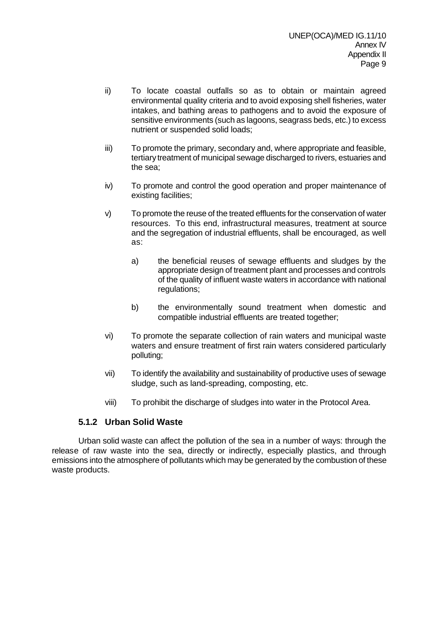- ii) To locate coastal outfalls so as to obtain or maintain agreed environmental quality criteria and to avoid exposing shell fisheries, water intakes, and bathing areas to pathogens and to avoid the exposure of sensitive environments (such as lagoons, seagrass beds, etc.) to excess nutrient or suspended solid loads;
- iii) To promote the primary, secondary and, where appropriate and feasible, tertiary treatment of municipal sewage discharged to rivers, estuaries and the sea;
- iv) To promote and control the good operation and proper maintenance of existing facilities;
- v) To promote the reuse of the treated effluents for the conservation of water resources. To this end, infrastructural measures, treatment at source and the segregation of industrial effluents, shall be encouraged, as well as:
	- a) the beneficial reuses of sewage effluents and sludges by the appropriate design of treatment plant and processes and controls of the quality of influent waste waters in accordance with national regulations;
	- b) the environmentally sound treatment when domestic and compatible industrial effluents are treated together;
- vi) To promote the separate collection of rain waters and municipal waste waters and ensure treatment of first rain waters considered particularly polluting;
- vii) To identify the availability and sustainability of productive uses of sewage sludge, such as land-spreading, composting, etc.
- viii) To prohibit the discharge of sludges into water in the Protocol Area.

## **5.1.2 Urban Solid Waste**

Urban solid waste can affect the pollution of the sea in a number of ways: through the release of raw waste into the sea, directly or indirectly, especially plastics, and through emissions into the atmosphere of pollutants which may be generated by the combustion of these waste products.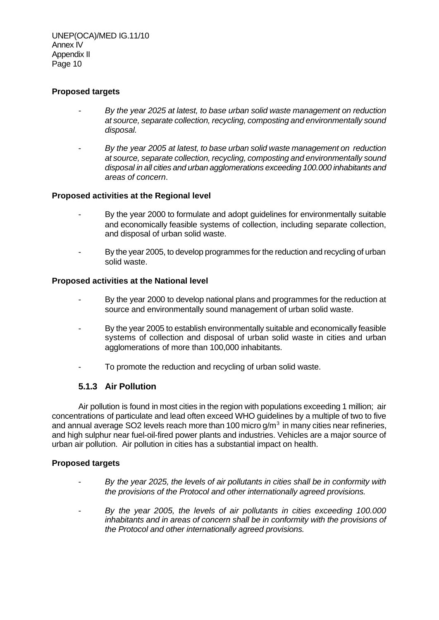## **Proposed targets**

- *- By the year 2025 at latest, to base urban solid waste management on reduction at source, separate collection, recycling, composting and environmentally sound disposal.*
- *By the year 2005 at latest, to base urban solid waste management on reduction at source, separate collection, recycling, composting and environmentally sound disposal in all cities and urban agglomerations exceeding 100.000 inhabitants and areas of concern*.

## **Proposed activities at the Regional level**

- By the year 2000 to formulate and adopt quidelines for environmentally suitable and economically feasible systems of collection, including separate collection, and disposal of urban solid waste.
- By the year 2005, to develop programmes for the reduction and recycling of urban solid waste.

## **Proposed activities at the National level**

- By the year 2000 to develop national plans and programmes for the reduction at source and environmentally sound management of urban solid waste.
- By the year 2005 to establish environmentally suitable and economically feasible systems of collection and disposal of urban solid waste in cities and urban agglomerations of more than 100,000 inhabitants.
- To promote the reduction and recycling of urban solid waste.

## **5.1.3 Air Pollution**

Air pollution is found in most cities in the region with populations exceeding 1 million; air concentrations of particulate and lead often exceed WHO guidelines by a multiple of two to five and annual average SO2 levels reach more than 100 micro  $g/m<sup>3</sup>$  in many cities near refineries, and high sulphur near fuel-oil-fired power plants and industries. Vehicles are a major source of urban air pollution. Air pollution in cities has a substantial impact on health.

## **Proposed targets**

- *By the year 2025, the levels of air pollutants in cities shall be in conformity with the provisions of the Protocol and other internationally agreed provisions.*
- *By the year 2005, the levels of air pollutants in cities exceeding 100.000 inhabitants and in areas of concern shall be in conformity with the provisions of the Protocol and other internationally agreed provisions.*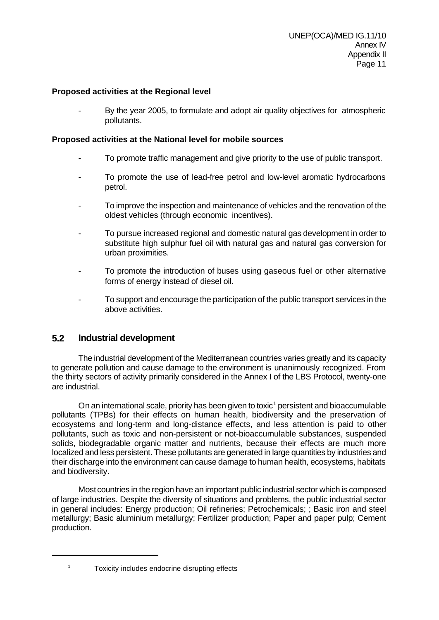## **Proposed activities at the Regional level**

By the year 2005, to formulate and adopt air quality objectives for atmospheric pollutants.

## **Proposed activities at the National level for mobile sources**

- To promote traffic management and give priority to the use of public transport.
- To promote the use of lead-free petrol and low-level aromatic hydrocarbons petrol.
- To improve the inspection and maintenance of vehicles and the renovation of the oldest vehicles (through economic incentives).
- To pursue increased regional and domestic natural gas development in order to substitute high sulphur fuel oil with natural gas and natural gas conversion for urban proximities.
- To promote the introduction of buses using gaseous fuel or other alternative forms of energy instead of diesel oil.
- To support and encourage the participation of the public transport services in the above activities.

## **5.2 Industrial development**

The industrial development of the Mediterranean countries varies greatly and its capacity to generate pollution and cause damage to the environment is unanimously recognized. From the thirty sectors of activity primarily considered in the Annex I of the LBS Protocol, twenty-one are industrial.

On an international scale, priority has been given to toxic<sup>1</sup> persistent and bioaccumulable pollutants (TPBs) for their effects on human health, biodiversity and the preservation of ecosystems and long-term and long-distance effects, and less attention is paid to other pollutants, such as toxic and non-persistent or not-bioaccumulable substances, suspended solids, biodegradable organic matter and nutrients, because their effects are much more localized and less persistent. These pollutants are generated in large quantities by industries and their discharge into the environment can cause damage to human health, ecosystems, habitats and biodiversity.

Most countries in the region have an important public industrial sector which is composed of large industries. Despite the diversity of situations and problems, the public industrial sector in general includes: Energy production; Oil refineries; Petrochemicals; ; Basic iron and steel metallurgy; Basic aluminium metallurgy; Fertilizer production; Paper and paper pulp; Cement production.

<sup>1</sup> Toxicity includes endocrine disrupting effects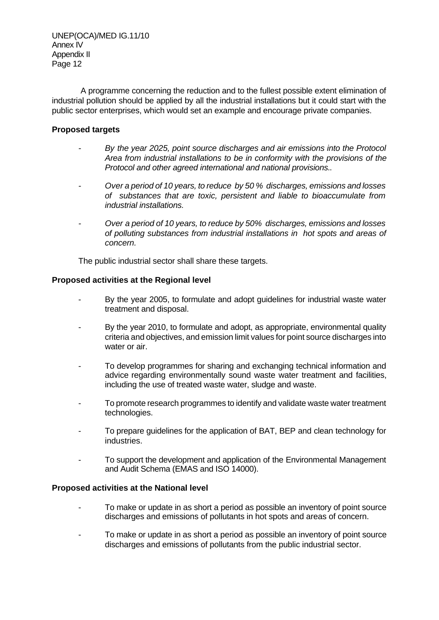A programme concerning the reduction and to the fullest possible extent elimination of industrial pollution should be applied by all the industrial installations but it could start with the public sector enterprises, which would set an example and encourage private companies.

## **Proposed targets**

- *- By the year 2025, point source discharges and air emissions into the Protocol Area from industrial installations to be in conformity with the provisions of the Protocol and other agreed international and national provisions.*.
- *- Over a period of 10 years, to reduce by 50 % discharges, emissions and losses of substances that are toxic, persistent and liable to bioaccumulate from industrial installations.*
- *- Over a period of 10 years, to reduce by 50% discharges, emissions and losses of polluting substances from industrial installations in hot spots and areas of concern.*

The public industrial sector shall share these targets.

## **Proposed activities at the Regional level**

- By the year 2005, to formulate and adopt guidelines for industrial waste water treatment and disposal.
- By the year 2010, to formulate and adopt, as appropriate, environmental quality criteria and objectives, and emission limit values for point source discharges into water or air.
- To develop programmes for sharing and exchanging technical information and advice regarding environmentally sound waste water treatment and facilities, including the use of treated waste water, sludge and waste.
- To promote research programmes to identify and validate waste water treatment technologies.
- To prepare guidelines for the application of BAT, BEP and clean technology for industries.
- To support the development and application of the Environmental Management and Audit Schema (EMAS and ISO 14000).

## **Proposed activities at the National level**

- To make or update in as short a period as possible an inventory of point source discharges and emissions of pollutants in hot spots and areas of concern.
- To make or update in as short a period as possible an inventory of point source discharges and emissions of pollutants from the public industrial sector.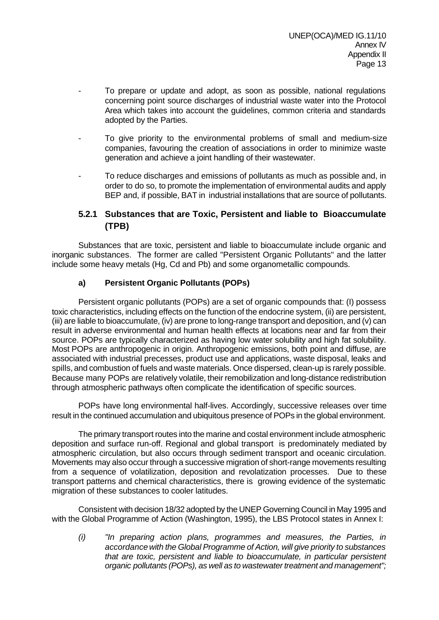- To prepare or update and adopt, as soon as possible, national regulations concerning point source discharges of industrial waste water into the Protocol Area which takes into account the guidelines, common criteria and standards adopted by the Parties.
- To give priority to the environmental problems of small and medium-size companies, favouring the creation of associations in order to minimize waste generation and achieve a joint handling of their wastewater.
- To reduce discharges and emissions of pollutants as much as possible and, in order to do so, to promote the implementation of environmental audits and apply BEP and, if possible, BAT in industrial installations that are source of pollutants.

## **5.2.1 Substances that are Toxic, Persistent and liable to Bioaccumulate (TPB)**

Substances that are toxic, persistent and liable to bioaccumulate include organic and inorganic substances. The former are called "Persistent Organic Pollutants" and the latter include some heavy metals (Hg, Cd and Pb) and some organometallic compounds.

## **a) Persistent Organic Pollutants (POPs)**

Persistent organic pollutants (POPs) are a set of organic compounds that: (I) possess toxic characteristics, including effects on the function of the endocrine system, (ii) are persistent, (iii) are liable to bioaccumulate, (iv) are prone to long-range transport and deposition, and (v) can result in adverse environmental and human health effects at locations near and far from their source. POPs are typically characterized as having low water solubility and high fat solubility. Most POPs are anthropogenic in origin. Anthropogenic emissions, both point and diffuse, are associated with industrial precesses, product use and applications, waste disposal, leaks and spills, and combustion of fuels and waste materials. Once dispersed, clean-up is rarely possible. Because many POPs are relatively volatile, their remobilization and long-distance redistribution through atmospheric pathways often complicate the identification of specific sources.

POPs have long environmental half-lives. Accordingly, successive releases over time result in the continued accumulation and ubiquitous presence of POPs in the global environment.

The primary transport routes into the marine and costal environment include atmospheric deposition and surface run-off. Regional and global transport is predominately mediated by atmospheric circulation, but also occurs through sediment transport and oceanic circulation. Movements may also occur through a successive migration of short-range movements resulting from a sequence of volatilization, deposition and revolatization processes. Due to these transport patterns and chemical characteristics, there is growing evidence of the systematic migration of these substances to cooler latitudes.

Consistent with decision 18/32 adopted by the UNEP Governing Council in May 1995 and with the Global Programme of Action (Washington, 1995), the LBS Protocol states in Annex I:

*(i) "In preparing action plans, programmes and measures, the Parties, in accordance with the Global Programme of Action, will give priority to substances that are toxic, persistent and liable to bioaccumulate, in particular persistent organic pollutants (POPs), as well as to wastewater treatment and management";*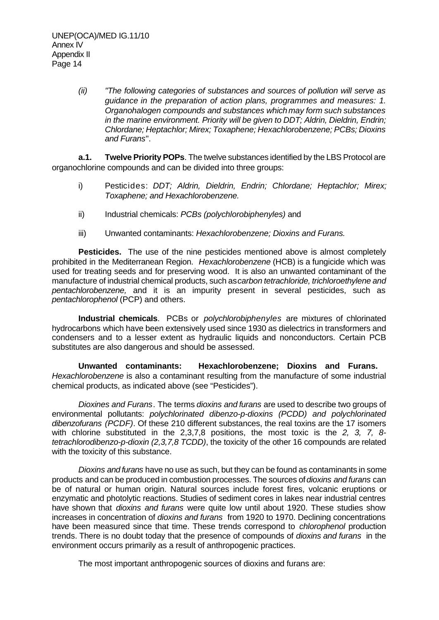*(ii) "The following categories of substances and sources of pollution will serve as guidance in the preparation of action plans, programmes and measures: 1. Organohalogen compounds and substances which may form such substances in the marine environment. Priority will be given to DDT; Aldrin, Dieldrin, Endrin; Chlordane; Heptachlor; Mirex; Toxaphene; Hexachlorobenzene; PCBs; Dioxins and Furans*".

**a.1. Twelve Priority POPs**. The twelve substances identified by the LBS Protocol are organochlorine compounds and can be divided into three groups:

- i) Pesticides: *DDT; Aldrin, Dieldrin, Endrin; Chlordane; Heptachlor; Mirex; Toxaphene; and Hexachlorobenzene.*
- ii) Industrial chemicals: *PCBs (polychlorobiphenyles)* and
- iii) Unwanted contaminants: *Hexachlorobenzene; Dioxins and Furans.*

**Pesticides.** The use of the nine pesticides mentioned above is almost completely prohibited in the Mediterranean Region. *Hexachlorobenzene* (HCB) is a fungicide which was used for treating seeds and for preserving wood. It is also an unwanted contaminant of the manufacture of industrial chemical products, such as *carbon tetrachloride, trichloroethylene and pentachlorobenzene,* and it is an impurity present in several pesticides, such as *pentachlorophenol* (PCP) and others.

**Industrial chemicals**. PCBs or *polychlorobiphenyles* are mixtures of chlorinated hydrocarbons which have been extensively used since 1930 as dielectrics in transformers and condensers and to a lesser extent as hydraulic liquids and nonconductors. Certain PCB substitutes are also dangerous and should be assessed.

**Unwanted contaminants: Hexachlorobenzene; Dioxins and Furans.** *Hexachlorobenzene* is also a contaminant resulting from the manufacture of some industrial chemical products, as indicated above (see "Pesticides").

*Dioxines and Furans*. The terms *dioxins and furans* are used to describe two groups of environmental pollutants: *polychlorinated dibenzo-p-dioxins (PCDD) and polychlorinated dibenzofurans (PCDF)*. Of these 210 different substances, the real toxins are the 17 isomers with chlorine substituted in the 2,3,7,8 positions, the most toxic is the *2, 3, 7, 8 tetrachlorodibenzo-p-dioxin (2,3,7,8 TCDD)*, the toxicity of the other 16 compounds are related with the toxicity of this substance.

*Dioxins and furans* have no use as such, but they can be found as contaminants in some products and can be produced in combustion processes. The sources of *dioxins and furans* can be of natural or human origin. Natural sources include forest fires, volcanic eruptions or enzymatic and photolytic reactions. Studies of sediment cores in lakes near industrial centres have shown that *dioxins and furans* were quite low until about 1920. These studies show increases in concentration of *dioxins and furans* from 1920 to 1970. Declining concentrations have been measured since that time. These trends correspond to *chlorophenol* production trends. There is no doubt today that the presence of compounds of *dioxins and furans* in the environment occurs primarily as a result of anthropogenic practices.

The most important anthropogenic sources of dioxins and furans are: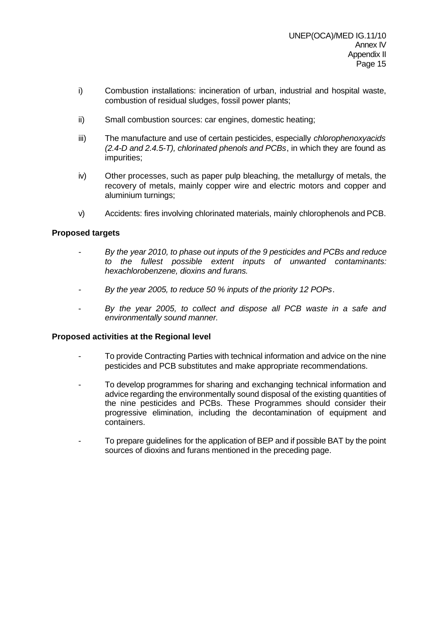- i) Combustion installations: incineration of urban, industrial and hospital waste, combustion of residual sludges, fossil power plants;
- ii) Small combustion sources: car engines, domestic heating;
- iii) The manufacture and use of certain pesticides, especially *chlorophenoxyacids (2.4-D and 2.4.5-T), chlorinated phenols and PCBs*, in which they are found as impurities;
- iv) Other processes, such as paper pulp bleaching, the metallurgy of metals, the recovery of metals, mainly copper wire and electric motors and copper and aluminium turnings;
- v) Accidents: fires involving chlorinated materials, mainly chlorophenols and PCB.

## **Proposed targets**

- *- By the year 2010, to phase out inputs of the 9 pesticides and PCBs and reduce to the fullest possible extent inputs of unwanted contaminants: hexachlorobenzene, dioxins and furans.*
- *- By the year 2005, to reduce 50 % inputs of the priority 12 POPs*.
- *By the year 2005, to collect and dispose all PCB waste in a safe and environmentally sound manner.*

## **Proposed activities at the Regional level**

- To provide Contracting Parties with technical information and advice on the nine pesticides and PCB substitutes and make appropriate recommendations.
- To develop programmes for sharing and exchanging technical information and advice regarding the environmentally sound disposal of the existing quantities of the nine pesticides and PCBs. These Programmes should consider their progressive elimination, including the decontamination of equipment and containers.
- To prepare guidelines for the application of BEP and if possible BAT by the point sources of dioxins and furans mentioned in the preceding page.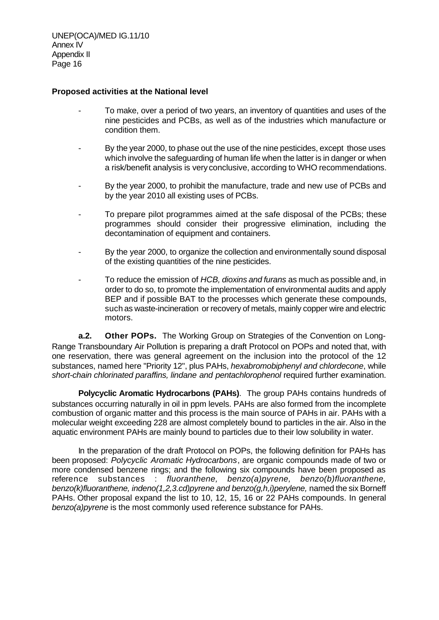### **Proposed activities at the National level**

- To make, over a period of two years, an inventory of quantities and uses of the nine pesticides and PCBs, as well as of the industries which manufacture or condition them.
- By the year 2000, to phase out the use of the nine pesticides, except those uses which involve the safeguarding of human life when the latter is in danger or when a risk/benefit analysis is very conclusive, according to WHO recommendations.
- By the year 2000, to prohibit the manufacture, trade and new use of PCBs and by the year 2010 all existing uses of PCBs.
- To prepare pilot programmes aimed at the safe disposal of the PCBs; these programmes should consider their progressive elimination, including the decontamination of equipment and containers.
- By the year 2000, to organize the collection and environmentally sound disposal of the existing quantities of the nine pesticides.
- To reduce the emission of *HCB, dioxins and furans* as much as possible and, in order to do so, to promote the implementation of environmental audits and apply BEP and if possible BAT to the processes which generate these compounds, such as waste-incineration or recovery of metals, mainly copper wire and electric motors.

**a.2. Other POPs.** The Working Group on Strategies of the Convention on Long-Range Transboundary Air Pollution is preparing a draft Protocol on POPs and noted that, with one reservation, there was general agreement on the inclusion into the protocol of the 12 substances, named here "Priority 12", plus PAHs, *hexabromobiphenyl and chlordecone*, while *short-chain chlorinated paraffins, lindane and pentachlorophenol* required further examination.

**Polycyclic Aromatic Hydrocarbons (PAHs)**. The group PAHs contains hundreds of substances occurring naturally in oil in ppm levels. PAHs are also formed from the incomplete combustion of organic matter and this process is the main source of PAHs in air. PAHs with a molecular weight exceeding 228 are almost completely bound to particles in the air. Also in the aquatic environment PAHs are mainly bound to particles due to their low solubility in water.

In the preparation of the draft Protocol on POPs, the following definition for PAHs has been proposed: *Polycyclic Aromatic Hydrocarbons*, are organic compounds made of two or more condensed benzene rings; and the following six compounds have been proposed as reference substances : *fluoranthene, benzo(a)pyrene, benzo(b)fluoranthene, benzo(k)fluoranthene, indeno(1,2,3.cd)pyrene and benzo(g,h,i)perylene,* named the six Borneff PAHs. Other proposal expand the list to 10, 12, 15, 16 or 22 PAHs compounds. In general *benzo(a)pyrene* is the most commonly used reference substance for PAHs.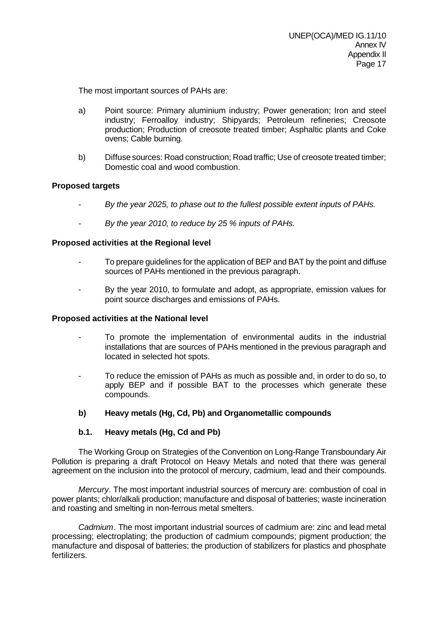The most important sources of PAHs are:

- a) Point source: Primary aluminium industry; Power generation; Iron and steel industry; Ferroalloy industry; Shipyards; Petroleum refineries; Creosote production; Production of creosote treated timber; Asphaltic plants and Coke ovens; Cable burning.
- b) Diffuse sources: Road construction; Road traffic; Use of creosote treated timber; Domestic coal and wood combustion.

## **Proposed targets**

- *By the year 2025, to phase out to the fullest possible extent inputs of PAHs.*
- *- By the year 2010, to reduce by 25 % inputs of PAHs.*

#### **Proposed activities at the Regional level**

- To prepare guidelines for the application of BEP and BAT by the point and diffuse sources of PAHs mentioned in the previous paragraph.
- By the year 2010, to formulate and adopt, as appropriate, emission values for point source discharges and emissions of PAHs.

#### **Proposed activities at the National level**

- To promote the implementation of environmental audits in the industrial installations that are sources of PAHs mentioned in the previous paragraph and located in selected hot spots.
- To reduce the emission of PAHs as much as possible and, in order to do so, to apply BEP and if possible BAT to the processes which generate these compounds.
- **b) Heavy metals (Hg, Cd, Pb) and Organometallic compounds**

## **b.1. Heavy metals (Hg, Cd and Pb)**

The Working Group on Strategies of the Convention on Long-Range Transboundary Air Pollution is preparing a draft Protocol on Heavy Metals and noted that there was general agreement on the inclusion into the protocol of mercury, cadmium, lead and their compounds.

*Mercury*. The most important industrial sources of mercury are: combustion of coal in power plants; chlor/alkali production; manufacture and disposal of batteries; waste incineration and roasting and smelting in non-ferrous metal smelters.

*Cadmium*. The most important industrial sources of cadmium are: zinc and lead metal processing; electroplating; the production of cadmium compounds; pigment production; the manufacture and disposal of batteries; the production of stabilizers for plastics and phosphate fertilizers.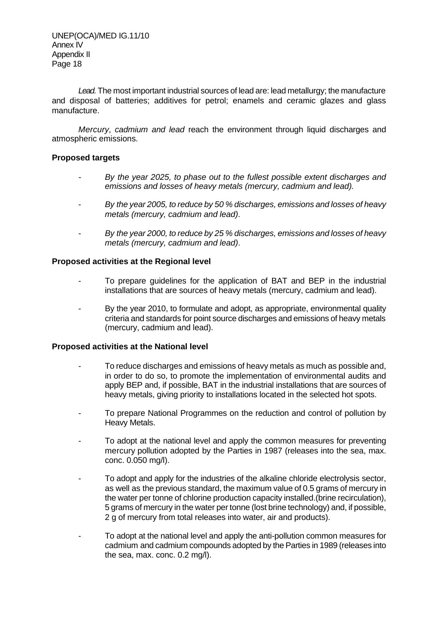*Lead*. The most important industrial sources of lead are: lead metallurgy; the manufacture and disposal of batteries; additives for petrol; enamels and ceramic glazes and glass manufacture.

*Mercury, cadmium and lead* reach the environment through liquid discharges and atmospheric emissions.

### **Proposed targets**

- *- By the year 2025, to phase out to the fullest possible extent discharges and emissions and losses of heavy metals (mercury, cadmium and lead).*
- *By the year 2005, to reduce by 50 % discharges, emissions and losses of heavy metals (mercury, cadmium and lead)*.
- *By the year 2000, to reduce by 25 % discharges, emissions and losses of heavy metals (mercury, cadmium and lead)*.

### **Proposed activities at the Regional level**

- To prepare quidelines for the application of BAT and BEP in the industrial installations that are sources of heavy metals (mercury, cadmium and lead).
- By the year 2010, to formulate and adopt, as appropriate, environmental quality criteria and standards for point source discharges and emissions of heavy metals (mercury, cadmium and lead).

#### **Proposed activities at the National level**

- To reduce discharges and emissions of heavy metals as much as possible and, in order to do so, to promote the implementation of environmental audits and apply BEP and, if possible, BAT in the industrial installations that are sources of heavy metals, giving priority to installations located in the selected hot spots.
- To prepare National Programmes on the reduction and control of pollution by Heavy Metals.
- To adopt at the national level and apply the common measures for preventing mercury pollution adopted by the Parties in 1987 (releases into the sea, max. conc. 0.050 mg/l).
- To adopt and apply for the industries of the alkaline chloride electrolysis sector, as well as the previous standard, the maximum value of 0.5 grams of mercury in the water per tonne of chlorine production capacity installed.(brine recirculation), 5 grams of mercury in the water per tonne (lost brine technology) and, if possible, 2 g of mercury from total releases into water, air and products).
- To adopt at the national level and apply the anti-pollution common measures for cadmium and cadmium compounds adopted by the Parties in 1989 (releases into the sea, max. conc. 0.2 mg/l).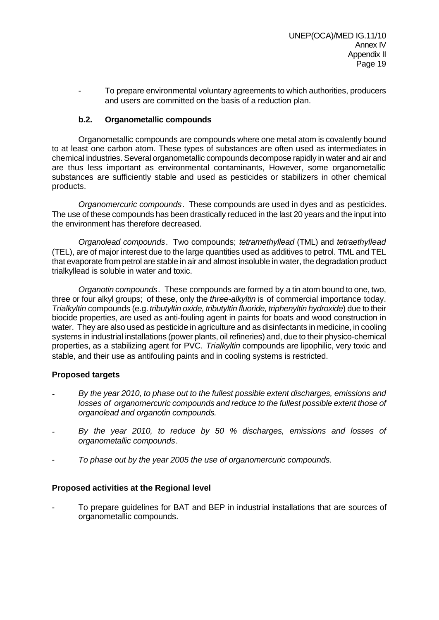- To prepare environmental voluntary agreements to which authorities, producers and users are committed on the basis of a reduction plan.

## **b.2. Organometallic compounds**

Organometallic compounds are compounds where one metal atom is covalently bound to at least one carbon atom. These types of substances are often used as intermediates in chemical industries. Several organometallic compounds decompose rapidly in water and air and are thus less important as environmental contaminants, However, some organometallic substances are sufficiently stable and used as pesticides or stabilizers in other chemical products.

*Organomercuric compounds*. These compounds are used in dyes and as pesticides. The use of these compounds has been drastically reduced in the last 20 years and the input into the environment has therefore decreased.

*Organolead compounds*. Two compounds; *tetramethyllead* (TML) and *tetraethyllead* (TEL), are of major interest due to the large quantities used as additives to petrol. TML and TEL that evaporate from petrol are stable in air and almost insoluble in water, the degradation product trialkyllead is soluble in water and toxic.

*Organotin compounds*. These compounds are formed by a tin atom bound to one, two, three or four alkyl groups; of these, only the *three-alkyltin* is of commercial importance today. *Trialkyltin* compounds (e.g. *tributyltin oxide, tributyltin fluoride, triphenyltin hydroxide*) due to their biocide properties, are used as anti-fouling agent in paints for boats and wood construction in water. They are also used as pesticide in agriculture and as disinfectants in medicine, in cooling systems in industrial installations (power plants, oil refineries) and, due to their physico-chemical properties, as a stabilizing agent for PVC. *Trialkyltin* compounds are lipophilic, very toxic and stable, and their use as antifouling paints and in cooling systems is restricted.

## **Proposed targets**

- *- By the year 2010, to phase out to the fullest possible extent discharges, emissions and losses of organomercuric compounds and reduce to the fullest possible extent those of organolead and organotin compounds.*
- *- By the year 2010, to reduce by 50 % discharges, emissions and losses of organometallic compounds*.
- *To phase out by the year 2005 the use of organomercuric compounds.*

## **Proposed activities at the Regional level**

To prepare guidelines for BAT and BEP in industrial installations that are sources of organometallic compounds.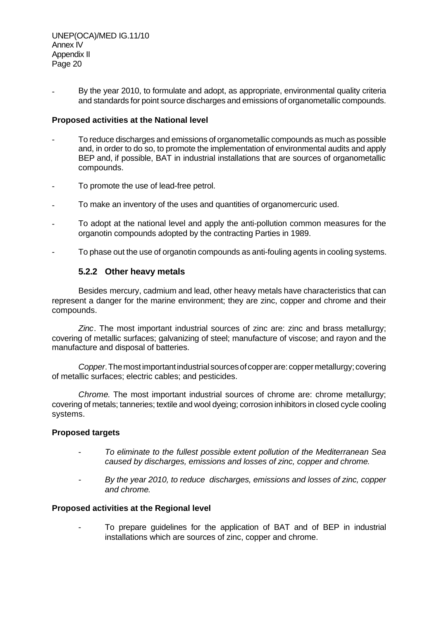- By the year 2010, to formulate and adopt, as appropriate, environmental quality criteria and standards for point source discharges and emissions of organometallic compounds.

### **Proposed activities at the National level**

- To reduce discharges and emissions of organometallic compounds as much as possible and, in order to do so, to promote the implementation of environmental audits and apply BEP and, if possible, BAT in industrial installations that are sources of organometallic compounds.
- To promote the use of lead-free petrol.
- To make an inventory of the uses and quantities of organomercuric used.
- To adopt at the national level and apply the anti-pollution common measures for the organotin compounds adopted by the contracting Parties in 1989.
- To phase out the use of organotin compounds as anti-fouling agents in cooling systems.

## **5.2.2 Other heavy metals**

Besides mercury, cadmium and lead, other heavy metals have characteristics that can represent a danger for the marine environment; they are zinc, copper and chrome and their compounds.

*Zinc*. The most important industrial sources of zinc are: zinc and brass metallurgy; covering of metallic surfaces; galvanizing of steel; manufacture of viscose; and rayon and the manufacture and disposal of batteries.

*Copper*. The most important industrial sources of copper are: copper metallurgy; covering of metallic surfaces; electric cables; and pesticides.

*Chrome*. The most important industrial sources of chrome are: chrome metallurgy; covering of metals; tanneries; textile and wool dyeing; corrosion inhibitors in closed cycle cooling systems.

### **Proposed targets**

- *To eliminate to the fullest possible extent pollution of the Mediterranean Sea caused by discharges, emissions and losses of zinc, copper and chrome*.
- *- By the year 2010, to reduce discharges, emissions and losses of zinc, copper and chrome*.

#### **Proposed activities at the Regional level**

To prepare guidelines for the application of BAT and of BEP in industrial installations which are sources of zinc, copper and chrome.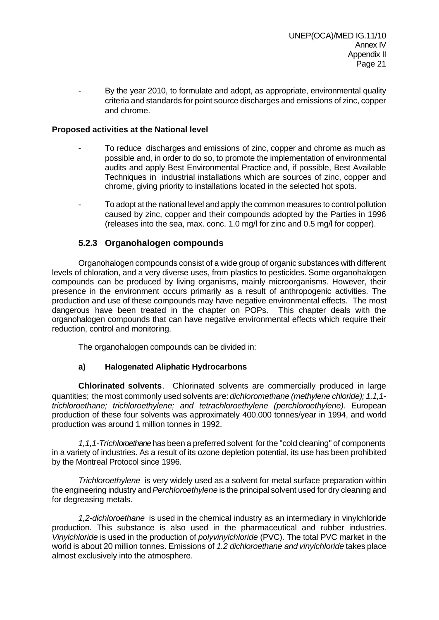By the year 2010, to formulate and adopt, as appropriate, environmental quality criteria and standards for point source discharges and emissions of zinc, copper and chrome.

## **Proposed activities at the National level**

- To reduce discharges and emissions of zinc, copper and chrome as much as possible and, in order to do so, to promote the implementation of environmental audits and apply Best Environmental Practice and, if possible, Best Available Techniques in industrial installations which are sources of zinc, copper and chrome, giving priority to installations located in the selected hot spots.
- To adopt at the national level and apply the common measures to control pollution caused by zinc, copper and their compounds adopted by the Parties in 1996 (releases into the sea, max. conc. 1.0 mg/l for zinc and 0.5 mg/l for copper).

## **5.2.3 Organohalogen compounds**

Organohalogen compounds consist of a wide group of organic substances with different levels of chloration, and a very diverse uses, from plastics to pesticides. Some organohalogen compounds can be produced by living organisms, mainly microorganisms. However, their presence in the environment occurs primarily as a result of anthropogenic activities. The production and use of these compounds may have negative environmental effects. The most dangerous have been treated in the chapter on POPs. This chapter deals with the organohalogen compounds that can have negative environmental effects which require their reduction, control and monitoring.

The organohalogen compounds can be divided in:

## **a) Halogenated Aliphatic Hydrocarbons**

**Chlorinated solvents**. Chlorinated solvents are commercially produced in large quantities; the most commonly used solvents are: *dichloromethane (methylene chloride); 1,1,1 trichloroethane; trichloroethylene; and tetrachloroethylene (perchloroethylene)*. European production of these four solvents was approximately 400.000 tonnes/year in 1994, and world production was around 1 million tonnes in 1992.

*1,1,1-Trichloroethane* has been a preferred solvent for the "cold cleaning" of components in a variety of industries. As a result of its ozone depletion potential, its use has been prohibited by the Montreal Protocol since 1996.

*Trichloroethylene* is very widely used as a solvent for metal surface preparation within the engineering industry and *Perchloroethylene* is the principal solvent used for dry cleaning and for degreasing metals.

*1,2-dichloroethane* is used in the chemical industry as an intermediary in vinylchloride production. This substance is also used in the pharmaceutical and rubber industries. *Vinylchloride* is used in the production of *polyvinylchloride* (PVC). The total PVC market in the world is about 20 million tonnes. Emissions of *1.2 dichloroethane and vinylchloride* takes place almost exclusively into the atmosphere.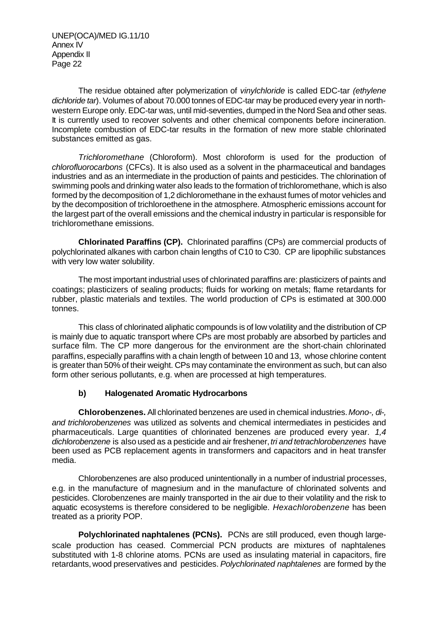The residue obtained after polymerization of *vinylchloride* is called EDC-tar *(ethylene dichloride tar*). Volumes of about 70.000 tonnes of EDC-tar may be produced every year in northwestern Europe only. EDC-tar was, until mid-seventies, dumped in the Nord Sea and other seas. It is currently used to recover solvents and other chemical components before incineration. Incomplete combustion of EDC-tar results in the formation of new more stable chlorinated substances emitted as gas.

*Trichloromethane* (Chloroform). Most chloroform is used for the production of *chlorofluorocarbons* (CFCs). It is also used as a solvent in the pharmaceutical and bandages industries and as an intermediate in the production of paints and pesticides. The chlorination of swimming pools and drinking water also leads to the formation of trichloromethane, which is also formed by the decomposition of 1,2 dichloromethane in the exhaust fumes of motor vehicles and by the decomposition of trichloroethene in the atmosphere. Atmospheric emissions account for the largest part of the overall emissions and the chemical industry in particular is responsible for trichloromethane emissions.

**Chlorinated Paraffins (CP).** Chlorinated paraffins (CPs) are commercial products of polychlorinated alkanes with carbon chain lengths of C10 to C30. CP are lipophilic substances with very low water solubility.

The most important industrial uses of chlorinated paraffins are: plasticizers of paints and coatings; plasticizers of sealing products; fluids for working on metals; flame retardants for rubber, plastic materials and textiles. The world production of CPs is estimated at 300.000 tonnes.

This class of chlorinated aliphatic compounds is of low volatility and the distribution of CP is mainly due to aquatic transport where CPs are most probably are absorbed by particles and surface film. The CP more dangerous for the environment are the short-chain chlorinated paraffins, especially paraffins with a chain length of between 10 and 13, whose chlorine content is greater than 50% of their weight. CPs may contaminate the environment as such, but can also form other serious pollutants, e.g. when are processed at high temperatures.

## **b) Halogenated Aromatic Hydrocarbons**

**Chlorobenzenes.** All chlorinated benzenes are used in chemical industries. *Mono-, di-, and trichlorobenzenes* was utilized as solvents and chemical intermediates in pesticides and pharmaceuticals. Large quantities of chlorinated benzenes are produced every year. *1,4 dichlorobenzene* is also used as a pesticide and air freshener, *tri and tetrachlorobenzenes* have been used as PCB replacement agents in transformers and capacitors and in heat transfer media.

Chlorobenzenes are also produced unintentionally in a number of industrial processes, e.g. in the manufacture of magnesium and in the manufacture of chlorinated solvents and pesticides. Clorobenzenes are mainly transported in the air due to their volatility and the risk to aquatic ecosystems is therefore considered to be negligible. *Hexachlorobenzene* has been treated as a priority POP.

**Polychlorinated naphtalenes (PCNs).** PCNs are still produced, even though largescale production has ceased. Commercial PCN products are mixtures of naphtalenes substituted with 1-8 chlorine atoms. PCNs are used as insulating material in capacitors, fire retardants, wood preservatives and pesticides. *Polychlorinated naphtalenes* are formed by the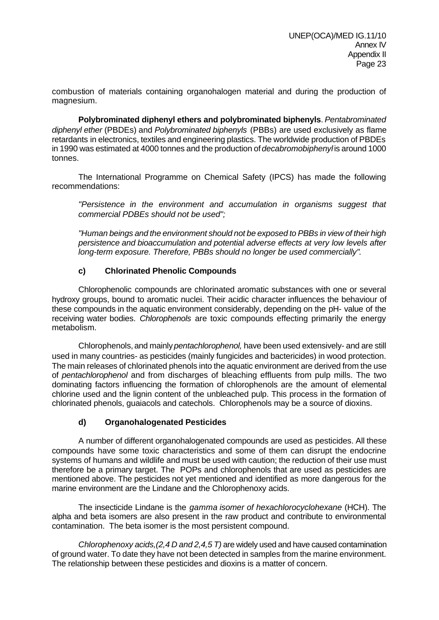combustion of materials containing organohalogen material and during the production of magnesium.

**Polybrominated diphenyl ethers and polybrominated biphenyls**. *Pentabrominated diphenyl ether* (PBDEs) and *Polybrominated biphenyls* (PBBs) are used exclusively as flame retardants in electronics, textiles and engineering plastics. The worldwide production of PBDEs in 1990 was estimated at 4000 tonnes and the production of *decabromobiphenyl* is around 1000 tonnes.

The International Programme on Chemical Safety (IPCS) has made the following recommendations:

*"Persistence in the environment and accumulation in organisms suggest that commercial PDBEs should not be used";*

*"Human beings and the environment should not be exposed to PBBs in view of their high persistence and bioaccumulation and potential adverse effects at very low levels after long-term exposure. Therefore, PBBs should no longer be used commercially"*.

## **c) Chlorinated Phenolic Compounds**

Chlorophenolic compounds are chlorinated aromatic substances with one or several hydroxy groups, bound to aromatic nuclei. Their acidic character influences the behaviour of these compounds in the aquatic environment considerably, depending on the pH- value of the receiving water bodies. *Chlorophenols* are toxic compounds effecting primarily the energy metabolism.

Chlorophenols, and mainly *pentachlorophenol,* have been used extensively- and are still used in many countries- as pesticides (mainly fungicides and bactericides) in wood protection. The main releases of chlorinated phenols into the aquatic environment are derived from the use of *pentachlorophenol* and from discharges of bleaching effluents from pulp mills. The two dominating factors influencing the formation of chlorophenols are the amount of elemental chlorine used and the lignin content of the unbleached pulp. This process in the formation of chlorinated phenols, guaiacols and catechols. Chlorophenols may be a source of dioxins.

## **d) Organohalogenated Pesticides**

A number of different organohalogenated compounds are used as pesticides. All these compounds have some toxic characteristics and some of them can disrupt the endocrine systems of humans and wildlife and must be used with caution; the reduction of their use must therefore be a primary target. The POPs and chlorophenols that are used as pesticides are mentioned above. The pesticides not yet mentioned and identified as more dangerous for the marine environment are the Lindane and the Chlorophenoxy acids.

The insecticide Lindane is the *gamma isomer of hexachlorocyclohexane* (HCH). The alpha and beta isomers are also present in the raw product and contribute to environmental contamination. The beta isomer is the most persistent compound.

*Chlorophenoxy acids,(2,4 D and 2,4,5 T)* are widely used and have caused contamination of ground water. To date they have not been detected in samples from the marine environment. The relationship between these pesticides and dioxins is a matter of concern.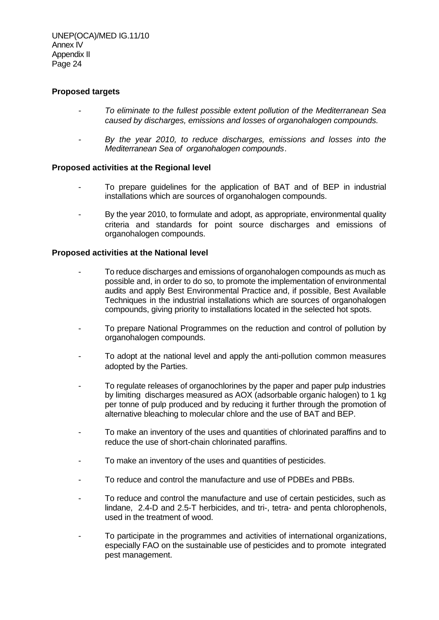## **Proposed targets**

- *- To eliminate to the fullest possible extent pollution of the Mediterranean Sea caused by discharges, emissions and losses of organohalogen compounds.*
- *- By the year 2010, to reduce discharges, emissions and losses into the Mediterranean Sea of organohalogen compounds*.

#### **Proposed activities at the Regional level**

- To prepare guidelines for the application of BAT and of BEP in industrial installations which are sources of organohalogen compounds.
- By the year 2010, to formulate and adopt, as appropriate, environmental quality criteria and standards for point source discharges and emissions of organohalogen compounds.

#### **Proposed activities at the National level**

- To reduce discharges and emissions of organohalogen compounds as much as possible and, in order to do so, to promote the implementation of environmental audits and apply Best Environmental Practice and, if possible, Best Available Techniques in the industrial installations which are sources of organohalogen compounds, giving priority to installations located in the selected hot spots.
- To prepare National Programmes on the reduction and control of pollution by organohalogen compounds.
- To adopt at the national level and apply the anti-pollution common measures adopted by the Parties.
- To regulate releases of organochlorines by the paper and paper pulp industries by limiting discharges measured as AOX (adsorbable organic halogen) to 1 kg per tonne of pulp produced and by reducing it further through the promotion of alternative bleaching to molecular chlore and the use of BAT and BEP.
- To make an inventory of the uses and quantities of chlorinated paraffins and to reduce the use of short-chain chlorinated paraffins.
- To make an inventory of the uses and quantities of pesticides.
- To reduce and control the manufacture and use of PDBEs and PBBs.
- To reduce and control the manufacture and use of certain pesticides, such as lindane, 2.4-D and 2.5-T herbicides, and tri-, tetra- and penta chlorophenols, used in the treatment of wood.
- To participate in the programmes and activities of international organizations, especially FAO on the sustainable use of pesticides and to promote integrated pest management.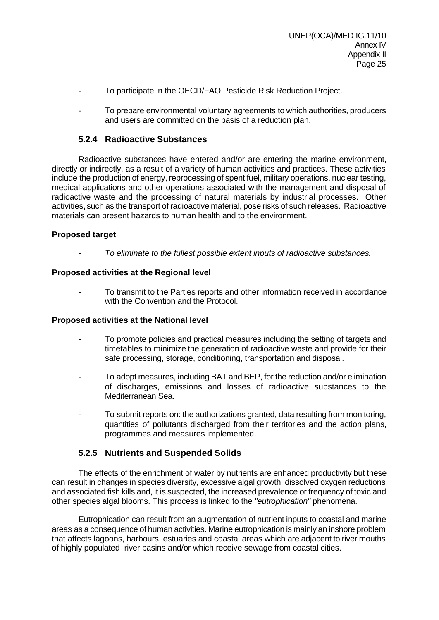- To participate in the OECD/FAO Pesticide Risk Reduction Project.
- To prepare environmental voluntary agreements to which authorities, producers and users are committed on the basis of a reduction plan.

## **5.2.4 Radioactive Substances**

Radioactive substances have entered and/or are entering the marine environment, directly or indirectly, as a result of a variety of human activities and practices. These activities include the production of energy, reprocessing of spent fuel, military operations, nuclear testing, medical applications and other operations associated with the management and disposal of radioactive waste and the processing of natural materials by industrial processes. Other activities, such as the transport of radioactive material, pose risks of such releases. Radioactive materials can present hazards to human health and to the environment.

#### **Proposed target**

*- To eliminate to the fullest possible extent inputs of radioactive substances.*

#### **Proposed activities at the Regional level**

- To transmit to the Parties reports and other information received in accordance with the Convention and the Protocol.

#### **Proposed activities at the National level**

- To promote policies and practical measures including the setting of targets and timetables to minimize the generation of radioactive waste and provide for their safe processing, storage, conditioning, transportation and disposal.
- To adopt measures, including BAT and BEP, for the reduction and/or elimination of discharges, emissions and losses of radioactive substances to the Mediterranean Sea.
- To submit reports on: the authorizations granted, data resulting from monitoring, quantities of pollutants discharged from their territories and the action plans, programmes and measures implemented.

## **5.2.5 Nutrients and Suspended Solids**

The effects of the enrichment of water by nutrients are enhanced productivity but these can result in changes in species diversity, excessive algal growth, dissolved oxygen reductions and associated fish kills and, it is suspected, the increased prevalence or frequency of toxic and other species algal blooms. This process is linked to the *"eutrophication"* phenomena.

Eutrophication can result from an augmentation of nutrient inputs to coastal and marine areas as a consequence of human activities. Marine eutrophication is mainly an inshore problem that affects lagoons, harbours, estuaries and coastal areas which are adjacent to river mouths of highly populated river basins and/or which receive sewage from coastal cities.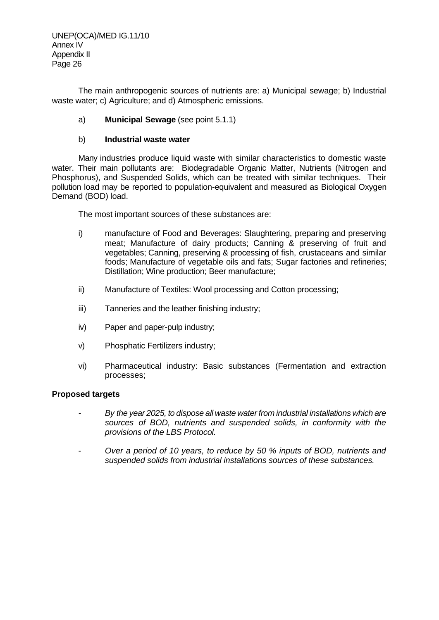The main anthropogenic sources of nutrients are: a) Municipal sewage; b) Industrial waste water; c) Agriculture; and d) Atmospheric emissions.

## a) **Municipal Sewage** (see point 5.1.1)

## b) **Industrial waste water**

Many industries produce liquid waste with similar characteristics to domestic waste water. Their main pollutants are: Biodegradable Organic Matter, Nutrients (Nitrogen and Phosphorus), and Suspended Solids, which can be treated with similar techniques. Their pollution load may be reported to population-equivalent and measured as Biological Oxygen Demand (BOD) load.

The most important sources of these substances are:

- i) manufacture of Food and Beverages: Slaughtering, preparing and preserving meat; Manufacture of dairy products; Canning & preserving of fruit and vegetables; Canning, preserving & processing of fish, crustaceans and similar foods; Manufacture of vegetable oils and fats; Sugar factories and refineries; Distillation; Wine production; Beer manufacture;
- ii) Manufacture of Textiles: Wool processing and Cotton processing;
- iii) Tanneries and the leather finishing industry;
- iv) Paper and paper-pulp industry;
- v) Phosphatic Fertilizers industry;
- vi) Pharmaceutical industry: Basic substances (Fermentation and extraction processes;

## **Proposed targets**

- *- By the year 2025, to dispose all waste water from industrial installations which are sources of BOD, nutrients and suspended solids, in conformity with the provisions of the LBS Protocol.*
- *Over a period of 10 years, to reduce by 50 % inputs of BOD, nutrients and suspended solids from industrial installations sources of these substances.*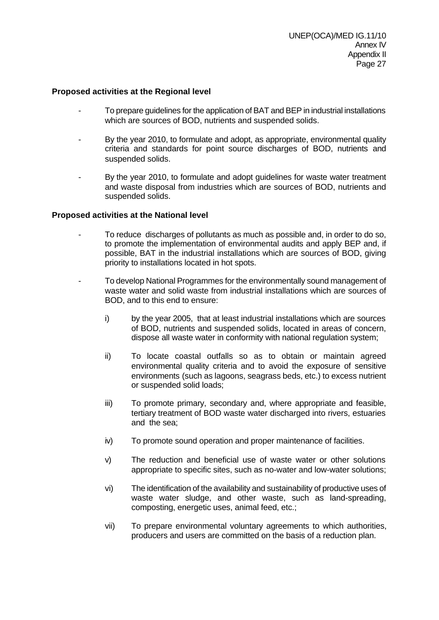#### **Proposed activities at the Regional level**

- To prepare guidelines for the application of BAT and BEP in industrial installations which are sources of BOD, nutrients and suspended solids.
- By the year 2010, to formulate and adopt, as appropriate, environmental quality criteria and standards for point source discharges of BOD, nutrients and suspended solids.
- By the year 2010, to formulate and adopt guidelines for waste water treatment and waste disposal from industries which are sources of BOD, nutrients and suspended solids.

#### **Proposed activities at the National level**

- To reduce discharges of pollutants as much as possible and, in order to do so, to promote the implementation of environmental audits and apply BEP and, if possible, BAT in the industrial installations which are sources of BOD, giving priority to installations located in hot spots.
- To develop National Programmes for the environmentally sound management of waste water and solid waste from industrial installations which are sources of BOD, and to this end to ensure:
	- i) by the year 2005, that at least industrial installations which are sources of BOD, nutrients and suspended solids, located in areas of concern, dispose all waste water in conformity with national regulation system;
	- ii) To locate coastal outfalls so as to obtain or maintain agreed environmental quality criteria and to avoid the exposure of sensitive environments (such as lagoons, seagrass beds, etc.) to excess nutrient or suspended solid loads;
	- iii) To promote primary, secondary and, where appropriate and feasible, tertiary treatment of BOD waste water discharged into rivers, estuaries and the sea;
	- iv) To promote sound operation and proper maintenance of facilities.
	- v) The reduction and beneficial use of waste water or other solutions appropriate to specific sites, such as no-water and low-water solutions;
	- vi) The identification of the availability and sustainability of productive uses of waste water sludge, and other waste, such as land-spreading, composting, energetic uses, animal feed, etc.;
	- vii) To prepare environmental voluntary agreements to which authorities, producers and users are committed on the basis of a reduction plan.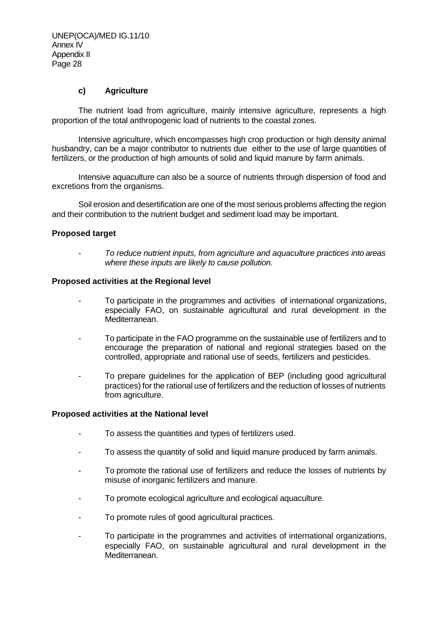#### **c) Agriculture**

The nutrient load from agriculture, mainly intensive agriculture, represents a high proportion of the total anthropogenic load of nutrients to the coastal zones.

Intensive agriculture, which encompasses high crop production or high density animal husbandry, can be a major contributor to nutrients due either to the use of large quantities of fertilizers, or the production of high amounts of solid and liquid manure by farm animals.

Intensive aquaculture can also be a source of nutrients through dispersion of food and excretions from the organisms.

Soil erosion and desertification are one of the most serious problems affecting the region and their contribution to the nutrient budget and sediment load may be important.

#### **Proposed target**

- *To reduce nutrient inputs, from agriculture and aquaculture practices into areas where these inputs are likely to cause pollution.*

#### **Proposed activities at the Regional level**

- To participate in the programmes and activities of international organizations, especially FAO, on sustainable agricultural and rural development in the Mediterranean.
- To participate in the FAO programme on the sustainable use of fertilizers and to encourage the preparation of national and regional strategies based on the controlled, appropriate and rational use of seeds, fertilizers and pesticides.
- To prepare guidelines for the application of BEP (including good agricultural practices) for the rational use of fertilizers and the reduction of losses of nutrients from agriculture.

#### **Proposed activities at the National level**

- To assess the quantities and types of fertilizers used.
- To assess the quantity of solid and liquid manure produced by farm animals.
- To promote the rational use of fertilizers and reduce the losses of nutrients by misuse of inorganic fertilizers and manure.
- To promote ecological agriculture and ecological aquaculture.
- To promote rules of good agricultural practices.
- To participate in the programmes and activities of international organizations, especially FAO, on sustainable agricultural and rural development in the Mediterranean.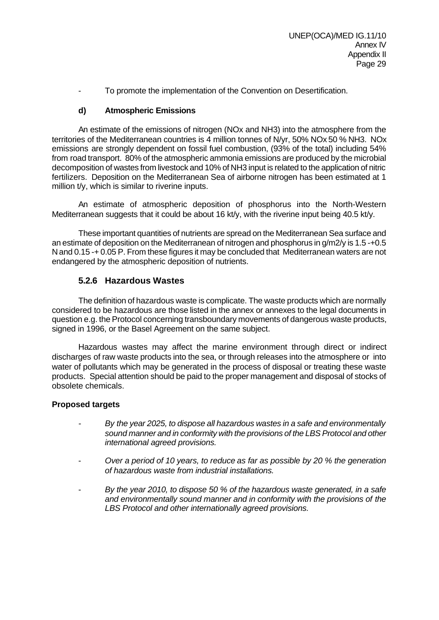To promote the implementation of the Convention on Desertification.

## **d) Atmospheric Emissions**

An estimate of the emissions of nitrogen (NOx and NH3) into the atmosphere from the territories of the Mediterranean countries is 4 million tonnes of N/yr, 50% NOx 50 % NH3. NOx emissions are strongly dependent on fossil fuel combustion, (93% of the total) including 54% from road transport. 80% of the atmospheric ammonia emissions are produced by the microbial decomposition of wastes from livestock and 10% of NH3 input is related to the application of nitric fertilizers. Deposition on the Mediterranean Sea of airborne nitrogen has been estimated at 1 million t/y, which is similar to riverine inputs.

An estimate of atmospheric deposition of phosphorus into the North-Western Mediterranean suggests that it could be about 16 kt/y, with the riverine input being 40.5 kt/y.

These important quantities of nutrients are spread on the Mediterranean Sea surface and an estimate of deposition on the Mediterranean of nitrogen and phosphorus in g/m2/y is 1.5 -+0.5 N and 0.15 -+ 0.05 P. From these figures it may be concluded that Mediterranean waters are not endangered by the atmospheric deposition of nutrients.

## **5.2.6 Hazardous Wastes**

The definition of hazardous waste is complicate. The waste products which are normally considered to be hazardous are those listed in the annex or annexes to the legal documents in question e.g. the Protocol concerning transboundary movements of dangerous waste products, signed in 1996, or the Basel Agreement on the same subject.

Hazardous wastes may affect the marine environment through direct or indirect discharges of raw waste products into the sea, or through releases into the atmosphere or into water of pollutants which may be generated in the process of disposal or treating these waste products. Special attention should be paid to the proper management and disposal of stocks of obsolete chemicals.

## **Proposed targets**

- *- By the year 2025, to dispose all hazardous wastes in a safe and environmentally sound manner and in conformity with the provisions of the LBS Protocol and other international agreed provisions.*
- *Over a period of 10 years, to reduce as far as possible by 20 % the generation of hazardous waste from industrial installations.*
- *By the year 2010, to dispose 50 % of the hazardous waste generated, in a safe and environmentally sound manner and in conformity with the provisions of the LBS Protocol and other internationally agreed provisions.*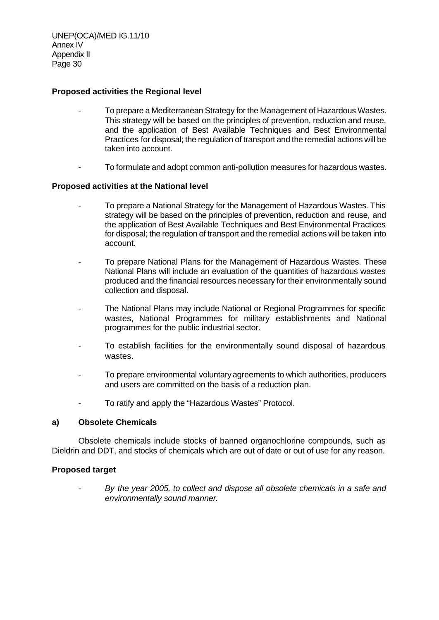## **Proposed activities the Regional level**

- To prepare a Mediterranean Strategy for the Management of Hazardous Wastes. This strategy will be based on the principles of prevention, reduction and reuse, and the application of Best Available Techniques and Best Environmental Practices for disposal; the regulation of transport and the remedial actions will be taken into account.
- To formulate and adopt common anti-pollution measures for hazardous wastes.

#### **Proposed activities at the National level**

- To prepare a National Strategy for the Management of Hazardous Wastes. This strategy will be based on the principles of prevention, reduction and reuse, and the application of Best Available Techniques and Best Environmental Practices for disposal; the regulation of transport and the remedial actions will be taken into account.
- To prepare National Plans for the Management of Hazardous Wastes. These National Plans will include an evaluation of the quantities of hazardous wastes produced and the financial resources necessary for their environmentally sound collection and disposal.
- The National Plans may include National or Regional Programmes for specific wastes, National Programmes for military establishments and National programmes for the public industrial sector.
- To establish facilities for the environmentally sound disposal of hazardous wastes.
- To prepare environmental voluntary agreements to which authorities, producers and users are committed on the basis of a reduction plan.
- To ratify and apply the "Hazardous Wastes" Protocol.

#### **a) Obsolete Chemicals**

Obsolete chemicals include stocks of banned organochlorine compounds, such as Dieldrin and DDT, and stocks of chemicals which are out of date or out of use for any reason.

#### **Proposed target**

*- By the year 2005, to collect and dispose all obsolete chemicals in a safe and environmentally sound manner.*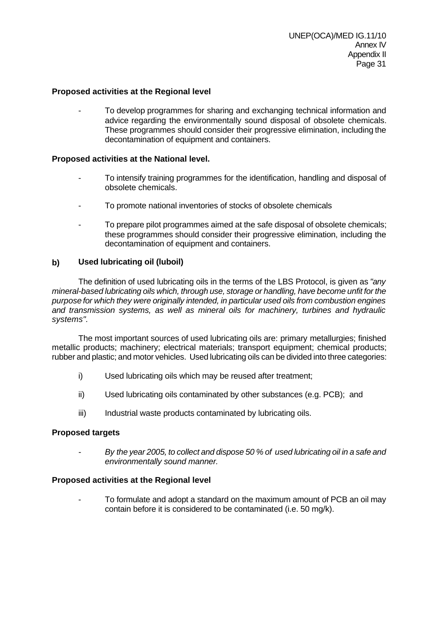### **Proposed activities at the Regional level**

- To develop programmes for sharing and exchanging technical information and advice regarding the environmentally sound disposal of obsolete chemicals. These programmes should consider their progressive elimination, including the decontamination of equipment and containers.

#### **Proposed activities at the National level.**

- To intensify training programmes for the identification, handling and disposal of obsolete chemicals.
- To promote national inventories of stocks of obsolete chemicals
- To prepare pilot programmes aimed at the safe disposal of obsolete chemicals; these programmes should consider their progressive elimination, including the decontamination of equipment and containers.

#### **b) Used lubricating oil (luboil)**

The definition of used lubricating oils in the terms of the LBS Protocol, is given as *"any mineral-based lubricating oils which, through use, storage or handling, have become unfit for the purpose for which they were originally intended, in particular used oils from combustion engines and transmission systems, as well as mineral oils for machinery, turbines and hydraulic systems".*

The most important sources of used lubricating oils are: primary metallurgies; finished metallic products; machinery; electrical materials; transport equipment; chemical products; rubber and plastic; and motor vehicles. Used lubricating oils can be divided into three categories:

- i) Used lubricating oils which may be reused after treatment;
- ii) Used lubricating oils contaminated by other substances (e.g. PCB); and
- iii) Industrial waste products contaminated by lubricating oils.

### **Proposed targets**

*- By the year 2005, to collect and dispose 50 % of used lubricating oil in a safe and environmentally sound manner.* 

#### **Proposed activities at the Regional level**

- To formulate and adopt a standard on the maximum amount of PCB an oil may contain before it is considered to be contaminated (i.e. 50 mg/k).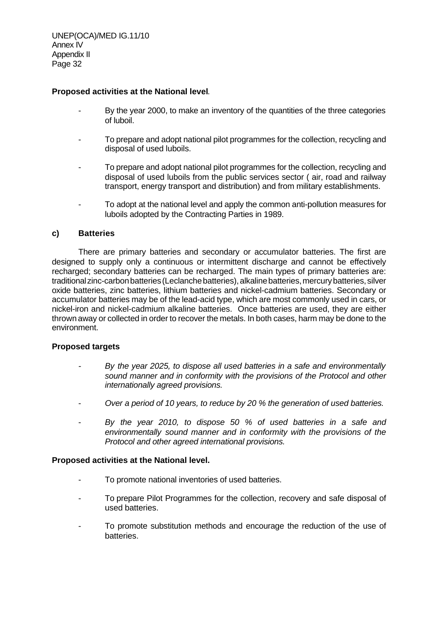## **Proposed activities at the National level**.

- By the year 2000, to make an inventory of the quantities of the three categories of luboil.
- To prepare and adopt national pilot programmes for the collection, recycling and disposal of used luboils.
- To prepare and adopt national pilot programmes for the collection, recycling and disposal of used luboils from the public services sector ( air, road and railway transport, energy transport and distribution) and from military establishments.
- To adopt at the national level and apply the common anti-pollution measures for luboils adopted by the Contracting Parties in 1989.

#### **c) Batteries**

There are primary batteries and secondary or accumulator batteries. The first are designed to supply only a continuous or intermittent discharge and cannot be effectively recharged; secondary batteries can be recharged. The main types of primary batteries are: traditional zinc-carbon batteries (Leclanche batteries), alkaline batteries, mercury batteries, silver oxide batteries, zinc batteries, lithium batteries and nickel-cadmium batteries. Secondary or accumulator batteries may be of the lead-acid type, which are most commonly used in cars, or nickel-iron and nickel-cadmium alkaline batteries. Once batteries are used, they are either thrown away or collected in order to recover the metals. In both cases, harm may be done to the environment.

#### **Proposed targets**

- *- By the year 2025, to dispose all used batteries in a safe and environmentally sound manner and in conformity with the provisions of the Protocol and other internationally agreed provisions.*
- *Over a period of 10 years, to reduce by 20 % the generation of used batteries.*
- *By the year 2010, to dispose 50 % of used batteries in a safe and environmentally sound manner and in conformity with the provisions of the Protocol and other agreed international provisions.*

## **Proposed activities at the National level.**

- To promote national inventories of used batteries.
- To prepare Pilot Programmes for the collection, recovery and safe disposal of used batteries.
- To promote substitution methods and encourage the reduction of the use of batteries.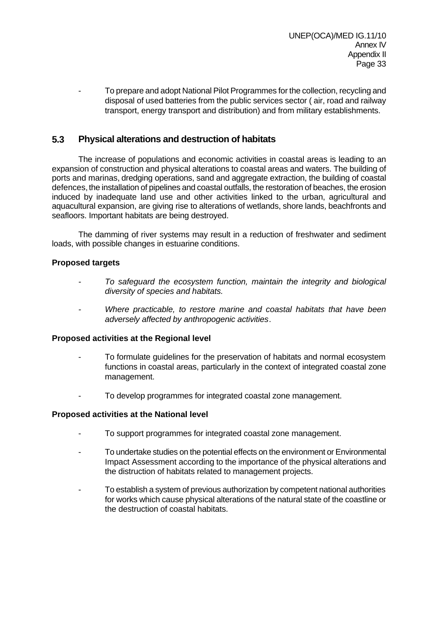- To prepare and adopt National Pilot Programmes for the collection, recycling and disposal of used batteries from the public services sector ( air, road and railway transport, energy transport and distribution) and from military establishments.

## **5.3 Physical alterations and destruction of habitats**

The increase of populations and economic activities in coastal areas is leading to an expansion of construction and physical alterations to coastal areas and waters. The building of ports and marinas, dredging operations, sand and aggregate extraction, the building of coastal defences, the installation of pipelines and coastal outfalls, the restoration of beaches, the erosion induced by inadequate land use and other activities linked to the urban, agricultural and aquacultural expansion, are giving rise to alterations of wetlands, shore lands, beachfronts and seafloors. Important habitats are being destroyed.

The damming of river systems may result in a reduction of freshwater and sediment loads, with possible changes in estuarine conditions.

## **Proposed targets**

- *- To safeguard the ecosystem function, maintain the integrity and biological diversity of species and habitats.*
- *Where practicable, to restore marine and coastal habitats that have been adversely affected by anthropogenic activities*.

## **Proposed activities at the Regional level**

- To formulate guidelines for the preservation of habitats and normal ecosystem functions in coastal areas, particularly in the context of integrated coastal zone management.
- To develop programmes for integrated coastal zone management.

#### **Proposed activities at the National level**

- To support programmes for integrated coastal zone management.
- To undertake studies on the potential effects on the environment or Environmental Impact Assessment according to the importance of the physical alterations and the distruction of habitats related to management projects.
- To establish a system of previous authorization by competent national authorities for works which cause physical alterations of the natural state of the coastline or the destruction of coastal habitats.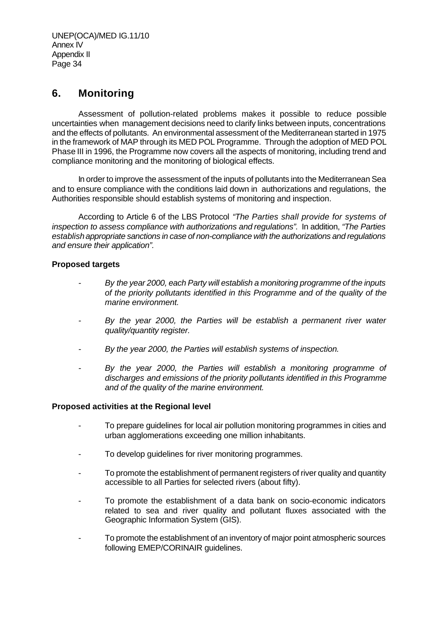# **6. Monitoring**

Assessment of pollution-related problems makes it possible to reduce possible uncertainties when management decisions need to clarify links between inputs, concentrations and the effects of pollutants. An environmental assessment of the Mediterranean started in 1975 in the framework of MAP through its MED POL Programme. Through the adoption of MED POL Phase III in 1996, the Programme now covers all the aspects of monitoring, including trend and compliance monitoring and the monitoring of biological effects.

In order to improve the assessment of the inputs of pollutants into the Mediterranean Sea and to ensure compliance with the conditions laid down in authorizations and regulations, the Authorities responsible should establish systems of monitoring and inspection.

According to Article 6 of the LBS Protocol *"The Parties shall provide for systems of inspection to assess compliance with authorizations and regulations"*. In addition, *"The Parties establish appropriate sanctions in case of non-compliance with the authorizations and regulations and ensure their application".*

## **Proposed targets**

- *- By the year 2000, each Party will establish a monitoring programme of the inputs of the priority pollutants identified in this Programme and of the quality of the marine environment.*
- *- By the year 2000, the Parties will be establish a permanent river water quality/quantity register.*
- *- By the year 2000, the Parties will establish systems of inspection.*
- *- By the year 2000, the Parties will establish a monitoring programme of discharges and emissions of the priority pollutants identified in this Programme and of the quality of the marine environment.*

## **Proposed activities at the Regional level**

- To prepare guidelines for local air pollution monitoring programmes in cities and urban agglomerations exceeding one million inhabitants.
- To develop guidelines for river monitoring programmes.
- To promote the establishment of permanent registers of river quality and quantity accessible to all Parties for selected rivers (about fifty).
- To promote the establishment of a data bank on socio-economic indicators related to sea and river quality and pollutant fluxes associated with the Geographic Information System (GIS).
- To promote the establishment of an inventory of major point atmospheric sources following EMEP/CORINAIR guidelines.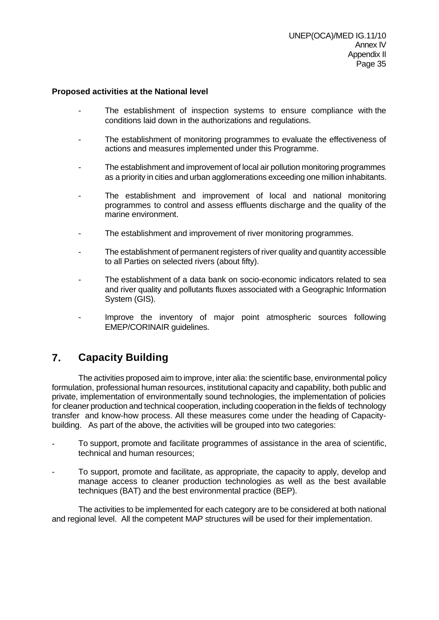### **Proposed activities at the National level**

- The establishment of inspection systems to ensure compliance with the conditions laid down in the authorizations and regulations.
- The establishment of monitoring programmes to evaluate the effectiveness of actions and measures implemented under this Programme.
- The establishment and improvement of local air pollution monitoring programmes as a priority in cities and urban agglomerations exceeding one million inhabitants.
- The establishment and improvement of local and national monitoring programmes to control and assess effluents discharge and the quality of the marine environment.
- The establishment and improvement of river monitoring programmes.
- The establishment of permanent registers of river quality and quantity accessible to all Parties on selected rivers (about fifty).
- The establishment of a data bank on socio-economic indicators related to sea and river quality and pollutants fluxes associated with a Geographic Information System (GIS).
- Improve the inventory of major point atmospheric sources following EMEP/CORINAIR guidelines.

# **7. Capacity Building**

The activities proposed aim to improve, inter alia: the scientific base, environmental policy formulation, professional human resources, institutional capacity and capability, both public and private, implementation of environmentally sound technologies, the implementation of policies for cleaner production and technical cooperation, including cooperation in the fields of technology transfer and know-how process. All these measures come under the heading of Capacitybuilding. As part of the above, the activities will be grouped into two categories:

- To support, promote and facilitate programmes of assistance in the area of scientific, technical and human resources;
- To support, promote and facilitate, as appropriate, the capacity to apply, develop and manage access to cleaner production technologies as well as the best available techniques (BAT) and the best environmental practice (BEP).

The activities to be implemented for each category are to be considered at both national and regional level. All the competent MAP structures will be used for their implementation.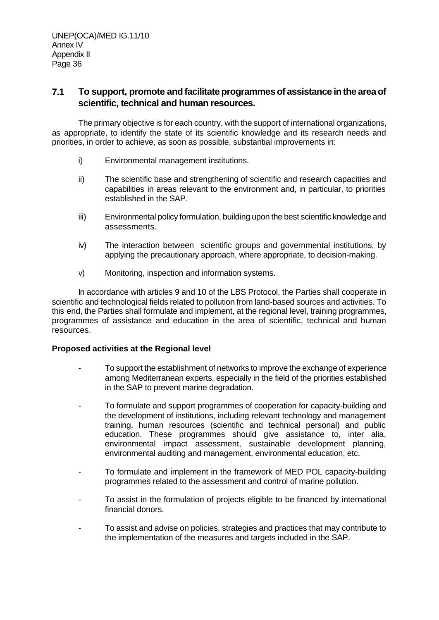## **7.1 To support, promote and facilitate programmes of assistance in the area of scientific, technical and human resources.**

The primary objective is for each country, with the support of international organizations, as appropriate, to identify the state of its scientific knowledge and its research needs and priorities, in order to achieve, as soon as possible, substantial improvements in:

- i) Environmental management institutions.
- ii) The scientific base and strengthening of scientific and research capacities and capabilities in areas relevant to the environment and, in particular, to priorities established in the SAP.
- iii) Environmental policy formulation, building upon the best scientific knowledge and assessments.
- iv) The interaction between scientific groups and governmental institutions, by applying the precautionary approach, where appropriate, to decision-making.
- v) Monitoring, inspection and information systems.

In accordance with articles 9 and 10 of the LBS Protocol, the Parties shall cooperate in scientific and technological fields related to pollution from land-based sources and activities. To this end, the Parties shall formulate and implement, at the regional level, training programmes, programmes of assistance and education in the area of scientific, technical and human resources.

## **Proposed activities at the Regional level**

- To support the establishment of networks to improve the exchange of experience among Mediterranean experts, especially in the field of the priorities established in the SAP to prevent marine degradation.
- To formulate and support programmes of cooperation for capacity-building and the development of institutions, including relevant technology and management training, human resources (scientific and technical personal) and public education. These programmes should give assistance to, inter alia, environmental impact assessment, sustainable development planning, environmental auditing and management, environmental education, etc.
- To formulate and implement in the framework of MED POL capacity-building programmes related to the assessment and control of marine pollution.
- To assist in the formulation of projects eligible to be financed by international financial donors.
- To assist and advise on policies, strategies and practices that may contribute to the implementation of the measures and targets included in the SAP.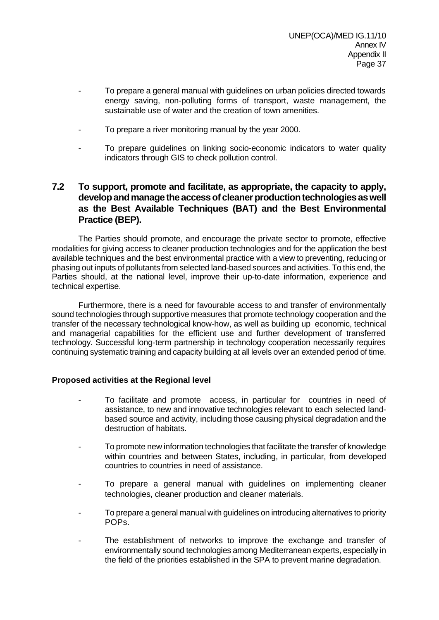- To prepare a general manual with guidelines on urban policies directed towards energy saving, non-polluting forms of transport, waste management, the sustainable use of water and the creation of town amenities.
- To prepare a river monitoring manual by the year 2000.
- To prepare guidelines on linking socio-economic indicators to water quality indicators through GIS to check pollution control.

## **7.2 To support, promote and facilitate, as appropriate, the capacity to apply, develop and manage the access of cleaner production technologies as well as the Best Available Techniques (BAT) and the Best Environmental Practice (BEP).**

The Parties should promote, and encourage the private sector to promote, effective modalities for giving access to cleaner production technologies and for the application the best available techniques and the best environmental practice with a view to preventing, reducing or phasing out inputs of pollutants from selected land-based sources and activities. To this end, the Parties should, at the national level, improve their up-to-date information, experience and technical expertise.

Furthermore, there is a need for favourable access to and transfer of environmentally sound technologies through supportive measures that promote technology cooperation and the transfer of the necessary technological know-how, as well as building up economic, technical and managerial capabilities for the efficient use and further development of transferred technology. Successful long-term partnership in technology cooperation necessarily requires continuing systematic training and capacity building at all levels over an extended period of time.

## **Proposed activities at the Regional level**

- To facilitate and promote access, in particular for countries in need of assistance, to new and innovative technologies relevant to each selected landbased source and activity, including those causing physical degradation and the destruction of habitats.
- To promote new information technologies that facilitate the transfer of knowledge within countries and between States, including, in particular, from developed countries to countries in need of assistance.
- To prepare a general manual with guidelines on implementing cleaner technologies, cleaner production and cleaner materials.
- To prepare a general manual with guidelines on introducing alternatives to priority POPs.
- The establishment of networks to improve the exchange and transfer of environmentally sound technologies among Mediterranean experts, especially in the field of the priorities established in the SPA to prevent marine degradation.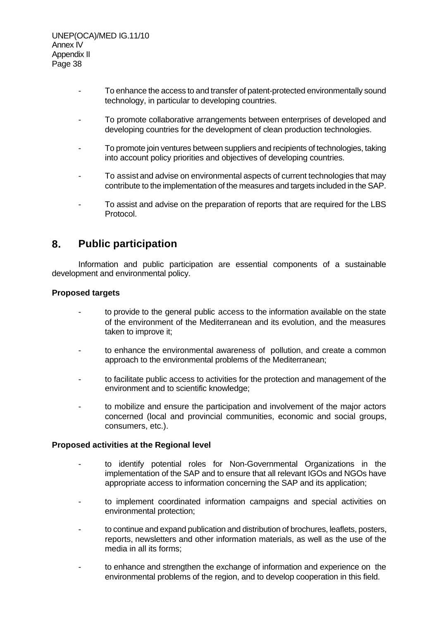- To enhance the access to and transfer of patent-protected environmentally sound technology, in particular to developing countries.
- To promote collaborative arrangements between enterprises of developed and developing countries for the development of clean production technologies.
- To promote join ventures between suppliers and recipients of technologies, taking into account policy priorities and objectives of developing countries.
- To assist and advise on environmental aspects of current technologies that may contribute to the implementation of the measures and targets included in the SAP.
- To assist and advise on the preparation of reports that are required for the LBS Protocol.

# **8. Public participation**

Information and public participation are essential components of a sustainable development and environmental policy.

### **Proposed targets**

- to provide to the general public access to the information available on the state of the environment of the Mediterranean and its evolution, and the measures taken to improve it;
- to enhance the environmental awareness of pollution, and create a common approach to the environmental problems of the Mediterranean;
- to facilitate public access to activities for the protection and management of the environment and to scientific knowledge;
- to mobilize and ensure the participation and involvement of the major actors concerned (local and provincial communities, economic and social groups, consumers, etc.).

- to identify potential roles for Non-Governmental Organizations in the implementation of the SAP and to ensure that all relevant IGOs and NGOs have appropriate access to information concerning the SAP and its application;
- to implement coordinated information campaigns and special activities on environmental protection;
- to continue and expand publication and distribution of brochures, leaflets, posters, reports, newsletters and other information materials, as well as the use of the media in all its forms;
- to enhance and strengthen the exchange of information and experience on the environmental problems of the region, and to develop cooperation in this field.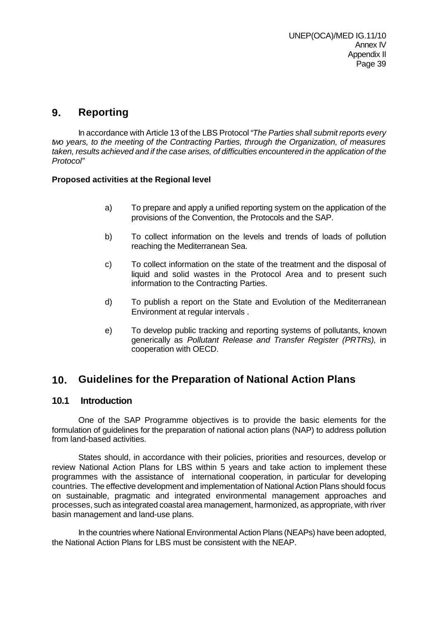# **9. Reporting**

In accordance with Article 13 of the LBS Protocol *"The Parties shall submit reports every two years, to the meeting of the Contracting Parties, through the Organization, of measures taken, results achieved and if the case arises, of difficulties encountered in the application of the Protocol"*

### **Proposed activities at the Regional level**

- a) To prepare and apply a unified reporting system on the application of the provisions of the Convention, the Protocols and the SAP.
- b) To collect information on the levels and trends of loads of pollution reaching the Mediterranean Sea.
- c) To collect information on the state of the treatment and the disposal of liquid and solid wastes in the Protocol Area and to present such information to the Contracting Parties.
- d) To publish a report on the State and Evolution of the Mediterranean Environment at regular intervals .
- e) To develop public tracking and reporting systems of pollutants, known generically as *Pollutant Release and Transfer Register (PRTRs),* in cooperation with OECD.

# **10. Guidelines for the Preparation of National Action Plans**

# **10.1 Introduction**

One of the SAP Programme objectives is to provide the basic elements for the formulation of guidelines for the preparation of national action plans (NAP) to address pollution from land-based activities.

States should, in accordance with their policies, priorities and resources, develop or review National Action Plans for LBS within 5 years and take action to implement these programmes with the assistance of international cooperation, in particular for developing countries. The effective development and implementation of National Action Plans should focus on sustainable, pragmatic and integrated environmental management approaches and processes, such as integrated coastal area management, harmonized, as appropriate, with river basin management and land-use plans.

In the countries where National Environmental Action Plans (NEAPs) have been adopted, the National Action Plans for LBS must be consistent with the NEAP.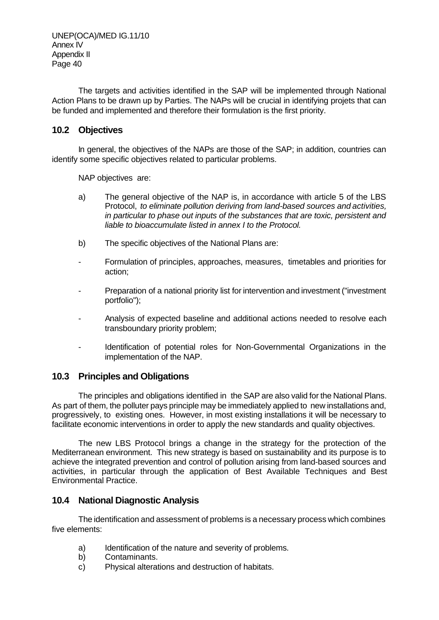The targets and activities identified in the SAP will be implemented through National Action Plans to be drawn up by Parties. The NAPs will be crucial in identifying projets that can be funded and implemented and therefore their formulation is the first priority.

# **10.2 Objectives**

In general, the objectives of the NAPs are those of the SAP; in addition, countries can identify some specific objectives related to particular problems.

NAP objectives are:

- a) The general objective of the NAP is, in accordance with article 5 of the LBS Protocol, *to eliminate pollution deriving from land-based sources and activities, in particular to phase out inputs of the substances that are toxic, persistent and liable to bioaccumulate listed in annex I to the Protocol.*
- b) The specific objectives of the National Plans are:
- Formulation of principles, approaches, measures, timetables and priorities for action;
- Preparation of a national priority list for intervention and investment ("investment portfolio");
- Analysis of expected baseline and additional actions needed to resolve each transboundary priority problem;
- Identification of potential roles for Non-Governmental Organizations in the implementation of the NAP.

# **10.3 Principles and Obligations**

The principles and obligations identified in the SAP are also valid for the National Plans. As part of them, the polluter pays principle may be immediately applied to new installations and, progressively, to existing ones. However, in most existing installations it will be necessary to facilitate economic interventions in order to apply the new standards and quality objectives.

The new LBS Protocol brings a change in the strategy for the protection of the Mediterranean environment. This new strategy is based on sustainability and its purpose is to achieve the integrated prevention and control of pollution arising from land-based sources and activities, in particular through the application of Best Available Techniques and Best Environmental Practice.

# **10.4 National Diagnostic Analysis**

The identification and assessment of problems is a necessary process which combines five elements:

- a) Identification of the nature and severity of problems.
- b) Contaminants.
- c) Physical alterations and destruction of habitats.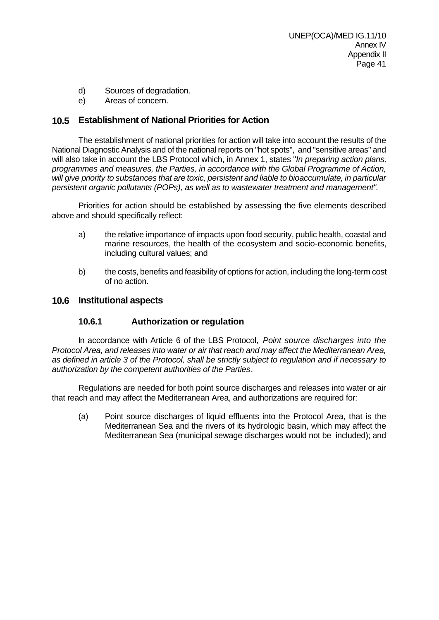- d) Sources of degradation.
- e) Areas of concern.

### **10.5 Establishment of National Priorities for Action**

The establishment of national priorities for action will take into account the results of the National Diagnostic Analysis and of the national reports on "hot spots", and "sensitive areas" and will also take in account the LBS Protocol which, in Annex 1, states "*In preparing action plans, programmes and measures, the Parties, in accordance with the Global Programme of Action, will give priority to substances that are toxic, persistent and liable to bioaccumulate, in particular persistent organic pollutants (POPs), as well as to wastewater treatment and management".*

Priorities for action should be established by assessing the five elements described above and should specifically reflect:

- a) the relative importance of impacts upon food security, public health, coastal and marine resources, the health of the ecosystem and socio-economic benefits, including cultural values; and
- b) the costs, benefits and feasibility of options for action, including the long-term cost of no action.

### **10.6 Institutional aspects**

### **10.6.1 Authorization or regulation**

In accordance with Article 6 of the LBS Protocol, *Point source discharges into the Protocol Area, and releases into water or air that reach and may affect the Mediterranean Area, as defined in article 3 of the Protocol, shall be strictly subject to regulation and if necessary to authorization by the competent authorities of the Parties*.

Regulations are needed for both point source discharges and releases into water or air that reach and may affect the Mediterranean Area, and authorizations are required for:

(a) Point source discharges of liquid effluents into the Protocol Area, that is the Mediterranean Sea and the rivers of its hydrologic basin, which may affect the Mediterranean Sea (municipal sewage discharges would not be included); and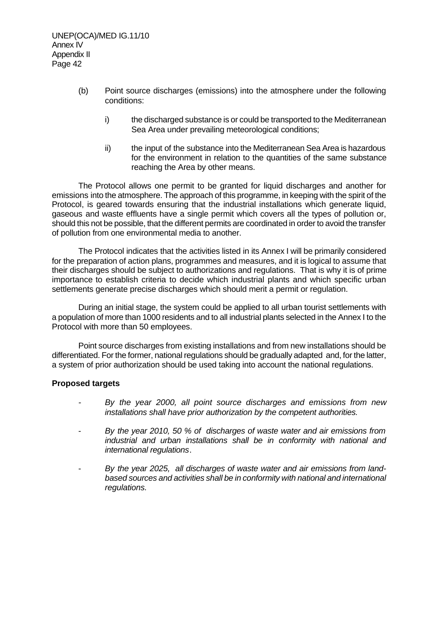- (b) Point source discharges (emissions) into the atmosphere under the following conditions:
	- i) the discharged substance is or could be transported to the Mediterranean Sea Area under prevailing meteorological conditions;
	- ii) the input of the substance into the Mediterranean Sea Area is hazardous for the environment in relation to the quantities of the same substance reaching the Area by other means.

The Protocol allows one permit to be granted for liquid discharges and another for emissions into the atmosphere. The approach of this programme, in keeping with the spirit of the Protocol, is geared towards ensuring that the industrial installations which generate liquid, gaseous and waste effluents have a single permit which covers all the types of pollution or, should this not be possible, that the different permits are coordinated in order to avoid the transfer of pollution from one environmental media to another.

The Protocol indicates that the activities listed in its Annex I will be primarily considered for the preparation of action plans, programmes and measures, and it is logical to assume that their discharges should be subject to authorizations and regulations. That is why it is of prime importance to establish criteria to decide which industrial plants and which specific urban settlements generate precise discharges which should merit a permit or regulation.

During an initial stage, the system could be applied to all urban tourist settlements with a population of more than 1000 residents and to all industrial plants selected in the Annex I to the Protocol with more than 50 employees.

Point source discharges from existing installations and from new installations should be differentiated. For the former, national regulations should be gradually adapted and, for the latter, a system of prior authorization should be used taking into account the national regulations.

# **Proposed targets**

- *- By the year 2000, all point source discharges and emissions from new installations shall have prior authorization by the competent authorities.*
- *By the year 2010, 50 % of discharges of waste water and air emissions from industrial and urban installations shall be in conformity with national and international regulations*.
- *By the year 2025, all discharges of waste water and air emissions from landbased sources and activities shall be in conformity with national and international regulations.*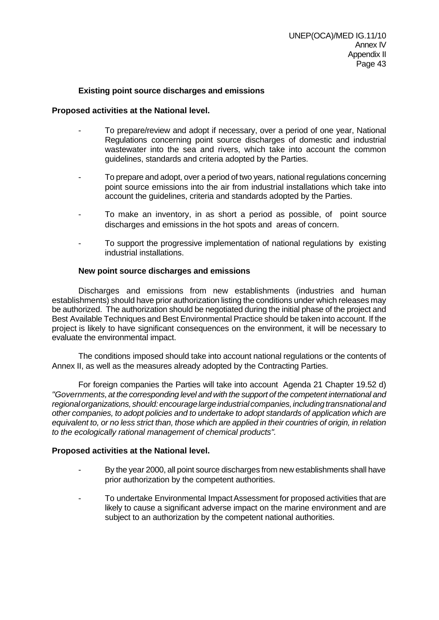### **Existing point source discharges and emissions**

#### **Proposed activities at the National level.**

- To prepare/review and adopt if necessary, over a period of one year, National Regulations concerning point source discharges of domestic and industrial wastewater into the sea and rivers, which take into account the common guidelines, standards and criteria adopted by the Parties.
- To prepare and adopt, over a period of two years, national regulations concerning point source emissions into the air from industrial installations which take into account the guidelines, criteria and standards adopted by the Parties.
- To make an inventory, in as short a period as possible, of point source discharges and emissions in the hot spots and areas of concern.
- To support the progressive implementation of national regulations by existing industrial installations.

#### **New point source discharges and emissions**

Discharges and emissions from new establishments (industries and human establishments) should have prior authorization listing the conditions under which releases may be authorized. The authorization should be negotiated during the initial phase of the project and Best Available Techniques and Best Environmental Practice should be taken into account. If the project is likely to have significant consequences on the environment, it will be necessary to evaluate the environmental impact.

The conditions imposed should take into account national regulations or the contents of Annex II, as well as the measures already adopted by the Contracting Parties.

For foreign companies the Parties will take into account Agenda 21 Chapter 19.52 d) *"Governments, at the corresponding level and with the support of the competent international and regional organizations, should: encourage large industrial companies, including transnational and other companies, to adopt policies and to undertake to adopt standards of application which are equivalent to, or no less strict than, those which are applied in their countries of origin, in relation to the ecologically rational management of chemical products".*

- By the year 2000, all point source discharges from new establishments shall have prior authorization by the competent authorities.
- To undertake Environmental Impact Assessment for proposed activities that are likely to cause a significant adverse impact on the marine environment and are subject to an authorization by the competent national authorities.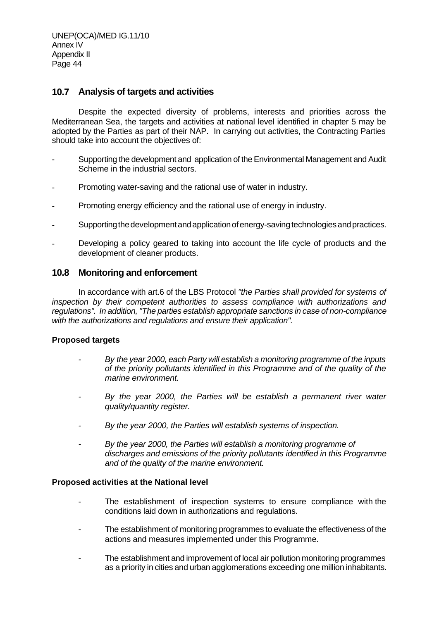# **10.7 Analysis of targets and activities**

Despite the expected diversity of problems, interests and priorities across the Mediterranean Sea, the targets and activities at national level identified in chapter 5 may be adopted by the Parties as part of their NAP. In carrying out activities, the Contracting Parties should take into account the objectives of:

- Supporting the development and application of the Environmental Management and Audit Scheme in the industrial sectors.
- Promoting water-saving and the rational use of water in industry.
- Promoting energy efficiency and the rational use of energy in industry.
- Supporting the development and application of energy-saving technologies and practices.
- Developing a policy geared to taking into account the life cycle of products and the development of cleaner products.

### **10.8 Monitoring and enforcement**

In accordance with art.6 of the LBS Protocol *"the Parties shall provided for systems of inspection by their competent authorities to assess compliance with authorizations and regulations". In addition, "The parties establish appropriate sanctions in case of non-compliance with the authorizations and regulations and ensure their application".*

### **Proposed targets**

- *- By the year 2000, each Party will establish a monitoring programme of the inputs of the priority pollutants identified in this Programme and of the quality of the marine environment.*
- *- By the year 2000, the Parties will be establish a permanent river water quality/quantity register.*
- *- By the year 2000, the Parties will establish systems of inspection.*
- *- By the year 2000, the Parties will establish a monitoring programme of discharges and emissions of the priority pollutants identified in this Programme and of the quality of the marine environment.*

- The establishment of inspection systems to ensure compliance with the conditions laid down in authorizations and regulations.
- The establishment of monitoring programmes to evaluate the effectiveness of the actions and measures implemented under this Programme.
- The establishment and improvement of local air pollution monitoring programmes as a priority in cities and urban agglomerations exceeding one million inhabitants.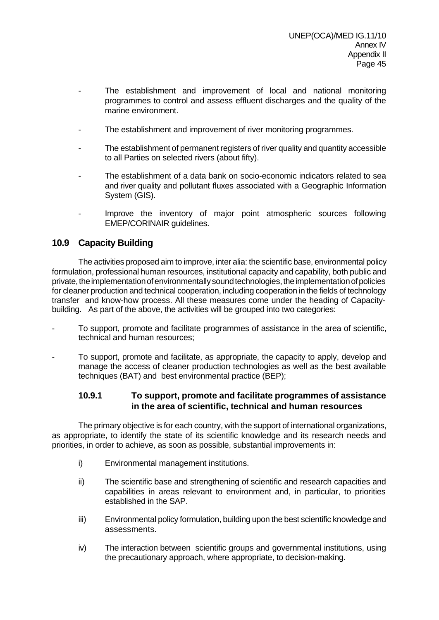- The establishment and improvement of local and national monitoring programmes to control and assess effluent discharges and the quality of the marine environment.
- The establishment and improvement of river monitoring programmes.
- The establishment of permanent registers of river quality and quantity accessible to all Parties on selected rivers (about fifty).
- The establishment of a data bank on socio-economic indicators related to sea and river quality and pollutant fluxes associated with a Geographic Information System (GIS).
- Improve the inventory of major point atmospheric sources following EMEP/CORINAIR guidelines.

# **10.9 Capacity Building**

The activities proposed aim to improve, inter alia: the scientific base, environmental policy formulation, professional human resources, institutional capacity and capability, both public and private, the implementation of environmentally sound technologies, the implementation of policies for cleaner production and technical cooperation, including cooperation in the fields of technology transfer and know-how process. All these measures come under the heading of Capacitybuilding. As part of the above, the activities will be grouped into two categories:

- To support, promote and facilitate programmes of assistance in the area of scientific, technical and human resources;
- To support, promote and facilitate, as appropriate, the capacity to apply, develop and manage the access of cleaner production technologies as well as the best available techniques (BAT) and best environmental practice (BEP);

# **10.9.1 To support, promote and facilitate programmes of assistance in the area of scientific, technical and human resources**

The primary objective is for each country, with the support of international organizations, as appropriate, to identify the state of its scientific knowledge and its research needs and priorities, in order to achieve, as soon as possible, substantial improvements in:

- i) Environmental management institutions.
- ii) The scientific base and strengthening of scientific and research capacities and capabilities in areas relevant to environment and, in particular, to priorities established in the SAP.
- iii) Environmental policy formulation, building upon the best scientific knowledge and assessments.
- iv) The interaction between scientific groups and governmental institutions, using the precautionary approach, where appropriate, to decision-making.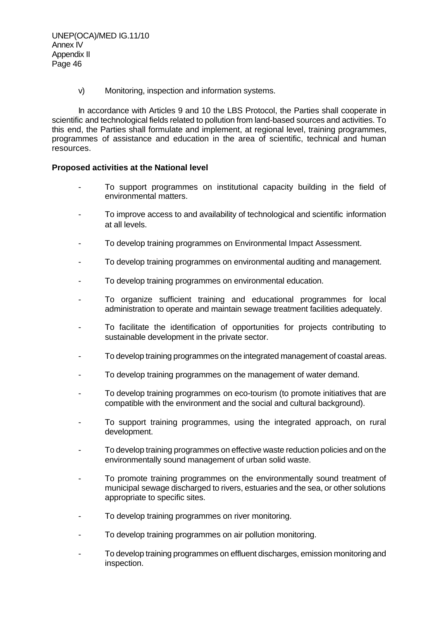v) Monitoring, inspection and information systems.

In accordance with Articles 9 and 10 the LBS Protocol, the Parties shall cooperate in scientific and technological fields related to pollution from land-based sources and activities. To this end, the Parties shall formulate and implement, at regional level, training programmes, programmes of assistance and education in the area of scientific, technical and human resources.

- To support programmes on institutional capacity building in the field of environmental matters.
- To improve access to and availability of technological and scientific information at all levels.
- To develop training programmes on Environmental Impact Assessment.
- To develop training programmes on environmental auditing and management.
- To develop training programmes on environmental education.
- To organize sufficient training and educational programmes for local administration to operate and maintain sewage treatment facilities adequately.
- To facilitate the identification of opportunities for projects contributing to sustainable development in the private sector.
- To develop training programmes on the integrated management of coastal areas.
- To develop training programmes on the management of water demand.
- To develop training programmes on eco-tourism (to promote initiatives that are compatible with the environment and the social and cultural background).
- To support training programmes, using the integrated approach, on rural development.
- To develop training programmes on effective waste reduction policies and on the environmentally sound management of urban solid waste.
- To promote training programmes on the environmentally sound treatment of municipal sewage discharged to rivers, estuaries and the sea, or other solutions appropriate to specific sites.
- To develop training programmes on river monitoring.
- To develop training programmes on air pollution monitoring.
- To develop training programmes on effluent discharges, emission monitoring and inspection.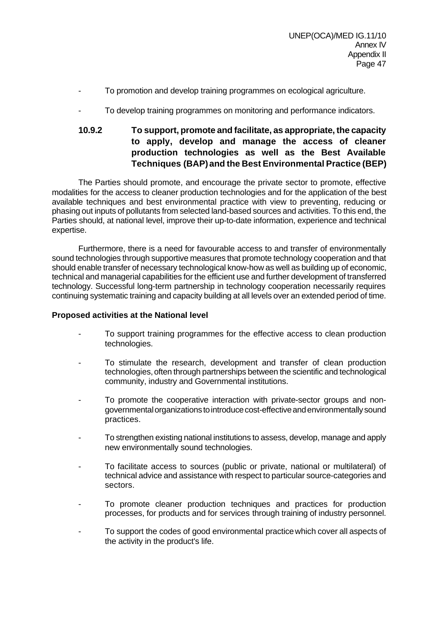- To promotion and develop training programmes on ecological agriculture.
- To develop training programmes on monitoring and performance indicators.

# **10.9.2 To support, promote and facilitate, as appropriate, the capacity to apply, develop and manage the access of cleaner production technologies as well as the Best Available Techniques (BAP) and the Best Environmental Practice (BEP)**

The Parties should promote, and encourage the private sector to promote, effective modalities for the access to cleaner production technologies and for the application of the best available techniques and best environmental practice with view to preventing, reducing or phasing out inputs of pollutants from selected land-based sources and activities. To this end, the Parties should, at national level, improve their up-to-date information, experience and technical expertise.

Furthermore, there is a need for favourable access to and transfer of environmentally sound technologies through supportive measures that promote technology cooperation and that should enable transfer of necessary technological know-how as well as building up of economic, technical and managerial capabilities for the efficient use and further development of transferred technology. Successful long-term partnership in technology cooperation necessarily requires continuing systematic training and capacity building at all levels over an extended period of time.

- To support training programmes for the effective access to clean production technologies.
- To stimulate the research, development and transfer of clean production technologies, often through partnerships between the scientific and technological community, industry and Governmental institutions.
- To promote the cooperative interaction with private-sector groups and nongovernmental organizations to introduce cost-effective and environmentally sound practices.
- To strengthen existing national institutions to assess, develop, manage and apply new environmentally sound technologies.
- To facilitate access to sources (public or private, national or multilateral) of technical advice and assistance with respect to particular source-categories and sectors.
- To promote cleaner production techniques and practices for production processes, for products and for services through training of industry personnel.
- To support the codes of good environmental practice which cover all aspects of the activity in the product's life.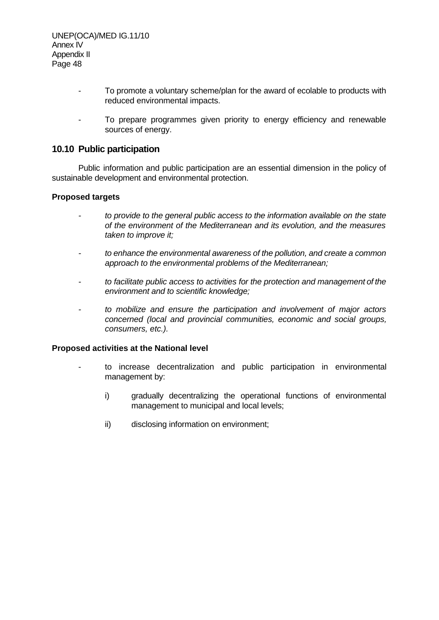- To promote a voluntary scheme/plan for the award of ecolable to products with reduced environmental impacts.
- To prepare programmes given priority to energy efficiency and renewable sources of energy.

### **10.10 Public participation**

Public information and public participation are an essential dimension in the policy of sustainable development and environmental protection.

#### **Proposed targets**

- *- to provide to the general public access to the information available on the state of the environment of the Mediterranean and its evolution, and the measures taken to improve it;*
- *- to enhance the environmental awareness of the pollution, and create a common approach to the environmental problems of the Mediterranean;*
- *- to facilitate public access to activities for the protection and management of the environment and to scientific knowledge;*
- *- to mobilize and ensure the participation and involvement of major actors concerned (local and provincial communities, economic and social groups, consumers, etc.).*

- to increase decentralization and public participation in environmental management by:
	- i) gradually decentralizing the operational functions of environmental management to municipal and local levels;
	- ii) disclosing information on environment;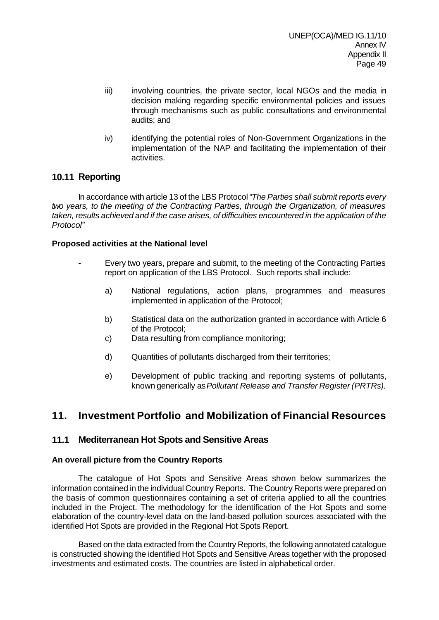- iii) involving countries, the private sector, local NGOs and the media in decision making regarding specific environmental policies and issues through mechanisms such as public consultations and environmental audits; and
- iv) identifying the potential roles of Non-Government Organizations in the implementation of the NAP and facilitating the implementation of their activities.

# **10.11 Reporting**

In accordance with article 13 of the LBS Protocol *"The Parties shall submit reports every two years, to the meeting of the Contracting Parties, through the Organization, of measures taken, results achieved and if the case arises, of difficulties encountered in the application of the Protocol"*

### **Proposed activities at the National level**

- Every two years, prepare and submit, to the meeting of the Contracting Parties report on application of the LBS Protocol. Such reports shall include:
	- a) National regulations, action plans, programmes and measures implemented in application of the Protocol;
	- b) Statistical data on the authorization granted in accordance with Article 6 of the Protocol;
	- c) Data resulting from compliance monitoring;
	- d) Quantities of pollutants discharged from their territories;
	- e) Development of public tracking and reporting systems of pollutants, known generically as *Pollutant Release and Transfer Register (PRTRs).*

# **11. Investment Portfolio and Mobilization of Financial Resources**

# **11.1 Mediterranean Hot Spots and Sensitive Areas**

### **An overall picture from the Country Reports**

The catalogue of Hot Spots and Sensitive Areas shown below summarizes the information contained in the individual Country Reports. The Country Reports were prepared on the basis of common questionnaires containing a set of criteria applied to all the countries included in the Project. The methodology for the identification of the Hot Spots and some elaboration of the country-level data on the land-based pollution sources associated with the identified Hot Spots are provided in the Regional Hot Spots Report.

Based on the data extracted from the Country Reports, the following annotated catalogue is constructed showing the identified Hot Spots and Sensitive Areas together with the proposed investments and estimated costs. The countries are listed in alphabetical order.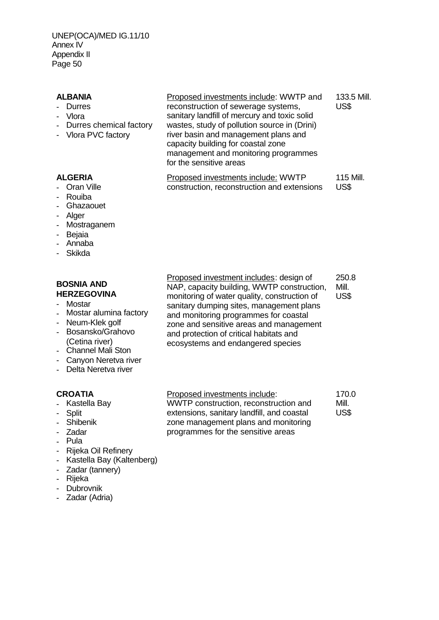#### **ALBANIA**

- Durres
- Vlora
- Durres chemical factory
- Vlora PVC factory

### **ALGERIA**

- Oran Ville
- Rouiba
- Ghazaouet
- Alger
- Mostraganem
- Bejaia
- Annaba
- **Skikda**

#### **BOSNIA AND HERZEGOVINA**

- Mostar
- Mostar alumina factory
- Neum-Klek golf
- Bosansko/Grahovo (Cetina river)
- Channel Mali Ston
- Canyon Neretva river
- Delta Neretva river

### **CROATIA**

- Kastella Bay
- **Split**
- Shibenik
- Zadar
- Pula
- Rijeka Oil Refinery
- Kastella Bay (Kaltenberg)
- Zadar (tannery)
- Rijeka
- Dubrovnik
- Zadar (Adria)

Proposed investments include: WWTP and reconstruction of sewerage systems, sanitary landfill of mercury and toxic solid wastes, study of pollution source in (Drini) river basin and management plans and capacity building for coastal zone management and monitoring programmes for the sensitive areas 133.5 Mill. US\$

Proposed investments include: WWTP construction, reconstruction and extensions 115 Mill. US\$

Proposed investment includes: design of NAP, capacity building, WWTP construction, monitoring of water quality, construction of sanitary dumping sites, management plans and monitoring programmes for coastal zone and sensitive areas and management and protection of critical habitats and ecosystems and endangered species 250.8 Mill. US\$

Proposed investments include: WWTP construction, reconstruction and extensions, sanitary landfill, and coastal zone management plans and monitoring programmes for the sensitive areas 170.0 Mill. US\$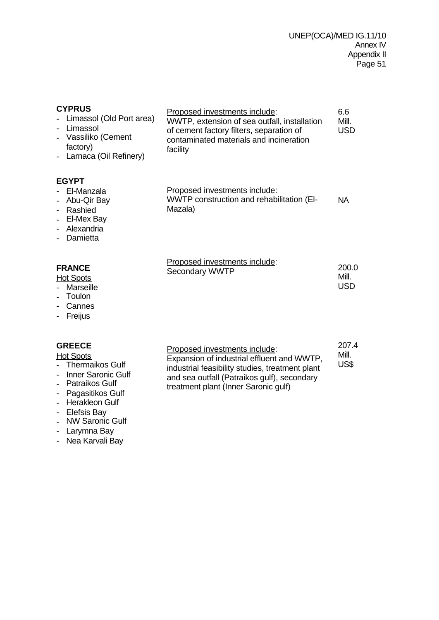| <b>CYPRUS</b><br>Limassol (Old Port area)<br>Limassol<br>$\blacksquare$<br>Vassiliko (Cement<br>factory)<br>Larnaca (Oil Refinery)          | Proposed investments include:<br>WWTP, extension of sea outfall, installation<br>of cement factory filters, separation of<br>contaminated materials and incineration<br>facility                                      | 6.6<br>Mill.<br><b>USD</b>   |
|---------------------------------------------------------------------------------------------------------------------------------------------|-----------------------------------------------------------------------------------------------------------------------------------------------------------------------------------------------------------------------|------------------------------|
| <b>EGYPT</b><br>El-Manzala<br>Abu-Qir Bay<br>Rashied<br>$\blacksquare$<br>El-Mex Bay<br>÷,<br>Alexandria<br>Damietta                        | Proposed investments include:<br>WWTP construction and rehabilitation (EI-<br>Mazala)                                                                                                                                 | <b>NA</b>                    |
| <b>FRANCE</b><br><b>Hot Spots</b><br>Marseille<br>Toulon<br>Cannes<br>Freijus                                                               | Proposed investments include:<br>Secondary WWTP                                                                                                                                                                       | 200.0<br>Mill.<br><b>USD</b> |
| <b>GREECE</b><br><b>Hot Spots</b><br><b>Thermaikos Gulf</b><br><b>Inner Saronic Gulf</b><br><b>Patraikos Gulf</b><br>÷,<br>Pagasitikos Gulf | Proposed investments include:<br>Expansion of industrial effluent and WWTP,<br>industrial feasibility studies, treatment plant<br>and sea outfall (Patraikos gulf), secondary<br>treatment plant (Inner Saronic gulf) | 207.4<br>Mill.<br>US\$       |

- Herakleon Gulf
- Elefsis Bay
- NW Saronic Gulf
- Larymna Bay
- Nea Karvali Bay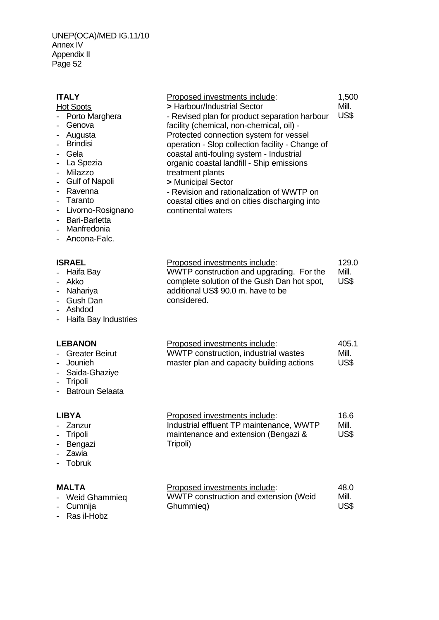### **ITALY**

Hot Spots

- Porto Marghera
- Genova
- Augusta
- Brindisi
- Gela
- La Spezia
- Milazzo
- Gulf of Napoli
- Ravenna
- Taranto
- Livorno-Rosignano
- Bari-Barletta
- Manfredonia
- Ancona-Falc.

| <b>ISRAEL</b><br>- Haifa Bay<br>- Akko<br>- Nahariya<br>- Gush Dan<br>- Ashdod<br>- Haifa Bay Industries | Proposed investments include:<br>WWTP construction and upgrading. For the<br>complete solution of the Gush Dan hot spot,<br>additional US\$ 90.0 m. have to be<br>considered. | 129.0<br>Mill.<br>US\$ |
|----------------------------------------------------------------------------------------------------------|-------------------------------------------------------------------------------------------------------------------------------------------------------------------------------|------------------------|
|                                                                                                          |                                                                                                                                                                               |                        |

treatment plants **>** Municipal Sector

continental waters

Proposed investments include: **>** Harbour/Industrial Sector

facility (chemical, non-chemical, oil) - Protected connection system for vessel operation - Slop collection facility - Change of

coastal anti-fouling system - Industrial organic coastal landfill - Ship emissions

- Revision and rationalization of WWTP on coastal cities and on cities discharging into

- Revised plan for product separation harbour

1,500 Mill. US\$

| <b>LEBANON</b>   | Proposed investments include:             | 405.1 |
|------------------|-------------------------------------------|-------|
| - Greater Beirut | WWTP construction, industrial wastes      | Mill. |
| - Jounieh        | master plan and capacity building actions | US\$  |

- Saida-Ghaziye
- Tripoli
- Batroun Selaata

| <b>LIBYA</b>         | Proposed investments include:            | 16.6  |
|----------------------|------------------------------------------|-------|
| - Zanzur             | Industrial effluent TP maintenance, WWTP | Mill. |
| - Tripoli            | maintenance and extension (Bengazi &     | US\$  |
| - Bengazi<br>- Zawia | Tripoli)                                 |       |

- Tobruk

| <b>MALTA</b>    | Proposed investments include:         | 48.0  |
|-----------------|---------------------------------------|-------|
| - Weid Ghammieg | WWTP construction and extension (Weid | Mill. |
| - Cumnija       | Ghummieg)                             | US\$  |

- Ras il-Hobz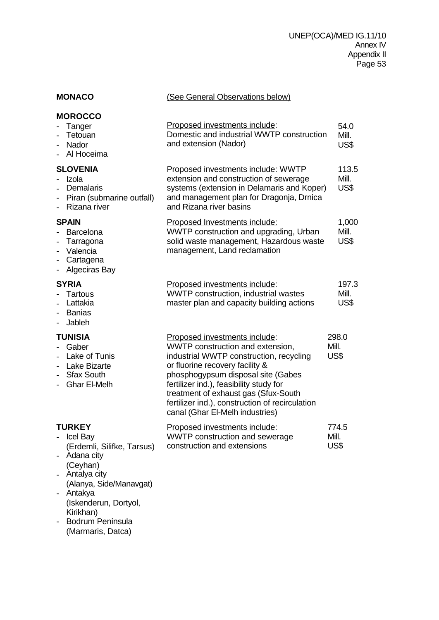# **MONACO**

# (See General Observations below)

|                                                | <b>MOROCCO</b>                                                                                                                                                                |                                                                                                                                                                                                                                                                                                                                                                |                        |
|------------------------------------------------|-------------------------------------------------------------------------------------------------------------------------------------------------------------------------------|----------------------------------------------------------------------------------------------------------------------------------------------------------------------------------------------------------------------------------------------------------------------------------------------------------------------------------------------------------------|------------------------|
|                                                | Tanger<br>Tetouan<br>Nador<br>Al Hoceima                                                                                                                                      | Proposed investments include:<br>Domestic and industrial WWTP construction<br>and extension (Nador)                                                                                                                                                                                                                                                            | 54.0<br>Mill.<br>US\$  |
|                                                | <b>SLOVENIA</b><br>Izola<br>Demalaris<br>Piran (submarine outfall)<br>Rizana river                                                                                            | <b>Proposed investments include: WWTP</b><br>extension and construction of sewerage<br>systems (extension in Delamaris and Koper)<br>and management plan for Dragonja, Drnica<br>and Rizana river basins                                                                                                                                                       | 113.5<br>Mill.<br>US\$ |
|                                                | <b>SPAIN</b><br><b>Barcelona</b><br>Tarragona<br>Valencia<br>Cartagena<br>Algeciras Bay                                                                                       | Proposed Investments include:<br>WWTP construction and upgrading, Urban<br>solid waste management, Hazardous waste<br>management, Land reclamation                                                                                                                                                                                                             | 1,000<br>Mill.<br>US\$ |
|                                                | <b>SYRIA</b><br><b>Tartous</b><br>Lattakia<br><b>Banias</b><br>Jableh                                                                                                         | Proposed investments include:<br>WWTP construction, industrial wastes<br>master plan and capacity building actions                                                                                                                                                                                                                                             | 197.3<br>Mill.<br>US\$ |
|                                                | <b>TUNISIA</b><br>Gaber<br>Lake of Tunis<br>Lake Bizarte<br><b>Sfax South</b><br><b>Ghar El-Melh</b>                                                                          | Proposed investments include:<br>WWTP construction and extension,<br>industrial WWTP construction, recycling<br>or fluorine recovery facility &<br>phosphogypsum disposal site (Gabes<br>fertilizer ind.), feasibility study for<br>treatment of exhaust gas (Sfux-South<br>fertilizer ind.), construction of recirculation<br>canal (Ghar El-Melh industries) | 298.0<br>Mill.<br>US\$ |
| $\blacksquare$<br>$\qquad \qquad \blacksquare$ | <b>TURKEY</b><br>Icel Bay<br>(Erdemli, Silifke, Tarsus)<br>Adana city<br>(Ceyhan)<br>Antalya city<br>(Alanya, Side/Manavgat)<br>Antakya<br>(Iskenderun, Dortyol,<br>Kirikhan) | Proposed investments include:<br><b>WWTP construction and sewerage</b><br>construction and extensions                                                                                                                                                                                                                                                          | 774.5<br>Mill.<br>US\$ |

- Bodrum Peninsula (Marmaris, Datca)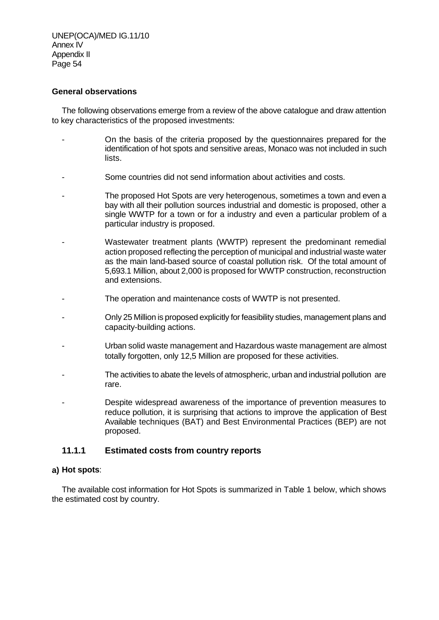#### **General observations**

The following observations emerge from a review of the above catalogue and draw attention to key characteristics of the proposed investments:

- On the basis of the criteria proposed by the questionnaires prepared for the identification of hot spots and sensitive areas, Monaco was not included in such lists.
- Some countries did not send information about activities and costs.
- The proposed Hot Spots are very heterogenous, sometimes a town and even a bay with all their pollution sources industrial and domestic is proposed, other a single WWTP for a town or for a industry and even a particular problem of a particular industry is proposed.
- Wastewater treatment plants (WWTP) represent the predominant remedial action proposed reflecting the perception of municipal and industrial waste water as the main land-based source of coastal pollution risk. Of the total amount of 5,693.1 Million, about 2,000 is proposed for WWTP construction, reconstruction and extensions.
- The operation and maintenance costs of WWTP is not presented.
- Only 25 Million is proposed explicitly for feasibility studies, management plans and capacity-building actions.
- Urban solid waste management and Hazardous waste management are almost totally forgotten, only 12,5 Million are proposed for these activities.
- The activities to abate the levels of atmospheric, urban and industrial pollution are rare.
- Despite widespread awareness of the importance of prevention measures to reduce pollution, it is surprising that actions to improve the application of Best Available techniques (BAT) and Best Environmental Practices (BEP) are not proposed.

### **11.1.1 Estimated costs from country reports**

#### **a) Hot spots**:

The available cost information for Hot Spots is summarized in Table 1 below, which shows the estimated cost by country.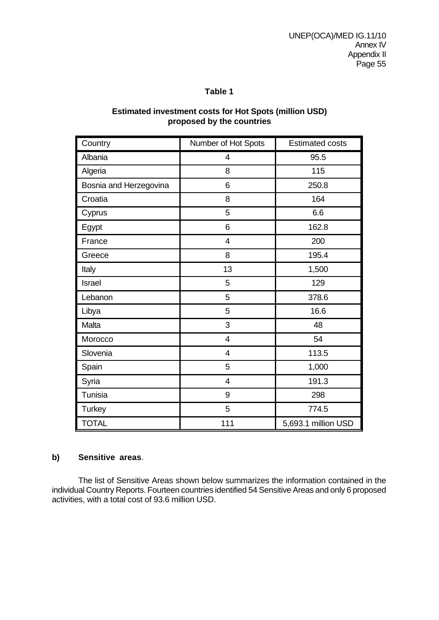# **Table 1**

# **Estimated investment costs for Hot Spots (million USD) proposed by the countries**

| Country                | Number of Hot Spots | <b>Estimated costs</b> |
|------------------------|---------------------|------------------------|
| Albania                | 4                   | 95.5                   |
| Algeria                | 8                   | 115                    |
| Bosnia and Herzegovina | 6                   | 250.8                  |
| Croatia                | 8                   | 164                    |
| Cyprus                 | 5                   | 6.6                    |
| Egypt                  | 6                   | 162.8                  |
| France                 | 4                   | 200                    |
| Greece                 | 8                   | 195.4                  |
| Italy                  | 13                  | 1,500                  |
| Israel                 | 5                   | 129                    |
| Lebanon                | 5                   | 378.6                  |
| Libya                  | 5                   | 16.6                   |
| Malta                  | 3                   | 48                     |
| Morocco                | 4                   | 54                     |
| Slovenia               | 4                   | 113.5                  |
| Spain                  | 5                   | 1,000                  |
| Syria                  | 4                   | 191.3                  |
| Tunisia                | 9                   | 298                    |
| <b>Turkey</b>          | 5                   | 774.5                  |
| <b>TOTAL</b>           | 111                 | 5,693.1 million USD    |

# **b) Sensitive areas**.

The list of Sensitive Areas shown below summarizes the information contained in the individual Country Reports. Fourteen countries identified 54 Sensitive Areas and only 6 proposed activities, with a total cost of 93.6 million USD.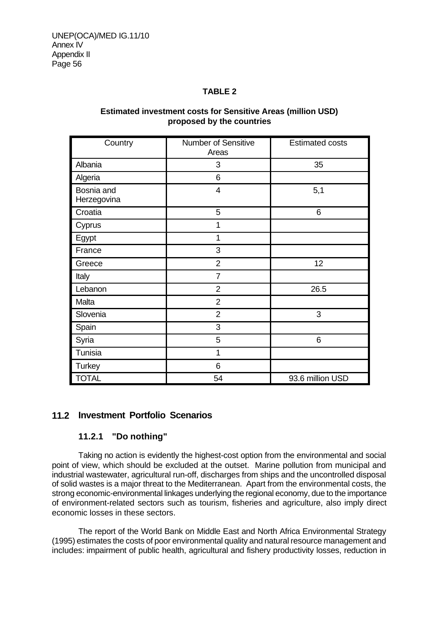# **TABLE 2**

### **Estimated investment costs for Sensitive Areas (million USD) proposed by the countries**

| Country                   | <b>Number of Sensitive</b><br>Areas | <b>Estimated costs</b> |  |
|---------------------------|-------------------------------------|------------------------|--|
| Albania                   | 3                                   | 35                     |  |
| Algeria                   | 6                                   |                        |  |
| Bosnia and<br>Herzegovina | $\overline{4}$                      | 5,1                    |  |
| Croatia                   | 5                                   | 6                      |  |
| Cyprus                    | $\mathbf{1}$                        |                        |  |
| Egypt                     | 1                                   |                        |  |
| France                    | 3                                   |                        |  |
| Greece                    | $\overline{2}$                      | 12                     |  |
| Italy                     | $\overline{7}$                      |                        |  |
| Lebanon                   | $\overline{2}$                      | 26.5                   |  |
| Malta                     | $\overline{2}$                      |                        |  |
| Slovenia                  | $\overline{2}$                      | 3                      |  |
| Spain                     | 3                                   |                        |  |
| Syria                     | 5                                   | 6                      |  |
| Tunisia                   | 1                                   |                        |  |
| <b>Turkey</b>             | 6                                   |                        |  |
| <b>TOTAL</b>              | 54                                  | 93.6 million USD       |  |

# **11.2 Investment Portfolio Scenarios**

# **11.2.1 "Do nothing"**

Taking no action is evidently the highest-cost option from the environmental and social point of view, which should be excluded at the outset. Marine pollution from municipal and industrial wastewater, agricultural run-off, discharges from ships and the uncontrolled disposal of solid wastes is a major threat to the Mediterranean. Apart from the environmental costs, the strong economic-environmental linkages underlying the regional economy, due to the importance of environment-related sectors such as tourism, fisheries and agriculture, also imply direct economic losses in these sectors.

The report of the World Bank on Middle East and North Africa Environmental Strategy (1995) estimates the costs of poor environmental quality and natural resource management and includes: impairment of public health, agricultural and fishery productivity losses, reduction in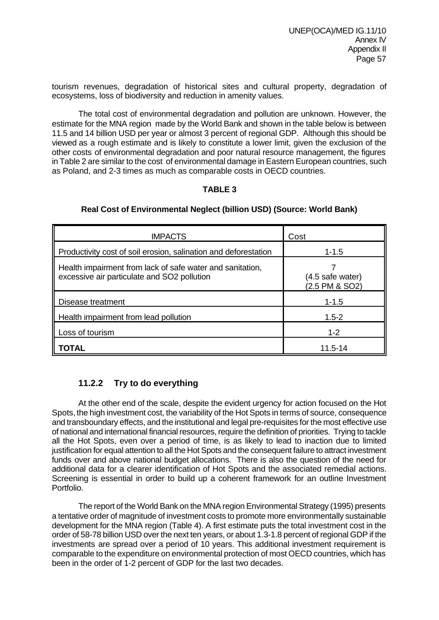tourism revenues, degradation of historical sites and cultural property, degradation of ecosystems, loss of biodiversity and reduction in amenity values.

The total cost of environmental degradation and pollution are unknown. However, the estimate for the MNA region made by the World Bank and shown in the table below is between 11.5 and 14 billion USD per year or almost 3 percent of regional GDP. Although this should be viewed as a rough estimate and is likely to constitute a lower limit, given the exclusion of the other costs of environmental degradation and poor natural resource management, the figures in Table 2 are similar to the cost of environmental damage in Eastern European countries, such as Poland, and 2-3 times as much as comparable costs in OECD countries.

# **TABLE 3**

| <b>IMPACTS</b>                                                                                           | Cost                                         |
|----------------------------------------------------------------------------------------------------------|----------------------------------------------|
| Productivity cost of soil erosion, salination and deforestation                                          | $1 - 1.5$                                    |
| Health impairment from lack of safe water and sanitation,<br>excessive air particulate and SO2 pollution | $(4.5 \text{ safe water})$<br>(2.5 PM & SO2) |
| Disease treatment                                                                                        | $1 - 1.5$                                    |
| Health impairment from lead pollution                                                                    | $1.5 - 2$                                    |
| Loss of tourism                                                                                          | $1 - 2$                                      |
|                                                                                                          | 11.5-14                                      |

### **Real Cost of Environmental Neglect (billion USD) (Source: World Bank)**

# **11.2.2 Try to do everything**

At the other end of the scale, despite the evident urgency for action focused on the Hot Spots, the high investment cost, the variability of the Hot Spots in terms of source, consequence and transboundary effects, and the institutional and legal pre-requisites for the most effective use of national and international financial resources, require the definition of priorities. Trying to tackle all the Hot Spots, even over a period of time, is as likely to lead to inaction due to limited justification for equal attention to all the Hot Spots and the consequent failure to attract investment funds over and above national budget allocations. There is also the question of the need for additional data for a clearer identification of Hot Spots and the associated remedial actions. Screening is essential in order to build up a coherent framework for an outline Investment Portfolio.

The report of the World Bank on the MNA region Environmental Strategy (1995) presents a tentative order of magnitude of investment costs to promote more environmentally sustainable development for the MNA region (Table 4). A first estimate puts the total investment cost in the order of 58-78 billion USD over the next ten years, or about 1.3-1.8 percent of regional GDP if the investments are spread over a period of 10 years. This additional investment requirement is comparable to the expenditure on environmental protection of most OECD countries, which has been in the order of 1-2 percent of GDP for the last two decades.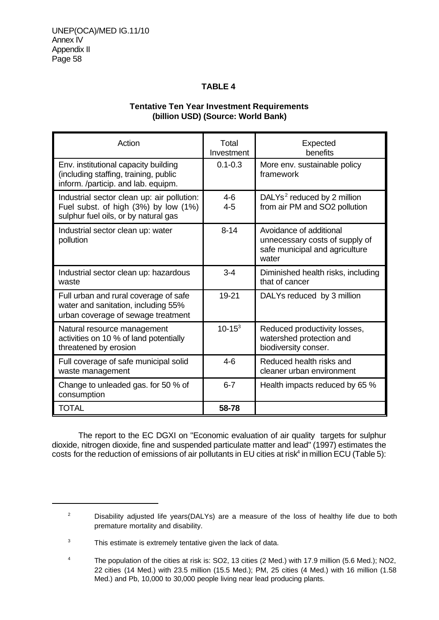# **TABLE 4**

### **Tentative Ten Year Investment Requirements (billion USD) (Source: World Bank)**

| Action                                                                                                                     | Total<br>Investment | Expected<br>benefits                                                                                 |
|----------------------------------------------------------------------------------------------------------------------------|---------------------|------------------------------------------------------------------------------------------------------|
| Env. institutional capacity building<br>(including staffing, training, public<br>inform. /particip. and lab. equipm.       | $0.1 - 0.3$         | More env. sustainable policy<br>framework                                                            |
| Industrial sector clean up: air pollution:<br>Fuel subst. of high (3%) by low (1%)<br>sulphur fuel oils, or by natural gas | $4 - 6$<br>$4 - 5$  | DALYs <sup>2</sup> reduced by 2 million<br>from air PM and SO2 pollution                             |
| Industrial sector clean up: water<br>pollution                                                                             | $8 - 14$            | Avoidance of additional<br>unnecessary costs of supply of<br>safe municipal and agriculture<br>water |
| Industrial sector clean up: hazardous<br>waste                                                                             | $3 - 4$             | Diminished health risks, including<br>that of cancer                                                 |
| Full urban and rural coverage of safe<br>water and sanitation, including 55%<br>urban coverage of sewage treatment         | 19-21               | DALYs reduced by 3 million                                                                           |
| Natural resource management<br>activities on 10 % of land potentially<br>threatened by erosion                             | $10 - 153$          | Reduced productivity losses,<br>watershed protection and<br>biodiversity conser.                     |
| Full coverage of safe municipal solid<br>waste management                                                                  | $4 - 6$             | Reduced health risks and<br>cleaner urban environment                                                |
| Change to unleaded gas. for 50 % of<br>consumption                                                                         | $6 - 7$             | Health impacts reduced by 65 %                                                                       |
| <b>TOTAL</b>                                                                                                               | 58-78               |                                                                                                      |

The report to the EC DGXI on "Economic evaluation of air quality targets for sulphur dioxide, nitrogen dioxide, fine and suspended particulate matter and lead" (1997) estimates the costs for the reduction of emissions of air pollutants in EU cities at risk<sup>4</sup> in million ECU (Table 5):

 $2^2$  Disability adjusted life years(DALYs) are a measure of the loss of healthy life due to both premature mortality and disability.

 $3$  This estimate is extremely tentative given the lack of data.

<sup>4</sup> The population of the cities at risk is: SO2, 13 cities (2 Med.) with 17.9 million (5.6 Med.); NO2, 22 cities (14 Med.) with 23.5 million (15.5 Med.); PM, 25 cities (4 Med.) with 16 million (1.58 Med.) and Pb, 10,000 to 30,000 people living near lead producing plants.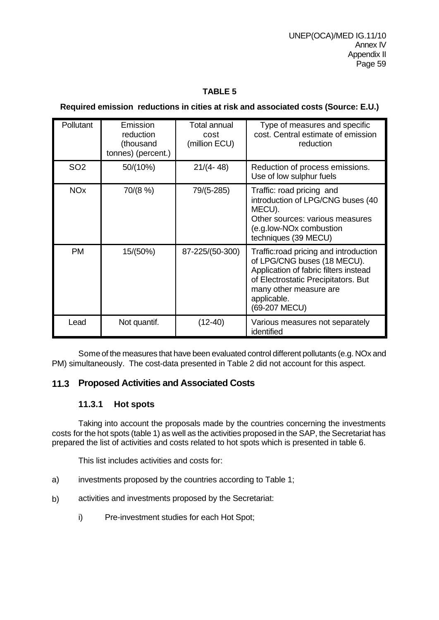# **TABLE 5**

### **Required emission reductions in cities at risk and associated costs (Source: E.U.)**

| <b>Pollutant</b>      | Emission<br>reduction<br>(thousand<br>tonnes) (percent.) | Total annual<br>cost<br>(million ECU) | Type of measures and specific<br>cost. Central estimate of emission<br>reduction                                                                                                                                |
|-----------------------|----------------------------------------------------------|---------------------------------------|-----------------------------------------------------------------------------------------------------------------------------------------------------------------------------------------------------------------|
| SO <sub>2</sub>       | 50/(10%)                                                 | $21/(4 - 48)$                         | Reduction of process emissions.<br>Use of low sulphur fuels                                                                                                                                                     |
| <b>NO<sub>x</sub></b> | 70/(8 %)                                                 | 79/(5-285)                            | Traffic: road pricing and<br>introduction of LPG/CNG buses (40<br>MECU).<br>Other sources: various measures<br>(e.g.low-NOx combustion<br>techniques (39 MECU)                                                  |
| <b>PM</b>             | 15/(50%)                                                 | 87-225/(50-300)                       | Traffic: road pricing and introduction<br>of LPG/CNG buses (18 MECU).<br>Application of fabric filters instead<br>of Electrostatic Precipitators. But<br>many other measure are<br>applicable.<br>(69-207 MECU) |
| Lead                  | Not quantif.                                             | $(12-40)$                             | Various measures not separately<br>identified                                                                                                                                                                   |

Some of the measures that have been evaluated control different pollutants (e.g. NOx and PM) simultaneously. The cost-data presented in Table 2 did not account for this aspect.

# **11.3 Proposed Activities and Associated Costs**

# **11.3.1 Hot spots**

Taking into account the proposals made by the countries concerning the investments costs for the hot spots (table 1) as well as the activities proposed in the SAP, the Secretariat has prepared the list of activities and costs related to hot spots which is presented in table 6.

This list includes activities and costs for:

- a) investments proposed by the countries according to Table 1;
- b) activities and investments proposed by the Secretariat:
	- i) Pre-investment studies for each Hot Spot;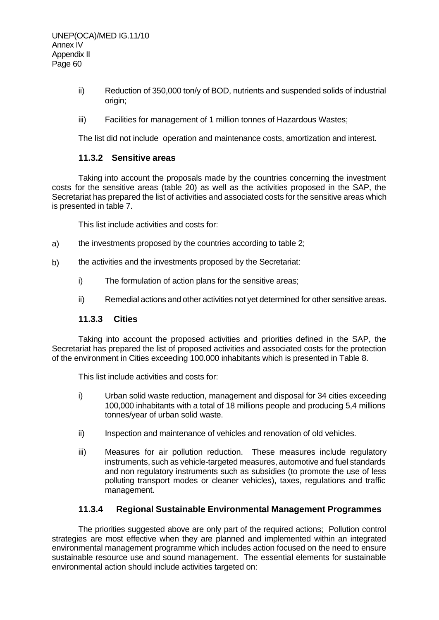- ii) Reduction of 350,000 ton/y of BOD, nutrients and suspended solids of industrial origin;
- iii) Facilities for management of 1 million tonnes of Hazardous Wastes;

The list did not include operation and maintenance costs, amortization and interest.

### **11.3.2 Sensitive areas**

Taking into account the proposals made by the countries concerning the investment costs for the sensitive areas (table 20) as well as the activities proposed in the SAP, the Secretariat has prepared the list of activities and associated costs for the sensitive areas which is presented in table 7.

This list include activities and costs for:

- a) the investments proposed by the countries according to table 2;
- b) the activities and the investments proposed by the Secretariat:
	- i) The formulation of action plans for the sensitive areas;
	- ii) Remedial actions and other activities not yet determined for other sensitive areas.

### **11.3.3 Cities**

Taking into account the proposed activities and priorities defined in the SAP, the Secretariat has prepared the list of proposed activities and associated costs for the protection of the environment in Cities exceeding 100.000 inhabitants which is presented in Table 8.

This list include activities and costs for:

- i) Urban solid waste reduction, management and disposal for 34 cities exceeding 100,000 inhabitants with a total of 18 millions people and producing 5,4 millions tonnes/year of urban solid waste.
- ii) Inspection and maintenance of vehicles and renovation of old vehicles.
- iii) Measures for air pollution reduction. These measures include regulatory instruments, such as vehicle-targeted measures, automotive and fuel standards and non regulatory instruments such as subsidies (to promote the use of less polluting transport modes or cleaner vehicles), taxes, regulations and traffic management.

### **11.3.4 Regional Sustainable Environmental Management Programmes**

The priorities suggested above are only part of the required actions; Pollution control strategies are most effective when they are planned and implemented within an integrated environmental management programme which includes action focused on the need to ensure sustainable resource use and sound management. The essential elements for sustainable environmental action should include activities targeted on: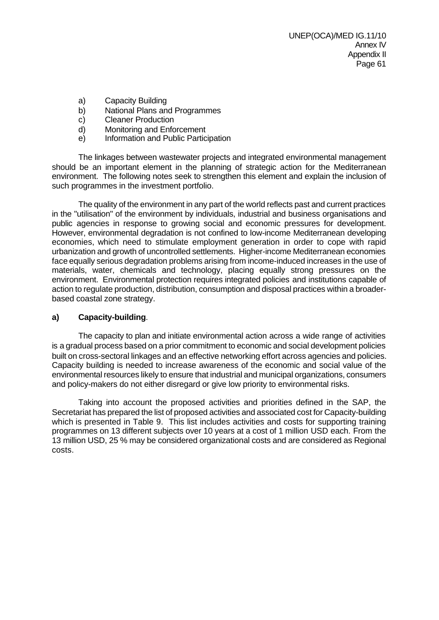- a) Capacity Building
- b) National Plans and Programmes
- c) Cleaner Production
- d) Monitoring and Enforcement
- e) Information and Public Participation

The linkages between wastewater projects and integrated environmental management should be an important element in the planning of strategic action for the Mediterranean environment. The following notes seek to strengthen this element and explain the inclusion of such programmes in the investment portfolio.

The quality of the environment in any part of the world reflects past and current practices in the "utilisation" of the environment by individuals, industrial and business organisations and public agencies in response to growing social and economic pressures for development. However, environmental degradation is not confined to low-income Mediterranean developing economies, which need to stimulate employment generation in order to cope with rapid urbanization and growth of uncontrolled settlements. Higher-income Mediterranean economies face equally serious degradation problems arising from income-induced increases in the use of materials, water, chemicals and technology, placing equally strong pressures on the environment. Environmental protection requires integrated policies and institutions capable of action to regulate production, distribution, consumption and disposal practices within a broaderbased coastal zone strategy.

### **a) Capacity-building**.

The capacity to plan and initiate environmental action across a wide range of activities is a gradual process based on a prior commitment to economic and social development policies built on cross-sectoral linkages and an effective networking effort across agencies and policies. Capacity building is needed to increase awareness of the economic and social value of the environmental resources likely to ensure that industrial and municipal organizations, consumers and policy-makers do not either disregard or give low priority to environmental risks.

Taking into account the proposed activities and priorities defined in the SAP, the Secretariat has prepared the list of proposed activities and associated cost for Capacity-building which is presented in Table 9. This list includes activities and costs for supporting training programmes on 13 different subjects over 10 years at a cost of 1 million USD each. From the 13 million USD, 25 % may be considered organizational costs and are considered as Regional costs.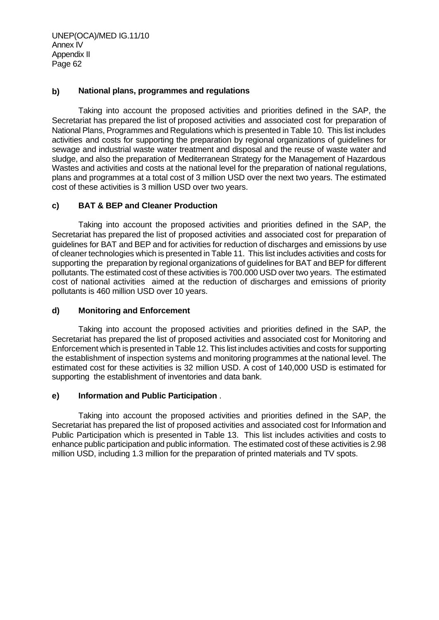### **b) National plans, programmes and regulations**

Taking into account the proposed activities and priorities defined in the SAP, the Secretariat has prepared the list of proposed activities and associated cost for preparation of National Plans, Programmes and Regulations which is presented in Table 10. This list includes activities and costs for supporting the preparation by regional organizations of guidelines for sewage and industrial waste water treatment and disposal and the reuse of waste water and sludge, and also the preparation of Mediterranean Strategy for the Management of Hazardous Wastes and activities and costs at the national level for the preparation of national regulations, plans and programmes at a total cost of 3 million USD over the next two years. The estimated cost of these activities is 3 million USD over two years.

# **c) BAT & BEP and Cleaner Production**

Taking into account the proposed activities and priorities defined in the SAP, the Secretariat has prepared the list of proposed activities and associated cost for preparation of guidelines for BAT and BEP and for activities for reduction of discharges and emissions by use of cleaner technologies which is presented in Table 11. This list includes activities and costs for supporting the preparation by regional organizations of guidelines for BAT and BEP for different pollutants. The estimated cost of these activities is 700.000 USD over two years. The estimated cost of national activities aimed at the reduction of discharges and emissions of priority pollutants is 460 million USD over 10 years.

### **d) Monitoring and Enforcement**

Taking into account the proposed activities and priorities defined in the SAP, the Secretariat has prepared the list of proposed activities and associated cost for Monitoring and Enforcement which is presented in Table 12. This list includes activities and costs for supporting the establishment of inspection systems and monitoring programmes at the national level. The estimated cost for these activities is 32 million USD. A cost of 140,000 USD is estimated for supporting the establishment of inventories and data bank.

# **e) Information and Public Participation** .

Taking into account the proposed activities and priorities defined in the SAP, the Secretariat has prepared the list of proposed activities and associated cost for Information and Public Participation which is presented in Table 13. This list includes activities and costs to enhance public participation and public information. The estimated cost of these activities is 2.98 million USD, including 1.3 million for the preparation of printed materials and TV spots.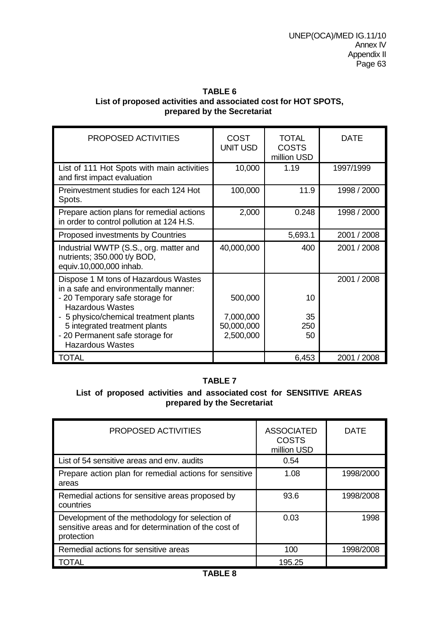### **TABLE 6 List of proposed activities and associated cost for HOT SPOTS, prepared by the Secretariat**

| PROPOSED ACTIVITIES                                                                                                                                                                                                                                                                                 | <b>COST</b><br>UNIT USD                         | <b>TOTAL</b><br><b>COSTS</b><br>million USD | DATE        |
|-----------------------------------------------------------------------------------------------------------------------------------------------------------------------------------------------------------------------------------------------------------------------------------------------------|-------------------------------------------------|---------------------------------------------|-------------|
| List of 111 Hot Spots with main activities<br>and first impact evaluation                                                                                                                                                                                                                           | 10,000                                          | 1.19                                        | 1997/1999   |
| Preinvestment studies for each 124 Hot<br>Spots.                                                                                                                                                                                                                                                    | 100,000                                         | 11.9                                        | 1998 / 2000 |
| Prepare action plans for remedial actions<br>in order to control pollution at 124 H.S.                                                                                                                                                                                                              | 2,000                                           | 0.248                                       | 1998 / 2000 |
| Proposed investments by Countries                                                                                                                                                                                                                                                                   |                                                 | 5,693.1                                     | 2001 / 2008 |
| Industrial WWTP (S.S., org. matter and<br>nutrients; 350.000 t/y BOD,<br>equiv.10,000,000 inhab.                                                                                                                                                                                                    | 40,000,000                                      | 400                                         | 2001 / 2008 |
| Dispose 1 M tons of Hazardous Wastes<br>in a safe and environmentally manner:<br>- 20 Temporary safe storage for<br><b>Hazardous Wastes</b><br>5 physico/chemical treatment plants<br>$\blacksquare$<br>5 integrated treatment plants<br>- 20 Permanent safe storage for<br><b>Hazardous Wastes</b> | 500,000<br>7,000,000<br>50,000,000<br>2,500,000 | 10<br>35<br>250<br>50                       | 2001 / 2008 |
| <b>TOTAL</b>                                                                                                                                                                                                                                                                                        |                                                 | 6,453                                       | 2001 / 2008 |

### **TABLE 7**

# **List of proposed activities and associated cost for SENSITIVE AREAS prepared by the Secretariat**

| PROPOSED ACTIVITIES                                                                                                   | <b>ASSOCIATED</b><br><b>COSTS</b><br>million USD | <b>DATE</b> |
|-----------------------------------------------------------------------------------------------------------------------|--------------------------------------------------|-------------|
| List of 54 sensitive areas and env. audits                                                                            | 0.54                                             |             |
| Prepare action plan for remedial actions for sensitive<br>areas                                                       | 1.08                                             | 1998/2000   |
| Remedial actions for sensitive areas proposed by<br>countries                                                         | 93.6                                             | 1998/2008   |
| Development of the methodology for selection of<br>sensitive areas and for determination of the cost of<br>protection | 0.03                                             | 1998        |
| Remedial actions for sensitive areas                                                                                  | 100                                              | 1998/2008   |
|                                                                                                                       | 195.25                                           |             |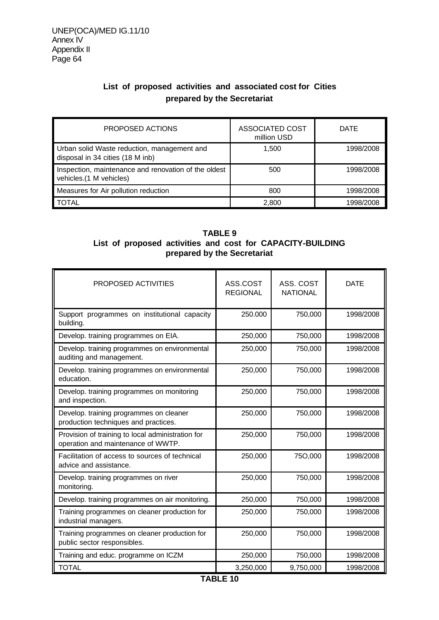# **List of proposed activities and associated cost for Cities prepared by the Secretariat**

| PROPOSED ACTIONS                                                                | ASSOCIATED COST<br>million USD | DATE      |
|---------------------------------------------------------------------------------|--------------------------------|-----------|
| Urban solid Waste reduction, management and<br>disposal in 34 cities (18 M inb) | 1.500                          | 1998/2008 |
| Inspection, maintenance and renovation of the oldest<br>vehicles.(1 M vehicles) | 500                            | 1998/2008 |
| Measures for Air pollution reduction                                            | 800                            | 1998/2008 |
| TOTAL                                                                           | 2.800                          | 1998/2008 |

# **TABLE 9 List of proposed activities and cost for CAPACITY-BUILDING prepared by the Secretariat**

| PROPOSED ACTIVITIES                                                                     | ASS.COST<br><b>REGIONAL</b> | ASS, COST<br><b>NATIONAL</b> | <b>DATE</b> |
|-----------------------------------------------------------------------------------------|-----------------------------|------------------------------|-------------|
| Support programmes on institutional capacity<br>building.                               | 250.000                     | 750,000                      | 1998/2008   |
| Develop. training programmes on EIA.                                                    | 250,000                     | 750,000                      | 1998/2008   |
| Develop. training programmes on environmental<br>auditing and management.               | 250,000                     | 750,000                      | 1998/2008   |
| Develop. training programmes on environmental<br>education.                             | 250,000                     | 750,000                      | 1998/2008   |
| Develop. training programmes on monitoring<br>and inspection.                           | 250,000                     | 750,000                      | 1998/2008   |
| Develop. training programmes on cleaner<br>production techniques and practices.         | 250,000                     | 750,000                      | 1998/2008   |
| Provision of training to local administration for<br>operation and maintenance of WWTP. | 250,000                     | 750,000                      | 1998/2008   |
| Facilitation of access to sources of technical<br>advice and assistance.                | 250,000                     | 75O,000                      | 1998/2008   |
| Develop. training programmes on river<br>monitoring.                                    | 250,000                     | 750,000                      | 1998/2008   |
| Develop. training programmes on air monitoring.                                         | 250,000                     | 750,000                      | 1998/2008   |
| Training programmes on cleaner production for<br>industrial managers.                   | 250,000                     | 750,000                      | 1998/2008   |
| Training programmes on cleaner production for<br>public sector responsibles.            | 250,000                     | 750,000                      | 1998/2008   |
| Training and educ. programme on ICZM                                                    | 250,000                     | 750,000                      | 1998/2008   |
| <b>TOTAL</b>                                                                            | 3,250,000                   | 9,750,000                    | 1998/2008   |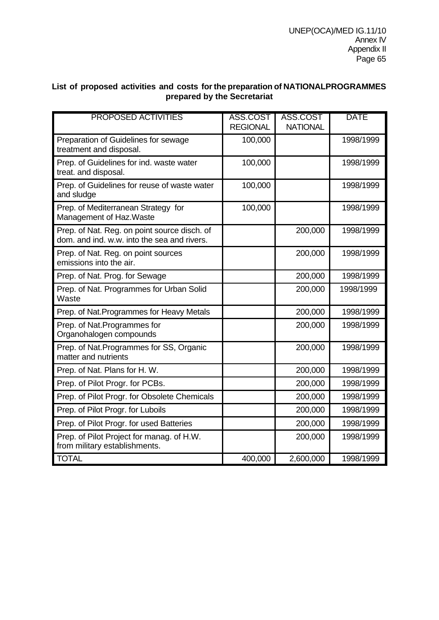# **List of proposed activities and costs for the preparation of NATIONALPROGRAMMES prepared by the Secretariat**

| <b>PROPOSED ACTIVITIES</b>                                                                  | ASS.COST        | ASS.COST        | <b>DATE</b> |
|---------------------------------------------------------------------------------------------|-----------------|-----------------|-------------|
|                                                                                             | <b>REGIONAL</b> | <b>NATIONAL</b> |             |
| Preparation of Guidelines for sewage<br>treatment and disposal.                             | 100,000         |                 | 1998/1999   |
| Prep. of Guidelines for ind. waste water<br>treat. and disposal.                            | 100,000         |                 | 1998/1999   |
| Prep. of Guidelines for reuse of waste water<br>and sludge                                  | 100,000         |                 | 1998/1999   |
| Prep. of Mediterranean Strategy for<br>Management of Haz. Waste                             | 100,000         |                 | 1998/1999   |
| Prep. of Nat. Reg. on point source disch. of<br>dom. and ind. w.w. into the sea and rivers. |                 | 200,000         | 1998/1999   |
| Prep. of Nat. Reg. on point sources<br>emissions into the air.                              |                 | 200,000         | 1998/1999   |
| Prep. of Nat. Prog. for Sewage                                                              |                 | 200,000         | 1998/1999   |
| Prep. of Nat. Programmes for Urban Solid<br>Waste                                           |                 | 200,000         | 1998/1999   |
| Prep. of Nat. Programmes for Heavy Metals                                                   |                 | 200,000         | 1998/1999   |
| Prep. of Nat. Programmes for<br>Organohalogen compounds                                     |                 | 200,000         | 1998/1999   |
| Prep. of Nat. Programmes for SS, Organic<br>matter and nutrients                            |                 | 200,000         | 1998/1999   |
| Prep. of Nat. Plans for H. W.                                                               |                 | 200,000         | 1998/1999   |
| Prep. of Pilot Progr. for PCBs.                                                             |                 | 200,000         | 1998/1999   |
| Prep. of Pilot Progr. for Obsolete Chemicals                                                |                 | 200,000         | 1998/1999   |
| Prep. of Pilot Progr. for Luboils                                                           |                 | 200,000         | 1998/1999   |
| Prep. of Pilot Progr. for used Batteries                                                    |                 | 200,000         | 1998/1999   |
| Prep. of Pilot Project for manag. of H.W.<br>from military establishments.                  |                 | 200,000         | 1998/1999   |
| <b>TOTAL</b>                                                                                | 400,000         | 2,600,000       | 1998/1999   |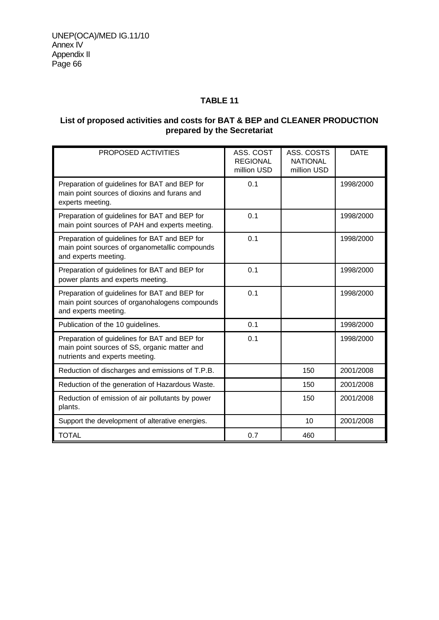# **TABLE 11**

### **List of proposed activities and costs for BAT & BEP and CLEANER PRODUCTION prepared by the Secretariat**

| PROPOSED ACTIVITIES                                                                                                             | ASS, COST<br><b>REGIONAL</b><br>million USD | ASS, COSTS<br><b>NATIONAL</b><br>million USD | <b>DATE</b> |
|---------------------------------------------------------------------------------------------------------------------------------|---------------------------------------------|----------------------------------------------|-------------|
| Preparation of guidelines for BAT and BEP for<br>main point sources of dioxins and furans and<br>experts meeting.               | 0.1                                         |                                              | 1998/2000   |
| Preparation of guidelines for BAT and BEP for<br>main point sources of PAH and experts meeting.                                 | 0.1                                         |                                              | 1998/2000   |
| Preparation of guidelines for BAT and BEP for<br>main point sources of organometallic compounds<br>and experts meeting.         | 0.1                                         |                                              | 1998/2000   |
| Preparation of guidelines for BAT and BEP for<br>power plants and experts meeting.                                              | 0.1                                         |                                              | 1998/2000   |
| Preparation of guidelines for BAT and BEP for<br>main point sources of organohalogens compounds<br>and experts meeting.         | 0.1                                         |                                              | 1998/2000   |
| Publication of the 10 guidelines.                                                                                               | 0.1                                         |                                              | 1998/2000   |
| Preparation of guidelines for BAT and BEP for<br>main point sources of SS, organic matter and<br>nutrients and experts meeting. | 0.1                                         |                                              | 1998/2000   |
| Reduction of discharges and emissions of T.P.B.                                                                                 |                                             | 150                                          | 2001/2008   |
| Reduction of the generation of Hazardous Waste.                                                                                 |                                             | 150                                          | 2001/2008   |
| Reduction of emission of air pollutants by power<br>plants.                                                                     |                                             | 150                                          | 2001/2008   |
| Support the development of alterative energies.                                                                                 |                                             | 10                                           | 2001/2008   |
| <b>TOTAL</b>                                                                                                                    | 0.7                                         | 460                                          |             |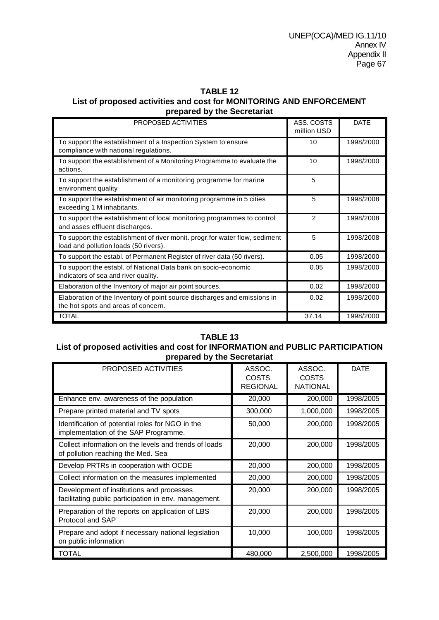### **TABLE 12 List of proposed activities and cost for MONITORING AND ENFORCEMENT prepared by the Secretariat**

| PROPOSED ACTIVITIES                                                                                                  | ASS, COSTS<br>million USD | <b>DATE</b> |
|----------------------------------------------------------------------------------------------------------------------|---------------------------|-------------|
| To support the establishment of a Inspection System to ensure<br>compliance with national regulations.               | 10                        | 1998/2000   |
| To support the establishment of a Monitoring Programme to evaluate the<br>actions.                                   | 10                        | 1998/2000   |
| To support the establishment of a monitoring programme for marine<br>environment quality                             | 5                         |             |
| To support the establishment of air monitoring programme in 5 cities<br>exceeding 1 M inhabitants.                   | 5                         | 1998/2008   |
| To support the establishment of local monitoring programmes to control<br>and asses effluent discharges.             | 2                         | 1998/2008   |
| To support the establishment of river monit. progr.for water flow, sediment<br>load and pollution loads (50 rivers). | 5                         | 1998/2008   |
| To support the establ. of Permanent Register of river data (50 rivers).                                              | 0.05                      | 1998/2000   |
| To support the establ. of National Data bank on socio-economic<br>indicators of sea and river quality.               | 0.05                      | 1998/2000   |
| Elaboration of the Inventory of major air point sources.                                                             | 0.02                      | 1998/2000   |
| Elaboration of the Inventory of point source discharges and emissions in<br>the hot spots and areas of concern.      | 0.02                      | 1998/2000   |
| <b>TOTAL</b>                                                                                                         | 37.14                     | 1998/2000   |

# **TABLE 13**

### **List of proposed activities and cost for INFORMATION and PUBLIC PARTICIPATION prepared by the Secretariat**

| <b>PROPOSED ACTIVITIES</b>                                                                         | ASSOC.<br><b>COSTS</b><br><b>REGIONAL</b> | ASSOC.<br><b>COSTS</b><br><b>NATIONAL</b> | <b>DATE</b> |
|----------------------------------------------------------------------------------------------------|-------------------------------------------|-------------------------------------------|-------------|
| Enhance env. awareness of the population                                                           | 20,000                                    | 200,000                                   | 1998/2005   |
| Prepare printed material and TV spots                                                              | 300,000                                   | 1,000,000                                 | 1998/2005   |
| Identification of potential roles for NGO in the<br>implementation of the SAP Programme.           | 50,000                                    | 200,000                                   | 1998/2005   |
| Collect information on the levels and trends of loads<br>of pollution reaching the Med. Sea        | 20,000                                    | 200,000                                   | 1998/2005   |
| Develop PRTRs in cooperation with OCDE                                                             | 20,000                                    | 200,000                                   | 1998/2005   |
| Collect information on the measures implemented                                                    | 20,000                                    | 200,000                                   | 1998/2005   |
| Development of institutions and processes<br>facilitating public participation in env. management. | 20,000                                    | 200,000                                   | 1998/2005   |
| Preparation of the reports on application of LBS<br>Protocol and SAP                               | 20,000                                    | 200,000                                   | 1998/2005   |
| Prepare and adopt if necessary national legislation<br>on public information                       | 10,000                                    | 100,000                                   | 1998/2005   |
| <b>TOTAL</b>                                                                                       | 480,000                                   | 2,500,000                                 | 1998/2005   |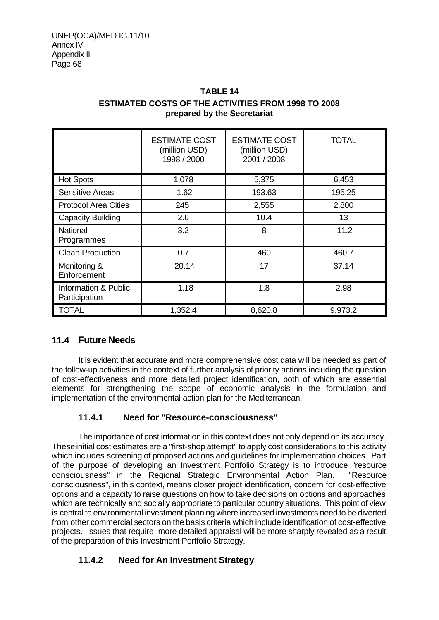### **TABLE 14**

### **ESTIMATED COSTS OF THE ACTIVITIES FROM 1998 TO 2008 prepared by the Secretariat**

|                                                  | <b>ESTIMATE COST</b><br>(million USD)<br>1998 / 2000 | <b>ESTIMATE COST</b><br>(million USD)<br>2001 / 2008 | <b>TOTAL</b> |
|--------------------------------------------------|------------------------------------------------------|------------------------------------------------------|--------------|
| <b>Hot Spots</b>                                 | 1,078                                                | 5,375                                                | 6,453        |
| <b>Sensitive Areas</b>                           | 1.62                                                 | 193.63                                               | 195.25       |
| <b>Protocol Area Cities</b>                      | 245                                                  | 2,555                                                | 2,800        |
| <b>Capacity Building</b>                         | 2.6                                                  | 10.4                                                 | 13           |
| National<br>Programmes                           | 3.2                                                  | 8                                                    | 11.2         |
| <b>Clean Production</b>                          | 0.7                                                  | 460                                                  | 460.7        |
| Monitoring &<br>Enforcement                      | 20.14                                                | 17                                                   | 37.14        |
| <b>Information &amp; Public</b><br>Participation | 1.18                                                 | 1.8                                                  | 2.98         |
| <b>TOTAL</b>                                     | 1,352.4                                              | 8,620.8                                              | 9,973.2      |

# **11.4 Future Needs**

It is evident that accurate and more comprehensive cost data will be needed as part of the follow-up activities in the context of further analysis of priority actions including the question of cost-effectiveness and more detailed project identification, both of which are essential elements for strengthening the scope of economic analysis in the formulation and implementation of the environmental action plan for the Mediterranean.

# **11.4.1 Need for "Resource-consciousness"**

The importance of cost information in this context does not only depend on its accuracy. These initial cost estimates are a "first-shop attempt" to apply cost considerations to this activity which includes screening of proposed actions and guidelines for implementation choices. Part of the purpose of developing an Investment Portfolio Strategy is to introduce "resource consciousness" in the Regional Strategic Environmental Action Plan. "Resource consciousness", in this context, means closer project identification, concern for cost-effective options and a capacity to raise questions on how to take decisions on options and approaches which are technically and socially appropriate to particular country situations. This point of view is central to environmental investment planning where increased investments need to be diverted from other commercial sectors on the basis criteria which include identification of cost-effective projects. Issues that require more detailed appraisal will be more sharply revealed as a result of the preparation of this Investment Portfolio Strategy.

# **11.4.2 Need for An Investment Strategy**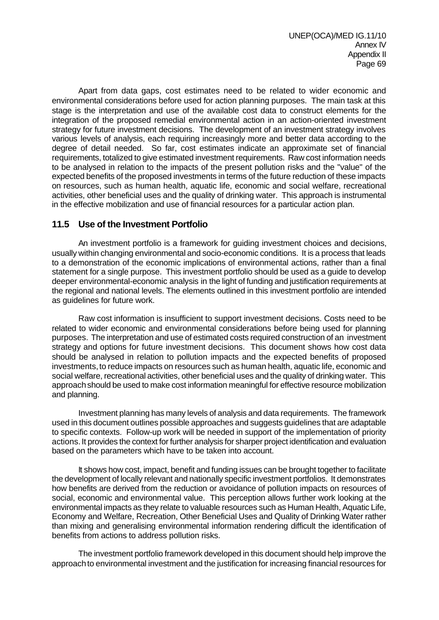Apart from data gaps, cost estimates need to be related to wider economic and environmental considerations before used for action planning purposes. The main task at this stage is the interpretation and use of the available cost data to construct elements for the integration of the proposed remedial environmental action in an action-oriented investment strategy for future investment decisions. The development of an investment strategy involves various levels of analysis, each requiring increasingly more and better data according to the degree of detail needed. So far, cost estimates indicate an approximate set of financial requirements, totalized to give estimated investment requirements. Raw cost information needs to be analysed in relation to the impacts of the present pollution risks and the "value" of the expected benefits of the proposed investments in terms of the future reduction of these impacts on resources, such as human health, aquatic life, economic and social welfare, recreational activities, other beneficial uses and the quality of drinking water. This approach is instrumental in the effective mobilization and use of financial resources for a particular action plan.

# **11.5 Use of the Investment Portfolio**

An investment portfolio is a framework for guiding investment choices and decisions, usually within changing environmental and socio-economic conditions. It is a process that leads to a demonstration of the economic implications of environmental actions, rather than a final statement for a single purpose. This investment portfolio should be used as a guide to develop deeper environmental-economic analysis in the light of funding and justification requirements at the regional and national levels. The elements outlined in this investment portfolio are intended as guidelines for future work.

Raw cost information is insufficient to support investment decisions. Costs need to be related to wider economic and environmental considerations before being used for planning purposes. The interpretation and use of estimated costs required construction of an investment strategy and options for future investment decisions. This document shows how cost data should be analysed in relation to pollution impacts and the expected benefits of proposed investments, to reduce impacts on resources such as human health, aquatic life, economic and social welfare, recreational activities, other beneficial uses and the quality of drinking water. This approach should be used to make cost information meaningful for effective resource mobilization and planning.

Investment planning has many levels of analysis and data requirements. The framework used in this document outlines possible approaches and suggests guidelines that are adaptable to specific contexts. Follow-up work will be needed in support of the implementation of priority actions. It provides the context for further analysis for sharper project identification and evaluation based on the parameters which have to be taken into account.

It shows how cost, impact, benefit and funding issues can be brought together to facilitate the development of locally relevant and nationally specific investment portfolios. It demonstrates how benefits are derived from the reduction or avoidance of pollution impacts on resources of social, economic and environmental value. This perception allows further work looking at the environmental impacts as they relate to valuable resources such as Human Health, Aquatic Life, Economy and Welfare, Recreation, Other Beneficial Uses and Quality of Drinking Water rather than mixing and generalising environmental information rendering difficult the identification of benefits from actions to address pollution risks.

The investment portfolio framework developed in this document should help improve the approach to environmental investment and the justification for increasing financial resources for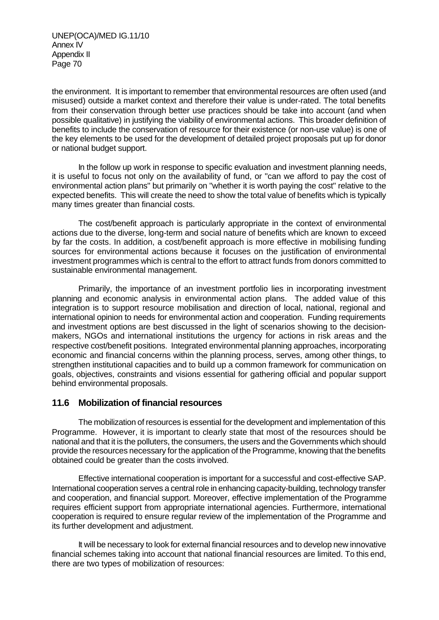the environment. It is important to remember that environmental resources are often used (and misused) outside a market context and therefore their value is under-rated. The total benefits from their conservation through better use practices should be take into account (and when possible qualitative) in justifying the viability of environmental actions. This broader definition of benefits to include the conservation of resource for their existence (or non-use value) is one of the key elements to be used for the development of detailed project proposals put up for donor or national budget support.

In the follow up work in response to specific evaluation and investment planning needs, it is useful to focus not only on the availability of fund, or "can we afford to pay the cost of environmental action plans" but primarily on "whether it is worth paying the cost" relative to the expected benefits. This will create the need to show the total value of benefits which is typically many times greater than financial costs.

The cost/benefit approach is particularly appropriate in the context of environmental actions due to the diverse, long-term and social nature of benefits which are known to exceed by far the costs. In addition, a cost/benefit approach is more effective in mobilising funding sources for environmental actions because it focuses on the justification of environmental investment programmes which is central to the effort to attract funds from donors committed to sustainable environmental management.

Primarily, the importance of an investment portfolio lies in incorporating investment planning and economic analysis in environmental action plans. The added value of this integration is to support resource mobilisation and direction of local, national, regional and international opinion to needs for environmental action and cooperation. Funding requirements and investment options are best discussed in the light of scenarios showing to the decisionmakers, NGOs and international institutions the urgency for actions in risk areas and the respective cost/benefit positions. Integrated environmental planning approaches, incorporating economic and financial concerns within the planning process, serves, among other things, to strengthen institutional capacities and to build up a common framework for communication on goals, objectives, constraints and visions essential for gathering official and popular support behind environmental proposals.

# **11.6 Mobilization of financial resources**

The mobilization of resources is essential for the development and implementation of this Programme. However, it is important to clearly state that most of the resources should be national and that it is the polluters, the consumers, the users and the Governments which should provide the resources necessary for the application of the Programme, knowing that the benefits obtained could be greater than the costs involved.

Effective international cooperation is important for a successful and cost-effective SAP. International cooperation serves a central role in enhancing capacity-building, technology transfer and cooperation, and financial support. Moreover, effective implementation of the Programme requires efficient support from appropriate international agencies. Furthermore, international cooperation is required to ensure regular review of the implementation of the Programme and its further development and adjustment.

It will be necessary to look for external financial resources and to develop new innovative financial schemes taking into account that national financial resources are limited. To this end, there are two types of mobilization of resources: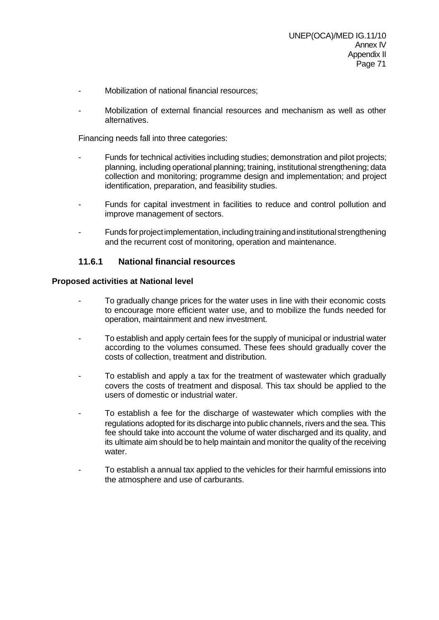- Mobilization of national financial resources;
- Mobilization of external financial resources and mechanism as well as other alternatives.

Financing needs fall into three categories:

- Funds for technical activities including studies; demonstration and pilot projects; planning, including operational planning; training, institutional strengthening; data collection and monitoring; programme design and implementation; and project identification, preparation, and feasibility studies.
- Funds for capital investment in facilities to reduce and control pollution and improve management of sectors.
- Funds for project implementation, including training and institutional strengthening and the recurrent cost of monitoring, operation and maintenance.

### **11.6.1 National financial resources**

- To gradually change prices for the water uses in line with their economic costs to encourage more efficient water use, and to mobilize the funds needed for operation, maintainment and new investment.
- To establish and apply certain fees for the supply of municipal or industrial water according to the volumes consumed. These fees should gradually cover the costs of collection, treatment and distribution.
- To establish and apply a tax for the treatment of wastewater which gradually covers the costs of treatment and disposal. This tax should be applied to the users of domestic or industrial water.
- To establish a fee for the discharge of wastewater which complies with the regulations adopted for its discharge into public channels, rivers and the sea. This fee should take into account the volume of water discharged and its quality, and its ultimate aim should be to help maintain and monitor the quality of the receiving water.
- To establish a annual tax applied to the vehicles for their harmful emissions into the atmosphere and use of carburants.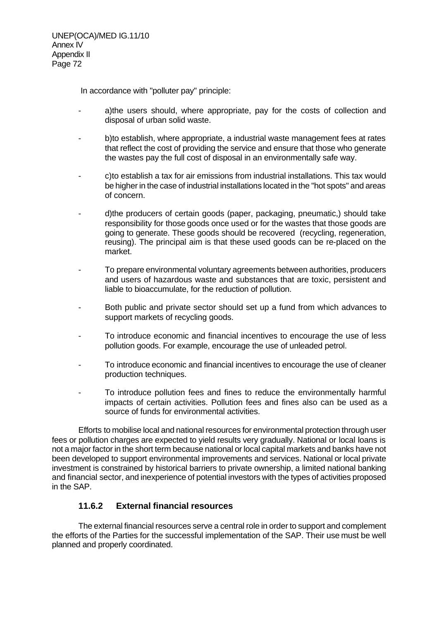In accordance with "polluter pay" principle:

- a)the users should, where appropriate, pay for the costs of collection and disposal of urban solid waste.
- b)to establish, where appropriate, a industrial waste management fees at rates that reflect the cost of providing the service and ensure that those who generate the wastes pay the full cost of disposal in an environmentally safe way.
- c)to establish a tax for air emissions from industrial installations. This tax would be higher in the case of industrial installations located in the "hot spots" and areas of concern.
- d)the producers of certain goods (paper, packaging, pneumatic,) should take responsibility for those goods once used or for the wastes that those goods are going to generate. These goods should be recovered (recycling, regeneration, reusing). The principal aim is that these used goods can be re-placed on the market.
- To prepare environmental voluntary agreements between authorities, producers and users of hazardous waste and substances that are toxic, persistent and liable to bioaccumulate, for the reduction of pollution.
- Both public and private sector should set up a fund from which advances to support markets of recycling goods.
- To introduce economic and financial incentives to encourage the use of less pollution goods. For example, encourage the use of unleaded petrol.
- To introduce economic and financial incentives to encourage the use of cleaner production techniques.
- To introduce pollution fees and fines to reduce the environmentally harmful impacts of certain activities. Pollution fees and fines also can be used as a source of funds for environmental activities.

Efforts to mobilise local and national resources for environmental protection through user fees or pollution charges are expected to yield results very gradually. National or local loans is not a major factor in the short term because national or local capital markets and banks have not been developed to support environmental improvements and services. National or local private investment is constrained by historical barriers to private ownership, a limited national banking and financial sector, and inexperience of potential investors with the types of activities proposed in the SAP.

# **11.6.2 External financial resources**

The external financial resources serve a central role in order to support and complement the efforts of the Parties for the successful implementation of the SAP. Their use must be well planned and properly coordinated.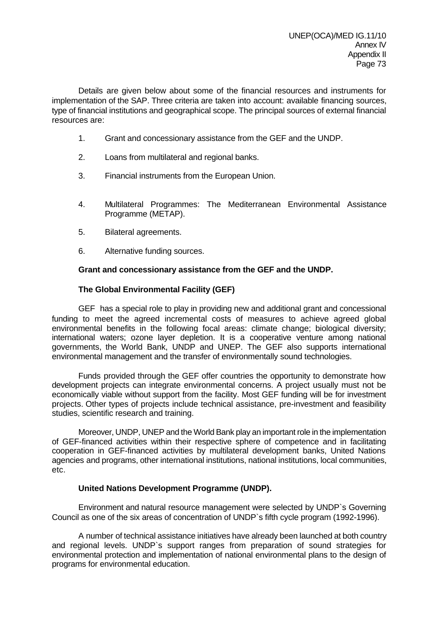Details are given below about some of the financial resources and instruments for implementation of the SAP. Three criteria are taken into account: available financing sources, type of financial institutions and geographical scope. The principal sources of external financial resources are:

- 1. Grant and concessionary assistance from the GEF and the UNDP.
- 2. Loans from multilateral and regional banks.
- 3. Financial instruments from the European Union.
- 4. Multilateral Programmes: The Mediterranean Environmental Assistance Programme (METAP).
- 5. Bilateral agreements.
- 6. Alternative funding sources.

### **Grant and concessionary assistance from the GEF and the UNDP.**

### **The Global Environmental Facility (GEF)**

GEF has a special role to play in providing new and additional grant and concessional funding to meet the agreed incremental costs of measures to achieve agreed global environmental benefits in the following focal areas: climate change; biological diversity; international waters; ozone layer depletion. It is a cooperative venture among national governments, the World Bank, UNDP and UNEP. The GEF also supports international environmental management and the transfer of environmentally sound technologies.

Funds provided through the GEF offer countries the opportunity to demonstrate how development projects can integrate environmental concerns. A project usually must not be economically viable without support from the facility. Most GEF funding will be for investment projects. Other types of projects include technical assistance, pre-investment and feasibility studies, scientific research and training.

Moreover, UNDP, UNEP and the World Bank play an important role in the implementation of GEF-financed activities within their respective sphere of competence and in facilitating cooperation in GEF-financed activities by multilateral development banks, United Nations agencies and programs, other international institutions, national institutions, local communities, etc.

### **United Nations Development Programme (UNDP).**

Environment and natural resource management were selected by UNDP`s Governing Council as one of the six areas of concentration of UNDP`s fifth cycle program (1992-1996).

A number of technical assistance initiatives have already been launched at both country and regional levels. UNDP`s support ranges from preparation of sound strategies for environmental protection and implementation of national environmental plans to the design of programs for environmental education.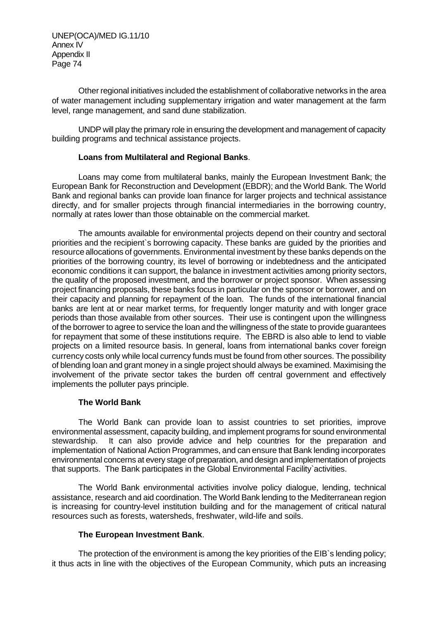UNEP(OCA)/MED IG.11/10 Annex IV Appendix II Page 74

Other regional initiatives included the establishment of collaborative networks in the area of water management including supplementary irrigation and water management at the farm level, range management, and sand dune stabilization.

UNDP will play the primary role in ensuring the development and management of capacity building programs and technical assistance projects.

## **Loans from Multilateral and Regional Banks**.

Loans may come from multilateral banks, mainly the European Investment Bank; the European Bank for Reconstruction and Development (EBDR); and the World Bank. The World Bank and regional banks can provide loan finance for larger projects and technical assistance directly, and for smaller projects through financial intermediaries in the borrowing country, normally at rates lower than those obtainable on the commercial market.

The amounts available for environmental projects depend on their country and sectoral priorities and the recipient`s borrowing capacity. These banks are guided by the priorities and resource allocations of governments. Environmental investment by these banks depends on the priorities of the borrowing country, its level of borrowing or indebtedness and the anticipated economic conditions it can support, the balance in investment activities among priority sectors, the quality of the proposed investment, and the borrower or project sponsor. When assessing project financing proposals, these banks focus in particular on the sponsor or borrower, and on their capacity and planning for repayment of the loan. The funds of the international financial banks are lent at or near market terms, for frequently longer maturity and with longer grace periods than those available from other sources. Their use is contingent upon the willingness of the borrower to agree to service the loan and the willingness of the state to provide guarantees for repayment that some of these institutions require. The EBRD is also able to lend to viable projects on a limited resource basis. In general, loans from international banks cover foreign currency costs only while local currency funds must be found from other sources. The possibility of blending loan and grant money in a single project should always be examined. Maximising the involvement of the private sector takes the burden off central government and effectively implements the polluter pays principle.

## **The World Bank**

The World Bank can provide loan to assist countries to set priorities, improve environmental assessment, capacity building, and implement programs for sound environmental stewardship. It can also provide advice and help countries for the preparation and implementation of National Action Programmes, and can ensure that Bank lending incorporates environmental concerns at every stage of preparation, and design and implementation of projects that supports. The Bank participates in the Global Environmental Facility`activities.

The World Bank environmental activities involve policy dialogue, lending, technical assistance, research and aid coordination. The World Bank lending to the Mediterranean region is increasing for country-level institution building and for the management of critical natural resources such as forests, watersheds, freshwater, wild-life and soils.

## **The European Investment Bank**.

The protection of the environment is among the key priorities of the EIB`s lending policy; it thus acts in line with the objectives of the European Community, which puts an increasing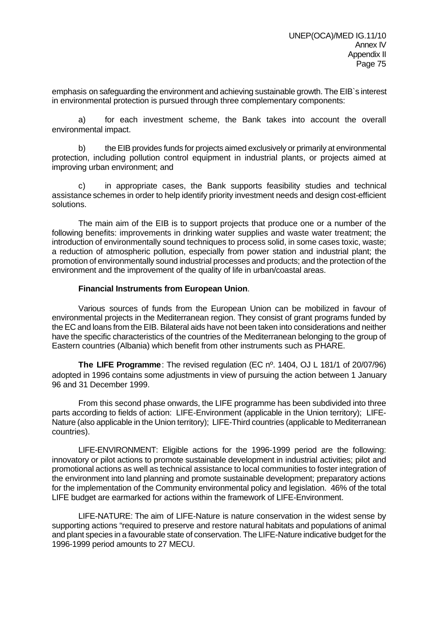emphasis on safeguarding the environment and achieving sustainable growth. The EIB`s interest in environmental protection is pursued through three complementary components:

a) for each investment scheme, the Bank takes into account the overall environmental impact.

b) the EIB provides funds for projects aimed exclusively or primarily at environmental protection, including pollution control equipment in industrial plants, or projects aimed at improving urban environment; and

c) in appropriate cases, the Bank supports feasibility studies and technical assistance schemes in order to help identify priority investment needs and design cost-efficient solutions.

The main aim of the EIB is to support projects that produce one or a number of the following benefits: improvements in drinking water supplies and waste water treatment; the introduction of environmentally sound techniques to process solid, in some cases toxic, waste; a reduction of atmospheric pollution, especially from power station and industrial plant; the promotion of environmentally sound industrial processes and products; and the protection of the environment and the improvement of the quality of life in urban/coastal areas.

## **Financial Instruments from European Union**.

Various sources of funds from the European Union can be mobilized in favour of environmental projects in the Mediterranean region. They consist of grant programs funded by the EC and loans from the EIB. Bilateral aids have not been taken into considerations and neither have the specific characteristics of the countries of the Mediterranean belonging to the group of Eastern countries (Albania) which benefit from other instruments such as PHARE.

**The LIFE Programme**: The revised regulation (EC nº. 1404, OJ L 181/1 of 20/07/96) adopted in 1996 contains some adjustments in view of pursuing the action between 1 January 96 and 31 December 1999.

From this second phase onwards, the LIFE programme has been subdivided into three parts according to fields of action: LIFE-Environment (applicable in the Union territory); LIFE-Nature (also applicable in the Union territory); LIFE-Third countries (applicable to Mediterranean countries).

LIFE-ENVIRONMENT: Eligible actions for the 1996-1999 period are the following: innovatory or pilot actions to promote sustainable development in industrial activities; pilot and promotional actions as well as technical assistance to local communities to foster integration of the environment into land planning and promote sustainable development; preparatory actions for the implementation of the Community environmental policy and legislation. 46% of the total LIFE budget are earmarked for actions within the framework of LIFE-Environment.

LIFE-NATURE: The aim of LIFE-Nature is nature conservation in the widest sense by supporting actions "required to preserve and restore natural habitats and populations of animal and plant species in a favourable state of conservation. The LIFE-Nature indicative budget for the 1996-1999 period amounts to 27 MECU.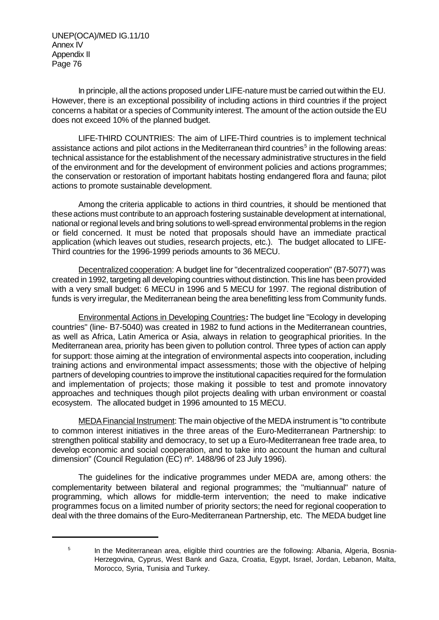UNEP(OCA)/MED IG.11/10 Annex IV Appendix II Page 76

In principle, all the actions proposed under LIFE-nature must be carried out within the EU. However, there is an exceptional possibility of including actions in third countries if the project concerns a habitat or a species of Community interest. The amount of the action outside the EU does not exceed 10% of the planned budget.

LIFE-THIRD COUNTRIES: The aim of LIFE-Third countries is to implement technical assistance actions and pilot actions in the Mediterranean third countries<sup>5</sup> in the following areas: technical assistance for the establishment of the necessary administrative structures in the field of the environment and for the development of environment policies and actions programmes; the conservation or restoration of important habitats hosting endangered flora and fauna; pilot actions to promote sustainable development.

Among the criteria applicable to actions in third countries, it should be mentioned that these actions must contribute to an approach fostering sustainable development at international, national or regional levels and bring solutions to well-spread environmental problems in the region or field concerned. It must be noted that proposals should have an immediate practical application (which leaves out studies, research projects, etc.). The budget allocated to LIFE-Third countries for the 1996-1999 periods amounts to 36 MECU.

Decentralized cooperation: A budget line for "decentralized cooperation" (B7-5077) was created in 1992, targeting all developing countries without distinction. This line has been provided with a very small budget: 6 MECU in 1996 and 5 MECU for 1997. The regional distribution of funds is very irregular, the Mediterranean being the area benefitting less from Community funds.

Environmental Actions in Developing Countries**:** The budget line "Ecology in developing countries" (line- B7-5040) was created in 1982 to fund actions in the Mediterranean countries, as well as Africa, Latin America or Asia, always in relation to geographical priorities. In the Mediterranean area, priority has been given to pollution control. Three types of action can apply for support: those aiming at the integration of environmental aspects into cooperation, including training actions and environmental impact assessments; those with the objective of helping partners of developing countries to improve the institutional capacities required for the formulation and implementation of projects; those making it possible to test and promote innovatory approaches and techniques though pilot projects dealing with urban environment or coastal ecosystem. The allocated budget in 1996 amounted to 15 MECU.

MEDA Financial Instrument: The main objective of the MEDA instrument is "to contribute to common interest initiatives in the three areas of the Euro-Mediterranean Partnership: to strengthen political stability and democracy, to set up a Euro-Mediterranean free trade area, to develop economic and social cooperation, and to take into account the human and cultural dimension" (Council Regulation (EC) nº. 1488/96 of 23 July 1996).

The guidelines for the indicative programmes under MEDA are, among others: the complementarity between bilateral and regional programmes; the "multiannual" nature of programming, which allows for middle-term intervention; the need to make indicative programmes focus on a limited number of priority sectors; the need for regional cooperation to deal with the three domains of the Euro-Mediterranean Partnership, etc. The MEDA budget line

<sup>5</sup>

In the Mediterranean area, eligible third countries are the following: Albania, Algeria, Bosnia-Herzegovina, Cyprus, West Bank and Gaza, Croatia, Egypt, Israel, Jordan, Lebanon, Malta, Morocco, Syria, Tunisia and Turkey.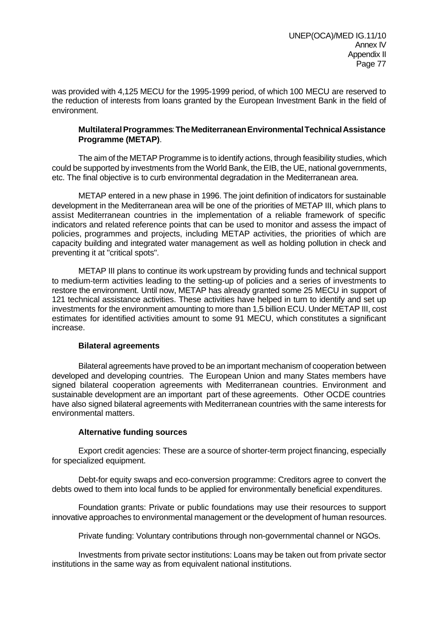was provided with 4,125 MECU for the 1995-1999 period, of which 100 MECU are reserved to the reduction of interests from loans granted by the European Investment Bank in the field of environment.

# **Multilateral Programmes**: **The Mediterranean Environmental Technical Assistance Programme (METAP)**.

The aim of the METAP Programme is to identify actions, through feasibility studies, which could be supported by investments from the World Bank, the EIB, the UE, national governments, etc. The final objective is to curb environmental degradation in the Mediterranean area.

METAP entered in a new phase in 1996. The joint definition of indicators for sustainable development in the Mediterranean area will be one of the priorities of METAP III, which plans to assist Mediterranean countries in the implementation of a reliable framework of specific indicators and related reference points that can be used to monitor and assess the impact of policies, programmes and projects, including METAP activities, the priorities of which are capacity building and integrated water management as well as holding pollution in check and preventing it at "critical spots".

METAP III plans to continue its work upstream by providing funds and technical support to medium-term activities leading to the setting-up of policies and a series of investments to restore the environment. Until now, METAP has already granted some 25 MECU in support of 121 technical assistance activities. These activities have helped in turn to identify and set up investments for the environment amounting to more than 1,5 billion ECU. Under METAP III, cost estimates for identified activities amount to some 91 MECU, which constitutes a significant increase.

## **Bilateral agreements**

Bilateral agreements have proved to be an important mechanism of cooperation between developed and developing countries. The European Union and many States members have signed bilateral cooperation agreements with Mediterranean countries. Environment and sustainable development are an important part of these agreements. Other OCDE countries have also signed bilateral agreements with Mediterranean countries with the same interests for environmental matters.

## **Alternative funding sources**

Export credit agencies: These are a source of shorter-term project financing, especially for specialized equipment.

Debt-for equity swaps and eco-conversion programme: Creditors agree to convert the debts owed to them into local funds to be applied for environmentally beneficial expenditures.

Foundation grants: Private or public foundations may use their resources to support innovative approaches to environmental management or the development of human resources.

Private funding: Voluntary contributions through non-governmental channel or NGOs.

Investments from private sector institutions: Loans may be taken out from private sector institutions in the same way as from equivalent national institutions.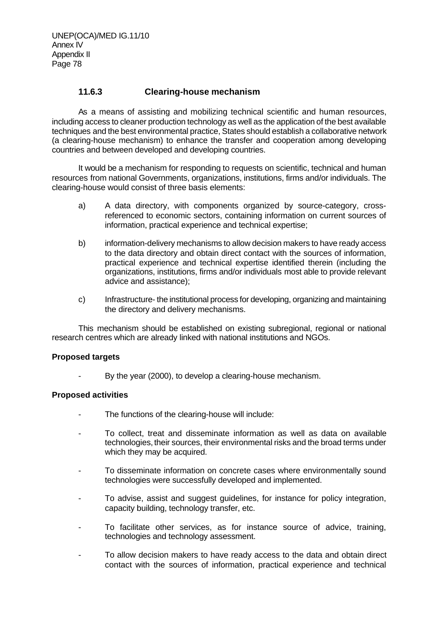UNEP(OCA)/MED IG.11/10 Annex IV Appendix II Page 78

# **11.6.3 Clearing-house mechanism**

As a means of assisting and mobilizing technical scientific and human resources, including access to cleaner production technology as well as the application of the best available techniques and the best environmental practice, States should establish a collaborative network (a clearing-house mechanism) to enhance the transfer and cooperation among developing countries and between developed and developing countries.

It would be a mechanism for responding to requests on scientific, technical and human resources from national Governments, organizations, institutions, firms and/or individuals. The clearing-house would consist of three basis elements:

- a) A data directory, with components organized by source-category, crossreferenced to economic sectors, containing information on current sources of information, practical experience and technical expertise;
- b) information-delivery mechanisms to allow decision makers to have ready access to the data directory and obtain direct contact with the sources of information, practical experience and technical expertise identified therein (including the organizations, institutions, firms and/or individuals most able to provide relevant advice and assistance);
- c) Infrastructure- the institutional process for developing, organizing and maintaining the directory and delivery mechanisms.

This mechanism should be established on existing subregional, regional or national research centres which are already linked with national institutions and NGOs.

## **Proposed targets**

By the year (2000), to develop a clearing-house mechanism.

## **Proposed activities**

- The functions of the clearing-house will include:
- To collect, treat and disseminate information as well as data on available technologies, their sources, their environmental risks and the broad terms under which they may be acquired.
- To disseminate information on concrete cases where environmentally sound technologies were successfully developed and implemented.
- To advise, assist and suggest guidelines, for instance for policy integration, capacity building, technology transfer, etc.
- To facilitate other services, as for instance source of advice, training, technologies and technology assessment.
- To allow decision makers to have ready access to the data and obtain direct contact with the sources of information, practical experience and technical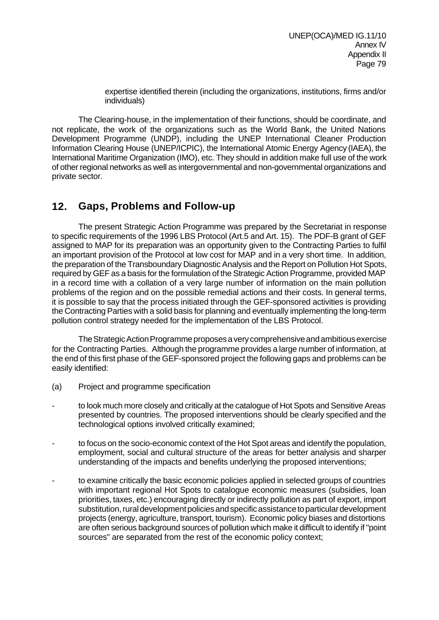expertise identified therein (including the organizations, institutions, firms and/or individuals)

The Clearing-house, in the implementation of their functions, should be coordinate, and not replicate, the work of the organizations such as the World Bank, the United Nations Development Programme (UNDP), including the UNEP International Cleaner Production Information Clearing House (UNEP/ICPIC), the International Atomic Energy Agency (IAEA), the International Maritime Organization (IMO), etc. They should in addition make full use of the work of other regional networks as well as intergovernmental and non-governmental organizations and private sector.

# **12. Gaps, Problems and Follow-up**

The present Strategic Action Programme was prepared by the Secretariat in response to specific requirements of the 1996 LBS Protocol (Art.5 and Art. 15). The PDF-B grant of GEF assigned to MAP for its preparation was an opportunity given to the Contracting Parties to fulfil an important provision of the Protocol at low cost for MAP and in a very short time. In addition, the preparation of the Transboundary Diagnostic Analysis and the Report on Pollution Hot Spots, required by GEF as a basis for the formulation of the Strategic Action Programme, provided MAP in a record time with a collation of a very large number of information on the main pollution problems of the region and on the possible remedial actions and their costs. In general terms, it is possible to say that the process initiated through the GEF-sponsored activities is providing the Contracting Parties with a solid basis for planning and eventually implementing the long-term pollution control strategy needed for the implementation of the LBS Protocol.

The Strategic Action Programme proposes a very comprehensive and ambitious exercise for the Contracting Parties. Although the programme provides a large number of information, at the end of this first phase of the GEF-sponsored project the following gaps and problems can be easily identified:

- (a) Project and programme specification
- to look much more closely and critically at the catalogue of Hot Spots and Sensitive Areas presented by countries. The proposed interventions should be clearly specified and the technological options involved critically examined;
- to focus on the socio-economic context of the Hot Spot areas and identify the population, employment, social and cultural structure of the areas for better analysis and sharper understanding of the impacts and benefits underlying the proposed interventions;
- to examine critically the basic economic policies applied in selected groups of countries with important regional Hot Spots to catalogue economic measures (subsidies, loan priorities, taxes, etc.) encouraging directly or indirectly pollution as part of export, import substitution, rural development policies and specific assistance to particular development projects (energy, agriculture, transport, tourism). Economic policy biases and distortions are often serious background sources of pollution which make it difficult to identify if "point sources" are separated from the rest of the economic policy context;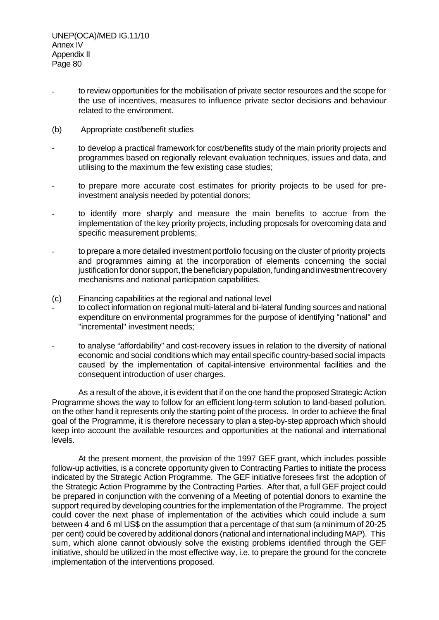- to review opportunities for the mobilisation of private sector resources and the scope for the use of incentives, measures to influence private sector decisions and behaviour related to the environment.
- (b) Appropriate cost/benefit studies
- to develop a practical framework for cost/benefits study of the main priority projects and programmes based on regionally relevant evaluation techniques, issues and data, and utilising to the maximum the few existing case studies;
- to prepare more accurate cost estimates for priority projects to be used for preinvestment analysis needed by potential donors;
- to identify more sharply and measure the main benefits to accrue from the implementation of the key priority projects, including proposals for overcoming data and specific measurement problems;
- to prepare a more detailed investment portfolio focusing on the cluster of priority projects and programmes aiming at the incorporation of elements concerning the social justification for donor support, the beneficiary population, funding and investment recovery mechanisms and national participation capabilities.
- (c) Financing capabilities at the regional and national level to collect information on regional multi-lateral and bi-lateral funding sources and national expenditure on environmental programmes for the purpose of identifying "national" and "incremental" investment needs;
- to analyse "affordability" and cost-recovery issues in relation to the diversity of national economic and social conditions which may entail specific country-based social impacts caused by the implementation of capital-intensive environmental facilities and the consequent introduction of user charges.

As a result of the above, it is evident that if on the one hand the proposed Strategic Action Programme shows the way to follow for an efficient long-term solution to land-based pollution, on the other hand it represents only the starting point of the process. In order to achieve the final goal of the Programme, it is therefore necessary to plan a step-by-step approach which should keep into account the available resources and opportunities at the national and international levels.

At the present moment, the provision of the 1997 GEF grant, which includes possible follow-up activities, is a concrete opportunity given to Contracting Parties to initiate the process indicated by the Strategic Action Programme. The GEF initiative foresees first the adoption of the Strategic Action Programme by the Contracting Parties. After that, a full GEF project could be prepared in conjunction with the convening of a Meeting of potential donors to examine the support required by developing countries for the implementation of the Programme. The project could cover the next phase of implementation of the activities which could include a sum between 4 and 6 ml US\$ on the assumption that a percentage of that sum (a minimum of 20-25 per cent) could be covered by additional donors (national and international including MAP). This sum, which alone cannot obviously solve the existing problems identified through the GEF initiative, should be utilized in the most effective way, i.e. to prepare the ground for the concrete implementation of the interventions proposed.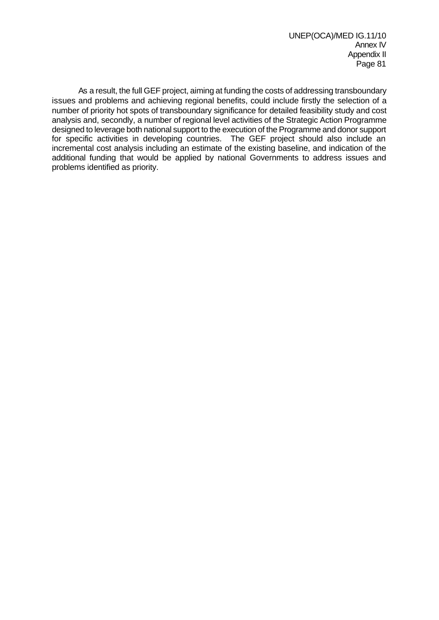As a result, the full GEF project, aiming at funding the costs of addressing transboundary issues and problems and achieving regional benefits, could include firstly the selection of a number of priority hot spots of transboundary significance for detailed feasibility study and cost analysis and, secondly, a number of regional level activities of the Strategic Action Programme designed to leverage both national support to the execution of the Programme and donor support for specific activities in developing countries. The GEF project should also include an incremental cost analysis including an estimate of the existing baseline, and indication of the additional funding that would be applied by national Governments to address issues and problems identified as priority.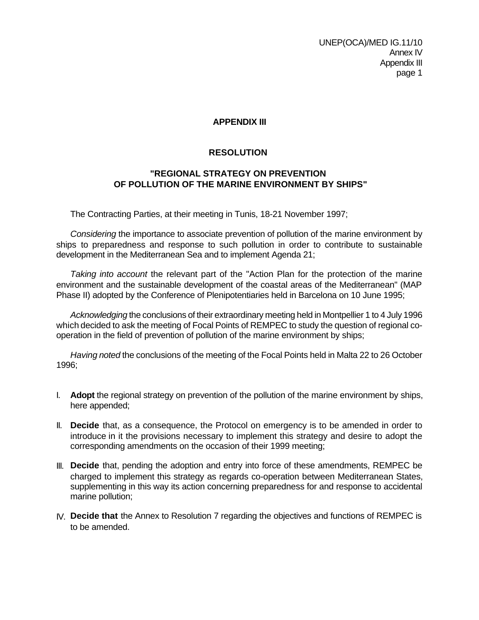UNEP(OCA)/MED IG.11/10 Annex IV Appendix III page 1

## **APPENDIX III**

## **RESOLUTION**

## **"REGIONAL STRATEGY ON PREVENTION OF POLLUTION OF THE MARINE ENVIRONMENT BY SHIPS"**

The Contracting Parties, at their meeting in Tunis, 18-21 November 1997;

*Considering* the importance to associate prevention of pollution of the marine environment by ships to preparedness and response to such pollution in order to contribute to sustainable development in the Mediterranean Sea and to implement Agenda 21;

*Taking into account* the relevant part of the "Action Plan for the protection of the marine environment and the sustainable development of the coastal areas of the Mediterranean" (MAP Phase II) adopted by the Conference of Plenipotentiaries held in Barcelona on 10 June 1995;

*Acknowledging* the conclusions of their extraordinary meeting held in Montpellier 1 to 4 July 1996 which decided to ask the meeting of Focal Points of REMPEC to study the question of regional cooperation in the field of prevention of pollution of the marine environment by ships;

*Having noted* the conclusions of the meeting of the Focal Points held in Malta 22 to 26 October 1996;

- I. **Adopt** the regional strategy on prevention of the pollution of the marine environment by ships, here appended;
- II. **Decide** that, as a consequence, the Protocol on emergency is to be amended in order to introduce in it the provisions necessary to implement this strategy and desire to adopt the corresponding amendments on the occasion of their 1999 meeting;
- III. **Decide** that, pending the adoption and entry into force of these amendments, REMPEC be charged to implement this strategy as regards co-operation between Mediterranean States, supplementing in this way its action concerning preparedness for and response to accidental marine pollution;
- IV. **Decide that** the Annex to Resolution 7 regarding the objectives and functions of REMPEC is to be amended.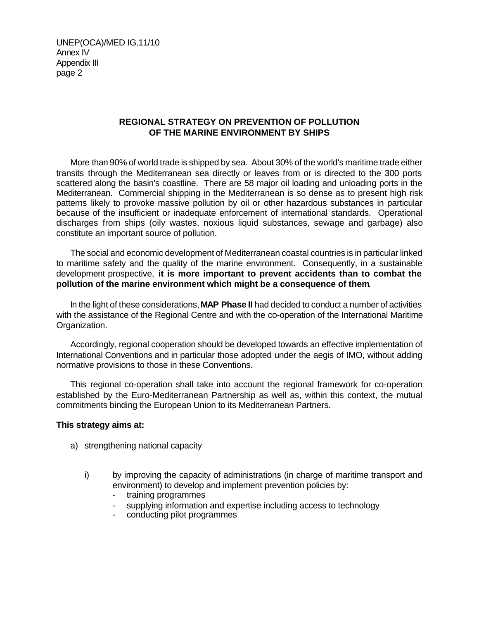UNEP(OCA)/MED IG.11/10 Annex IV Appendix III page 2

## **REGIONAL STRATEGY ON PREVENTION OF POLLUTION OF THE MARINE ENVIRONMENT BY SHIPS**

More than 90% of world trade is shipped by sea. About 30% of the world's maritime trade either transits through the Mediterranean sea directly or leaves from or is directed to the 300 ports scattered along the basin's coastline. There are 58 major oil loading and unloading ports in the Mediterranean. Commercial shipping in the Mediterranean is so dense as to present high risk patterns likely to provoke massive pollution by oil or other hazardous substances in particular because of the insufficient or inadequate enforcement of international standards. Operational discharges from ships (oily wastes, noxious liquid substances, sewage and garbage) also constitute an important source of pollution.

The social and economic development of Mediterranean coastal countries is in particular linked to maritime safety and the quality of the marine environment. Consequently, in a sustainable development prospective, **it is more important to prevent accidents than to combat the pollution of the marine environment which might be a consequence of them**.

In the light of these considerations, **MAP Phase II** had decided to conduct a number of activities with the assistance of the Regional Centre and with the co-operation of the International Maritime Organization.

Accordingly, regional cooperation should be developed towards an effective implementation of International Conventions and in particular those adopted under the aegis of IMO, without adding normative provisions to those in these Conventions.

This regional co-operation shall take into account the regional framework for co-operation established by the Euro-Mediterranean Partnership as well as, within this context, the mutual commitments binding the European Union to its Mediterranean Partners.

#### **This strategy aims at:**

- a) strengthening national capacity
	- i) by improving the capacity of administrations (in charge of maritime transport and environment) to develop and implement prevention policies by:
		- training programmes
		- supplying information and expertise including access to technology
		- conducting pilot programmes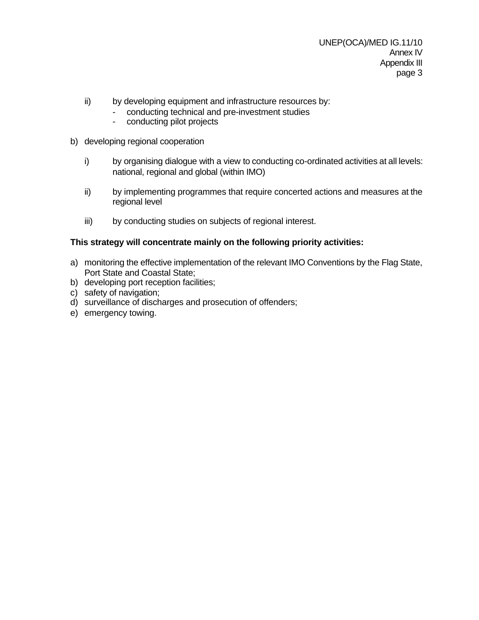- ii) by developing equipment and infrastructure resources by:
	- conducting technical and pre-investment studies
	- conducting pilot projects
- b) developing regional cooperation
	- i) by organising dialogue with a view to conducting co-ordinated activities at all levels: national, regional and global (within IMO)
	- ii) by implementing programmes that require concerted actions and measures at the regional level
	- iii) by conducting studies on subjects of regional interest.

## **This strategy will concentrate mainly on the following priority activities:**

- a) monitoring the effective implementation of the relevant IMO Conventions by the Flag State, Port State and Coastal State;
- b) developing port reception facilities;
- c) safety of navigation;
- d) surveillance of discharges and prosecution of offenders;
- e) emergency towing.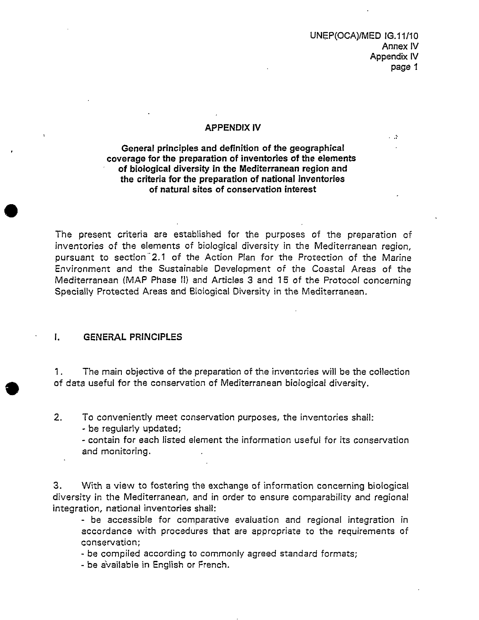UNEP(OCA)/MED IG.11/10 Annex IV Appendix IV page 1

#### **APPENDIX IV**

## General principles and definition of the geographical coverage for the preparation of inventories of the elements of biological diversity in the Mediterranean region and the criteria for the preparation of national inventories of natural sites of conservation interest

The present criteria are established for the purposes of the preparation of inventories of the elements of biological diversity in the Mediterranean region, pursuant to section 2.1 of the Action Plan for the Protection of the Marine Environment and the Sustainable Development of the Coastal Areas of the Mediterranean (MAP Phase II) and Articles 3 and 15 of the Protocol concerning Specially Protected Areas and Biological Diversity in the Mediterranean.

#### L **GENERAL PRINCIPLES**

 $1.$ The main objective of the preparation of the inventories will be the collection of data useful for the conservation of Mediterranean biological diversity.

 $2.$ To conveniently meet conservation purposes, the inventories shall:

- be requiarly updated;

- contain for each listed element the information useful for its conservation and monitoring.

3. With a view to fostering the exchange of information concerning biological diversity in the Mediterranean, and in order to ensure comparability and regional integration, national inventories shall:

- be accessible for comparative evaluation and regional integration in accordance with procedures that are appropriate to the requirements of conservation:

- be compiled according to commonly agreed standard formats;

- be available in English or French.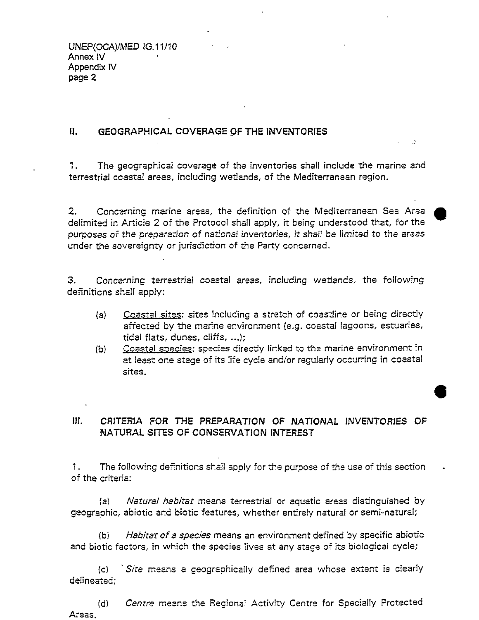#### GEOGRAPHICAL COVERAGE OF THE INVENTORIES H.

 $1<sub>1</sub>$ The geographical coverage of the inventories shall include the marine and terrestrial coastal areas, including wetlands, of the Mediterranean region.

 $\mathcal{L}$ 

 $2.$ Concerning marine areas, the definition of the Mediterranean Sea Area delimited in Article 2 of the Protocol shall apply, it being understood that, for the purposes of the preparation of national inventories, it shall be limited to the areas under the sovereignty or jurisdiction of the Party concerned.

 $3.$ Concerning terrestrial coastal areas, including wetlands, the following definitions shall apply:

- Coastal sites: sites including a stretch of coastline or being directly  $(a)$ affected by the marine environment (e.g. coastal lagoons, estuaries, tidal flats, dunes, cliffs, ...);
- Coastal species: species directly linked to the marine environment in  $(b)$ at least one stage of its life cycle and/or regularly occurring in coastal sites.

#### $III.$ CRITERIA FOR THE PREPARATION OF NATIONAL INVENTORIES OF NATURAL SITES OF CONSERVATION INTEREST.

1. The following definitions shall apply for the purpose of the use of this section of the criteria:

Natural habitat means terrestrial or aquatic areas distinguished by  $(a)$ geographic, abiotic and biotic features, whether entirely natural or semi-natural;

Habitat of a species means an environment defined by specific abiotic  $(b)$ and biotic factors, in which the species lives at any stage of its biological cycle;

`Site means a geographically defined area whose extent is clearly  $(c)$ delineated:

Centre means the Regional Activity Centre for Specially Protected  $(d)$ Areas.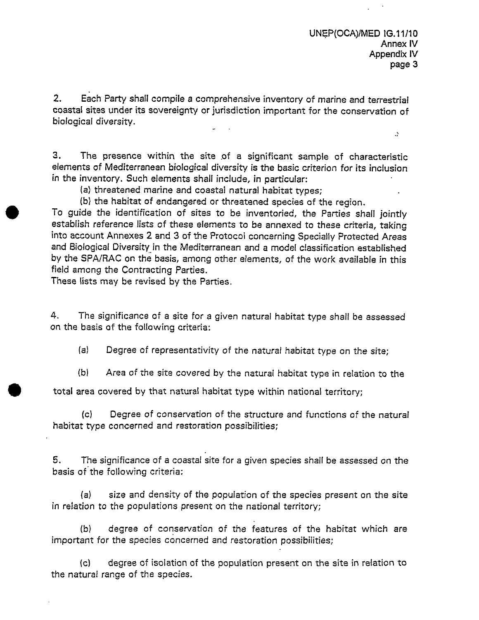$\Delta$ 

Each Party shall compile a comprehensive inventory of marine and terrestrial  $2.$ coastal sites under its sovereignty or jurisdiction important for the conservation of biological diversity.

 $3.$ The presence within the site of a significant sample of characteristic elements of Mediterranean biological diversity is the basic criterion for its inclusion in the inventory. Such elements shall include, in particular:

(a) threatened marine and coastal natural habitat types;

(b) the habitat of endangered or threatened species of the region.

To guide the identification of sites to be inventoried, the Parties shall jointly establish reference lists of these elements to be annexed to these criteria, taking into account Annexes 2 and 3 of the Protocol concerning Specially Protected Areas and Biological Diversity in the Mediterranean and a model classification established by the SPA/RAC on the basis, among other elements, of the work available in this field among the Contracting Parties.

These lists may be revised by the Parties.

4. The significance of a site for a given natural habitat type shall be assessed on the basis of the following criteria:

 $(a)$ Degree of representativity of the natural habitat type on the site;

 $(b)$ Area of the site covered by the natural habitat type in relation to the

total area covered by that natural habitat type within national territory;

 $(c)$ Degree of conservation of the structure and functions of the natural habitat type concerned and restoration possibilities;

The significance of a coastal site for a given species shall be assessed on the 5. basis of the following criteria:

size and density of the population of the species present on the site  $(a)$ in relation to the populations present on the national territory;

(b) degree of conservation of the features of the habitat which are important for the species concerned and restoration possibilities;

degree of isolation of the population present on the site in relation to  $(c)$ the natural range of the species.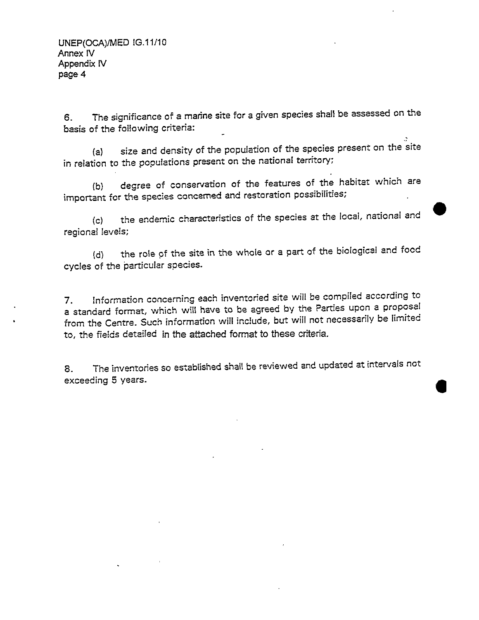The significance of a marine site for a given species shall be assessed on the 6. basis of the following criteria:

size and density of the population of the species present on the site  $(a)$ in relation to the populations present on the national territory;

degree of conservation of the features of the habitat which are  $(b)$ important for the species concerned and restoration possibilities;

the endemic characteristics of the species at the local, national and  $(c)$ regional levels:

the role of the site in the whole or a part of the biological and food  $(d)$ cycles of the particular species.

Information concerning each inventoried site will be compiled according to  $7<sub>1</sub>$ a standard format, which will have to be agreed by the Parties upon a proposal from the Centre. Such information will include, but will not necessarily be limited to, the fields detailed in the attached format to these criteria.

The inventories so established shall be reviewed and updated at intervals not 8. exceeding 5 years.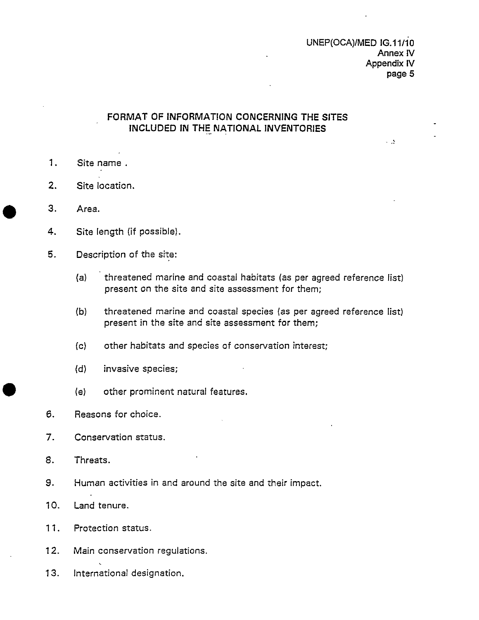СŠ.

# FORMAT OF INFORMATION CONCERNING THE SITES INCLUDED IN THE NATIONAL INVENTORIES

- 1. Site name.
- Site location.  $2.$
- 3. Area.
- 4. Site length (if possible).
- 5. Description of the site:
	- threatened marine and coastal habitats (as per agreed reference list)  $(a)$ present on the site and site assessment for them;
	- $(b)$ threatened marine and coastal species (as per agreed reference list) present in the site and site assessment for them;
	- other habitats and species of conservation interest;  $(c)$
	- invasive species;  $(d)$
	- other prominent natural features. (e)
- $6.$ Reasons for choice.
- $7<sub>1</sub>$ Conservation status.
- $8.$ Threats.
- 9. Human activities in and around the site and their impact.
- $10.$ Land tenure.
- $11.$ Protection status.
- $12.$ Main conservation regulations.
- $13.$ International designation.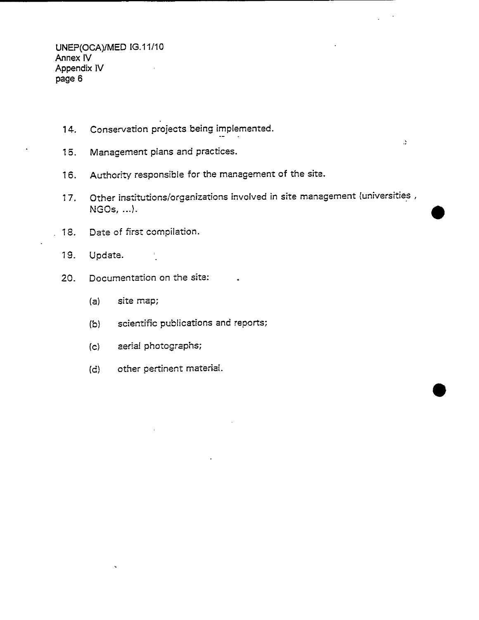UNEP(OCA)/MED IG.11/10 Annex IV Appendix IV page 6

- Conservation projects being implemented.  $14.$
- Management plans and practices.  $15.$
- Authority responsible for the management of the site. 16.
- Other institutions/organizations involved in site management (universities,  $17.$ NGOs, ...).

 $\frac{1}{\sqrt{2}}$ 

- Date of first compilation.  $18.$
- 19. Update.
- Documentation on the site: 20.
	- site map;  $(a)$
	- scientific publications and reports;  $(b)$
	- aerial photographs;  $(c)$
	- other pertinent material.  $(d)$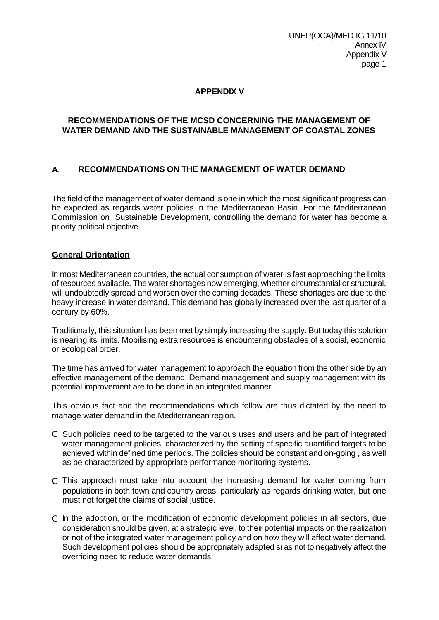UNEP(OCA)/MED IG.11/10 Annex IV Appendix V page 1

# **APPENDIX V**

# **RECOMMENDATIONS OF THE MCSD CONCERNING THE MANAGEMENT OF WATER DEMAND AND THE SUSTAINABLE MANAGEMENT OF COASTAL ZONES**

## **A. RECOMMENDATIONS ON THE MANAGEMENT OF WATER DEMAND**

The field of the management of water demand is one in which the most significant progress can be expected as regards water policies in the Mediterranean Basin. For the Mediterranean Commission on Sustainable Development, controlling the demand for water has become a priority political objective.

## **General Orientation**

In most Mediterranean countries, the actual consumption of water is fast approaching the limits of resources available. The water shortages now emerging, whether circumstantial or structural, will undoubtedly spread and worsen over the coming decades. These shortages are due to the heavy increase in water demand. This demand has globally increased over the last quarter of a century by 60%.

Traditionally, this situation has been met by simply increasing the supply. But today this solution is nearing its limits. Mobilising extra resources is encountering obstacles of a social, economic or ecological order.

The time has arrived for water management to approach the equation from the other side by an effective management of the demand. Demand management and supply management with its potential improvement are to be done in an integrated manner.

This obvious fact and the recommendations which follow are thus dictated by the need to manage water demand in the Mediterranean region.

- C Such policies need to be targeted to the various uses and users and be part of integrated water management policies, characterized by the setting of specific quantified targets to be achieved within defined time periods. The policies should be constant and on-going , as well as be characterized by appropriate performance monitoring systems.
- C This approach must take into account the increasing demand for water coming from populations in both town and country areas, particularly as regards drinking water, but one must not forget the claims of social justice.
- C In the adoption, or the modification of economic development policies in all sectors, due consideration should be given, at a strategic level, to their potential impacts on the realization or not of the integrated water management policy and on how they will affect water demand. Such development policies should be appropriately adapted si as not to negatively affect the overriding need to reduce water demands.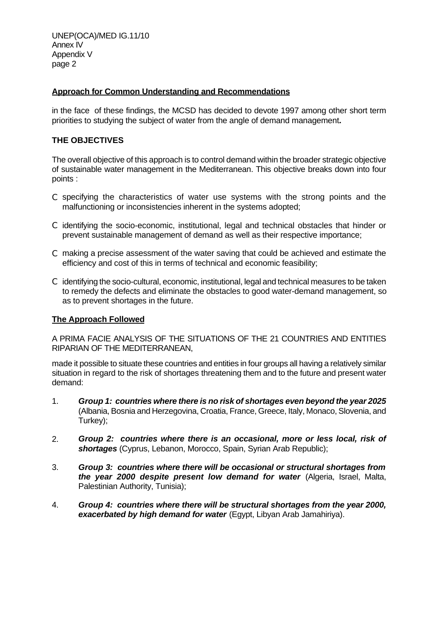UNEP(OCA)/MED IG.11/10 Annex IV Appendix V page 2

## **Approach for Common Understanding and Recommendations**

in the face of these findings, the MCSD has decided to devote 1997 among other short term priorities to studying the subject of water from the angle of demand management**.**

## **THE OBJECTIVES**

The overall objective of this approach is to control demand within the broader strategic objective of sustainable water management in the Mediterranean. This objective breaks down into four points :

- C specifying the characteristics of water use systems with the strong points and the malfunctioning or inconsistencies inherent in the systems adopted;
- C identifying the socio-economic, institutional, legal and technical obstacles that hinder or prevent sustainable management of demand as well as their respective importance;
- C making a precise assessment of the water saving that could be achieved and estimate the efficiency and cost of this in terms of technical and economic feasibility;
- C identifying the socio-cultural, economic, institutional, legal and technical measures to be taken to remedy the defects and eliminate the obstacles to good water-demand management, so as to prevent shortages in the future.

## **The Approach Followed**

A PRIMA FACIE ANALYSIS OF THE SITUATIONS OF THE 21 COUNTRIES AND ENTITIES RIPARIAN OF THE MEDITERRANEAN,

made it possible to situate these countries and entities in four groups all having a relatively similar situation in regard to the risk of shortages threatening them and to the future and present water demand:

- 1. *Group 1: countries where there is no risk of shortages even beyond the year 2025* (Albania, Bosnia and Herzegovina, Croatia, France, Greece, Italy, Monaco, Slovenia, and Turkey);
- 2. *Group 2: countries where there is an occasional, more or less local, risk of shortages* (Cyprus, Lebanon, Morocco, Spain, Syrian Arab Republic);
- 3. *Group 3: countries where there will be occasional or structural shortages from the year 2000 despite present low demand for water* (Algeria, Israel, Malta, Palestinian Authority, Tunisia);
- 4. *Group 4: countries where there will be structural shortages from the year 2000, exacerbated by high demand for water* (Egypt, Libyan Arab Jamahiriya).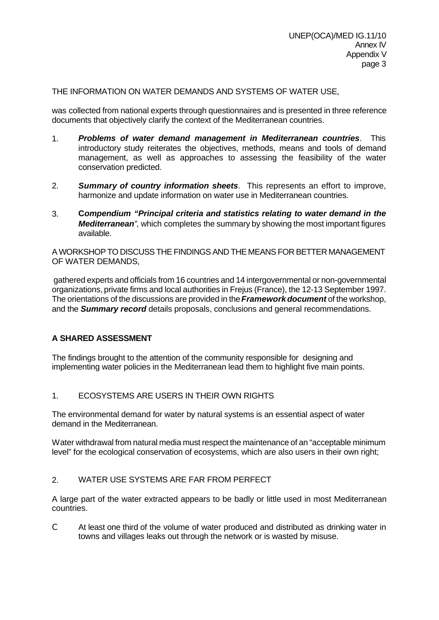# THE INFORMATION ON WATER DEMANDS AND SYSTEMS OF WATER USE,

was collected from national experts through questionnaires and is presented in three reference documents that objectively clarify the context of the Mediterranean countries.

- 1. *Problems of water demand management in Mediterranean countries*. This introductory study reiterates the objectives, methods, means and tools of demand management, as well as approaches to assessing the feasibility of the water conservation predicted.
- 2. *Summary of country information sheets*. This represents an effort to improve, harmonize and update information on water use in Mediterranean countries.
- 3. **C***ompendium "Principal criteria and statistics relating to water demand in the Mediterranean"*, which completes the summary by showing the most important figures available.

A WORKSHOP TO DISCUSS THE FINDINGS AND THE MEANS FOR BETTER MANAGEMENT OF WATER DEMANDS,

 gathered experts and officials from 16 countries and 14 intergovernmental or non-governmental organizations, private firms and local authorities in Frejus (France), the 12-13 September 1997. The orientations of the discussions are provided in the *Framework document* of the workshop, and the *Summary record* details proposals, conclusions and general recommendations.

# **A SHARED ASSESSMENT**

The findings brought to the attention of the community responsible for designing and implementing water policies in the Mediterranean lead them to highlight five main points.

## 1. ECOSYSTEMS ARE USERS IN THEIR OWN RIGHTS

The environmental demand for water by natural systems is an essential aspect of water demand in the Mediterranean.

Water withdrawal from natural media must respect the maintenance of an "acceptable minimum level" for the ecological conservation of ecosystems, which are also users in their own right;

## 2. WATER USE SYSTEMS ARE FAR FROM PERFECT

A large part of the water extracted appears to be badly or little used in most Mediterranean countries.

C At least one third of the volume of water produced and distributed as drinking water in towns and villages leaks out through the network or is wasted by misuse.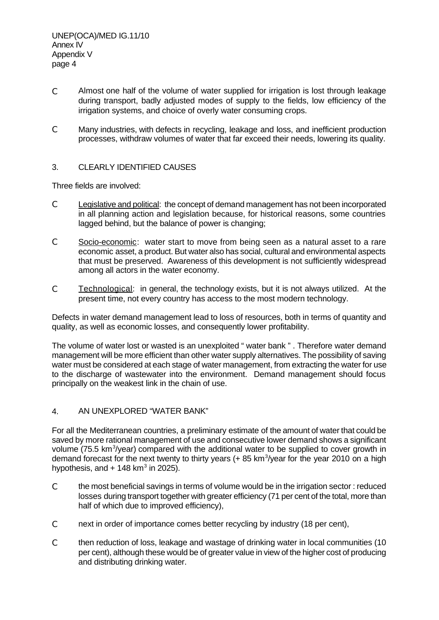- C Almost one half of the volume of water supplied for irrigation is lost through leakage during transport, badly adjusted modes of supply to the fields, low efficiency of the irrigation systems, and choice of overly water consuming crops.
- C Many industries, with defects in recycling, leakage and loss, and inefficient production processes, withdraw volumes of water that far exceed their needs, lowering its quality.

# 3. CLEARLY IDENTIFIED CAUSES

Three fields are involved:

- C Legislative and political: the concept of demand management has not been incorporated in all planning action and legislation because, for historical reasons, some countries lagged behind, but the balance of power is changing;
- C Socio-economic: water start to move from being seen as a natural asset to a rare economic asset, a product. But water also has social, cultural and environmental aspects that must be preserved. Awareness of this development is not sufficiently widespread among all actors in the water economy.
- C Technological: in general, the technology exists, but it is not always utilized. At the present time, not every country has access to the most modern technology.

Defects in water demand management lead to loss of resources, both in terms of quantity and quality, as well as economic losses, and consequently lower profitability.

The volume of water lost or wasted is an unexploited " water bank " . Therefore water demand management will be more efficient than other water supply alternatives. The possibility of saving water must be considered at each stage of water management, from extracting the water for use to the discharge of wastewater into the environment. Demand management should focus principally on the weakest link in the chain of use.

## 4. AN UNEXPLORED "WATER BANK"

For all the Mediterranean countries, a preliminary estimate of the amount of water that could be saved by more rational management of use and consecutive lower demand shows a significant volume (75.5 km<sup>3</sup>/year) compared with the additional water to be supplied to cover growth in demand forecast for the next twenty to thirty years (+ 85 km<sup>3</sup>/year for the year 2010 on a high hypothesis, and  $+$  148 km<sup>3</sup> in 2025).

- C the most beneficial savings in terms of volume would be in the irrigation sector : reduced losses during transport together with greater efficiency (71 per cent of the total, more than half of which due to improved efficiency),
- C next in order of importance comes better recycling by industry (18 per cent),
- C then reduction of loss, leakage and wastage of drinking water in local communities (10 per cent), although these would be of greater value in view of the higher cost of producing and distributing drinking water.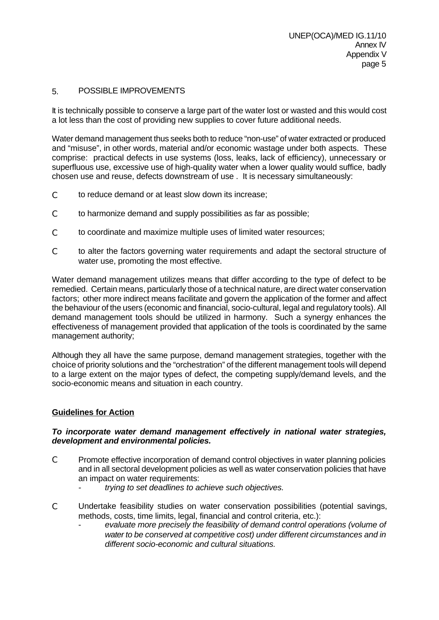## 5. POSSIBLE IMPROVEMENTS

It is technically possible to conserve a large part of the water lost or wasted and this would cost a lot less than the cost of providing new supplies to cover future additional needs.

Water demand management thus seeks both to reduce "non-use" of water extracted or produced and "misuse", in other words, material and/or economic wastage under both aspects. These comprise: practical defects in use systems (loss, leaks, lack of efficiency), unnecessary or superfluous use, excessive use of high-quality water when a lower quality would suffice, badly chosen use and reuse, defects downstream of use . It is necessary simultaneously:

- C to reduce demand or at least slow down its increase;
- C to harmonize demand and supply possibilities as far as possible;
- C to coordinate and maximize multiple uses of limited water resources;
- C to alter the factors governing water requirements and adapt the sectoral structure of water use, promoting the most effective.

Water demand management utilizes means that differ according to the type of defect to be remedied. Certain means, particularly those of a technical nature, are direct water conservation factors; other more indirect means facilitate and govern the application of the former and affect the behaviour of the users (economic and financial, socio-cultural, legal and regulatory tools). All demand management tools should be utilized in harmony. Such a synergy enhances the effectiveness of management provided that application of the tools is coordinated by the same management authority;

Although they all have the same purpose, demand management strategies, together with the choice of priority solutions and the "orchestration" of the different management tools will depend to a large extent on the major types of defect, the competing supply/demand levels, and the socio-economic means and situation in each country.

## **Guidelines for Action**

## *To incorporate water demand management effectively in national water strategies, development and environmental policies.*

- C Promote effective incorporation of demand control objectives in water planning policies and in all sectoral development policies as well as water conservation policies that have an impact on water requirements:
	- *- trying to set deadlines to achieve such objectives.*
- C Undertake feasibility studies on water conservation possibilities (potential savings, methods, costs, time limits, legal, financial and control criteria, etc.):
	- evaluate more precisely the feasibility of demand control operations (volume of *water to be conserved at competitive cost) under different circumstances and in different socio-economic and cultural situations.*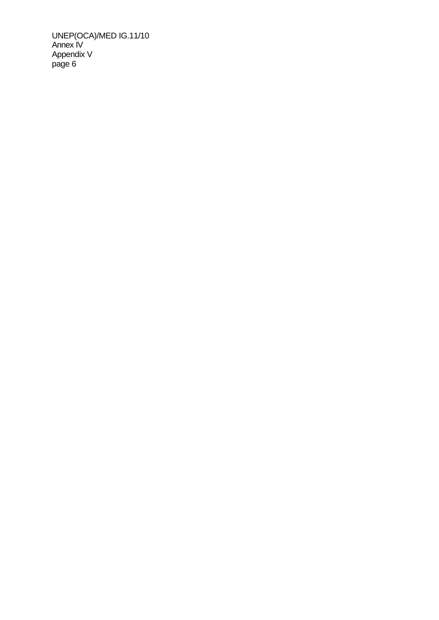UNEP(OCA)/MED IG.11/10 Annex IV Appendix V page 6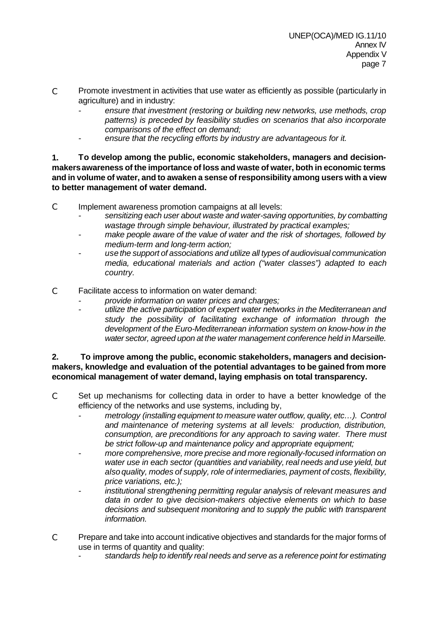- C Promote investment in activities that use water as efficiently as possible (particularly in agriculture) and in industry:
	- *- ensure that investment (restoring or building new networks, use methods, crop patterns) is preceded by feasibility studies on scenarios that also incorporate comparisons of the effect on demand;*
	- *- ensure that the recycling efforts by industry are advantageous for it.*

**1. To develop among the public, economic stakeholders, managers and decisionmakers awareness of the importance of loss and waste of water, both in economic terms and in volume of water, and to awaken a sense of responsibility among users with a view to better management of water demand.**

- C Implement awareness promotion campaigns at all levels:
	- *sensitizing each user about waste and water-saving opportunities, by combatting wastage through simple behaviour, illustrated by practical examples;*
	- *- make people aware of the value of water and the risk of shortages, followed by medium-term and long-term action;*
	- *- use the support of associations and utilize all types of audiovisual communication media, educational materials and action ("water classes") adapted to each country.*
- C Facilitate access to information on water demand:
	- *- provide information on water prices and charges;*
	- *- utilize the active participation of expert water networks in the Mediterranean and study the possibility of facilitating exchange of information through the development of the Euro-Mediterranean information system on know-how in the water sector, agreed upon at the water management conference held in Marseille.*

**2. To improve among the public, economic stakeholders, managers and decisionmakers, knowledge and evaluation of the potential advantages to be gained from more economical management of water demand, laying emphasis on total transparency.**

- C Set up mechanisms for collecting data in order to have a better knowledge of the efficiency of the networks and use systems, including by,
	- *- metrology (installing equipment to measure water outflow, quality, etc…). Control and maintenance of metering systems at all levels: production, distribution, consumption, are preconditions for any approach to saving water. There must be strict follow-up and maintenance policy and appropriate equipment;*
	- *- more comprehensive, more precise and more regionally-focused information on water use in each sector (quantities and variability, real needs and use yield, but also quality, modes of supply, role of intermediaries, payment of costs, flexibility, price variations, etc.);*
	- *- institutional strengthening permitting regular analysis of relevant measures and data in order to give decision-makers objective elements on which to base decisions and subsequent monitoring and to supply the public with transparent information.*
- C Prepare and take into account indicative objectives and standards for the major forms of use in terms of quantity and quality:
	- *standards help to identify real needs and serve as a reference point for estimating*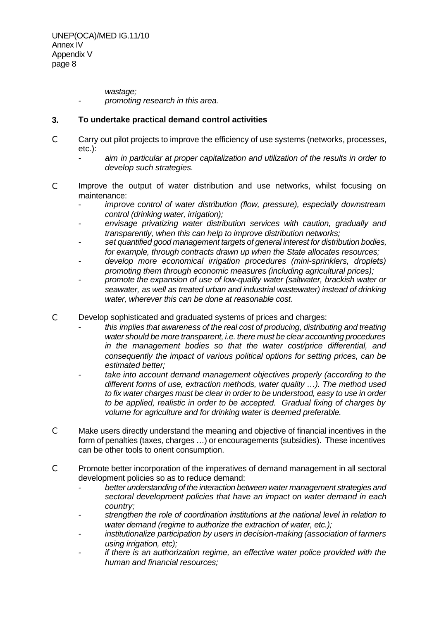UNEP(OCA)/MED IG.11/10 Annex IV Appendix V page 8

*wastage;*

*- promoting research in this area.*

## **3. To undertake practical demand control activities**

- C Carry out pilot projects to improve the efficiency of use systems (networks, processes, etc.):
	- *- aim in particular at proper capitalization and utilization of the results in order to develop such strategies.*
- C Improve the output of water distribution and use networks, whilst focusing on maintenance:
	- improve control of water distribution (flow, pressure), especially downstream *control (drinking water, irrigation);*
	- *- envisage privatizing water distribution services with caution, gradually and transparently, when this can help to improve distribution networks;*
	- *- set quantified good management targets of general interest for distribution bodies, for example, through contracts drawn up when the State allocates resources;*
	- *- develop more economical irrigation procedures (mini-sprinklers, droplets) promoting them through economic measures (including agricultural prices);*
	- *- promote the expansion of use of low-quality water (saltwater, brackish water or seawater, as well as treated urban and industrial wastewater) instead of drinking water, wherever this can be done at reasonable cost.*
- C Develop sophisticated and graduated systems of prices and charges:
	- *this implies that awareness of the real cost of producing, distributing and treating water should be more transparent, i.e. there must be clear accounting procedures in the management bodies so that the water cost/price differential, and consequently the impact of various political options for setting prices, can be estimated better;*
	- *- take into account demand management objectives properly (according to the different forms of use, extraction methods, water quality …). The method used to fix water charges must be clear in order to be understood, easy to use in order to be applied, realistic in order to be accepted. Gradual fixing of charges by volume for agriculture and for drinking water is deemed preferable.*
- C Make users directly understand the meaning and objective of financial incentives in the form of penalties (taxes, charges …) or encouragements (subsidies). These incentives can be other tools to orient consumption.
- C Promote better incorporation of the imperatives of demand management in all sectoral development policies so as to reduce demand:
	- *- better understanding of the interaction between water management strategies and sectoral development policies that have an impact on water demand in each country;*
	- *- strengthen the role of coordination institutions at the national level in relation to water demand (regime to authorize the extraction of water, etc.);*
	- *- institutionalize participation by users in decision-making (association of farmers using irrigation, etc);*
	- *- if there is an authorization regime, an effective water police provided with the human and financial resources;*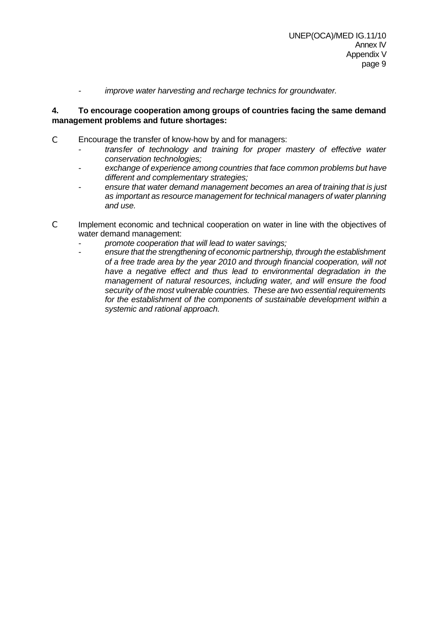*- improve water harvesting and recharge technics for groundwater.*

## **4. To encourage cooperation among groups of countries facing the same demand management problems and future shortages:**

- C Encourage the transfer of know-how by and for managers:
	- *- transfer of technology and training for proper mastery of effective water conservation technologies;*
	- *- exchange of experience among countries that face common problems but have different and complementary strategies;*
	- *- ensure that water demand management becomes an area of training that is just as important as resource management for technical managers of water planning and use.*
- C Implement economic and technical cooperation on water in line with the objectives of water demand management:
	- *- promote cooperation that will lead to water savings;*
	- *- ensure that the strengthening of economic partnership, through the establishment of a free trade area by the year 2010 and through financial cooperation, will not have a negative effect and thus lead to environmental degradation in the management of natural resources, including water, and will ensure the food security of the most vulnerable countries. These are two essential requirements for the establishment of the components of sustainable development within a systemic and rational approach.*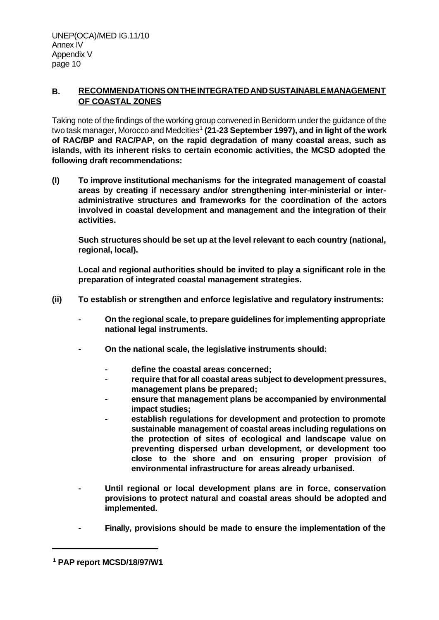# **B. RECOMMENDATIONS ON THE INTEGRATED AND SUSTAINABLE MANAGEMENT OF COASTAL ZONES**

Taking note of the findings of the working group convened in Benidorm under the guidance of the two task manager, Morocco and Medcities<sup>1</sup> **(21-23 September 1997), and in light of the work of RAC/BP and RAC/PAP, on the rapid degradation of many coastal areas, such as islands, with its inherent risks to certain economic activities, the MCSD adopted the following draft recommendations:**

**(I) To improve institutional mechanisms for the integrated management of coastal areas by creating if necessary and/or strengthening inter-ministerial or interadministrative structures and frameworks for the coordination of the actors involved in coastal development and management and the integration of their activities.**

**Such structures should be set up at the level relevant to each country (national, regional, local).**

**Local and regional authorities should be invited to play a significant role in the preparation of integrated coastal management strategies.**

- **(ii) To establish or strengthen and enforce legislative and regulatory instruments:**
	- **- On the regional scale, to prepare guidelines for implementing appropriate national legal instruments.**
	- **- On the national scale, the legislative instruments should:**
		- **- define the coastal areas concerned;**
		- **- require that for all coastal areas subject to development pressures, management plans be prepared;**
		- **- ensure that management plans be accompanied by environmental impact studies;**
		- **- establish regulations for development and protection to promote sustainable management of coastal areas including regulations on the protection of sites of ecological and landscape value on preventing dispersed urban development, or development too close to the shore and on ensuring proper provision of environmental infrastructure for areas already urbanised.**
	- **- Until regional or local development plans are in force, conservation provisions to protect natural and coastal areas should be adopted and implemented.**
	- **- Finally, provisions should be made to ensure the implementation of the**

**<sup>1</sup> PAP report MCSD/18/97/W1**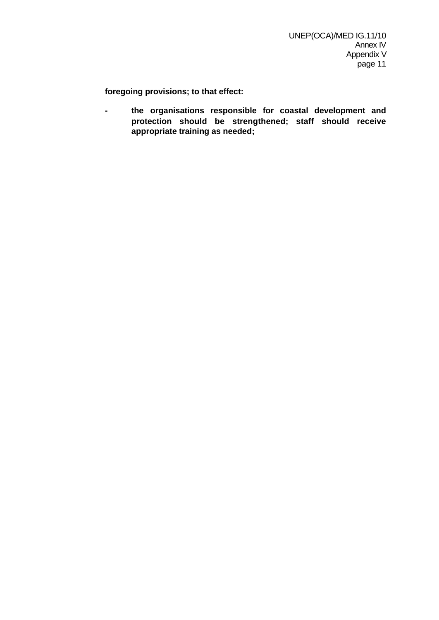**foregoing provisions; to that effect:**

**- the organisations responsible for coastal development and protection should be strengthened; staff should receive appropriate training as needed;**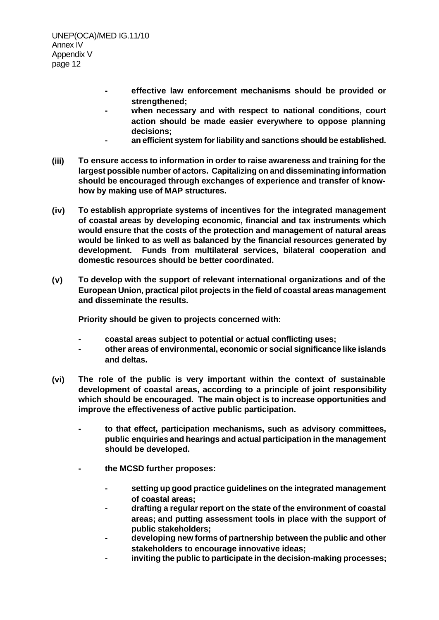- **- effective law enforcement mechanisms should be provided or strengthened;**
- **- when necessary and with respect to national conditions, court action should be made easier everywhere to oppose planning decisions;**
- **- an efficient system for liability and sanctions should be established.**
- **(iii) To ensure access to information in order to raise awareness and training for the largest possible number of actors. Capitalizing on and disseminating information should be encouraged through exchanges of experience and transfer of knowhow by making use of MAP structures.**
- **(iv) To establish appropriate systems of incentives for the integrated management of coastal areas by developing economic, financial and tax instruments which would ensure that the costs of the protection and management of natural areas would be linked to as well as balanced by the financial resources generated by development. Funds from multilateral services, bilateral cooperation and domestic resources should be better coordinated.**
- **(v) To develop with the support of relevant international organizations and of the European Union, practical pilot projects in the field of coastal areas management and disseminate the results.**

**Priority should be given to projects concerned with:**

- **- coastal areas subject to potential or actual conflicting uses;**
- **- other areas of environmental, economic or social significance like islands and deltas.**
- **(vi) The role of the public is very important within the context of sustainable development of coastal areas, according to a principle of joint responsibility which should be encouraged. The main object is to increase opportunities and improve the effectiveness of active public participation.**
	- **- to that effect, participation mechanisms, such as advisory committees, public enquiries and hearings and actual participation in the management should be developed.**
	- **- the MCSD further proposes:**
		- **- setting up good practice guidelines on the integrated management of coastal areas;**
		- **- drafting a regular report on the state of the environment of coastal areas; and putting assessment tools in place with the support of public stakeholders;**
		- **- developing new forms of partnership between the public and other stakeholders to encourage innovative ideas;**
		- **- inviting the public to participate in the decision-making processes;**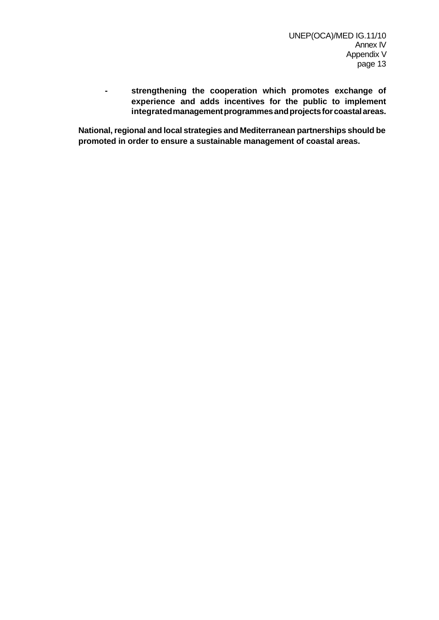**- strengthening the cooperation which promotes exchange of experience and adds incentives for the public to implement integrated management programmes and projects for coastal areas.**

**National, regional and local strategies and Mediterranean partnerships should be promoted in order to ensure a sustainable management of coastal areas.**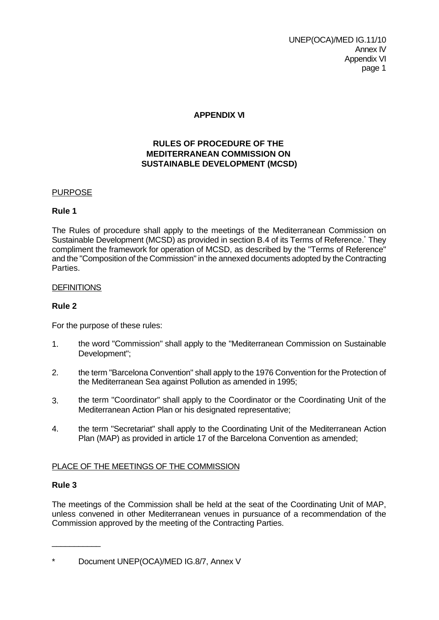# **APPENDIX VI**

# **RULES OF PROCEDURE OF THE MEDITERRANEAN COMMISSION ON SUSTAINABLE DEVELOPMENT (MCSD)**

## PURPOSE

# **Rule 1**

The Rules of procedure shall apply to the meetings of the Mediterranean Commission on Sustainable Development (MCSD) as provided in section B.4 of its Terms of Reference. They compliment the framework for operation of MCSD, as described by the "Terms of Reference" and the "Composition of the Commission" in the annexed documents adopted by the Contracting Parties.

# **DEFINITIONS**

# **Rule 2**

For the purpose of these rules:

- 1. the word "Commission" shall apply to the "Mediterranean Commission on Sustainable Development";
- 2. the term "Barcelona Convention" shall apply to the 1976 Convention for the Protection of the Mediterranean Sea against Pollution as amended in 1995;
- 3. the term "Coordinator" shall apply to the Coordinator or the Coordinating Unit of the Mediterranean Action Plan or his designated representative;
- 4. the term "Secretariat" shall apply to the Coordinating Unit of the Mediterranean Action Plan (MAP) as provided in article 17 of the Barcelona Convention as amended;

## PLACE OF THE MEETINGS OF THE COMMISSION

# **Rule 3**

\_\_\_\_\_\_\_\_\_\_\_

The meetings of the Commission shall be held at the seat of the Coordinating Unit of MAP, unless convened in other Mediterranean venues in pursuance of a recommendation of the Commission approved by the meeting of the Contracting Parties.

Document UNEP(OCA)/MED IG.8/7, Annex V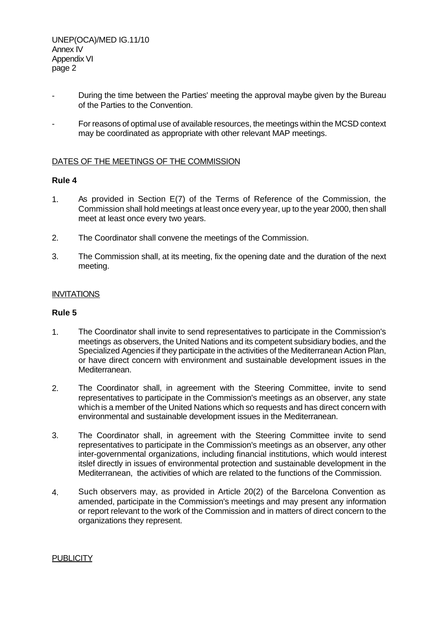- During the time between the Parties' meeting the approval maybe given by the Bureau of the Parties to the Convention.
- For reasons of optimal use of available resources, the meetings within the MCSD context may be coordinated as appropriate with other relevant MAP meetings.

# DATES OF THE MEETINGS OF THE COMMISSION

## **Rule 4**

- 1. As provided in Section E(7) of the Terms of Reference of the Commission, the Commission shall hold meetings at least once every year, up to the year 2000, then shall meet at least once every two years.
- 2. The Coordinator shall convene the meetings of the Commission.
- 3. The Commission shall, at its meeting, fix the opening date and the duration of the next meeting.

## **INVITATIONS**

## **Rule 5**

- 1. The Coordinator shall invite to send representatives to participate in the Commission's meetings as observers, the United Nations and its competent subsidiary bodies, and the Specialized Agencies if they participate in the activities of the Mediterranean Action Plan, or have direct concern with environment and sustainable development issues in the Mediterranean.
- 2. The Coordinator shall, in agreement with the Steering Committee, invite to send representatives to participate in the Commission's meetings as an observer, any state which is a member of the United Nations which so requests and has direct concern with environmental and sustainable development issues in the Mediterranean.
- 3. The Coordinator shall, in agreement with the Steering Committee invite to send representatives to participate in the Commission's meetings as an observer, any other inter-governmental organizations, including financial institutions, which would interest itslef directly in issues of environmental protection and sustainable development in the Mediterranean, the activities of which are related to the functions of the Commission.
- 4. Such observers may, as provided in Article 20(2) of the Barcelona Convention as amended, participate in the Commission's meetings and may present any information or report relevant to the work of the Commission and in matters of direct concern to the organizations they represent.

## **PUBLICITY**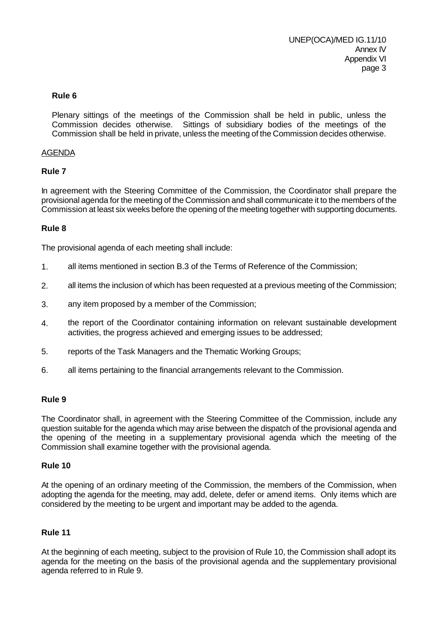## **Rule 6**

Plenary sittings of the meetings of the Commission shall be held in public, unless the Commission decides otherwise. Sittings of subsidiary bodies of the meetings of the Commission shall be held in private, unless the meeting of the Commission decides otherwise.

## AGENDA

## **Rule 7**

In agreement with the Steering Committee of the Commission, the Coordinator shall prepare the provisional agenda for the meeting of the Commission and shall communicate it to the members of the Commission at least six weeks before the opening of the meeting together with supporting documents.

## **Rule 8**

The provisional agenda of each meeting shall include:

- 1. all items mentioned in section B.3 of the Terms of Reference of the Commission;
- 2. all items the inclusion of which has been requested at a previous meeting of the Commission;
- 3. any item proposed by a member of the Commission;
- 4. the report of the Coordinator containing information on relevant sustainable development activities, the progress achieved and emerging issues to be addressed;
- 5. reports of the Task Managers and the Thematic Working Groups;
- 6. all items pertaining to the financial arrangements relevant to the Commission.

## **Rule 9**

The Coordinator shall, in agreement with the Steering Committee of the Commission, include any question suitable for the agenda which may arise between the dispatch of the provisional agenda and the opening of the meeting in a supplementary provisional agenda which the meeting of the Commission shall examine together with the provisional agenda.

#### **Rule 10**

At the opening of an ordinary meeting of the Commission, the members of the Commission, when adopting the agenda for the meeting, may add, delete, defer or amend items. Only items which are considered by the meeting to be urgent and important may be added to the agenda.

### **Rule 11**

At the beginning of each meeting, subject to the provision of Rule 10, the Commission shall adopt its agenda for the meeting on the basis of the provisional agenda and the supplementary provisional agenda referred to in Rule 9.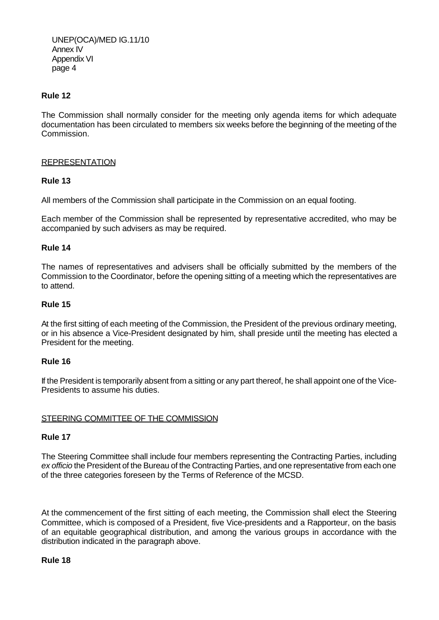UNEP(OCA)/MED IG.11/10 Annex IV Appendix VI page 4

## **Rule 12**

The Commission shall normally consider for the meeting only agenda items for which adequate documentation has been circulated to members six weeks before the beginning of the meeting of the Commission.

## REPRESENTATION

## **Rule 13**

All members of the Commission shall participate in the Commission on an equal footing.

Each member of the Commission shall be represented by representative accredited, who may be accompanied by such advisers as may be required.

## **Rule 14**

The names of representatives and advisers shall be officially submitted by the members of the Commission to the Coordinator, before the opening sitting of a meeting which the representatives are to attend.

## **Rule 15**

At the first sitting of each meeting of the Commission, the President of the previous ordinary meeting, or in his absence a Vice-President designated by him, shall preside until the meeting has elected a President for the meeting.

#### **Rule 16**

If the President is temporarily absent from a sitting or any part thereof, he shall appoint one of the Vice-Presidents to assume his duties.

#### STEERING COMMITTEE OF THE COMMISSION

#### **Rule 17**

The Steering Committee shall include four members representing the Contracting Parties, including *ex officio* the President of the Bureau of the Contracting Parties, and one representative from each one of the three categories foreseen by the Terms of Reference of the MCSD.

At the commencement of the first sitting of each meeting, the Commission shall elect the Steering Committee, which is composed of a President, five Vice-presidents and a Rapporteur, on the basis of an equitable geographical distribution, and among the various groups in accordance with the distribution indicated in the paragraph above.

#### **Rule 18**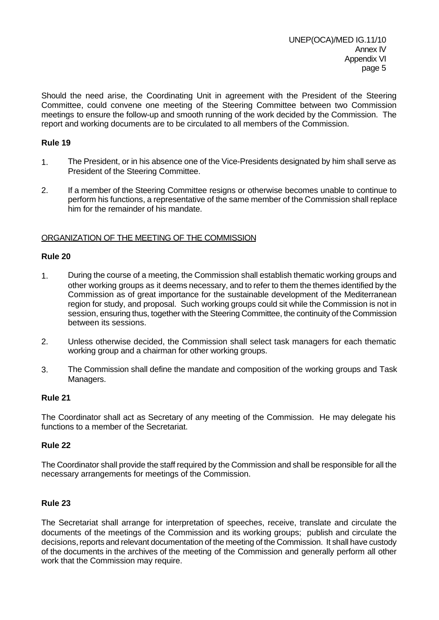Should the need arise, the Coordinating Unit in agreement with the President of the Steering Committee, could convene one meeting of the Steering Committee between two Commission meetings to ensure the follow-up and smooth running of the work decided by the Commission. The report and working documents are to be circulated to all members of the Commission.

# **Rule 19**

- 1. The President, or in his absence one of the Vice-Presidents designated by him shall serve as President of the Steering Committee.
- 2. If a member of the Steering Committee resigns or otherwise becomes unable to continue to perform his functions, a representative of the same member of the Commission shall replace him for the remainder of his mandate.

## ORGANIZATION OF THE MEETING OF THE COMMISSION

## **Rule 20**

- 1. During the course of a meeting, the Commission shall establish thematic working groups and other working groups as it deems necessary, and to refer to them the themes identified by the Commission as of great importance for the sustainable development of the Mediterranean region for study, and proposal. Such working groups could sit while the Commission is not in session, ensuring thus, together with the Steering Committee, the continuity of the Commission between its sessions.
- 2. Unless otherwise decided, the Commission shall select task managers for each thematic working group and a chairman for other working groups.
- 3. The Commission shall define the mandate and composition of the working groups and Task Managers.

## **Rule 21**

The Coordinator shall act as Secretary of any meeting of the Commission. He may delegate his functions to a member of the Secretariat.

#### **Rule 22**

The Coordinator shall provide the staff required by the Commission and shall be responsible for all the necessary arrangements for meetings of the Commission.

## **Rule 23**

The Secretariat shall arrange for interpretation of speeches, receive, translate and circulate the documents of the meetings of the Commission and its working groups; publish and circulate the decisions, reports and relevant documentation of the meeting of the Commission. It shall have custody of the documents in the archives of the meeting of the Commission and generally perform all other work that the Commission may require.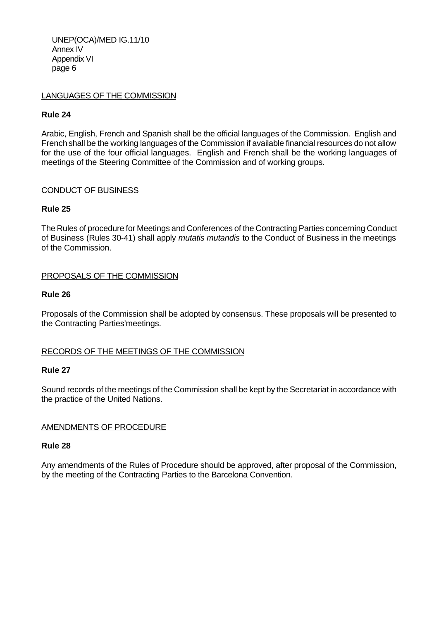UNEP(OCA)/MED IG.11/10 Annex IV Appendix VI page 6

## LANGUAGES OF THE COMMISSION

## **Rule 24**

Arabic, English, French and Spanish shall be the official languages of the Commission. English and French shall be the working languages of the Commission if available financial resources do not allow for the use of the four official languages. English and French shall be the working languages of meetings of the Steering Committee of the Commission and of working groups.

#### CONDUCT OF BUSINESS

## **Rule 25**

The Rules of procedure for Meetings and Conferences of the Contracting Parties concerning Conduct of Business (Rules 30-41) shall apply *mutatis mutandis* to the Conduct of Business in the meetings of the Commission.

## PROPOSALS OF THE COMMISSION

#### **Rule 26**

Proposals of the Commission shall be adopted by consensus. These proposals will be presented to the Contracting Parties'meetings.

## RECORDS OF THE MEETINGS OF THE COMMISSION

#### **Rule 27**

Sound records of the meetings of the Commission shall be kept by the Secretariat in accordance with the practice of the United Nations.

#### AMENDMENTS OF PROCEDURE

#### **Rule 28**

Any amendments of the Rules of Procedure should be approved, after proposal of the Commission, by the meeting of the Contracting Parties to the Barcelona Convention.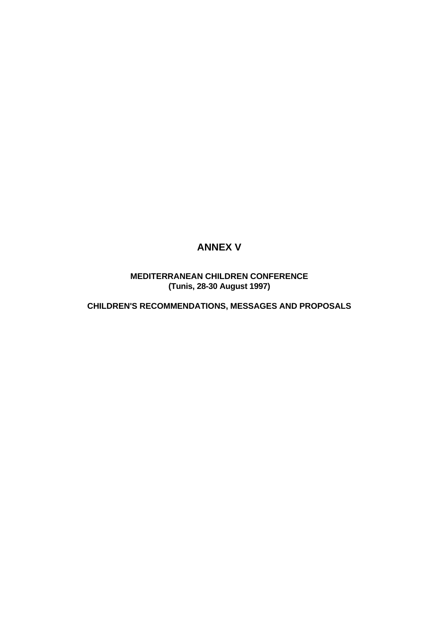# **ANNEX V**

**MEDITERRANEAN CHILDREN CONFERENCE (Tunis, 28-30 August 1997)**

**CHILDREN'S RECOMMENDATIONS, MESSAGES AND PROPOSALS**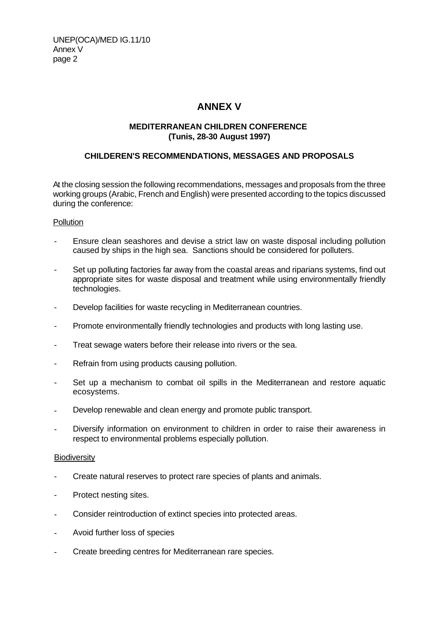UNEP(OCA)/MED IG.11/10 Annex V page 2

## **ANNEX V**

### **MEDITERRANEAN CHILDREN CONFERENCE (Tunis, 28-30 August 1997)**

## **CHILDEREN'S RECOMMENDATIONS, MESSAGES AND PROPOSALS**

At the closing session the following recommendations, messages and proposals from the three working groups (Arabic, French and English) were presented according to the topics discussed during the conference:

#### **Pollution**

- Ensure clean seashores and devise a strict law on waste disposal including pollution caused by ships in the high sea. Sanctions should be considered for polluters.
- Set up polluting factories far away from the coastal areas and riparians systems, find out appropriate sites for waste disposal and treatment while using environmentally friendly technologies.
- Develop facilities for waste recycling in Mediterranean countries.
- Promote environmentally friendly technologies and products with long lasting use.
- Treat sewage waters before their release into rivers or the sea.
- Refrain from using products causing pollution.
- Set up a mechanism to combat oil spills in the Mediterranean and restore aquatic ecosystems.
- Develop renewable and clean energy and promote public transport.
- Diversify information on environment to children in order to raise their awareness in respect to environmental problems especially pollution.

#### **Biodiversity**

- Create natural reserves to protect rare species of plants and animals.
- Protect nesting sites.
- Consider reintroduction of extinct species into protected areas.
- Avoid further loss of species
- Create breeding centres for Mediterranean rare species.